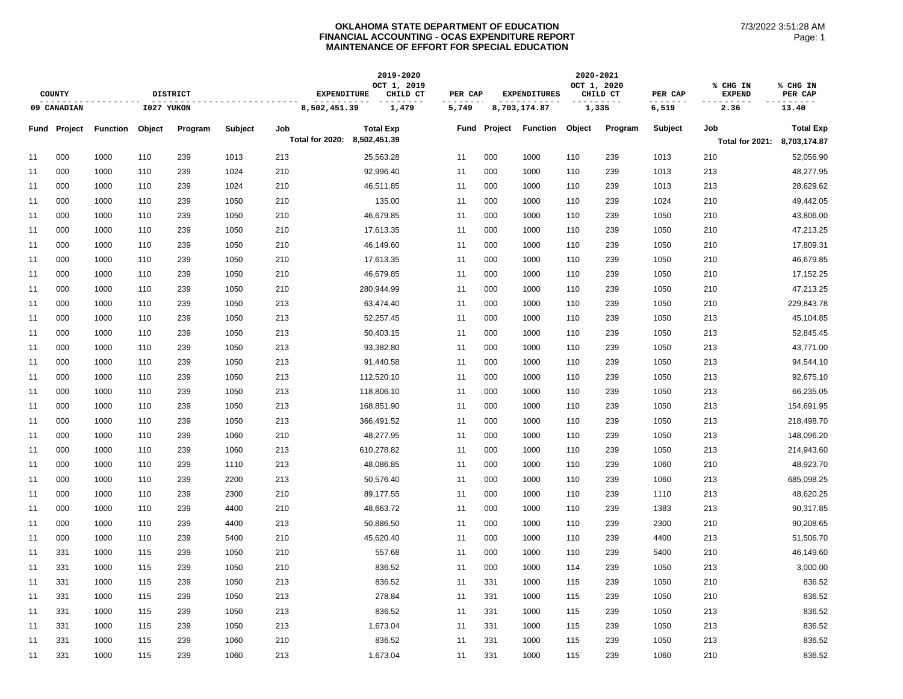|    |                     |                 |            |                 |         |                              | 2019-2020               |         |         |                     | 2020-2021   |          |         |                           |                     |
|----|---------------------|-----------------|------------|-----------------|---------|------------------------------|-------------------------|---------|---------|---------------------|-------------|----------|---------|---------------------------|---------------------|
|    | <b>COUNTY</b>       |                 |            | <b>DISTRICT</b> |         | <b>EXPENDITURE</b>           | OCT 1, 2019<br>CHILD CT | PER CAP |         | <b>EXPENDITURES</b> | OCT 1, 2020 | CHILD CT | PER CAP | % CHG IN<br><b>EXPEND</b> | % CHG IN<br>PER CAP |
|    | 09 CANADIAN         |                 | I027 YUKON |                 |         | 8,502,451.39                 | 1,479                   | 5,749   |         | 8,703,174.87        | 1,335       |          | 6,519   | 2.36                      | 13.40               |
|    | <b>Fund Project</b> | <b>Function</b> | Object     | Program         | Subject | Job                          | <b>Total Exp</b>        | Fund    | Project | <b>Function</b>     | Object      | Program  | Subject | Job                       | <b>Total Exp</b>    |
|    |                     |                 |            |                 |         | Total for 2020: 8,502,451.39 |                         |         |         |                     |             |          |         | Total for 2021:           | 8,703,174.87        |
| 11 | 000                 | 1000            | 110        | 239             | 1013    | 213                          | 25,563.28               | 11      | 000     | 1000                | 110         | 239      | 1013    | 210                       | 52,056.90           |
| 11 | 000                 | 1000            | 110        | 239             | 1024    | 210                          | 92,996.40               | 11      | 000     | 1000                | 110         | 239      | 1013    | 213                       | 48,277.95           |
| 11 | 000                 | 1000            | 110        | 239             | 1024    | 210                          | 46,511.85               | 11      | 000     | 1000                | 110         | 239      | 1013    | 213                       | 28,629.62           |
| 11 | 000                 | 1000            | 110        | 239             | 1050    | 210                          | 135.00                  | 11      | 000     | 1000                | 110         | 239      | 1024    | 210                       | 49,442.05           |
| 11 | 000                 | 1000            | 110        | 239             | 1050    | 210                          | 46,679.85               | 11      | 000     | 1000                | 110         | 239      | 1050    | 210                       | 43,806.00           |
| 11 | 000                 | 1000            | 110        | 239             | 1050    | 210                          | 17,613.35               | 11      | 000     | 1000                | 110         | 239      | 1050    | 210                       | 47,213.25           |
| 11 | 000                 | 1000            | 110        | 239             | 1050    | 210                          | 46,149.60               | 11      | 000     | 1000                | 110         | 239      | 1050    | 210                       | 17,809.31           |
| 11 | 000                 | 1000            | 110        | 239             | 1050    | 210                          | 17,613.35               | 11      | 000     | 1000                | 110         | 239      | 1050    | 210                       | 46,679.85           |
| 11 | 000                 | 1000            | 110        | 239             | 1050    | 210                          | 46,679.85               | 11      | 000     | 1000                | 110         | 239      | 1050    | 210                       | 17,152.25           |
| 11 | 000                 | 1000            | 110        | 239             | 1050    | 210                          | 280,944.99              | 11      | 000     | 1000                | 110         | 239      | 1050    | 210                       | 47,213.25           |
| 11 | 000                 | 1000            | 110        | 239             | 1050    | 213                          | 63,474.40               | 11      | 000     | 1000                | 110         | 239      | 1050    | 210                       | 229,843.78          |
| 11 | 000                 | 1000            | 110        | 239             | 1050    | 213                          | 52,257.45               | 11      | 000     | 1000                | 110         | 239      | 1050    | 213                       | 45,104.85           |
| 11 | 000                 | 1000            | 110        | 239             | 1050    | 213                          | 50,403.15               | 11      | 000     | 1000                | 110         | 239      | 1050    | 213                       | 52,845.45           |
| 11 | 000                 | 1000            | 110        | 239             | 1050    | 213                          | 93,382.80               | 11      | 000     | 1000                | 110         | 239      | 1050    | 213                       | 43,771.00           |
| 11 | 000                 | 1000            | 110        | 239             | 1050    | 213                          | 91,440.58               | 11      | 000     | 1000                | 110         | 239      | 1050    | 213                       | 94,544.10           |
| 11 | 000                 | 1000            | 110        | 239             | 1050    | 213                          | 112,520.10              | 11      | 000     | 1000                | 110         | 239      | 1050    | 213                       | 92,675.10           |
| 11 | 000                 | 1000            | 110        | 239             | 1050    | 213                          | 118,806.10              | 11      | 000     | 1000                | 110         | 239      | 1050    | 213                       | 66,235.05           |
| 11 | 000                 | 1000            | 110        | 239             | 1050    | 213                          | 168,851.90              | 11      | 000     | 1000                | 110         | 239      | 1050    | 213                       | 154,691.95          |
| 11 | 000                 | 1000            | 110        | 239             | 1050    | 213                          | 366,491.52              | 11      | 000     | 1000                | 110         | 239      | 1050    | 213                       | 218,498.70          |
| 11 | 000                 | 1000            | 110        | 239             | 1060    | 210                          | 48,277.95               | 11      | 000     | 1000                | 110         | 239      | 1050    | 213                       | 148,096.20          |
| 11 | 000                 | 1000            | 110        | 239             | 1060    | 213                          | 610,278.82              | 11      | 000     | 1000                | 110         | 239      | 1050    | 213                       | 214,943.60          |
| 11 | 000                 | 1000            | 110        | 239             | 1110    | 213                          | 48,086.85               | 11      | 000     | 1000                | 110         | 239      | 1060    | 210                       | 48,923.70           |
| 11 | 000                 | 1000            | 110        | 239             | 2200    | 213                          | 50,576.40               | 11      | 000     | 1000                | 110         | 239      | 1060    | 213                       | 685,098.25          |
| 11 | 000                 | 1000            | 110        | 239             | 2300    | 210                          | 89,177.55               | 11      | 000     | 1000                | 110         | 239      | 1110    | 213                       | 48,620.25           |
| 11 | 000                 | 1000            | 110        | 239             | 4400    | 210                          | 48,663.72               | 11      | 000     | 1000                | 110         | 239      | 1383    | 213                       | 90,317.85           |
| 11 | 000                 | 1000            | 110        | 239             | 4400    | 213                          | 50,886.50               | 11      | 000     | 1000                | 110         | 239      | 2300    | 210                       | 90,208.65           |
| 11 | 000                 | 1000            | 110        | 239             | 5400    | 210                          | 45,620.40               | 11      | 000     | 1000                | 110         | 239      | 4400    | 213                       | 51,506.70           |
| 11 | 331                 | 1000            | 115        | 239             | 1050    | 210                          | 557.68                  | 11      | 000     | 1000                | 110         | 239      | 5400    | 210                       | 46,149.60           |
| 11 | 331                 | 1000            | 115        | 239             | 1050    | 210                          | 836.52                  | 11      | 000     | 1000                | 114         | 239      | 1050    | 213                       | 3,000.00            |
| 11 | 331                 | 1000            | 115        | 239             | 1050    | 213                          | 836.52                  | 11      | 331     | 1000                | 115         | 239      | 1050    | 210                       | 836.52              |
| 11 | 331                 | 1000            | 115        | 239             | 1050    | 213                          | 278.84                  | 11      | 331     | 1000                | 115         | 239      | 1050    | 210                       | 836.52              |
| 11 | 331                 | 1000            | 115        | 239             | 1050    | 213                          | 836.52                  | 11      | 331     | 1000                | 115         | 239      | 1050    | 213                       | 836.52              |
| 11 | 331                 | 1000            | 115        | 239             | 1050    | 213                          | 1,673.04                | 11      | 331     | 1000                | 115         | 239      | 1050    | 213                       | 836.52              |
| 11 | 331                 | 1000            | 115        | 239             | 1060    | 210                          | 836.52                  | 11      | 331     | 1000                | 115         | 239      | 1050    | 213                       | 836.52              |
| 11 | 331                 | 1000            | 115        | 239             | 1060    | 213                          | 1,673.04                | 11      | 331     | 1000                | 115         | 239      | 1060    | 210                       | 836.52              |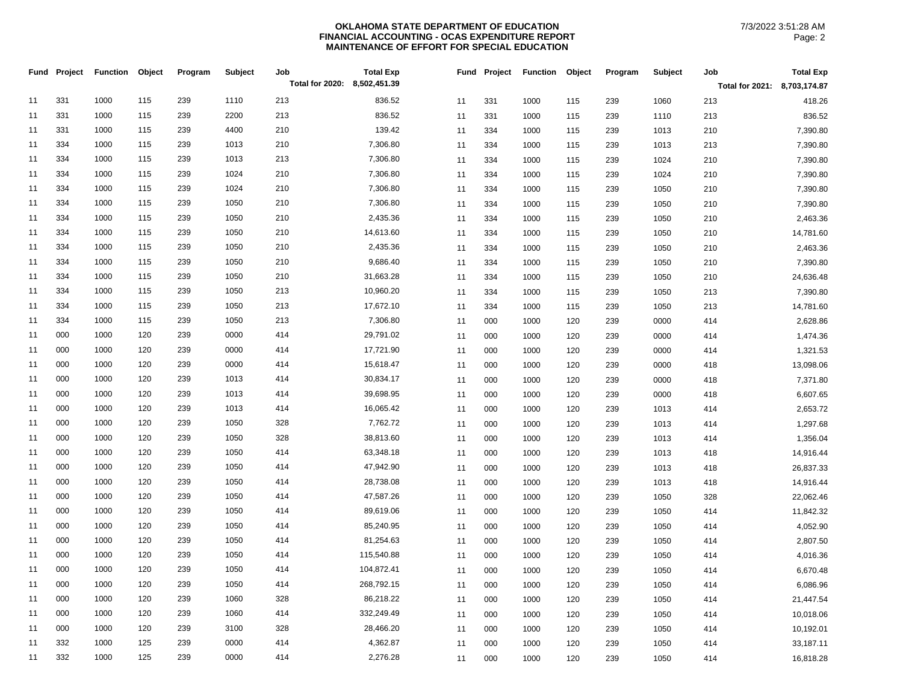| Fund | Project | <b>Function</b> | Object | Program | Subject | Job                          | <b>Total Exp</b> | Fund | Project | <b>Function</b> | Object | Program | Subject | Job                          | <b>Total Exp</b> |
|------|---------|-----------------|--------|---------|---------|------------------------------|------------------|------|---------|-----------------|--------|---------|---------|------------------------------|------------------|
|      |         |                 |        |         |         | Total for 2020: 8,502,451.39 |                  |      |         |                 |        |         |         | Total for 2021: 8,703,174.87 |                  |
| 11   | 331     | 1000            | 115    | 239     | 1110    | 213                          | 836.52           | 11   | 331     | 1000            | 115    | 239     | 1060    | 213                          | 418.26           |
| 11   | 331     | 1000            | 115    | 239     | 2200    | 213                          | 836.52           | 11   | 331     | 1000            | 115    | 239     | 1110    | 213                          | 836.52           |
| 11   | 331     | 1000            | 115    | 239     | 4400    | 210                          | 139.42           | 11   | 334     | 1000            | 115    | 239     | 1013    | 210                          | 7,390.80         |
| 11   | 334     | 1000            | 115    | 239     | 1013    | 210                          | 7,306.80         | 11   | 334     | 1000            | 115    | 239     | 1013    | 213                          | 7,390.80         |
| 11   | 334     | 1000            | 115    | 239     | 1013    | 213                          | 7,306.80         | 11   | 334     | 1000            | 115    | 239     | 1024    | 210                          | 7,390.80         |
| 11   | 334     | 1000            | 115    | 239     | 1024    | 210                          | 7,306.80         | 11   | 334     | 1000            | 115    | 239     | 1024    | 210                          | 7,390.80         |
| 11   | 334     | 1000            | 115    | 239     | 1024    | 210                          | 7,306.80         | 11   | 334     | 1000            | 115    | 239     | 1050    | 210                          | 7,390.80         |
| 11   | 334     | 1000            | 115    | 239     | 1050    | 210                          | 7,306.80         | 11   | 334     | 1000            | 115    | 239     | 1050    | 210                          | 7,390.80         |
| 11   | 334     | 1000            | 115    | 239     | 1050    | 210                          | 2,435.36         | 11   | 334     | 1000            | 115    | 239     | 1050    | 210                          | 2,463.36         |
| 11   | 334     | 1000            | 115    | 239     | 1050    | 210                          | 14,613.60        | 11   | 334     | 1000            | 115    | 239     | 1050    | 210                          | 14,781.60        |
| 11   | 334     | 1000            | 115    | 239     | 1050    | 210                          | 2,435.36         | 11   | 334     | 1000            | 115    | 239     | 1050    | 210                          | 2,463.36         |
| 11   | 334     | 1000            | 115    | 239     | 1050    | 210                          | 9,686.40         | 11   | 334     | 1000            | 115    | 239     | 1050    | 210                          | 7,390.80         |
| 11   | 334     | 1000            | 115    | 239     | 1050    | 210                          | 31,663.28        | 11   | 334     | 1000            | 115    | 239     | 1050    | 210                          | 24,636.48        |
| 11   | 334     | 1000            | 115    | 239     | 1050    | 213                          | 10,960.20        | 11   | 334     | 1000            | 115    | 239     | 1050    | 213                          | 7,390.80         |
| 11   | 334     | 1000            | 115    | 239     | 1050    | 213                          | 17,672.10        | 11   | 334     | 1000            | 115    | 239     | 1050    | 213                          | 14,781.60        |
| 11   | 334     | 1000            | 115    | 239     | 1050    | 213                          | 7,306.80         | 11   | 000     | 1000            | 120    | 239     | 0000    | 414                          | 2,628.86         |
| 11   | 000     | 1000            | 120    | 239     | 0000    | 414                          | 29,791.02        | 11   | 000     | 1000            | 120    | 239     | 0000    | 414                          | 1,474.36         |
| 11   | 000     | 1000            | 120    | 239     | 0000    | 414                          | 17,721.90        | 11   | 000     | 1000            | 120    | 239     | 0000    | 414                          | 1,321.53         |
| 11   | 000     | 1000            | 120    | 239     | 0000    | 414                          | 15,618.47        | 11   | 000     | 1000            | 120    | 239     | 0000    | 418                          | 13,098.06        |
| 11   | 000     | 1000            | 120    | 239     | 1013    | 414                          | 30,834.17        | 11   | 000     | 1000            | 120    | 239     | 0000    | 418                          | 7,371.80         |
| 11   | 000     | 1000            | 120    | 239     | 1013    | 414                          | 39,698.95        | 11   | 000     | 1000            | 120    | 239     | 0000    | 418                          | 6,607.65         |
| 11   | 000     | 1000            | 120    | 239     | 1013    | 414                          | 16,065.42        | 11   | 000     | 1000            | 120    | 239     | 1013    | 414                          | 2,653.72         |
| 11   | 000     | 1000            | 120    | 239     | 1050    | 328                          | 7,762.72         | 11   | 000     | 1000            | 120    | 239     | 1013    | 414                          | 1,297.68         |
| 11   | 000     | 1000            | 120    | 239     | 1050    | 328                          | 38,813.60        | 11   | 000     | 1000            | 120    | 239     | 1013    | 414                          | 1,356.04         |
| 11   | 000     | 1000            | 120    | 239     | 1050    | 414                          | 63,348.18        | 11   | 000     | 1000            | 120    | 239     | 1013    | 418                          | 14,916.44        |
| 11   | 000     | 1000            | 120    | 239     | 1050    | 414                          | 47,942.90        | 11   | 000     | 1000            | 120    | 239     | 1013    | 418                          | 26,837.33        |
| 11   | 000     | 1000            | 120    | 239     | 1050    | 414                          | 28,738.08        | 11   | 000     | 1000            | 120    | 239     | 1013    | 418                          | 14,916.44        |
| 11   | 000     | 1000            | 120    | 239     | 1050    | 414                          | 47,587.26        | 11   | 000     | 1000            | 120    | 239     | 1050    | 328                          | 22,062.46        |
| 11   | 000     | 1000            | 120    | 239     | 1050    | 414                          | 89,619.06        | 11   | 000     | 1000            | 120    | 239     | 1050    | 414                          | 11,842.32        |
| 11   | 000     | 1000            | 120    | 239     | 1050    | 414                          | 85,240.95        | 11   | 000     | 1000            | 120    | 239     | 1050    | 414                          | 4,052.90         |
| 11   | 000     | 1000            | 120    | 239     | 1050    | 414                          | 81,254.63        | 11   | 000     | 1000            | 120    | 239     | 1050    | 414                          | 2,807.50         |
| 11   | 000     | 1000            | 120    | 239     | 1050    | 414                          | 115,540.88       | 11   | 000     | 1000            | 120    | 239     | 1050    | 414                          | 4,016.36         |
| 11   | 000     | 1000            | 120    | 239     | 1050    | 414                          | 104,872.41       | 11   | 000     | 1000            | 120    | 239     | 1050    | 414                          | 6,670.48         |
| 11   | 000     | 1000            | 120    | 239     | 1050    | 414                          | 268,792.15       | 11   | 000     | 1000            | 120    | 239     | 1050    | 414                          | 6,086.96         |
| 11   | 000     | 1000            | 120    | 239     | 1060    | 328                          | 86,218.22        | 11   | 000     | 1000            | 120    | 239     | 1050    | 414                          | 21,447.54        |
| 11   | 000     | 1000            | 120    | 239     | 1060    | 414                          | 332,249.49       | 11   | 000     | 1000            | 120    | 239     | 1050    | 414                          | 10,018.06        |
| 11   | 000     | 1000            | 120    | 239     | 3100    | 328                          | 28,466.20        | 11   | 000     | 1000            | 120    | 239     | 1050    | 414                          | 10,192.01        |
| 11   | 332     | 1000            | 125    | 239     | 0000    | 414                          | 4,362.87         | 11   | 000     | 1000            | 120    | 239     | 1050    | 414                          | 33,187.11        |
| 11   | 332     | 1000            | 125    | 239     | 0000    | 414                          | 2,276.28         | 11   | 000     | 1000            | 120    | 239     | 1050    | 414                          | 16,818.28        |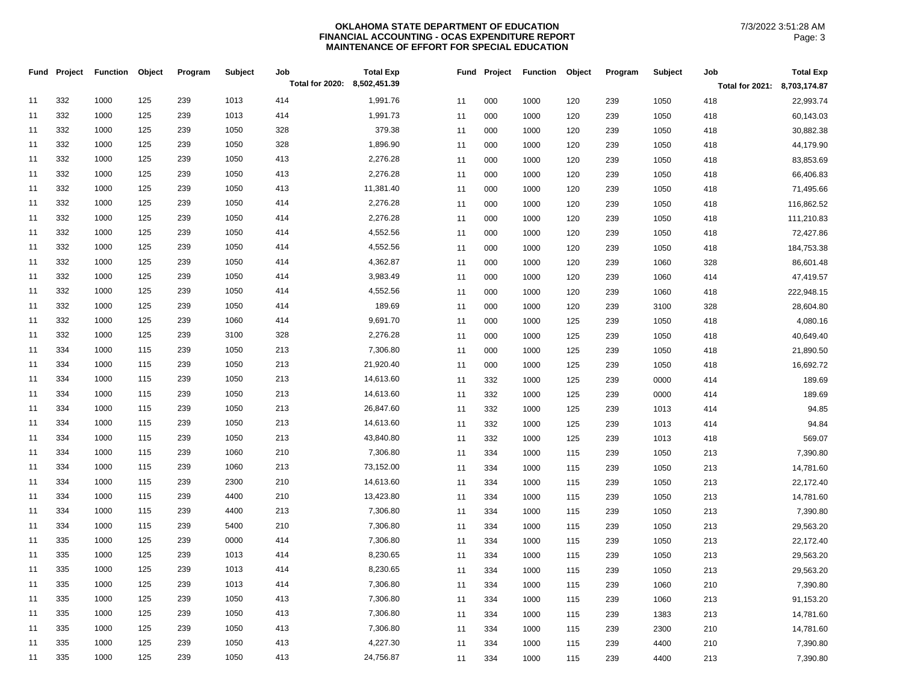| Fund | Project | <b>Function</b> | Object | Program | Subject | Job                          | <b>Total Exp</b> | Fund | Project | <b>Function</b> | Object | Program | Subject | Job                          | <b>Total Exp</b> |
|------|---------|-----------------|--------|---------|---------|------------------------------|------------------|------|---------|-----------------|--------|---------|---------|------------------------------|------------------|
|      |         |                 |        |         |         | Total for 2020: 8,502,451.39 |                  |      |         |                 |        |         |         | Total for 2021: 8,703,174.87 |                  |
| 11   | 332     | 1000            | 125    | 239     | 1013    | 414                          | 1,991.76         | 11   | 000     | 1000            | 120    | 239     | 1050    | 418                          | 22,993.74        |
| 11   | 332     | 1000            | 125    | 239     | 1013    | 414                          | 1,991.73         | 11   | 000     | 1000            | 120    | 239     | 1050    | 418                          | 60,143.03        |
| 11   | 332     | 1000            | 125    | 239     | 1050    | 328                          | 379.38           | 11   | 000     | 1000            | 120    | 239     | 1050    | 418                          | 30,882.38        |
| 11   | 332     | 1000            | 125    | 239     | 1050    | 328                          | 1,896.90         | 11   | 000     | 1000            | 120    | 239     | 1050    | 418                          | 44,179.90        |
| 11   | 332     | 1000            | 125    | 239     | 1050    | 413                          | 2,276.28         | 11   | 000     | 1000            | 120    | 239     | 1050    | 418                          | 83,853.69        |
| 11   | 332     | 1000            | 125    | 239     | 1050    | 413                          | 2,276.28         | 11   | 000     | 1000            | 120    | 239     | 1050    | 418                          | 66,406.83        |
| 11   | 332     | 1000            | 125    | 239     | 1050    | 413                          | 11,381.40        | 11   | 000     | 1000            | 120    | 239     | 1050    | 418                          | 71,495.66        |
| 11   | 332     | 1000            | 125    | 239     | 1050    | 414                          | 2,276.28         | 11   | 000     | 1000            | 120    | 239     | 1050    | 418                          | 116,862.52       |
| 11   | 332     | 1000            | 125    | 239     | 1050    | 414                          | 2,276.28         | 11   | 000     | 1000            | 120    | 239     | 1050    | 418                          | 111,210.83       |
| 11   | 332     | 1000            | 125    | 239     | 1050    | 414                          | 4,552.56         | 11   | 000     | 1000            | 120    | 239     | 1050    | 418                          | 72,427.86        |
| 11   | 332     | 1000            | 125    | 239     | 1050    | 414                          | 4,552.56         | 11   | 000     | 1000            | 120    | 239     | 1050    | 418                          | 184,753.38       |
| 11   | 332     | 1000            | 125    | 239     | 1050    | 414                          | 4,362.87         | 11   | 000     | 1000            | 120    | 239     | 1060    | 328                          | 86,601.48        |
| 11   | 332     | 1000            | 125    | 239     | 1050    | 414                          | 3,983.49         | 11   | 000     | 1000            | 120    | 239     | 1060    | 414                          | 47,419.57        |
| 11   | 332     | 1000            | 125    | 239     | 1050    | 414                          | 4,552.56         | 11   | 000     | 1000            | 120    | 239     | 1060    | 418                          | 222,948.15       |
| 11   | 332     | 1000            | 125    | 239     | 1050    | 414                          | 189.69           | 11   | 000     | 1000            | 120    | 239     | 3100    | 328                          | 28,604.80        |
| 11   | 332     | 1000            | 125    | 239     | 1060    | 414                          | 9,691.70         | 11   | 000     | 1000            | 125    | 239     | 1050    | 418                          | 4,080.16         |
| 11   | 332     | 1000            | 125    | 239     | 3100    | 328                          | 2,276.28         | 11   | 000     | 1000            | 125    | 239     | 1050    | 418                          | 40,649.40        |
| 11   | 334     | 1000            | 115    | 239     | 1050    | 213                          | 7,306.80         | 11   | 000     | 1000            | 125    | 239     | 1050    | 418                          | 21,890.50        |
| 11   | 334     | 1000            | 115    | 239     | 1050    | 213                          | 21,920.40        | 11   | 000     | 1000            | 125    | 239     | 1050    | 418                          | 16,692.72        |
| 11   | 334     | 1000            | 115    | 239     | 1050    | 213                          | 14,613.60        | 11   | 332     | 1000            | 125    | 239     | 0000    | 414                          | 189.69           |
| 11   | 334     | 1000            | 115    | 239     | 1050    | 213                          | 14,613.60        | 11   | 332     | 1000            | 125    | 239     | 0000    | 414                          | 189.69           |
| 11   | 334     | 1000            | 115    | 239     | 1050    | 213                          | 26,847.60        | 11   | 332     | 1000            | 125    | 239     | 1013    | 414                          | 94.85            |
| 11   | 334     | 1000            | 115    | 239     | 1050    | 213                          | 14,613.60        | 11   | 332     | 1000            | 125    | 239     | 1013    | 414                          | 94.84            |
| 11   | 334     | 1000            | 115    | 239     | 1050    | 213                          | 43,840.80        | 11   | 332     | 1000            | 125    | 239     | 1013    | 418                          | 569.07           |
| 11   | 334     | 1000            | 115    | 239     | 1060    | 210                          | 7,306.80         | 11   | 334     | 1000            | 115    | 239     | 1050    | 213                          | 7,390.80         |
| 11   | 334     | 1000            | 115    | 239     | 1060    | 213                          | 73,152.00        | 11   | 334     | 1000            | 115    | 239     | 1050    | 213                          | 14,781.60        |
| 11   | 334     | 1000            | 115    | 239     | 2300    | 210                          | 14,613.60        | 11   | 334     | 1000            | 115    | 239     | 1050    | 213                          | 22,172.40        |
| 11   | 334     | 1000            | 115    | 239     | 4400    | 210                          | 13,423.80        | 11   | 334     | 1000            | 115    | 239     | 1050    | 213                          | 14,781.60        |
| 11   | 334     | 1000            | 115    | 239     | 4400    | 213                          | 7,306.80         | 11   | 334     | 1000            | 115    | 239     | 1050    | 213                          | 7,390.80         |
| 11   | 334     | 1000            | 115    | 239     | 5400    | 210                          | 7,306.80         | 11   | 334     | 1000            | 115    | 239     | 1050    | 213                          | 29,563.20        |
| 11   | 335     | 1000            | 125    | 239     | 0000    | 414                          | 7,306.80         | 11   | 334     | 1000            | 115    | 239     | 1050    | 213                          | 22,172.40        |
| 11   | 335     | 1000            | 125    | 239     | 1013    | 414                          | 8,230.65         | 11   | 334     | 1000            | 115    | 239     | 1050    | 213                          | 29,563.20        |
| 11   | 335     | 1000            | 125    | 239     | 1013    | 414                          | 8,230.65         | 11   | 334     | 1000            | 115    | 239     | 1050    | 213                          | 29,563.20        |
| 11   | 335     | 1000            | 125    | 239     | 1013    | 414                          | 7,306.80         | 11   | 334     | 1000            | 115    | 239     | 1060    | 210                          | 7,390.80         |
| 11   | 335     | 1000            | 125    | 239     | 1050    | 413                          | 7,306.80         | 11   | 334     | 1000            | 115    | 239     | 1060    | 213                          | 91,153.20        |
| 11   | 335     | 1000            | 125    | 239     | 1050    | 413                          | 7,306.80         | 11   | 334     | 1000            | 115    | 239     | 1383    | 213                          | 14,781.60        |
| 11   | 335     | 1000            | 125    | 239     | 1050    | 413                          | 7,306.80         | 11   | 334     | 1000            | 115    | 239     | 2300    | 210                          | 14,781.60        |
| 11   | 335     | 1000            | 125    | 239     | 1050    | 413                          | 4,227.30         | 11   | 334     | 1000            | 115    | 239     | 4400    | 210                          | 7,390.80         |
| 11   | 335     | 1000            | 125    | 239     | 1050    | 413                          | 24,756.87        | 11   | 334     | 1000            | 115    | 239     | 4400    | 213                          | 7,390.80         |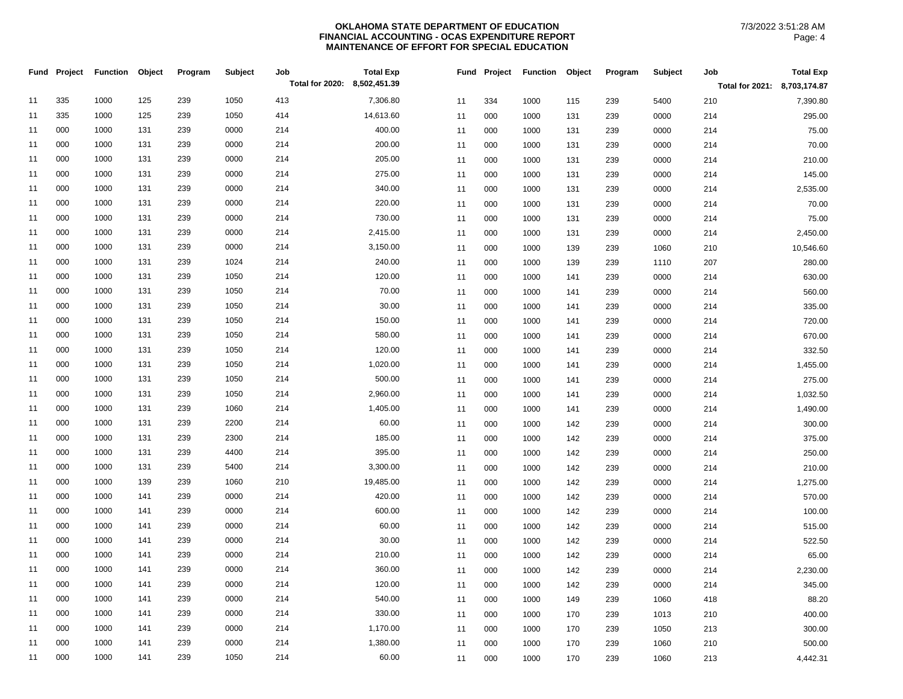|    | Fund Project | <b>Function</b> | Object | Program | Subject | Job                          | <b>Total Exp</b> | Fund | Project | <b>Function</b> | Object | Program | Subject | Job                          | <b>Total Exp</b> |
|----|--------------|-----------------|--------|---------|---------|------------------------------|------------------|------|---------|-----------------|--------|---------|---------|------------------------------|------------------|
|    |              |                 |        |         |         | Total for 2020: 8,502,451.39 |                  |      |         |                 |        |         |         | Total for 2021: 8,703,174.87 |                  |
| 11 | 335          | 1000            | 125    | 239     | 1050    | 413                          | 7,306.80         | 11   | 334     | 1000            | 115    | 239     | 5400    | 210                          | 7,390.80         |
| 11 | 335          | 1000            | 125    | 239     | 1050    | 414                          | 14,613.60        | 11   | 000     | 1000            | 131    | 239     | 0000    | 214                          | 295.00           |
| 11 | 000          | 1000            | 131    | 239     | 0000    | 214                          | 400.00           | 11   | 000     | 1000            | 131    | 239     | 0000    | 214                          | 75.00            |
| 11 | 000          | 1000            | 131    | 239     | 0000    | 214                          | 200.00           | 11   | 000     | 1000            | 131    | 239     | 0000    | 214                          | 70.00            |
| 11 | 000          | 1000            | 131    | 239     | 0000    | 214                          | 205.00           | 11   | 000     | 1000            | 131    | 239     | 0000    | 214                          | 210.00           |
| 11 | 000          | 1000            | 131    | 239     | 0000    | 214                          | 275.00           | 11   | 000     | 1000            | 131    | 239     | 0000    | 214                          | 145.00           |
| 11 | 000          | 1000            | 131    | 239     | 0000    | 214                          | 340.00           | 11   | 000     | 1000            | 131    | 239     | 0000    | 214                          | 2,535.00         |
| 11 | 000          | 1000            | 131    | 239     | 0000    | 214                          | 220.00           | 11   | 000     | 1000            | 131    | 239     | 0000    | 214                          | 70.00            |
| 11 | 000          | 1000            | 131    | 239     | 0000    | 214                          | 730.00           | 11   | 000     | 1000            | 131    | 239     | 0000    | 214                          | 75.00            |
| 11 | 000          | 1000            | 131    | 239     | 0000    | 214                          | 2,415.00         | 11   | 000     | 1000            | 131    | 239     | 0000    | 214                          | 2,450.00         |
| 11 | 000          | 1000            | 131    | 239     | 0000    | 214                          | 3,150.00         | 11   | 000     | 1000            | 139    | 239     | 1060    | 210                          | 10,546.60        |
| 11 | 000          | 1000            | 131    | 239     | 1024    | 214                          | 240.00           | 11   | 000     | 1000            | 139    | 239     | 1110    | 207                          | 280.00           |
| 11 | 000          | 1000            | 131    | 239     | 1050    | 214                          | 120.00           | 11   | 000     | 1000            | 141    | 239     | 0000    | 214                          | 630.00           |
| 11 | 000          | 1000            | 131    | 239     | 1050    | 214                          | 70.00            | 11   | 000     | 1000            | 141    | 239     | 0000    | 214                          | 560.00           |
| 11 | 000          | 1000            | 131    | 239     | 1050    | 214                          | 30.00            | 11   | 000     | 1000            | 141    | 239     | 0000    | 214                          | 335.00           |
| 11 | 000          | 1000            | 131    | 239     | 1050    | 214                          | 150.00           | 11   | 000     | 1000            | 141    | 239     | 0000    | 214                          | 720.00           |
| 11 | 000          | 1000            | 131    | 239     | 1050    | 214                          | 580.00           | 11   | 000     | 1000            | 141    | 239     | 0000    | 214                          | 670.00           |
| 11 | 000          | 1000            | 131    | 239     | 1050    | 214                          | 120.00           | 11   | 000     | 1000            | 141    | 239     | 0000    | 214                          | 332.50           |
| 11 | 000          | 1000            | 131    | 239     | 1050    | 214                          | 1,020.00         | 11   | 000     | 1000            | 141    | 239     | 0000    | 214                          | 1,455.00         |
| 11 | 000          | 1000            | 131    | 239     | 1050    | 214                          | 500.00           | 11   | 000     | 1000            | 141    | 239     | 0000    | 214                          | 275.00           |
| 11 | 000          | 1000            | 131    | 239     | 1050    | 214                          | 2,960.00         | 11   | 000     | 1000            | 141    | 239     | 0000    | 214                          | 1,032.50         |
| 11 | 000          | 1000            | 131    | 239     | 1060    | 214                          | 1,405.00         | 11   | 000     | 1000            | 141    | 239     | 0000    | 214                          | 1,490.00         |
| 11 | 000          | 1000            | 131    | 239     | 2200    | 214                          | 60.00            | 11   | 000     | 1000            | 142    | 239     | 0000    | 214                          | 300.00           |
| 11 | 000          | 1000            | 131    | 239     | 2300    | 214                          | 185.00           | 11   | 000     | 1000            | 142    | 239     | 0000    | 214                          | 375.00           |
| 11 | 000          | 1000            | 131    | 239     | 4400    | 214                          | 395.00           | 11   | 000     | 1000            | 142    | 239     | 0000    | 214                          | 250.00           |
| 11 | 000          | 1000            | 131    | 239     | 5400    | 214                          | 3,300.00         | 11   | 000     | 1000            | 142    | 239     | 0000    | 214                          | 210.00           |
| 11 | 000          | 1000            | 139    | 239     | 1060    | 210                          | 19,485.00        | 11   | 000     | 1000            | 142    | 239     | 0000    | 214                          | 1,275.00         |
| 11 | 000          | 1000            | 141    | 239     | 0000    | 214                          | 420.00           | 11   | 000     | 1000            | 142    | 239     | 0000    | 214                          | 570.00           |
| 11 | 000          | 1000            | 141    | 239     | 0000    | 214                          | 600.00           | 11   | 000     | 1000            | 142    | 239     | 0000    | 214                          | 100.00           |
| 11 | 000          | 1000            | 141    | 239     | 0000    | 214                          | 60.00            | 11   | 000     | 1000            | 142    | 239     | 0000    | 214                          | 515.00           |
| 11 | 000          | 1000            | 141    | 239     | 0000    | 214                          | 30.00            | 11   | 000     | 1000            | 142    | 239     | 0000    | 214                          | 522.50           |
| 11 | 000          | 1000            | 141    | 239     | 0000    | 214                          | 210.00           | 11   | 000     | 1000            | 142    | 239     | 0000    | 214                          | 65.00            |
| 11 | 000          | 1000            | 141    | 239     | 0000    | 214                          | 360.00           | 11   | 000     | 1000            | 142    | 239     | 0000    | 214                          | 2,230.00         |
| 11 | 000          | 1000            | 141    | 239     | 0000    | 214                          | 120.00           | 11   | 000     | 1000            | 142    | 239     | 0000    | 214                          | 345.00           |
| 11 | 000          | 1000            | 141    | 239     | 0000    | 214                          | 540.00           | 11   | 000     | 1000            | 149    | 239     | 1060    | 418                          | 88.20            |
| 11 | 000          | 1000            | 141    | 239     | 0000    | 214                          | 330.00           | 11   | 000     | 1000            | 170    | 239     | 1013    | 210                          | 400.00           |
| 11 | 000          | 1000            | 141    | 239     | 0000    | 214                          | 1,170.00         | 11   | 000     | 1000            | 170    | 239     | 1050    | 213                          | 300.00           |
| 11 | 000          | 1000            | 141    | 239     | 0000    | 214                          | 1,380.00         | 11   | 000     | 1000            | 170    | 239     | 1060    | 210                          | 500.00           |
| 11 | 000          | 1000            | 141    | 239     | 1050    | 214                          | 60.00            | 11   | 000     | 1000            | 170    | 239     | 1060    | 213                          | 4,442.31         |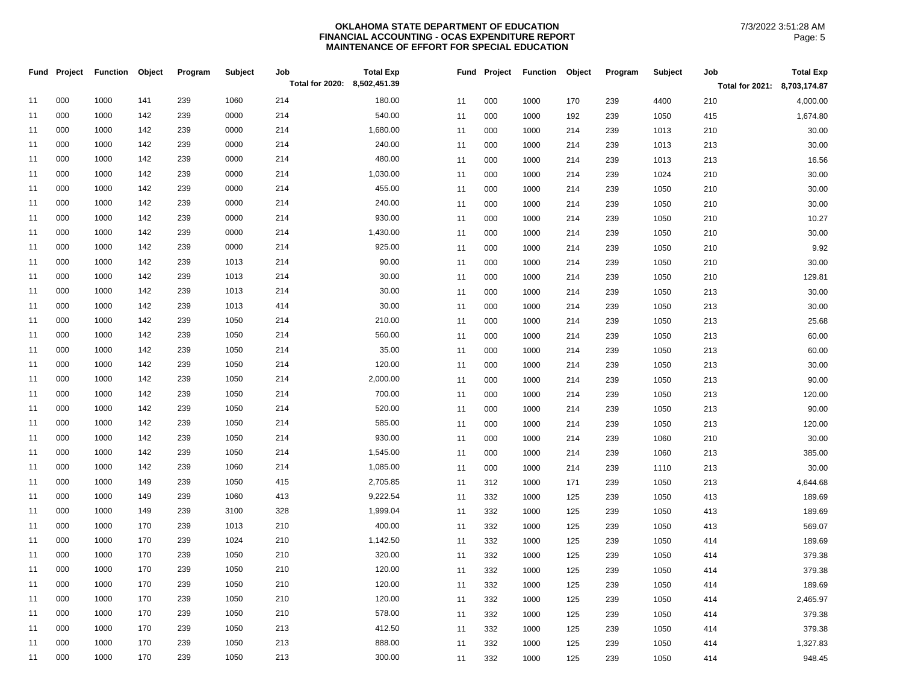|    | Fund Project | <b>Function</b> | Object | Program | Subject | Job                          | <b>Total Exp</b> | Fund | Project | <b>Function</b> | Object | Program | Subject | Job                          | <b>Total Exp</b> |
|----|--------------|-----------------|--------|---------|---------|------------------------------|------------------|------|---------|-----------------|--------|---------|---------|------------------------------|------------------|
|    |              |                 |        |         |         | Total for 2020: 8,502,451.39 |                  |      |         |                 |        |         |         | Total for 2021: 8,703,174.87 |                  |
| 11 | 000          | 1000            | 141    | 239     | 1060    | 214                          | 180.00           | 11   | 000     | 1000            | 170    | 239     | 4400    | 210                          | 4,000.00         |
| 11 | 000          | 1000            | 142    | 239     | 0000    | 214                          | 540.00           | 11   | 000     | 1000            | 192    | 239     | 1050    | 415                          | 1,674.80         |
| 11 | 000          | 1000            | 142    | 239     | 0000    | 214                          | 1,680.00         | 11   | 000     | 1000            | 214    | 239     | 1013    | 210                          | 30.00            |
| 11 | 000          | 1000            | 142    | 239     | 0000    | 214                          | 240.00           | 11   | 000     | 1000            | 214    | 239     | 1013    | 213                          | 30.00            |
| 11 | 000          | 1000            | 142    | 239     | 0000    | 214                          | 480.00           | 11   | 000     | 1000            | 214    | 239     | 1013    | 213                          | 16.56            |
| 11 | 000          | 1000            | 142    | 239     | 0000    | 214                          | 1,030.00         | 11   | 000     | 1000            | 214    | 239     | 1024    | 210                          | 30.00            |
| 11 | 000          | 1000            | 142    | 239     | 0000    | 214                          | 455.00           | 11   | 000     | 1000            | 214    | 239     | 1050    | 210                          | 30.00            |
| 11 | 000          | 1000            | 142    | 239     | 0000    | 214                          | 240.00           | 11   | 000     | 1000            | 214    | 239     | 1050    | 210                          | 30.00            |
| 11 | 000          | 1000            | 142    | 239     | 0000    | 214                          | 930.00           | 11   | 000     | 1000            | 214    | 239     | 1050    | 210                          | 10.27            |
| 11 | 000          | 1000            | 142    | 239     | 0000    | 214                          | 1,430.00         | 11   | 000     | 1000            | 214    | 239     | 1050    | 210                          | 30.00            |
| 11 | 000          | 1000            | 142    | 239     | 0000    | 214                          | 925.00           | 11   | 000     | 1000            | 214    | 239     | 1050    | 210                          | 9.92             |
| 11 | 000          | 1000            | 142    | 239     | 1013    | 214                          | 90.00            | 11   | 000     | 1000            | 214    | 239     | 1050    | 210                          | 30.00            |
| 11 | 000          | 1000            | 142    | 239     | 1013    | 214                          | 30.00            | 11   | 000     | 1000            | 214    | 239     | 1050    | 210                          | 129.81           |
| 11 | 000          | 1000            | 142    | 239     | 1013    | 214                          | 30.00            | 11   | 000     | 1000            | 214    | 239     | 1050    | 213                          | 30.00            |
| 11 | 000          | 1000            | 142    | 239     | 1013    | 414                          | 30.00            | 11   | 000     | 1000            | 214    | 239     | 1050    | 213                          | 30.00            |
| 11 | 000          | 1000            | 142    | 239     | 1050    | 214                          | 210.00           | 11   | 000     | 1000            | 214    | 239     | 1050    | 213                          | 25.68            |
| 11 | 000          | 1000            | 142    | 239     | 1050    | 214                          | 560.00           | 11   | 000     | 1000            | 214    | 239     | 1050    | 213                          | 60.00            |
| 11 | 000          | 1000            | 142    | 239     | 1050    | 214                          | 35.00            | 11   | 000     | 1000            | 214    | 239     | 1050    | 213                          | 60.00            |
| 11 | 000          | 1000            | 142    | 239     | 1050    | 214                          | 120.00           | 11   | 000     | 1000            | 214    | 239     | 1050    | 213                          | 30.00            |
| 11 | 000          | 1000            | 142    | 239     | 1050    | 214                          | 2,000.00         | 11   | 000     | 1000            | 214    | 239     | 1050    | 213                          | 90.00            |
| 11 | 000          | 1000            | 142    | 239     | 1050    | 214                          | 700.00           | 11   | 000     | 1000            | 214    | 239     | 1050    | 213                          | 120.00           |
| 11 | 000          | 1000            | 142    | 239     | 1050    | 214                          | 520.00           | 11   | 000     | 1000            | 214    | 239     | 1050    | 213                          | 90.00            |
| 11 | 000          | 1000            | 142    | 239     | 1050    | 214                          | 585.00           | 11   | 000     | 1000            | 214    | 239     | 1050    | 213                          | 120.00           |
| 11 | 000          | 1000            | 142    | 239     | 1050    | 214                          | 930.00           | 11   | 000     | 1000            | 214    | 239     | 1060    | 210                          | 30.00            |
| 11 | 000          | 1000            | 142    | 239     | 1050    | 214                          | 1,545.00         | 11   | 000     | 1000            | 214    | 239     | 1060    | 213                          | 385.00           |
| 11 | 000          | 1000            | 142    | 239     | 1060    | 214                          | 1,085.00         | 11   | 000     | 1000            | 214    | 239     | 1110    | 213                          | 30.00            |
| 11 | 000          | 1000            | 149    | 239     | 1050    | 415                          | 2,705.85         | 11   | 312     | 1000            | 171    | 239     | 1050    | 213                          | 4,644.68         |
| 11 | 000          | 1000            | 149    | 239     | 1060    | 413                          | 9,222.54         | 11   | 332     | 1000            | 125    | 239     | 1050    | 413                          | 189.69           |
| 11 | 000          | 1000            | 149    | 239     | 3100    | 328                          | 1,999.04         | 11   | 332     | 1000            | 125    | 239     | 1050    | 413                          | 189.69           |
| 11 | 000          | 1000            | 170    | 239     | 1013    | 210                          | 400.00           | 11   | 332     | 1000            | 125    | 239     | 1050    | 413                          | 569.07           |
| 11 | 000          | 1000            | 170    | 239     | 1024    | 210                          | 1,142.50         | 11   | 332     | 1000            | 125    | 239     | 1050    | 414                          | 189.69           |
| 11 | 000          | 1000            | 170    | 239     | 1050    | 210                          | 320.00           | 11   | 332     | 1000            | 125    | 239     | 1050    | 414                          | 379.38           |
| 11 | 000          | 1000            | 170    | 239     | 1050    | 210                          | 120.00           | 11   | 332     | 1000            | 125    | 239     | 1050    | 414                          | 379.38           |
| 11 | 000          | 1000            | 170    | 239     | 1050    | 210                          | 120.00           | 11   | 332     | 1000            | 125    | 239     | 1050    | 414                          | 189.69           |
| 11 | 000          | 1000            | 170    | 239     | 1050    | 210                          | 120.00           | 11   | 332     | 1000            | 125    | 239     | 1050    | 414                          | 2,465.97         |
| 11 | 000          | 1000            | 170    | 239     | 1050    | 210                          | 578.00           | 11   | 332     | 1000            | 125    | 239     | 1050    | 414                          | 379.38           |
| 11 | 000          | 1000            | 170    | 239     | 1050    | 213                          | 412.50           | 11   | 332     | 1000            | 125    | 239     | 1050    | 414                          | 379.38           |
| 11 | 000          | 1000            | 170    | 239     | 1050    | 213                          | 888.00           | 11   | 332     | 1000            | 125    | 239     | 1050    | 414                          | 1,327.83         |
| 11 | 000          | 1000            | 170    | 239     | 1050    | 213                          | 300.00           | 11   | 332     | 1000            | 125    | 239     | 1050    | 414                          | 948.45           |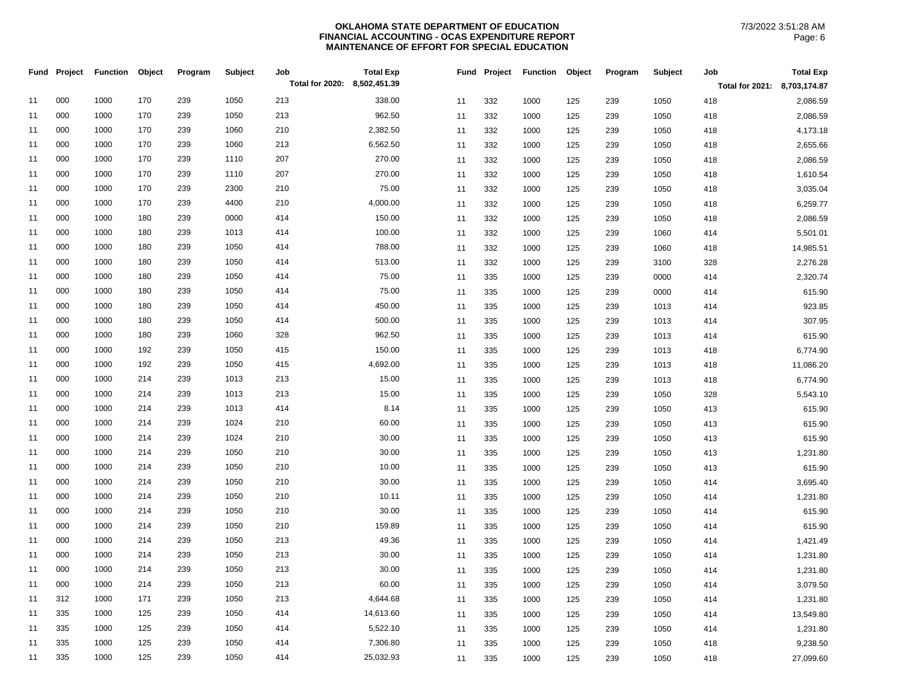|    | Fund Project | <b>Function</b> | Object | Program | <b>Subject</b> | Job<br>Total for 2020: 8,502,451.39 | <b>Total Exp</b> | Fund | Project | <b>Function</b> | Object | Program | Subject | Job                          | <b>Total Exp</b> |
|----|--------------|-----------------|--------|---------|----------------|-------------------------------------|------------------|------|---------|-----------------|--------|---------|---------|------------------------------|------------------|
|    |              |                 |        |         |                |                                     |                  |      |         |                 |        |         |         | Total for 2021: 8,703,174.87 |                  |
| 11 | 000          | 1000            | 170    | 239     | 1050           | 213                                 | 338.00           | 11   | 332     | 1000            | 125    | 239     | 1050    | 418                          | 2,086.59         |
| 11 | 000          | 1000            | 170    | 239     | 1050           | 213                                 | 962.50           | 11   | 332     | 1000            | 125    | 239     | 1050    | 418                          | 2,086.59         |
| 11 | 000          | 1000            | 170    | 239     | 1060           | 210                                 | 2,382.50         | 11   | 332     | 1000            | 125    | 239     | 1050    | 418                          | 4,173.18         |
| 11 | 000          | 1000            | 170    | 239     | 1060           | 213                                 | 6,562.50         | 11   | 332     | 1000            | 125    | 239     | 1050    | 418                          | 2,655.66         |
| 11 | 000          | 1000            | 170    | 239     | 1110           | 207                                 | 270.00           | 11   | 332     | 1000            | 125    | 239     | 1050    | 418                          | 2,086.59         |
| 11 | 000          | 1000            | 170    | 239     | 1110           | 207                                 | 270.00           | 11   | 332     | 1000            | 125    | 239     | 1050    | 418                          | 1,610.54         |
| 11 | 000          | 1000            | 170    | 239     | 2300           | 210                                 | 75.00            | 11   | 332     | 1000            | 125    | 239     | 1050    | 418                          | 3,035.04         |
| 11 | 000          | 1000            | 170    | 239     | 4400           | 210                                 | 4,000.00         | 11   | 332     | 1000            | 125    | 239     | 1050    | 418                          | 6,259.77         |
| 11 | 000          | 1000            | 180    | 239     | 0000           | 414                                 | 150.00           | 11   | 332     | 1000            | 125    | 239     | 1050    | 418                          | 2,086.59         |
| 11 | 000          | 1000            | 180    | 239     | 1013           | 414                                 | 100.00           | 11   | 332     | 1000            | 125    | 239     | 1060    | 414                          | 5,501.01         |
| 11 | 000          | 1000            | 180    | 239     | 1050           | 414                                 | 788.00           | 11   | 332     | 1000            | 125    | 239     | 1060    | 418                          | 14,985.51        |
| 11 | 000          | 1000            | 180    | 239     | 1050           | 414                                 | 513.00           | 11   | 332     | 1000            | 125    | 239     | 3100    | 328                          | 2,276.28         |
| 11 | 000          | 1000            | 180    | 239     | 1050           | 414                                 | 75.00            | 11   | 335     | 1000            | 125    | 239     | 0000    | 414                          | 2,320.74         |
| 11 | 000          | 1000            | 180    | 239     | 1050           | 414                                 | 75.00            | 11   | 335     | 1000            | 125    | 239     | 0000    | 414                          | 615.90           |
| 11 | 000          | 1000            | 180    | 239     | 1050           | 414                                 | 450.00           | 11   | 335     | 1000            | 125    | 239     | 1013    | 414                          | 923.85           |
| 11 | 000          | 1000            | 180    | 239     | 1050           | 414                                 | 500.00           | 11   | 335     | 1000            | 125    | 239     | 1013    | 414                          | 307.95           |
| 11 | 000          | 1000            | 180    | 239     | 1060           | 328                                 | 962.50           | 11   | 335     | 1000            | 125    | 239     | 1013    | 414                          | 615.90           |
| 11 | 000          | 1000            | 192    | 239     | 1050           | 415                                 | 150.00           | 11   | 335     | 1000            | 125    | 239     | 1013    | 418                          | 6,774.90         |
| 11 | 000          | 1000            | 192    | 239     | 1050           | 415                                 | 4,692.00         | 11   | 335     | 1000            | 125    | 239     | 1013    | 418                          | 11,086.20        |
| 11 | 000          | 1000            | 214    | 239     | 1013           | 213                                 | 15.00            | 11   | 335     | 1000            | 125    | 239     | 1013    | 418                          | 6,774.90         |
| 11 | 000          | 1000            | 214    | 239     | 1013           | 213                                 | 15.00            | 11   | 335     | 1000            | 125    | 239     | 1050    | 328                          | 5,543.10         |
| 11 | 000          | 1000            | 214    | 239     | 1013           | 414                                 | 8.14             | 11   | 335     | 1000            | 125    | 239     | 1050    | 413                          | 615.90           |
| 11 | 000          | 1000            | 214    | 239     | 1024           | 210                                 | 60.00            | 11   | 335     | 1000            | 125    | 239     | 1050    | 413                          | 615.90           |
| 11 | 000          | 1000            | 214    | 239     | 1024           | 210                                 | 30.00            | 11   | 335     | 1000            | 125    | 239     | 1050    | 413                          | 615.90           |
| 11 | 000          | 1000            | 214    | 239     | 1050           | 210                                 | 30.00            | 11   | 335     | 1000            | 125    | 239     | 1050    | 413                          | 1,231.80         |
| 11 | 000          | 1000            | 214    | 239     | 1050           | 210                                 | 10.00            | 11   | 335     | 1000            | 125    | 239     | 1050    | 413                          | 615.90           |
| 11 | 000          | 1000            | 214    | 239     | 1050           | 210                                 | 30.00            | 11   | 335     | 1000            | 125    | 239     | 1050    | 414                          | 3,695.40         |
| 11 | 000          | 1000            | 214    | 239     | 1050           | 210                                 | 10.11            | 11   | 335     | 1000            | 125    | 239     | 1050    | 414                          | 1,231.80         |
| 11 | 000          | 1000            | 214    | 239     | 1050           | 210                                 | 30.00            | 11   | 335     | 1000            | 125    | 239     | 1050    | 414                          | 615.90           |
| 11 | 000          | 1000            | 214    | 239     | 1050           | 210                                 | 159.89           | 11   | 335     | 1000            | 125    | 239     | 1050    | 414                          | 615.90           |
| 11 | 000          | 1000            | 214    | 239     | 1050           | 213                                 | 49.36            | 11   | 335     | 1000            | 125    | 239     | 1050    | 414                          | 1,421.49         |
| 11 | 000          | 1000            | 214    | 239     | 1050           | 213                                 | 30.00            | 11   | 335     | 1000            | 125    | 239     | 1050    | 414                          | 1,231.80         |
| 11 | 000          | 1000            | 214    | 239     | 1050           | 213                                 | 30.00            | 11   | 335     | 1000            | 125    | 239     | 1050    | 414                          | 1,231.80         |
| 11 | 000          | 1000            | 214    | 239     | 1050           | 213                                 | 60.00            | 11   | 335     | 1000            | 125    | 239     | 1050    | 414                          | 3,079.50         |
| 11 | 312          | 1000            | 171    | 239     | 1050           | 213                                 | 4,644.68         | 11   | 335     | 1000            | 125    | 239     | 1050    | 414                          | 1,231.80         |
| 11 | 335          | 1000            | 125    | 239     | 1050           | 414                                 | 14,613.60        | 11   | 335     | 1000            | 125    | 239     | 1050    | 414                          | 13,549.80        |
| 11 | 335          | 1000            | 125    | 239     | 1050           | 414                                 | 5,522.10         | 11   | 335     | 1000            | 125    | 239     | 1050    | 414                          | 1,231.80         |
| 11 | 335          | 1000            | 125    | 239     | 1050           | 414                                 | 7,306.80         | 11   | 335     | 1000            | 125    | 239     | 1050    | 418                          | 9,238.50         |
| 11 | 335          | 1000            | 125    | 239     | 1050           | 414                                 | 25,032.93        | 11   | 335     | 1000            | 125    | 239     | 1050    | 418                          | 27,099.60        |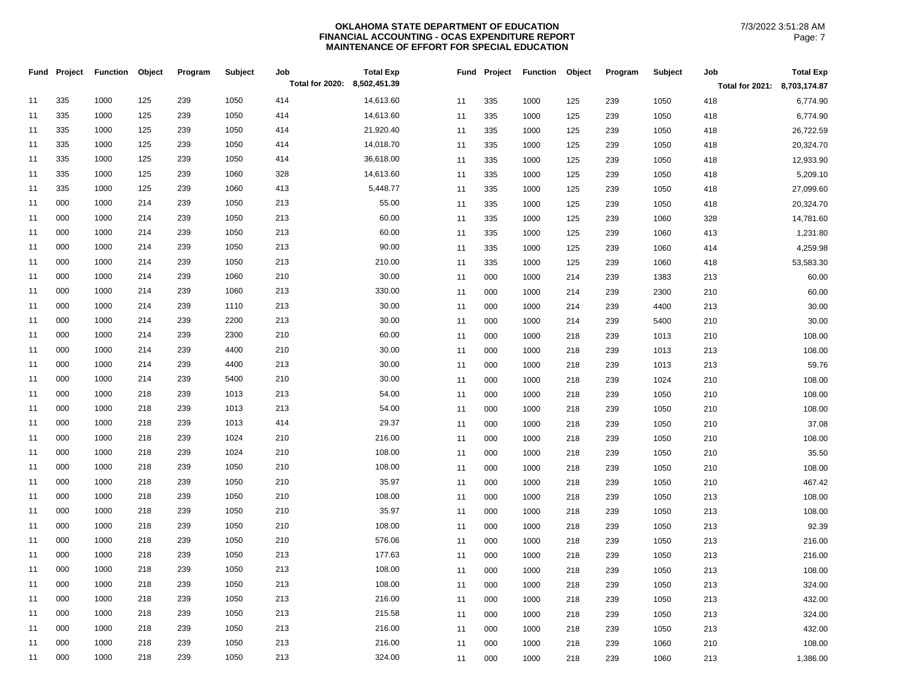|    | Fund Project | <b>Function</b> | Object | Program | Subject | Job                          | <b>Total Exp</b> | Fund | Project | <b>Function</b> | Object | Program | Subject | Job                          | <b>Total Exp</b> |
|----|--------------|-----------------|--------|---------|---------|------------------------------|------------------|------|---------|-----------------|--------|---------|---------|------------------------------|------------------|
|    |              |                 |        |         |         | Total for 2020: 8,502,451.39 |                  |      |         |                 |        |         |         | Total for 2021: 8,703,174.87 |                  |
| 11 | 335          | 1000            | 125    | 239     | 1050    | 414                          | 14,613.60        | 11   | 335     | 1000            | 125    | 239     | 1050    | 418                          | 6,774.90         |
| 11 | 335          | 1000            | 125    | 239     | 1050    | 414                          | 14,613.60        | 11   | 335     | 1000            | 125    | 239     | 1050    | 418                          | 6,774.90         |
| 11 | 335          | 1000            | 125    | 239     | 1050    | 414                          | 21,920.40        | 11   | 335     | 1000            | 125    | 239     | 1050    | 418                          | 26,722.59        |
| 11 | 335          | 1000            | 125    | 239     | 1050    | 414                          | 14,018.70        | 11   | 335     | 1000            | 125    | 239     | 1050    | 418                          | 20,324.70        |
| 11 | 335          | 1000            | 125    | 239     | 1050    | 414                          | 36,618.00        | 11   | 335     | 1000            | 125    | 239     | 1050    | 418                          | 12,933.90        |
| 11 | 335          | 1000            | 125    | 239     | 1060    | 328                          | 14,613.60        | 11   | 335     | 1000            | 125    | 239     | 1050    | 418                          | 5,209.10         |
| 11 | 335          | 1000            | 125    | 239     | 1060    | 413                          | 5,448.77         | 11   | 335     | 1000            | 125    | 239     | 1050    | 418                          | 27,099.60        |
| 11 | 000          | 1000            | 214    | 239     | 1050    | 213                          | 55.00            | 11   | 335     | 1000            | 125    | 239     | 1050    | 418                          | 20,324.70        |
| 11 | 000          | 1000            | 214    | 239     | 1050    | 213                          | 60.00            | 11   | 335     | 1000            | 125    | 239     | 1060    | 328                          | 14,781.60        |
| 11 | 000          | 1000            | 214    | 239     | 1050    | 213                          | 60.00            | 11   | 335     | 1000            | 125    | 239     | 1060    | 413                          | 1,231.80         |
| 11 | 000          | 1000            | 214    | 239     | 1050    | 213                          | 90.00            | 11   | 335     | 1000            | 125    | 239     | 1060    | 414                          | 4,259.98         |
| 11 | 000          | 1000            | 214    | 239     | 1050    | 213                          | 210.00           | 11   | 335     | 1000            | 125    | 239     | 1060    | 418                          | 53,583.30        |
| 11 | 000          | 1000            | 214    | 239     | 1060    | 210                          | 30.00            | 11   | 000     | 1000            | 214    | 239     | 1383    | 213                          | 60.00            |
| 11 | 000          | 1000            | 214    | 239     | 1060    | 213                          | 330.00           | 11   | 000     | 1000            | 214    | 239     | 2300    | 210                          | 60.00            |
| 11 | 000          | 1000            | 214    | 239     | 1110    | 213                          | 30.00            | 11   | 000     | 1000            | 214    | 239     | 4400    | 213                          | 30.00            |
| 11 | 000          | 1000            | 214    | 239     | 2200    | 213                          | 30.00            | 11   | 000     | 1000            | 214    | 239     | 5400    | 210                          | 30.00            |
| 11 | 000          | 1000            | 214    | 239     | 2300    | 210                          | 60.00            | 11   | 000     | 1000            | 218    | 239     | 1013    | 210                          | 108.00           |
| 11 | 000          | 1000            | 214    | 239     | 4400    | 210                          | 30.00            | 11   | 000     | 1000            | 218    | 239     | 1013    | 213                          | 108.00           |
| 11 | 000          | 1000            | 214    | 239     | 4400    | 213                          | 30.00            | 11   | 000     | 1000            | 218    | 239     | 1013    | 213                          | 59.76            |
| 11 | 000          | 1000            | 214    | 239     | 5400    | 210                          | 30.00            | 11   | 000     | 1000            | 218    | 239     | 1024    | 210                          | 108.00           |
| 11 | 000          | 1000            | 218    | 239     | 1013    | 213                          | 54.00            | 11   | 000     | 1000            | 218    | 239     | 1050    | 210                          | 108.00           |
| 11 | 000          | 1000            | 218    | 239     | 1013    | 213                          | 54.00            | 11   | 000     | 1000            | 218    | 239     | 1050    | 210                          | 108.00           |
| 11 | 000          | 1000            | 218    | 239     | 1013    | 414                          | 29.37            | 11   | 000     | 1000            | 218    | 239     | 1050    | 210                          | 37.08            |
| 11 | 000          | 1000            | 218    | 239     | 1024    | 210                          | 216.00           | 11   | 000     | 1000            | 218    | 239     | 1050    | 210                          | 108.00           |
| 11 | 000          | 1000            | 218    | 239     | 1024    | 210                          | 108.00           | 11   | 000     | 1000            | 218    | 239     | 1050    | 210                          | 35.50            |
| 11 | 000          | 1000            | 218    | 239     | 1050    | 210                          | 108.00           | 11   | 000     | 1000            | 218    | 239     | 1050    | 210                          | 108.00           |
| 11 | 000          | 1000            | 218    | 239     | 1050    | 210                          | 35.97            | 11   | 000     | 1000            | 218    | 239     | 1050    | 210                          | 467.42           |
| 11 | 000          | 1000            | 218    | 239     | 1050    | 210                          | 108.00           | 11   | 000     | 1000            | 218    | 239     | 1050    | 213                          | 108.00           |
| 11 | 000          | 1000            | 218    | 239     | 1050    | 210                          | 35.97            | 11   | 000     | 1000            | 218    | 239     | 1050    | 213                          | 108.00           |
| 11 | 000          | 1000            | 218    | 239     | 1050    | 210                          | 108.00           | 11   | 000     | 1000            | 218    | 239     | 1050    | 213                          | 92.39            |
| 11 | 000          | 1000            | 218    | 239     | 1050    | 210                          | 576.06           | 11   | 000     | 1000            | 218    | 239     | 1050    | 213                          | 216.00           |
| 11 | 000          | 1000            | 218    | 239     | 1050    | 213                          | 177.63           | 11   | 000     | 1000            | 218    | 239     | 1050    | 213                          | 216.00           |
| 11 | 000          | 1000            | 218    | 239     | 1050    | 213                          | 108.00           | 11   | 000     | 1000            | 218    | 239     | 1050    | 213                          | 108.00           |
| 11 | 000          | 1000            | 218    | 239     | 1050    | 213                          | 108.00           | 11   | 000     | 1000            | 218    | 239     | 1050    | 213                          | 324.00           |
| 11 | 000          | 1000            | 218    | 239     | 1050    | 213                          | 216.00           | 11   | 000     | 1000            | 218    | 239     | 1050    | 213                          | 432.00           |
| 11 | 000          | 1000            | 218    | 239     | 1050    | 213                          | 215.58           | 11   | 000     | 1000            | 218    | 239     | 1050    | 213                          | 324.00           |
| 11 | 000          | 1000            | 218    | 239     | 1050    | 213                          | 216.00           | 11   | 000     | 1000            | 218    | 239     | 1050    | 213                          | 432.00           |
| 11 | 000          | 1000            | 218    | 239     | 1050    | 213                          | 216.00           | 11   | 000     | 1000            | 218    | 239     | 1060    | 210                          | 108.00           |
| 11 | 000          | 1000            | 218    | 239     | 1050    | 213                          | 324.00           | 11   | 000     | 1000            | 218    | 239     | 1060    | 213                          | 1,386.00         |
|    |              |                 |        |         |         |                              |                  |      |         |                 |        |         |         |                              |                  |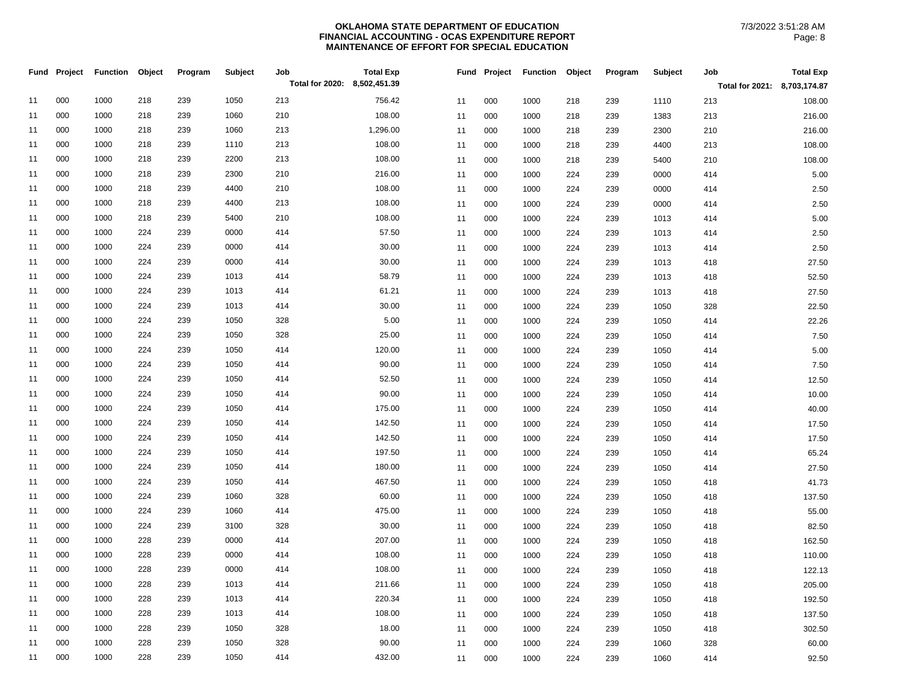|    | Fund Project | <b>Function</b> | Object | Program | Subject | Job                          | <b>Total Exp</b> |    | Fund | Project | <b>Function</b> | Object | Program | Subject | Job                          | <b>Total Exp</b> |
|----|--------------|-----------------|--------|---------|---------|------------------------------|------------------|----|------|---------|-----------------|--------|---------|---------|------------------------------|------------------|
|    |              |                 |        |         |         | Total for 2020: 8,502,451.39 |                  |    |      |         |                 |        |         |         | Total for 2021: 8,703,174.87 |                  |
| 11 | 000          | 1000            | 218    | 239     | 1050    | 213                          | 756.42           | 11 |      | 000     | 1000            | 218    | 239     | 1110    | 213                          | 108.00           |
| 11 | 000          | 1000            | 218    | 239     | 1060    | 210                          | 108.00           | 11 |      | 000     | 1000            | 218    | 239     | 1383    | 213                          | 216.00           |
| 11 | 000          | 1000            | 218    | 239     | 1060    | 213                          | 1,296.00         | 11 |      | 000     | 1000            | 218    | 239     | 2300    | 210                          | 216.00           |
| 11 | 000          | 1000            | 218    | 239     | 1110    | 213                          | 108.00           | 11 |      | 000     | 1000            | 218    | 239     | 4400    | 213                          | 108.00           |
| 11 | 000          | 1000            | 218    | 239     | 2200    | 213                          | 108.00           | 11 |      | 000     | 1000            | 218    | 239     | 5400    | 210                          | 108.00           |
| 11 | 000          | 1000            | 218    | 239     | 2300    | 210                          | 216.00           | 11 |      | 000     | 1000            | 224    | 239     | 0000    | 414                          | 5.00             |
| 11 | 000          | 1000            | 218    | 239     | 4400    | 210                          | 108.00           | 11 |      | 000     | 1000            | 224    | 239     | 0000    | 414                          | 2.50             |
| 11 | 000          | 1000            | 218    | 239     | 4400    | 213                          | 108.00           | 11 |      | 000     | 1000            | 224    | 239     | 0000    | 414                          | 2.50             |
| 11 | 000          | 1000            | 218    | 239     | 5400    | 210                          | 108.00           | 11 |      | 000     | 1000            | 224    | 239     | 1013    | 414                          | 5.00             |
| 11 | 000          | 1000            | 224    | 239     | 0000    | 414                          | 57.50            | 11 |      | 000     | 1000            | 224    | 239     | 1013    | 414                          | 2.50             |
| 11 | 000          | 1000            | 224    | 239     | 0000    | 414                          | 30.00            | 11 |      | 000     | 1000            | 224    | 239     | 1013    | 414                          | 2.50             |
| 11 | 000          | 1000            | 224    | 239     | 0000    | 414                          | 30.00            | 11 |      | 000     | 1000            | 224    | 239     | 1013    | 418                          | 27.50            |
| 11 | 000          | 1000            | 224    | 239     | 1013    | 414                          | 58.79            | 11 |      | 000     | 1000            | 224    | 239     | 1013    | 418                          | 52.50            |
| 11 | 000          | 1000            | 224    | 239     | 1013    | 414                          | 61.21            | 11 |      | 000     | 1000            | 224    | 239     | 1013    | 418                          | 27.50            |
| 11 | 000          | 1000            | 224    | 239     | 1013    | 414                          | 30.00            | 11 |      | 000     | 1000            | 224    | 239     | 1050    | 328                          | 22.50            |
| 11 | 000          | 1000            | 224    | 239     | 1050    | 328                          | 5.00             | 11 |      | 000     | 1000            | 224    | 239     | 1050    | 414                          | 22.26            |
| 11 | 000          | 1000            | 224    | 239     | 1050    | 328                          | 25.00            | 11 |      | 000     | 1000            | 224    | 239     | 1050    | 414                          | 7.50             |
| 11 | 000          | 1000            | 224    | 239     | 1050    | 414                          | 120.00           | 11 |      | 000     | 1000            | 224    | 239     | 1050    | 414                          | 5.00             |
| 11 | 000          | 1000            | 224    | 239     | 1050    | 414                          | 90.00            | 11 |      | 000     | 1000            | 224    | 239     | 1050    | 414                          | 7.50             |
| 11 | 000          | 1000            | 224    | 239     | 1050    | 414                          | 52.50            | 11 |      | 000     | 1000            | 224    | 239     | 1050    | 414                          | 12.50            |
| 11 | 000          | 1000            | 224    | 239     | 1050    | 414                          | 90.00            | 11 |      | 000     | 1000            | 224    | 239     | 1050    | 414                          | 10.00            |
| 11 | 000          | 1000            | 224    | 239     | 1050    | 414                          | 175.00           | 11 |      | 000     | 1000            | 224    | 239     | 1050    | 414                          | 40.00            |
| 11 | 000          | 1000            | 224    | 239     | 1050    | 414                          | 142.50           | 11 |      | 000     | 1000            | 224    | 239     | 1050    | 414                          | 17.50            |
| 11 | 000          | 1000            | 224    | 239     | 1050    | 414                          | 142.50           | 11 |      | 000     | 1000            | 224    | 239     | 1050    | 414                          | 17.50            |
| 11 | 000          | 1000            | 224    | 239     | 1050    | 414                          | 197.50           | 11 |      | 000     | 1000            | 224    | 239     | 1050    | 414                          | 65.24            |
| 11 | 000          | 1000            | 224    | 239     | 1050    | 414                          | 180.00           | 11 |      | 000     | 1000            | 224    | 239     | 1050    | 414                          | 27.50            |
| 11 | 000          | 1000            | 224    | 239     | 1050    | 414                          | 467.50           | 11 |      | 000     | 1000            | 224    | 239     | 1050    | 418                          | 41.73            |
| 11 | 000          | 1000            | 224    | 239     | 1060    | 328                          | 60.00            | 11 |      | 000     | 1000            | 224    | 239     | 1050    | 418                          | 137.50           |
| 11 | 000          | 1000            | 224    | 239     | 1060    | 414                          | 475.00           | 11 |      | 000     | 1000            | 224    | 239     | 1050    | 418                          | 55.00            |
| 11 | 000          | 1000            | 224    | 239     | 3100    | 328                          | 30.00            | 11 |      | 000     | 1000            | 224    | 239     | 1050    | 418                          | 82.50            |
| 11 | 000          | 1000            | 228    | 239     | 0000    | 414                          | 207.00           | 11 |      | 000     | 1000            | 224    | 239     | 1050    | 418                          | 162.50           |
| 11 | 000          | 1000            | 228    | 239     | 0000    | 414                          | 108.00           | 11 |      | 000     | 1000            | 224    | 239     | 1050    | 418                          | 110.00           |
| 11 | 000          | 1000            | 228    | 239     | 0000    | 414                          | 108.00           | 11 |      | 000     | 1000            | 224    | 239     | 1050    | 418                          | 122.13           |
| 11 | 000          | 1000            | 228    | 239     | 1013    | 414                          | 211.66           | 11 |      | 000     | 1000            | 224    | 239     | 1050    | 418                          | 205.00           |
| 11 | 000          | 1000            | 228    | 239     | 1013    | 414                          | 220.34           | 11 |      | 000     | 1000            | 224    | 239     | 1050    | 418                          | 192.50           |
| 11 | 000          | 1000            | 228    | 239     | 1013    | 414                          | 108.00           | 11 |      | 000     | 1000            | 224    | 239     | 1050    | 418                          | 137.50           |
| 11 | 000          | 1000            | 228    | 239     | 1050    | 328                          | 18.00            | 11 |      | 000     | 1000            | 224    | 239     | 1050    | 418                          | 302.50           |
| 11 | 000          | 1000            | 228    | 239     | 1050    | 328                          | 90.00            | 11 |      | 000     | 1000            | 224    | 239     | 1060    | 328                          | 60.00            |
| 11 | 000          | 1000            | 228    | 239     | 1050    | 414                          | 432.00           | 11 |      | 000     | 1000            | 224    | 239     | 1060    | 414                          | 92.50            |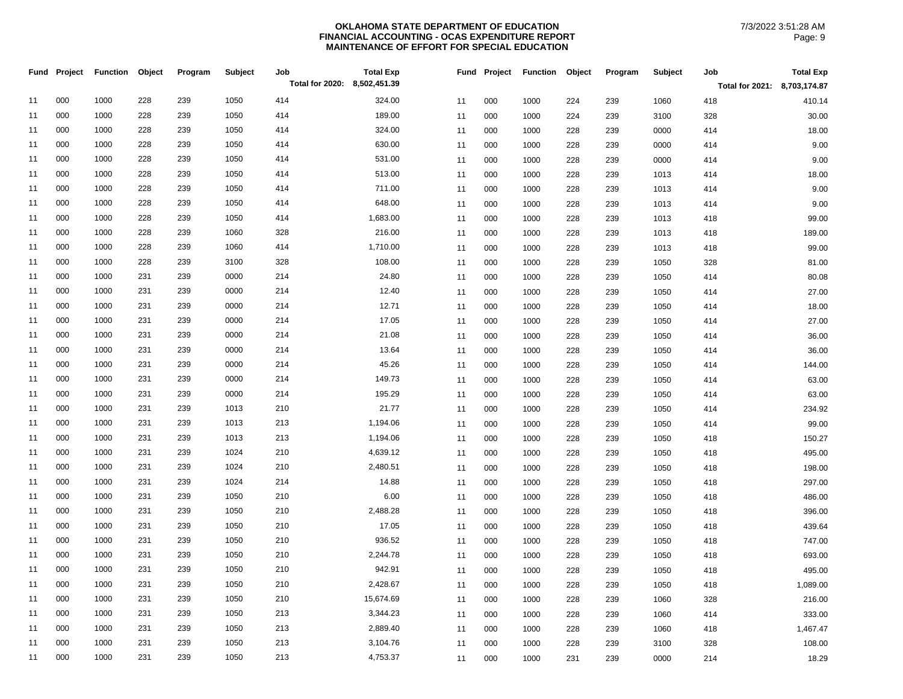| <b>Total Exp</b><br>Fund Project<br><b>Function</b><br>Object<br>Subject<br>Job<br>Fund Project Function<br>Object<br>Program<br>Program<br>Total for 2020: 8,502,451.39 | <b>Total Exp</b><br>Subject<br>Job |
|--------------------------------------------------------------------------------------------------------------------------------------------------------------------------|------------------------------------|
|                                                                                                                                                                          | Total for 2021: 8,703,174.87       |
| 000<br>1000<br>228<br>239<br>1050<br>414<br>324.00<br>11<br>000<br>1060<br>11<br>1000<br>224<br>239                                                                      | 418<br>410.14                      |
| 000<br>1000<br>228<br>239<br>1050<br>414<br>189.00<br>11<br>11<br>000<br>1000<br>224<br>239<br>3100                                                                      | 30.00<br>328                       |
| 000<br>1000<br>228<br>239<br>1050<br>414<br>324.00<br>11<br>11<br>000<br>1000<br>228<br>239<br>0000                                                                      | 414<br>18.00                       |
| 000<br>1000<br>1050<br>414<br>630.00<br>228<br>239<br>11<br>000<br>1000<br>228<br>239<br>0000<br>11                                                                      | 9.00<br>414                        |
| 000<br>1000<br>228<br>239<br>1050<br>414<br>531.00<br>11<br>000<br>0000<br>11<br>1000<br>228<br>239                                                                      | 9.00<br>414                        |
| 513.00<br>000<br>1000<br>228<br>239<br>1050<br>414<br>11<br>11<br>000<br>1013<br>1000<br>228<br>239                                                                      | 18.00<br>414                       |
| 000<br>1000<br>228<br>239<br>1050<br>414<br>711.00<br>11<br>000<br>1013<br>11<br>1000<br>228<br>239                                                                      | 9.00<br>414                        |
| 648.00<br>000<br>1000<br>228<br>239<br>1050<br>414<br>11<br>11<br>000<br>1000<br>228<br>239<br>1013                                                                      | 9.00<br>414                        |
| 000<br>1000<br>228<br>239<br>1050<br>414<br>1,683.00<br>11<br>000<br>1000<br>1013<br>11<br>228<br>239                                                                    | 99.00<br>418                       |
| 000<br>1000<br>228<br>239<br>1060<br>328<br>216.00<br>11<br>000<br>11<br>1000<br>228<br>239<br>1013                                                                      | 189.00<br>418                      |
| 000<br>1000<br>228<br>239<br>1060<br>414<br>1,710.00<br>11<br>11<br>000<br>1000<br>239<br>1013<br>228                                                                    | 99.00<br>418                       |
| 228<br>3100<br>108.00<br>000<br>1000<br>239<br>328<br>11<br>000<br>1000<br>239<br>1050<br>11<br>228                                                                      | 328<br>81.00                       |
| 000<br>231<br>0000<br>214<br>24.80<br>11<br>1000<br>239<br>000<br>1000<br>228<br>239<br>1050<br>11                                                                       | 80.08<br>414                       |
| 000<br>231<br>239<br>0000<br>214<br>12.40<br>1000<br>11<br>1050<br>11<br>000<br>1000<br>228<br>239                                                                       | 27.00<br>414                       |
| 000<br>1000<br>231<br>239<br>0000<br>214<br>12.71<br>11<br>000<br>1000<br>239<br>1050<br>11<br>228                                                                       | 18.00<br>414                       |
| 000<br>1000<br>231<br>239<br>0000<br>214<br>17.05<br>11<br>000<br>1050<br>11<br>1000<br>228<br>239                                                                       | 27.00<br>414                       |
| 000<br>1000<br>231<br>239<br>0000<br>214<br>21.08<br>11<br>000<br>1000<br>239<br>1050<br>11<br>228                                                                       | 36.00<br>414                       |
| 000<br>0000<br>214<br>13.64<br>11<br>1000<br>231<br>239<br>11<br>000<br>1000<br>228<br>239<br>1050                                                                       | 36.00<br>414                       |
| 000<br>231<br>0000<br>214<br>45.26<br>11<br>1000<br>239<br>000<br>1000<br>1050<br>11<br>228<br>239                                                                       | 144.00<br>414                      |
| 000<br>1000<br>231<br>239<br>0000<br>214<br>149.73<br>11<br>000<br>1050<br>11<br>1000<br>228<br>239                                                                      | 63.00<br>414                       |
| 000<br>0000<br>214<br>195.29<br>1000<br>231<br>239<br>000<br>1000<br>239<br>1050<br>11<br>11<br>228                                                                      | 63.00<br>414                       |
| 000<br>21.77<br>1000<br>231<br>239<br>1013<br>210<br>11<br>000<br>239<br>1050<br>11<br>1000<br>228                                                                       | 234.92<br>414                      |
| 000<br>1000<br>231<br>239<br>1013<br>213<br>1,194.06<br>11<br>11<br>000<br>1000<br>228<br>239<br>1050                                                                    | 99.00<br>414                       |
| 000<br>1000<br>231<br>1013<br>213<br>1,194.06<br>11<br>239<br>000<br>1050<br>11<br>1000<br>228<br>239                                                                    | 150.27<br>418                      |
| 000<br>1000<br>231<br>239<br>1024<br>210<br>4,639.12<br>1050<br>11<br>000<br>1000<br>228<br>239<br>11                                                                    | 495.00<br>418                      |
| 2,480.51<br>000<br>231<br>239<br>1024<br>210<br>1000<br>11<br>11<br>000<br>1000<br>228<br>239<br>1050                                                                    | 418<br>198.00                      |
| 000<br>214<br>14.88<br>1000<br>231<br>239<br>1024<br>11<br>11<br>000<br>1000<br>228<br>239<br>1050                                                                       | 418<br>297.00                      |
| 000<br>6.00<br>1000<br>231<br>239<br>1050<br>210<br>11<br>000<br>228<br>239<br>1050<br>11<br>1000                                                                        | 486.00<br>418                      |
| 2,488.28<br>000<br>1000<br>231<br>239<br>1050<br>210<br>11<br>11<br>000<br>1000<br>228<br>239<br>1050                                                                    | 396.00<br>418                      |
| 17.05<br>000<br>1000<br>231<br>239<br>1050<br>210<br>11<br>000<br>1050<br>11<br>1000<br>228<br>239                                                                       | 418<br>439.64                      |
| 936.52<br>000<br>1000<br>231<br>239<br>1050<br>210<br>11<br>000<br>1050<br>11<br>1000<br>228<br>239                                                                      | 747.00<br>418                      |
| 000<br>1000<br>231<br>239<br>1050<br>210<br>2,244.78<br>11<br>11<br>000<br>1000<br>228<br>239<br>1050                                                                    | 418<br>693.00                      |
| 000<br>1000<br>231<br>239<br>1050<br>210<br>942.91<br>000<br>1050<br>11<br>11<br>1000<br>228<br>239                                                                      | 495.00<br>418                      |
| 000<br>1000<br>231<br>239<br>1050<br>210<br>2,428.67<br>000<br>11<br>1000<br>228<br>239<br>1050<br>11                                                                    | 1,089.00<br>418                    |
| 000<br>15,674.69<br>1000<br>231<br>239<br>1050<br>210<br>11<br>11<br>000<br>1000<br>239<br>1060<br>228                                                                   | 328<br>216.00                      |
| 000<br>1000<br>231<br>239<br>1050<br>213<br>3,344.23<br>11<br>11<br>000<br>1000<br>239<br>1060<br>228                                                                    | 333.00<br>414                      |
| 000<br>1000<br>231<br>239<br>1050<br>213<br>2,889.40<br>11<br>000<br>1060<br>11<br>1000<br>228<br>239                                                                    | 1,467.47<br>418                    |
| 000<br>1000<br>231<br>239<br>1050<br>213<br>3,104.76<br>11<br>000<br>1000<br>228<br>239<br>3100<br>11                                                                    | 328<br>108.00                      |
| 000<br>1000<br>231<br>239<br>1050<br>213<br>4,753.37<br>11<br>000<br>1000<br>231<br>239<br>0000<br>11                                                                    | 214<br>18.29                       |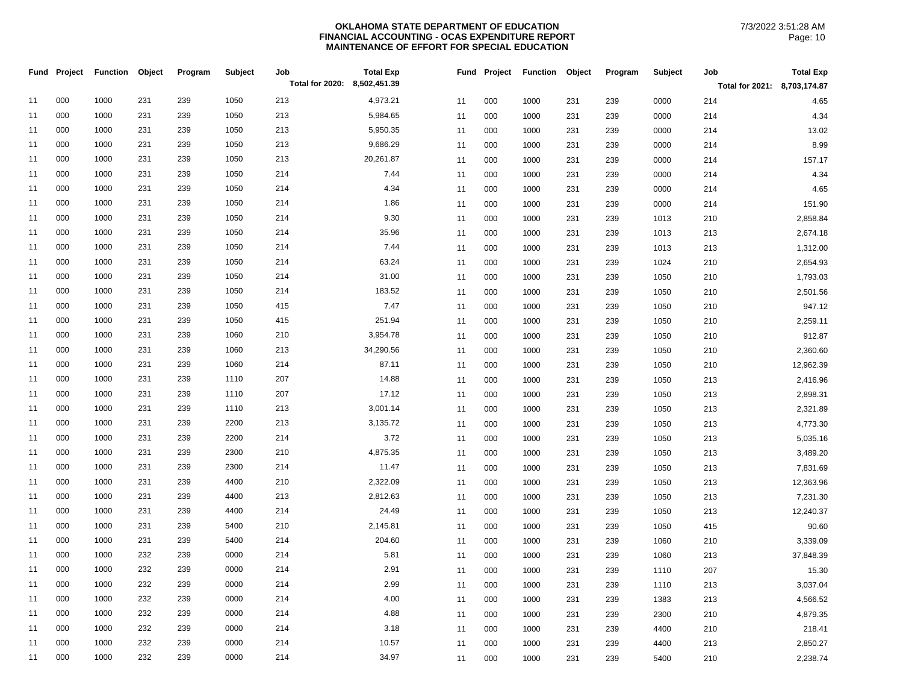|    | Fund Project | <b>Function</b> | Object | Program | <b>Subject</b> | Job<br>Total for 2020: 8,502,451.39 | <b>Total Exp</b> |    | Fund Project | <b>Function</b> | Object | Program | Subject | Job                          | <b>Total Exp</b> |
|----|--------------|-----------------|--------|---------|----------------|-------------------------------------|------------------|----|--------------|-----------------|--------|---------|---------|------------------------------|------------------|
|    |              |                 |        |         |                |                                     |                  |    |              |                 |        |         |         | Total for 2021: 8,703,174.87 |                  |
| 11 | 000          | 1000            | 231    | 239     | 1050           | 213                                 | 4,973.21         | 11 | 000          | 1000            | 231    | 239     | 0000    | 214                          | 4.65             |
| 11 | 000          | 1000            | 231    | 239     | 1050           | 213                                 | 5,984.65         | 11 | 000          | 1000            | 231    | 239     | 0000    | 214                          | 4.34             |
| 11 | 000          | 1000            | 231    | 239     | 1050           | 213                                 | 5,950.35         | 11 | 000          | 1000            | 231    | 239     | 0000    | 214                          | 13.02            |
| 11 | 000          | 1000            | 231    | 239     | 1050           | 213                                 | 9,686.29         | 11 | 000          | 1000            | 231    | 239     | 0000    | 214                          | 8.99             |
| 11 | 000          | 1000            | 231    | 239     | 1050           | 213                                 | 20,261.87        | 11 | 000          | 1000            | 231    | 239     | 0000    | 214                          | 157.17           |
| 11 | 000          | 1000            | 231    | 239     | 1050           | 214                                 | 7.44             | 11 | 000          | 1000            | 231    | 239     | 0000    | 214                          | 4.34             |
| 11 | 000          | 1000            | 231    | 239     | 1050           | 214                                 | 4.34             | 11 | 000          | 1000            | 231    | 239     | 0000    | 214                          | 4.65             |
| 11 | 000          | 1000            | 231    | 239     | 1050           | 214                                 | 1.86             | 11 | 000          | 1000            | 231    | 239     | 0000    | 214                          | 151.90           |
| 11 | 000          | 1000            | 231    | 239     | 1050           | 214                                 | 9.30             | 11 | 000          | 1000            | 231    | 239     | 1013    | 210                          | 2,858.84         |
| 11 | 000          | 1000            | 231    | 239     | 1050           | 214                                 | 35.96            | 11 | 000          | 1000            | 231    | 239     | 1013    | 213                          | 2,674.18         |
| 11 | 000          | 1000            | 231    | 239     | 1050           | 214                                 | 7.44             | 11 | 000          | 1000            | 231    | 239     | 1013    | 213                          | 1,312.00         |
| 11 | 000          | 1000            | 231    | 239     | 1050           | 214                                 | 63.24            | 11 | 000          | 1000            | 231    | 239     | 1024    | 210                          | 2,654.93         |
| 11 | 000          | 1000            | 231    | 239     | 1050           | 214                                 | 31.00            | 11 | 000          | 1000            | 231    | 239     | 1050    | 210                          | 1,793.03         |
| 11 | 000          | 1000            | 231    | 239     | 1050           | 214                                 | 183.52           | 11 | 000          | 1000            | 231    | 239     | 1050    | 210                          | 2,501.56         |
| 11 | 000          | 1000            | 231    | 239     | 1050           | 415                                 | 7.47             | 11 | 000          | 1000            | 231    | 239     | 1050    | 210                          | 947.12           |
| 11 | 000          | 1000            | 231    | 239     | 1050           | 415                                 | 251.94           | 11 | 000          | 1000            | 231    | 239     | 1050    | 210                          | 2,259.11         |
| 11 | 000          | 1000            | 231    | 239     | 1060           | 210                                 | 3,954.78         | 11 | 000          | 1000            | 231    | 239     | 1050    | 210                          | 912.87           |
| 11 | 000          | 1000            | 231    | 239     | 1060           | 213                                 | 34,290.56        | 11 | 000          | 1000            | 231    | 239     | 1050    | 210                          | 2,360.60         |
| 11 | 000          | 1000            | 231    | 239     | 1060           | 214                                 | 87.11            | 11 | 000          | 1000            | 231    | 239     | 1050    | 210                          | 12,962.39        |
| 11 | 000          | 1000            | 231    | 239     | 1110           | 207                                 | 14.88            | 11 | 000          | 1000            | 231    | 239     | 1050    | 213                          | 2,416.96         |
| 11 | 000          | 1000            | 231    | 239     | 1110           | 207                                 | 17.12            | 11 | 000          | 1000            | 231    | 239     | 1050    | 213                          | 2,898.31         |
| 11 | 000          | 1000            | 231    | 239     | 1110           | 213                                 | 3,001.14         | 11 | 000          | 1000            | 231    | 239     | 1050    | 213                          | 2,321.89         |
| 11 | 000          | 1000            | 231    | 239     | 2200           | 213                                 | 3,135.72         | 11 | 000          | 1000            | 231    | 239     | 1050    | 213                          | 4,773.30         |
| 11 | 000          | 1000            | 231    | 239     | 2200           | 214                                 | 3.72             | 11 | 000          | 1000            | 231    | 239     | 1050    | 213                          | 5,035.16         |
| 11 | 000          | 1000            | 231    | 239     | 2300           | 210                                 | 4,875.35         | 11 | 000          | 1000            | 231    | 239     | 1050    | 213                          | 3,489.20         |
| 11 | 000          | 1000            | 231    | 239     | 2300           | 214                                 | 11.47            | 11 | 000          | 1000            | 231    | 239     | 1050    | 213                          | 7,831.69         |
| 11 | 000          | 1000            | 231    | 239     | 4400           | 210                                 | 2,322.09         | 11 | 000          | 1000            | 231    | 239     | 1050    | 213                          | 12,363.96        |
| 11 | 000          | 1000            | 231    | 239     | 4400           | 213                                 | 2,812.63         | 11 | 000          | 1000            | 231    | 239     | 1050    | 213                          | 7,231.30         |
| 11 | 000          | 1000            | 231    | 239     | 4400           | 214                                 | 24.49            | 11 | 000          | 1000            | 231    | 239     | 1050    | 213                          | 12,240.37        |
| 11 | 000          | 1000            | 231    | 239     | 5400           | 210                                 | 2,145.81         | 11 | 000          | 1000            | 231    | 239     | 1050    | 415                          | 90.60            |
| 11 | 000          | 1000            | 231    | 239     | 5400           | 214                                 | 204.60           | 11 | 000          | 1000            | 231    | 239     | 1060    | 210                          | 3,339.09         |
| 11 | 000          | 1000            | 232    | 239     | 0000           | 214                                 | 5.81             | 11 | 000          | 1000            | 231    | 239     | 1060    | 213                          | 37,848.39        |
| 11 | 000          | 1000            | 232    | 239     | 0000           | 214                                 | 2.91             | 11 | 000          | 1000            | 231    | 239     | 1110    | 207                          | 15.30            |
| 11 | 000          | 1000            | 232    | 239     | 0000           | 214                                 | 2.99             | 11 | 000          | 1000            | 231    | 239     | 1110    | 213                          | 3,037.04         |
| 11 | 000          | 1000            | 232    | 239     | 0000           | 214                                 | 4.00             | 11 | 000          | 1000            | 231    | 239     | 1383    | 213                          | 4,566.52         |
| 11 | 000          | 1000            | 232    | 239     | 0000           | 214                                 | 4.88             | 11 | 000          | 1000            | 231    | 239     | 2300    | 210                          | 4,879.35         |
| 11 | 000          | 1000            | 232    | 239     | 0000           | 214                                 | 3.18             | 11 | 000          | 1000            | 231    | 239     | 4400    | 210                          | 218.41           |
| 11 | 000          | 1000            | 232    | 239     | 0000           | 214                                 | 10.57            | 11 | 000          | 1000            | 231    | 239     | 4400    | 213                          | 2,850.27         |
| 11 | 000          | 1000            | 232    | 239     | 0000           | 214                                 | 34.97            | 11 | 000          | 1000            | 231    | 239     | 5400    | 210                          | 2,238.74         |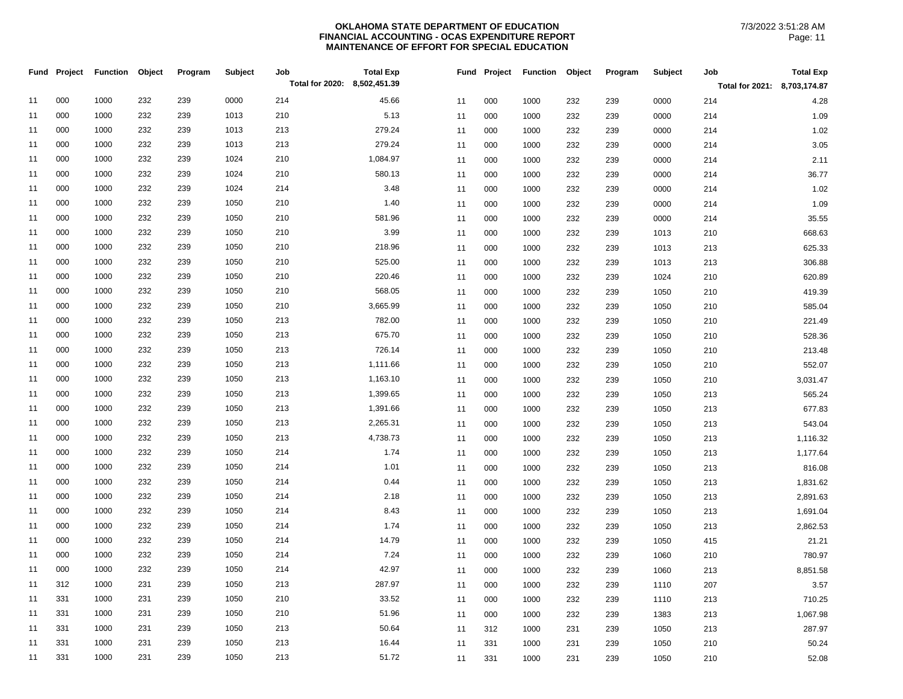|    | Fund Project | Function Object |     | Program | Subject | Job<br>Total for 2020: 8,502,451.39 | <b>Total Exp</b> |    |     | Fund Project Function Object |     | Program | Subject | Job<br>Total for 2021: 8,703,174.87 | <b>Total Exp</b> |
|----|--------------|-----------------|-----|---------|---------|-------------------------------------|------------------|----|-----|------------------------------|-----|---------|---------|-------------------------------------|------------------|
| 11 | 000          | 1000            | 232 | 239     | 0000    | 214                                 | 45.66            | 11 | 000 | 1000                         | 232 | 239     | 0000    | 214                                 | 4.28             |
| 11 | 000          | 1000            | 232 | 239     | 1013    | 210                                 | 5.13             | 11 | 000 | 1000                         | 232 | 239     | 0000    | 214                                 | 1.09             |
| 11 | 000          | 1000            | 232 | 239     | 1013    | 213                                 | 279.24           | 11 | 000 | 1000                         | 232 | 239     | 0000    | 214                                 | 1.02             |
| 11 | 000          | 1000            | 232 | 239     | 1013    | 213                                 | 279.24           | 11 | 000 | 1000                         | 232 | 239     | 0000    | 214                                 | 3.05             |
| 11 | 000          | 1000            | 232 | 239     | 1024    | 210                                 | 1,084.97         | 11 | 000 | 1000                         | 232 | 239     | 0000    | 214                                 | 2.11             |
| 11 | 000          | 1000            | 232 | 239     | 1024    | 210                                 | 580.13           | 11 | 000 | 1000                         | 232 | 239     | 0000    | 214                                 | 36.77            |
| 11 | 000          | 1000            | 232 | 239     | 1024    | 214                                 | 3.48             | 11 | 000 | 1000                         | 232 | 239     | 0000    | 214                                 | 1.02             |
| 11 | 000          | 1000            | 232 | 239     | 1050    | 210                                 | 1.40             | 11 | 000 | 1000                         | 232 | 239     | 0000    | 214                                 | 1.09             |
| 11 | 000          | 1000            | 232 | 239     | 1050    | 210                                 | 581.96           | 11 | 000 | 1000                         | 232 | 239     | 0000    | 214                                 | 35.55            |
| 11 | 000          | 1000            | 232 | 239     | 1050    | 210                                 | 3.99             | 11 | 000 | 1000                         | 232 | 239     | 1013    | 210                                 | 668.63           |
| 11 | 000          | 1000            | 232 | 239     | 1050    | 210                                 | 218.96           | 11 | 000 | 1000                         | 232 | 239     | 1013    | 213                                 | 625.33           |
| 11 | 000          | 1000            | 232 | 239     | 1050    | 210                                 | 525.00           | 11 | 000 | 1000                         | 232 | 239     | 1013    | 213                                 | 306.88           |
| 11 | 000          | 1000            | 232 | 239     | 1050    | 210                                 | 220.46           | 11 | 000 | 1000                         | 232 | 239     | 1024    | 210                                 | 620.89           |
| 11 | 000          | 1000            | 232 | 239     | 1050    | 210                                 | 568.05           | 11 | 000 | 1000                         | 232 | 239     | 1050    | 210                                 | 419.39           |
| 11 | 000          | 1000            | 232 | 239     | 1050    | 210                                 | 3,665.99         | 11 | 000 | 1000                         | 232 | 239     | 1050    | 210                                 | 585.04           |
| 11 | 000          | 1000            | 232 | 239     | 1050    | 213                                 | 782.00           | 11 | 000 | 1000                         | 232 | 239     | 1050    | 210                                 | 221.49           |
| 11 | 000          | 1000            | 232 | 239     | 1050    | 213                                 | 675.70           | 11 | 000 | 1000                         | 232 | 239     | 1050    | 210                                 | 528.36           |
| 11 | 000          | 1000            | 232 | 239     | 1050    | 213                                 | 726.14           | 11 | 000 | 1000                         | 232 | 239     | 1050    | 210                                 | 213.48           |
| 11 | 000          | 1000            | 232 | 239     | 1050    | 213                                 | 1,111.66         | 11 | 000 | 1000                         | 232 | 239     | 1050    | 210                                 | 552.07           |
| 11 | 000          | 1000            | 232 | 239     | 1050    | 213                                 | 1,163.10         | 11 | 000 | 1000                         | 232 | 239     | 1050    | 210                                 | 3,031.47         |
| 11 | 000          | 1000            | 232 | 239     | 1050    | 213                                 | 1,399.65         | 11 | 000 | 1000                         | 232 | 239     | 1050    | 213                                 | 565.24           |
| 11 | 000          | 1000            | 232 | 239     | 1050    | 213                                 | 1,391.66         | 11 | 000 | 1000                         | 232 | 239     | 1050    | 213                                 | 677.83           |
| 11 | 000          | 1000            | 232 | 239     | 1050    | 213                                 | 2,265.31         | 11 | 000 | 1000                         | 232 | 239     | 1050    | 213                                 | 543.04           |
| 11 | 000          | 1000            | 232 | 239     | 1050    | 213                                 | 4,738.73         | 11 | 000 | 1000                         | 232 | 239     | 1050    | 213                                 | 1,116.32         |
| 11 | 000          | 1000            | 232 | 239     | 1050    | 214                                 | 1.74             | 11 | 000 | 1000                         | 232 | 239     | 1050    | 213                                 | 1,177.64         |
| 11 | 000          | 1000            | 232 | 239     | 1050    | 214                                 | 1.01             | 11 | 000 | 1000                         | 232 | 239     | 1050    | 213                                 | 816.08           |
| 11 | 000          | 1000            | 232 | 239     | 1050    | 214                                 | 0.44             | 11 | 000 | 1000                         | 232 | 239     | 1050    | 213                                 | 1,831.62         |
| 11 | 000          | 1000            | 232 | 239     | 1050    | 214                                 | 2.18             | 11 | 000 | 1000                         | 232 | 239     | 1050    | 213                                 | 2,891.63         |
| 11 | 000          | 1000            | 232 | 239     | 1050    | 214                                 | 8.43             | 11 | 000 | 1000                         | 232 | 239     | 1050    | 213                                 | 1,691.04         |
| 11 | 000          | 1000            | 232 | 239     | 1050    | 214                                 | 1.74             | 11 | 000 | 1000                         | 232 | 239     | 1050    | 213                                 | 2,862.53         |
| 11 | 000          | 1000            | 232 | 239     | 1050    | 214                                 | 14.79            | 11 | 000 | 1000                         | 232 | 239     | 1050    | 415                                 | 21.21            |
| 11 | 000          | 1000            | 232 | 239     | 1050    | 214                                 | 7.24             | 11 | 000 | 1000                         | 232 | 239     | 1060    | 210                                 | 780.97           |
| 11 | 000          | 1000            | 232 | 239     | 1050    | 214                                 | 42.97            | 11 | 000 | 1000                         | 232 | 239     | 1060    | 213                                 | 8,851.58         |
| 11 | 312          | 1000            | 231 | 239     | 1050    | 213                                 | 287.97           | 11 | 000 | 1000                         | 232 | 239     | 1110    | 207                                 | 3.57             |
| 11 | 331          | 1000            | 231 | 239     | 1050    | 210                                 | 33.52            | 11 | 000 | 1000                         | 232 | 239     | 1110    | 213                                 | 710.25           |
| 11 | 331          | 1000            | 231 | 239     | 1050    | 210                                 | 51.96            | 11 | 000 | 1000                         | 232 | 239     | 1383    | 213                                 | 1,067.98         |
| 11 | 331          | 1000            | 231 | 239     | 1050    | 213                                 | 50.64            | 11 | 312 | 1000                         | 231 | 239     | 1050    | 213                                 | 287.97           |
| 11 | 331          | 1000            | 231 | 239     | 1050    | 213                                 | 16.44            | 11 | 331 | 1000                         | 231 | 239     | 1050    | 210                                 | 50.24            |
| 11 | 331          | 1000            | 231 | 239     | 1050    | 213                                 | 51.72            | 11 | 331 | 1000                         | 231 | 239     | 1050    | 210                                 | 52.08            |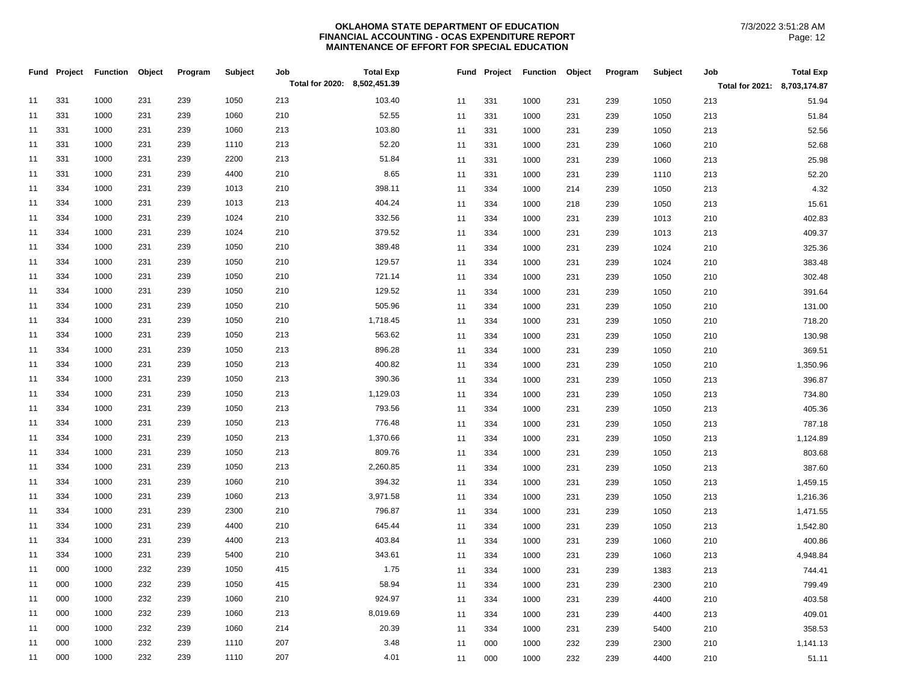|    | Fund Project | <b>Function</b> | Object | Program | Subject | Job<br>Total for 2020: 8,502,451.39 | <b>Total Exp</b> |    | Fund Project | <b>Function</b> | Object | Program | Subject | Job                          | <b>Total Exp</b> |
|----|--------------|-----------------|--------|---------|---------|-------------------------------------|------------------|----|--------------|-----------------|--------|---------|---------|------------------------------|------------------|
|    |              |                 |        |         |         |                                     |                  |    |              |                 |        |         |         | Total for 2021: 8,703,174.87 |                  |
| 11 | 331          | 1000            | 231    | 239     | 1050    | 213                                 | 103.40           | 11 | 331          | 1000            | 231    | 239     | 1050    | 213                          | 51.94            |
| 11 | 331          | 1000            | 231    | 239     | 1060    | 210                                 | 52.55            | 11 | 331          | 1000            | 231    | 239     | 1050    | 213                          | 51.84            |
| 11 | 331          | 1000            | 231    | 239     | 1060    | 213                                 | 103.80           | 11 | 331          | 1000            | 231    | 239     | 1050    | 213                          | 52.56            |
| 11 | 331          | 1000            | 231    | 239     | 1110    | 213                                 | 52.20            | 11 | 331          | 1000            | 231    | 239     | 1060    | 210                          | 52.68            |
| 11 | 331          | 1000            | 231    | 239     | 2200    | 213                                 | 51.84            | 11 | 331          | 1000            | 231    | 239     | 1060    | 213                          | 25.98            |
| 11 | 331          | 1000            | 231    | 239     | 4400    | 210                                 | 8.65             | 11 | 331          | 1000            | 231    | 239     | 1110    | 213                          | 52.20            |
| 11 | 334          | 1000            | 231    | 239     | 1013    | 210                                 | 398.11           | 11 | 334          | 1000            | 214    | 239     | 1050    | 213                          | 4.32             |
| 11 | 334          | 1000            | 231    | 239     | 1013    | 213                                 | 404.24           | 11 | 334          | 1000            | 218    | 239     | 1050    | 213                          | 15.61            |
| 11 | 334          | 1000            | 231    | 239     | 1024    | 210                                 | 332.56           | 11 | 334          | 1000            | 231    | 239     | 1013    | 210                          | 402.83           |
| 11 | 334          | 1000            | 231    | 239     | 1024    | 210                                 | 379.52           | 11 | 334          | 1000            | 231    | 239     | 1013    | 213                          | 409.37           |
| 11 | 334          | 1000            | 231    | 239     | 1050    | 210                                 | 389.48           | 11 | 334          | 1000            | 231    | 239     | 1024    | 210                          | 325.36           |
| 11 | 334          | 1000            | 231    | 239     | 1050    | 210                                 | 129.57           | 11 | 334          | 1000            | 231    | 239     | 1024    | 210                          | 383.48           |
| 11 | 334          | 1000            | 231    | 239     | 1050    | 210                                 | 721.14           | 11 | 334          | 1000            | 231    | 239     | 1050    | 210                          | 302.48           |
| 11 | 334          | 1000            | 231    | 239     | 1050    | 210                                 | 129.52           | 11 | 334          | 1000            | 231    | 239     | 1050    | 210                          | 391.64           |
| 11 | 334          | 1000            | 231    | 239     | 1050    | 210                                 | 505.96           | 11 | 334          | 1000            | 231    | 239     | 1050    | 210                          | 131.00           |
| 11 | 334          | 1000            | 231    | 239     | 1050    | 210                                 | 1,718.45         | 11 | 334          | 1000            | 231    | 239     | 1050    | 210                          | 718.20           |
| 11 | 334          | 1000            | 231    | 239     | 1050    | 213                                 | 563.62           | 11 | 334          | 1000            | 231    | 239     | 1050    | 210                          | 130.98           |
| 11 | 334          | 1000            | 231    | 239     | 1050    | 213                                 | 896.28           | 11 | 334          | 1000            | 231    | 239     | 1050    | 210                          | 369.51           |
| 11 | 334          | 1000            | 231    | 239     | 1050    | 213                                 | 400.82           | 11 | 334          | 1000            | 231    | 239     | 1050    | 210                          | 1,350.96         |
| 11 | 334          | 1000            | 231    | 239     | 1050    | 213                                 | 390.36           | 11 | 334          | 1000            | 231    | 239     | 1050    | 213                          | 396.87           |
| 11 | 334          | 1000            | 231    | 239     | 1050    | 213                                 | 1,129.03         | 11 | 334          | 1000            | 231    | 239     | 1050    | 213                          | 734.80           |
| 11 | 334          | 1000            | 231    | 239     | 1050    | 213                                 | 793.56           | 11 | 334          | 1000            | 231    | 239     | 1050    | 213                          | 405.36           |
| 11 | 334          | 1000            | 231    | 239     | 1050    | 213                                 | 776.48           | 11 | 334          | 1000            | 231    | 239     | 1050    | 213                          | 787.18           |
| 11 | 334          | 1000            | 231    | 239     | 1050    | 213                                 | 1,370.66         | 11 | 334          | 1000            | 231    | 239     | 1050    | 213                          | 1,124.89         |
| 11 | 334          | 1000            | 231    | 239     | 1050    | 213                                 | 809.76           | 11 | 334          | 1000            | 231    | 239     | 1050    | 213                          | 803.68           |
| 11 | 334          | 1000            | 231    | 239     | 1050    | 213                                 | 2,260.85         | 11 | 334          | 1000            | 231    | 239     | 1050    | 213                          | 387.60           |
| 11 | 334          | 1000            | 231    | 239     | 1060    | 210                                 | 394.32           | 11 | 334          | 1000            | 231    | 239     | 1050    | 213                          | 1,459.15         |
| 11 | 334          | 1000            | 231    | 239     | 1060    | 213                                 | 3,971.58         | 11 | 334          | 1000            | 231    | 239     | 1050    | 213                          | 1,216.36         |
| 11 | 334          | 1000            | 231    | 239     | 2300    | 210                                 | 796.87           | 11 | 334          | 1000            | 231    | 239     | 1050    | 213                          | 1,471.55         |
| 11 | 334          | 1000            | 231    | 239     | 4400    | 210                                 | 645.44           | 11 | 334          | 1000            | 231    | 239     | 1050    | 213                          | 1,542.80         |
| 11 | 334          | 1000            | 231    | 239     | 4400    | 213                                 | 403.84           | 11 | 334          | 1000            | 231    | 239     | 1060    | 210                          | 400.86           |
| 11 | 334          | 1000            | 231    | 239     | 5400    | 210                                 | 343.61           | 11 | 334          | 1000            | 231    | 239     | 1060    | 213                          | 4,948.84         |
| 11 | 000          | 1000            | 232    | 239     | 1050    | 415                                 | 1.75             | 11 | 334          | 1000            | 231    | 239     | 1383    | 213                          | 744.41           |
| 11 | 000          | 1000            | 232    | 239     | 1050    | 415                                 | 58.94            | 11 | 334          | 1000            | 231    | 239     | 2300    | 210                          | 799.49           |
| 11 | 000          | 1000            | 232    | 239     | 1060    | 210                                 | 924.97           | 11 | 334          | 1000            | 231    | 239     | 4400    | 210                          | 403.58           |
| 11 | 000          | 1000            | 232    | 239     | 1060    | 213                                 | 8,019.69         | 11 | 334          | 1000            | 231    | 239     | 4400    | 213                          | 409.01           |
| 11 | 000          | 1000            | 232    | 239     | 1060    | 214                                 | 20.39            | 11 | 334          | 1000            | 231    | 239     | 5400    | 210                          | 358.53           |
| 11 | 000          | 1000            | 232    | 239     | 1110    | 207                                 | 3.48             | 11 | 000          | 1000            | 232    | 239     | 2300    | 210                          | 1,141.13         |
| 11 | 000          | 1000            | 232    | 239     | 1110    | 207                                 | 4.01             | 11 | 000          | 1000            | 232    | 239     | 4400    | 210                          | 51.11            |
|    |              |                 |        |         |         |                                     |                  |    |              |                 |        |         |         |                              |                  |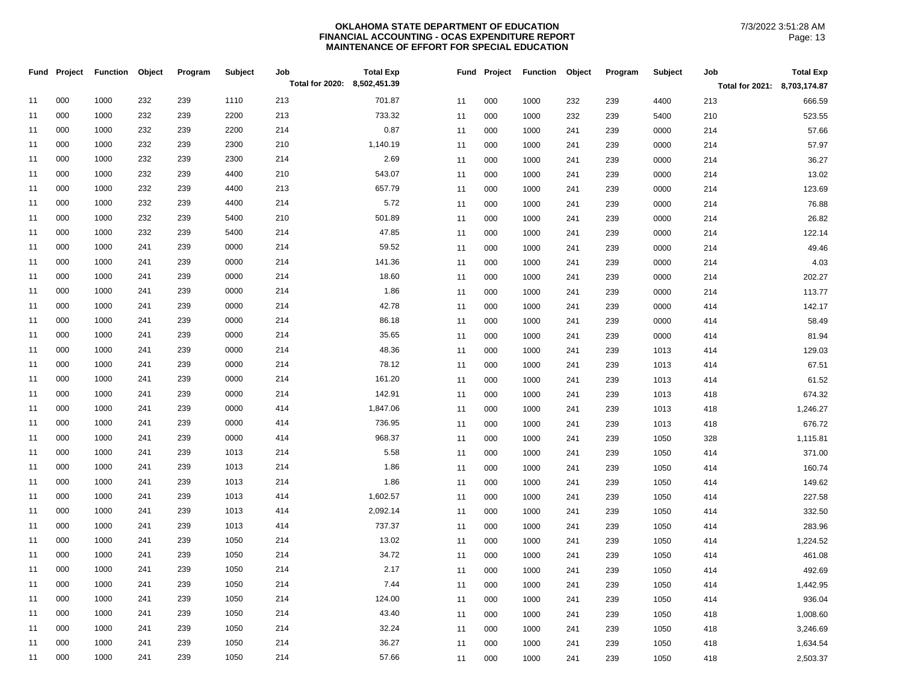|    | Fund Project | <b>Function</b> | Object | Program | Subject | Job                          | <b>Total Exp</b> |    | Fund Project | <b>Function</b> | Object | Program | <b>Subject</b> | Job                          | <b>Total Exp</b> |
|----|--------------|-----------------|--------|---------|---------|------------------------------|------------------|----|--------------|-----------------|--------|---------|----------------|------------------------------|------------------|
|    |              |                 |        |         |         | Total for 2020: 8,502,451.39 |                  |    |              |                 |        |         |                | Total for 2021: 8,703,174.87 |                  |
| 11 | 000          | 1000            | 232    | 239     | 1110    | 213                          | 701.87           | 11 | 000          | 1000            | 232    | 239     | 4400           | 213                          | 666.59           |
| 11 | 000          | 1000            | 232    | 239     | 2200    | 213                          | 733.32           | 11 | 000          | 1000            | 232    | 239     | 5400           | 210                          | 523.55           |
| 11 | 000          | 1000            | 232    | 239     | 2200    | 214                          | 0.87             | 11 | 000          | 1000            | 241    | 239     | 0000           | 214                          | 57.66            |
| 11 | 000          | 1000            | 232    | 239     | 2300    | 210                          | 1,140.19         | 11 | 000          | 1000            | 241    | 239     | 0000           | 214                          | 57.97            |
| 11 | 000          | 1000            | 232    | 239     | 2300    | 214                          | 2.69             | 11 | 000          | 1000            | 241    | 239     | 0000           | 214                          | 36.27            |
| 11 | 000          | 1000            | 232    | 239     | 4400    | 210                          | 543.07           | 11 | 000          | 1000            | 241    | 239     | 0000           | 214                          | 13.02            |
| 11 | 000          | 1000            | 232    | 239     | 4400    | 213                          | 657.79           | 11 | 000          | 1000            | 241    | 239     | 0000           | 214                          | 123.69           |
| 11 | 000          | 1000            | 232    | 239     | 4400    | 214                          | 5.72             | 11 | 000          | 1000            | 241    | 239     | 0000           | 214                          | 76.88            |
| 11 | 000          | 1000            | 232    | 239     | 5400    | 210                          | 501.89           | 11 | 000          | 1000            | 241    | 239     | 0000           | 214                          | 26.82            |
| 11 | 000          | 1000            | 232    | 239     | 5400    | 214                          | 47.85            | 11 | 000          | 1000            | 241    | 239     | 0000           | 214                          | 122.14           |
| 11 | 000          | 1000            | 241    | 239     | 0000    | 214                          | 59.52            | 11 | 000          | 1000            | 241    | 239     | 0000           | 214                          | 49.46            |
| 11 | 000          | 1000            | 241    | 239     | 0000    | 214                          | 141.36           | 11 | 000          | 1000            | 241    | 239     | 0000           | 214                          | 4.03             |
| 11 | 000          | 1000            | 241    | 239     | 0000    | 214                          | 18.60            | 11 | 000          | 1000            | 241    | 239     | 0000           | 214                          | 202.27           |
| 11 | 000          | 1000            | 241    | 239     | 0000    | 214                          | 1.86             | 11 | 000          | 1000            | 241    | 239     | 0000           | 214                          | 113.77           |
| 11 | 000          | 1000            | 241    | 239     | 0000    | 214                          | 42.78            | 11 | 000          | 1000            | 241    | 239     | 0000           | 414                          | 142.17           |
| 11 | 000          | 1000            | 241    | 239     | 0000    | 214                          | 86.18            | 11 | 000          | 1000            | 241    | 239     | 0000           | 414                          | 58.49            |
| 11 | 000          | 1000            | 241    | 239     | 0000    | 214                          | 35.65            | 11 | 000          | 1000            | 241    | 239     | 0000           | 414                          | 81.94            |
| 11 | 000          | 1000            | 241    | 239     | 0000    | 214                          | 48.36            | 11 | 000          | 1000            | 241    | 239     | 1013           | 414                          | 129.03           |
| 11 | 000          | 1000            | 241    | 239     | 0000    | 214                          | 78.12            | 11 | 000          | 1000            | 241    | 239     | 1013           | 414                          | 67.51            |
| 11 | 000          | 1000            | 241    | 239     | 0000    | 214                          | 161.20           | 11 | 000          | 1000            | 241    | 239     | 1013           | 414                          | 61.52            |
| 11 | 000          | 1000            | 241    | 239     | 0000    | 214                          | 142.91           | 11 | 000          | 1000            | 241    | 239     | 1013           | 418                          | 674.32           |
| 11 | 000          | 1000            | 241    | 239     | 0000    | 414                          | 1,847.06         | 11 | 000          | 1000            | 241    | 239     | 1013           | 418                          | 1,246.27         |
| 11 | 000          | 1000            | 241    | 239     | 0000    | 414                          | 736.95           | 11 | 000          | 1000            | 241    | 239     | 1013           | 418                          | 676.72           |
| 11 | 000          | 1000            | 241    | 239     | 0000    | 414                          | 968.37           | 11 | 000          | 1000            | 241    | 239     | 1050           | 328                          | 1,115.81         |
| 11 | 000          | 1000            | 241    | 239     | 1013    | 214                          | 5.58             | 11 | 000          | 1000            | 241    | 239     | 1050           | 414                          | 371.00           |
| 11 | 000          | 1000            | 241    | 239     | 1013    | 214                          | 1.86             | 11 | 000          | 1000            | 241    | 239     | 1050           | 414                          | 160.74           |
| 11 | 000          | 1000            | 241    | 239     | 1013    | 214                          | 1.86             | 11 | 000          | 1000            | 241    | 239     | 1050           | 414                          | 149.62           |
| 11 | 000          | 1000            | 241    | 239     | 1013    | 414                          | 1,602.57         | 11 | 000          | 1000            | 241    | 239     | 1050           | 414                          | 227.58           |
| 11 | 000          | 1000            | 241    | 239     | 1013    | 414                          | 2,092.14         | 11 | 000          | 1000            | 241    | 239     | 1050           | 414                          | 332.50           |
| 11 | 000          | 1000            | 241    | 239     | 1013    | 414                          | 737.37           | 11 | 000          | 1000            | 241    | 239     | 1050           | 414                          | 283.96           |
| 11 | 000          | 1000            | 241    | 239     | 1050    | 214                          | 13.02            | 11 | 000          | 1000            | 241    | 239     | 1050           | 414                          | 1,224.52         |
| 11 | 000          | 1000            | 241    | 239     | 1050    | 214                          | 34.72            | 11 | 000          | 1000            | 241    | 239     | 1050           | 414                          | 461.08           |
| 11 | 000          | 1000            | 241    | 239     | 1050    | 214                          | 2.17             | 11 | 000          | 1000            | 241    | 239     | 1050           | 414                          | 492.69           |
| 11 | 000          | 1000            | 241    | 239     | 1050    | 214                          | 7.44             | 11 | 000          | 1000            | 241    | 239     | 1050           | 414                          | 1,442.95         |
| 11 | 000          | 1000            | 241    | 239     | 1050    | 214                          | 124.00           | 11 | 000          | 1000            | 241    | 239     | 1050           | 414                          | 936.04           |
| 11 | 000          | 1000            | 241    | 239     | 1050    | 214                          | 43.40            | 11 | 000          | 1000            | 241    | 239     | 1050           | 418                          | 1,008.60         |
| 11 | 000          | 1000            | 241    | 239     | 1050    | 214                          | 32.24            | 11 | 000          | 1000            | 241    | 239     | 1050           | 418                          | 3,246.69         |
| 11 | 000          | 1000            | 241    | 239     | 1050    | 214                          | 36.27            | 11 | 000          | 1000            | 241    | 239     | 1050           | 418                          | 1,634.54         |
| 11 | 000          | 1000            | 241    | 239     | 1050    | 214                          | 57.66            | 11 | 000          | 1000            | 241    | 239     | 1050           | 418                          | 2,503.37         |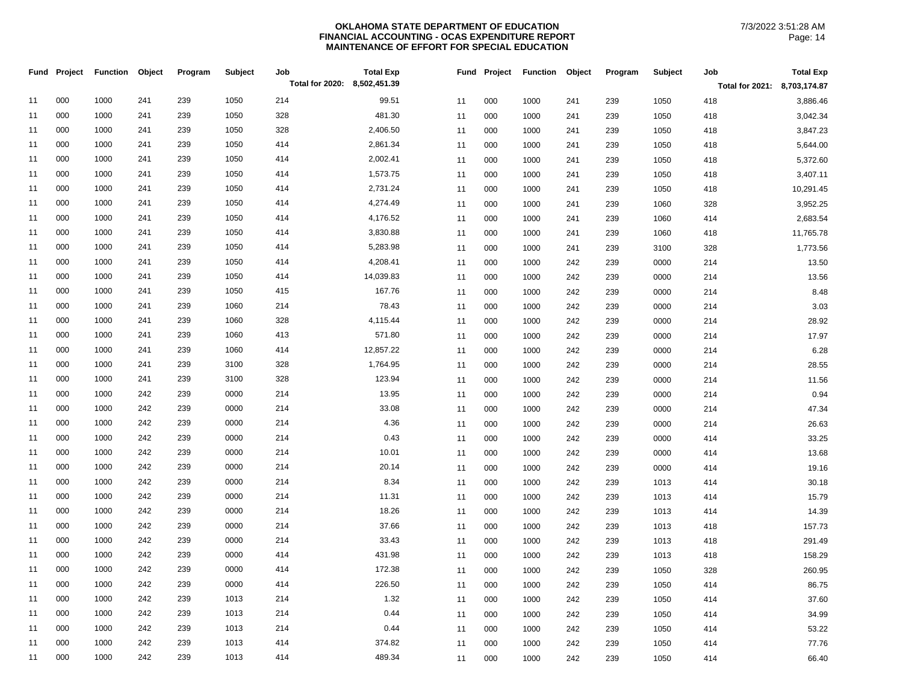|    | Fund Project | <b>Function</b> | Object | Program | Subject | Job                          | <b>Total Exp</b> | Fund | Project | <b>Function</b> | Object | Program | Subject | Job                          | <b>Total Exp</b> |
|----|--------------|-----------------|--------|---------|---------|------------------------------|------------------|------|---------|-----------------|--------|---------|---------|------------------------------|------------------|
|    |              |                 |        |         |         | Total for 2020: 8,502,451.39 |                  |      |         |                 |        |         |         | Total for 2021: 8,703,174.87 |                  |
| 11 | 000          | 1000            | 241    | 239     | 1050    | 214                          | 99.51            | 11   | 000     | 1000            | 241    | 239     | 1050    | 418                          | 3,886.46         |
| 11 | 000          | 1000            | 241    | 239     | 1050    | 328                          | 481.30           | 11   | 000     | 1000            | 241    | 239     | 1050    | 418                          | 3,042.34         |
| 11 | 000          | 1000            | 241    | 239     | 1050    | 328                          | 2,406.50         | 11   | 000     | 1000            | 241    | 239     | 1050    | 418                          | 3,847.23         |
| 11 | 000          | 1000            | 241    | 239     | 1050    | 414                          | 2,861.34         | 11   | 000     | 1000            | 241    | 239     | 1050    | 418                          | 5,644.00         |
| 11 | 000          | 1000            | 241    | 239     | 1050    | 414                          | 2,002.41         | 11   | 000     | 1000            | 241    | 239     | 1050    | 418                          | 5,372.60         |
| 11 | 000          | 1000            | 241    | 239     | 1050    | 414                          | 1,573.75         | 11   | 000     | 1000            | 241    | 239     | 1050    | 418                          | 3,407.11         |
| 11 | 000          | 1000            | 241    | 239     | 1050    | 414                          | 2,731.24         | 11   | 000     | 1000            | 241    | 239     | 1050    | 418                          | 10,291.45        |
| 11 | 000          | 1000            | 241    | 239     | 1050    | 414                          | 4,274.49         | 11   | 000     | 1000            | 241    | 239     | 1060    | 328                          | 3,952.25         |
| 11 | 000          | 1000            | 241    | 239     | 1050    | 414                          | 4,176.52         | 11   | 000     | 1000            | 241    | 239     | 1060    | 414                          | 2,683.54         |
| 11 | 000          | 1000            | 241    | 239     | 1050    | 414                          | 3,830.88         | 11   | 000     | 1000            | 241    | 239     | 1060    | 418                          | 11,765.78        |
| 11 | 000          | 1000            | 241    | 239     | 1050    | 414                          | 5,283.98         | 11   | 000     | 1000            | 241    | 239     | 3100    | 328                          | 1,773.56         |
| 11 | 000          | 1000            | 241    | 239     | 1050    | 414                          | 4,208.41         | 11   | 000     | 1000            | 242    | 239     | 0000    | 214                          | 13.50            |
| 11 | 000          | 1000            | 241    | 239     | 1050    | 414                          | 14,039.83        | 11   | 000     | 1000            | 242    | 239     | 0000    | 214                          | 13.56            |
| 11 | 000          | 1000            | 241    | 239     | 1050    | 415                          | 167.76           | 11   | 000     | 1000            | 242    | 239     | 0000    | 214                          | 8.48             |
| 11 | 000          | 1000            | 241    | 239     | 1060    | 214                          | 78.43            | 11   | 000     | 1000            | 242    | 239     | 0000    | 214                          | 3.03             |
| 11 | 000          | 1000            | 241    | 239     | 1060    | 328                          | 4,115.44         | 11   | 000     | 1000            | 242    | 239     | 0000    | 214                          | 28.92            |
| 11 | 000          | 1000            | 241    | 239     | 1060    | 413                          | 571.80           | 11   | 000     | 1000            | 242    | 239     | 0000    | 214                          | 17.97            |
| 11 | 000          | 1000            | 241    | 239     | 1060    | 414                          | 12,857.22        | 11   | 000     | 1000            | 242    | 239     | 0000    | 214                          | 6.28             |
| 11 | 000          | 1000            | 241    | 239     | 3100    | 328                          | 1,764.95         | 11   | 000     | 1000            | 242    | 239     | 0000    | 214                          | 28.55            |
| 11 | 000          | 1000            | 241    | 239     | 3100    | 328                          | 123.94           | 11   | 000     | 1000            | 242    | 239     | 0000    | 214                          | 11.56            |
| 11 | 000          | 1000            | 242    | 239     | 0000    | 214                          | 13.95            | 11   | 000     | 1000            | 242    | 239     | 0000    | 214                          | 0.94             |
| 11 | 000          | 1000            | 242    | 239     | 0000    | 214                          | 33.08            | 11   | 000     | 1000            | 242    | 239     | 0000    | 214                          | 47.34            |
| 11 | 000          | 1000            | 242    | 239     | 0000    | 214                          | 4.36             | 11   | 000     | 1000            | 242    | 239     | 0000    | 214                          | 26.63            |
| 11 | 000          | 1000            | 242    | 239     | 0000    | 214                          | 0.43             | 11   | 000     | 1000            | 242    | 239     | 0000    | 414                          | 33.25            |
| 11 | 000          | 1000            | 242    | 239     | 0000    | 214                          | 10.01            | 11   | 000     | 1000            | 242    | 239     | 0000    | 414                          | 13.68            |
| 11 | 000          | 1000            | 242    | 239     | 0000    | 214                          | 20.14            | 11   | 000     | 1000            | 242    | 239     | 0000    | 414                          | 19.16            |
| 11 | 000          | 1000            | 242    | 239     | 0000    | 214                          | 8.34             | 11   | 000     | 1000            | 242    | 239     | 1013    | 414                          | 30.18            |
| 11 | 000          | 1000            | 242    | 239     | 0000    | 214                          | 11.31            | 11   | 000     | 1000            | 242    | 239     | 1013    | 414                          | 15.79            |
| 11 | 000          | 1000            | 242    | 239     | 0000    | 214                          | 18.26            | 11   | 000     | 1000            | 242    | 239     | 1013    | 414                          | 14.39            |
| 11 | 000          | 1000            | 242    | 239     | 0000    | 214                          | 37.66            | 11   | 000     | 1000            | 242    | 239     | 1013    | 418                          | 157.73           |
| 11 | 000          | 1000            | 242    | 239     | 0000    | 214                          | 33.43            | 11   | 000     | 1000            | 242    | 239     | 1013    | 418                          | 291.49           |
| 11 | 000          | 1000            | 242    | 239     | 0000    | 414                          | 431.98           | 11   | 000     | 1000            | 242    | 239     | 1013    | 418                          | 158.29           |
| 11 | 000          | 1000            | 242    | 239     | 0000    | 414                          | 172.38           | 11   | 000     | 1000            | 242    | 239     | 1050    | 328                          | 260.95           |
| 11 | 000          | 1000            | 242    | 239     | 0000    | 414                          | 226.50           | 11   | 000     | 1000            | 242    | 239     | 1050    | 414                          | 86.75            |
| 11 | 000          | 1000            | 242    | 239     | 1013    | 214                          | 1.32             | 11   | 000     | 1000            | 242    | 239     | 1050    | 414                          | 37.60            |
| 11 | 000          | 1000            | 242    | 239     | 1013    | 214                          | 0.44             | 11   | 000     | 1000            | 242    | 239     | 1050    | 414                          | 34.99            |
| 11 | 000          | 1000            | 242    | 239     | 1013    | 214                          | 0.44             | 11   | 000     | 1000            | 242    | 239     | 1050    | 414                          | 53.22            |
| 11 | 000          | 1000            | 242    | 239     | 1013    | 414                          | 374.82           | 11   | 000     | 1000            | 242    | 239     | 1050    | 414                          | 77.76            |
| 11 | 000          | 1000            | 242    | 239     | 1013    | 414                          | 489.34           | 11   | 000     | 1000            | 242    | 239     | 1050    | 414                          | 66.40            |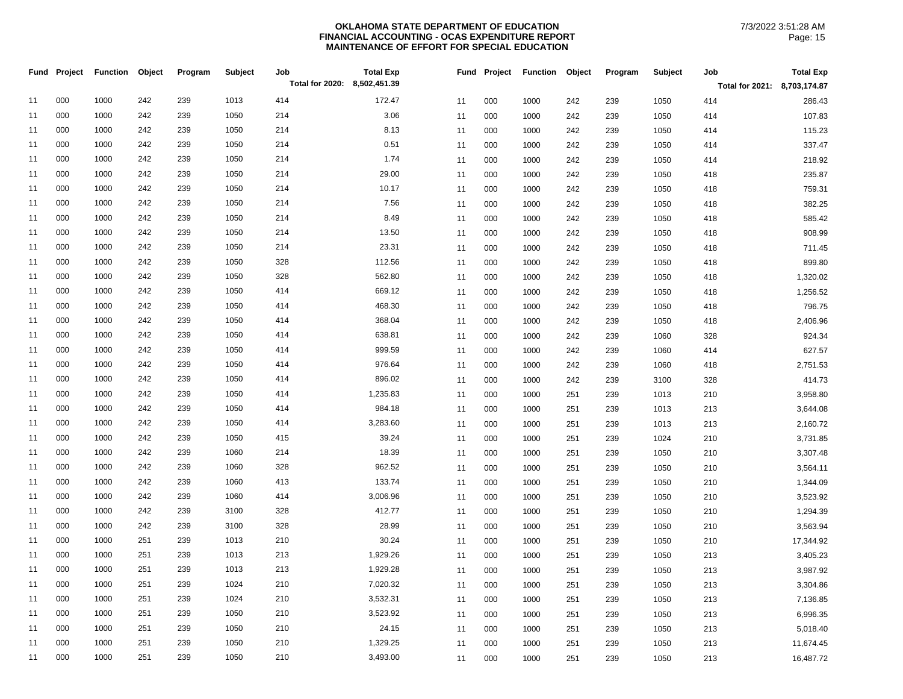|    | Fund Project | <b>Function</b> | Object | Program | Subject | Job                          | <b>Total Exp</b> |    | Fund Project | <b>Function</b> | Object | Program | Subject | Job                          | <b>Total Exp</b> |
|----|--------------|-----------------|--------|---------|---------|------------------------------|------------------|----|--------------|-----------------|--------|---------|---------|------------------------------|------------------|
|    |              |                 |        |         |         | Total for 2020: 8,502,451.39 |                  |    |              |                 |        |         |         | Total for 2021: 8,703,174.87 |                  |
| 11 | 000          | 1000            | 242    | 239     | 1013    | 414                          | 172.47           | 11 | 000          | 1000            | 242    | 239     | 1050    | 414                          | 286.43           |
| 11 | 000          | 1000            | 242    | 239     | 1050    | 214                          | 3.06             | 11 | 000          | 1000            | 242    | 239     | 1050    | 414                          | 107.83           |
| 11 | 000          | 1000            | 242    | 239     | 1050    | 214                          | 8.13             | 11 | 000          | 1000            | 242    | 239     | 1050    | 414                          | 115.23           |
| 11 | 000          | 1000            | 242    | 239     | 1050    | 214                          | 0.51             | 11 | 000          | 1000            | 242    | 239     | 1050    | 414                          | 337.47           |
| 11 | 000          | 1000            | 242    | 239     | 1050    | 214                          | 1.74             | 11 | 000          | 1000            | 242    | 239     | 1050    | 414                          | 218.92           |
| 11 | 000          | 1000            | 242    | 239     | 1050    | 214                          | 29.00            | 11 | 000          | 1000            | 242    | 239     | 1050    | 418                          | 235.87           |
| 11 | 000          | 1000            | 242    | 239     | 1050    | 214                          | 10.17            | 11 | 000          | 1000            | 242    | 239     | 1050    | 418                          | 759.31           |
| 11 | 000          | 1000            | 242    | 239     | 1050    | 214                          | 7.56             | 11 | 000          | 1000            | 242    | 239     | 1050    | 418                          | 382.25           |
| 11 | 000          | 1000            | 242    | 239     | 1050    | 214                          | 8.49             | 11 | 000          | 1000            | 242    | 239     | 1050    | 418                          | 585.42           |
| 11 | 000          | 1000            | 242    | 239     | 1050    | 214                          | 13.50            | 11 | 000          | 1000            | 242    | 239     | 1050    | 418                          | 908.99           |
| 11 | 000          | 1000            | 242    | 239     | 1050    | 214                          | 23.31            | 11 | 000          | 1000            | 242    | 239     | 1050    | 418                          | 711.45           |
| 11 | 000          | 1000            | 242    | 239     | 1050    | 328                          | 112.56           | 11 | 000          | 1000            | 242    | 239     | 1050    | 418                          | 899.80           |
| 11 | 000          | 1000            | 242    | 239     | 1050    | 328                          | 562.80           | 11 | 000          | 1000            | 242    | 239     | 1050    | 418                          | 1,320.02         |
| 11 | 000          | 1000            | 242    | 239     | 1050    | 414                          | 669.12           | 11 | 000          | 1000            | 242    | 239     | 1050    | 418                          | 1,256.52         |
| 11 | 000          | 1000            | 242    | 239     | 1050    | 414                          | 468.30           | 11 | 000          | 1000            | 242    | 239     | 1050    | 418                          | 796.75           |
| 11 | 000          | 1000            | 242    | 239     | 1050    | 414                          | 368.04           | 11 | 000          | 1000            | 242    | 239     | 1050    | 418                          | 2,406.96         |
| 11 | 000          | 1000            | 242    | 239     | 1050    | 414                          | 638.81           | 11 | 000          | 1000            | 242    | 239     | 1060    | 328                          | 924.34           |
| 11 | 000          | 1000            | 242    | 239     | 1050    | 414                          | 999.59           | 11 | 000          | 1000            | 242    | 239     | 1060    | 414                          | 627.57           |
| 11 | 000          | 1000            | 242    | 239     | 1050    | 414                          | 976.64           | 11 | 000          | 1000            | 242    | 239     | 1060    | 418                          | 2,751.53         |
| 11 | 000          | 1000            | 242    | 239     | 1050    | 414                          | 896.02           | 11 | 000          | 1000            | 242    | 239     | 3100    | 328                          | 414.73           |
| 11 | 000          | 1000            | 242    | 239     | 1050    | 414                          | 1,235.83         | 11 | 000          | 1000            | 251    | 239     | 1013    | 210                          | 3,958.80         |
| 11 | 000          | 1000            | 242    | 239     | 1050    | 414                          | 984.18           | 11 | 000          | 1000            | 251    | 239     | 1013    | 213                          | 3,644.08         |
| 11 | 000          | 1000            | 242    | 239     | 1050    | 414                          | 3,283.60         | 11 | 000          | 1000            | 251    | 239     | 1013    | 213                          | 2,160.72         |
| 11 | 000          | 1000            | 242    | 239     | 1050    | 415                          | 39.24            | 11 | 000          | 1000            | 251    | 239     | 1024    | 210                          | 3,731.85         |
| 11 | 000          | 1000            | 242    | 239     | 1060    | 214                          | 18.39            | 11 | 000          | 1000            | 251    | 239     | 1050    | 210                          | 3,307.48         |
| 11 | 000          | 1000            | 242    | 239     | 1060    | 328                          | 962.52           | 11 | 000          | 1000            | 251    | 239     | 1050    | 210                          | 3,564.11         |
| 11 | 000          | 1000            | 242    | 239     | 1060    | 413                          | 133.74           | 11 | 000          | 1000            | 251    | 239     | 1050    | 210                          | 1,344.09         |
| 11 | 000          | 1000            | 242    | 239     | 1060    | 414                          | 3,006.96         | 11 | 000          | 1000            | 251    | 239     | 1050    | 210                          | 3,523.92         |
| 11 | 000          | 1000            | 242    | 239     | 3100    | 328                          | 412.77           | 11 | 000          | 1000            | 251    | 239     | 1050    | 210                          | 1,294.39         |
| 11 | 000          | 1000            | 242    | 239     | 3100    | 328                          | 28.99            | 11 | 000          | 1000            | 251    | 239     | 1050    | 210                          | 3,563.94         |
| 11 | 000          | 1000            | 251    | 239     | 1013    | 210                          | 30.24            | 11 | 000          | 1000            | 251    | 239     | 1050    | 210                          | 17,344.92        |
| 11 | 000          | 1000            | 251    | 239     | 1013    | 213                          | 1,929.26         | 11 | 000          | 1000            | 251    | 239     | 1050    | 213                          | 3,405.23         |
| 11 | 000          | 1000            | 251    | 239     | 1013    | 213                          | 1,929.28         | 11 | 000          | 1000            | 251    | 239     | 1050    | 213                          | 3,987.92         |
| 11 | 000          | 1000            | 251    | 239     | 1024    | 210                          | 7,020.32         | 11 | 000          | 1000            | 251    | 239     | 1050    | 213                          | 3,304.86         |
| 11 | 000          | 1000            | 251    | 239     | 1024    | 210                          | 3,532.31         | 11 | 000          | 1000            | 251    | 239     | 1050    | 213                          | 7,136.85         |
| 11 | 000          | 1000            | 251    | 239     | 1050    | 210                          | 3,523.92         | 11 | 000          | 1000            | 251    | 239     | 1050    | 213                          | 6,996.35         |
| 11 | 000          | 1000            | 251    | 239     | 1050    | 210                          | 24.15            | 11 | 000          | 1000            | 251    | 239     | 1050    | 213                          | 5,018.40         |
| 11 | 000          | 1000            | 251    | 239     | 1050    | 210                          | 1,329.25         | 11 | 000          | 1000            | 251    | 239     | 1050    | 213                          | 11,674.45        |
| 11 | 000          | 1000            | 251    | 239     | 1050    | 210                          | 3,493.00         | 11 | 000          | 1000            | 251    | 239     | 1050    | 213                          | 16,487.72        |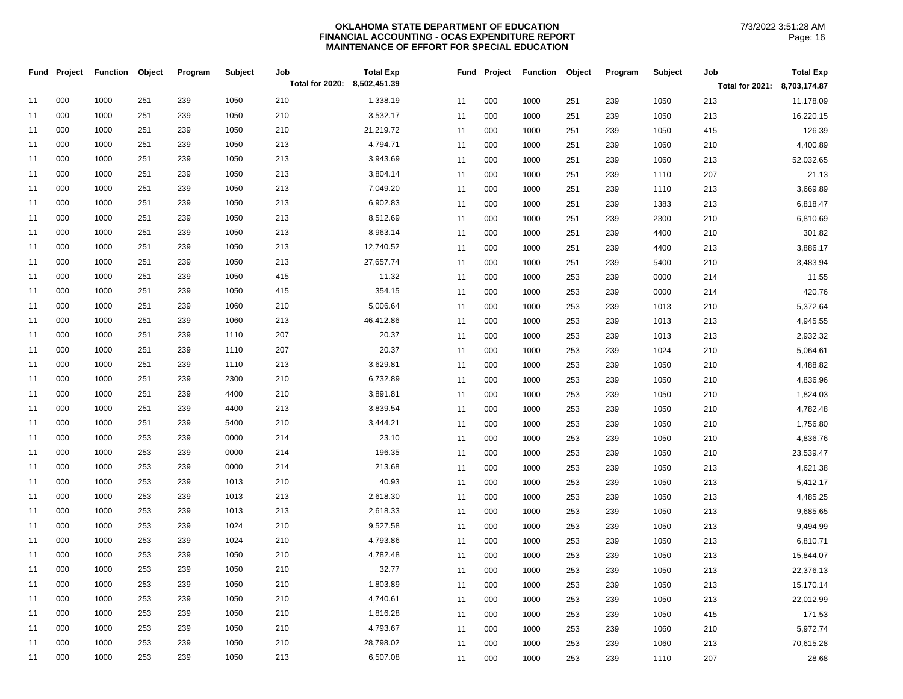|    | Fund Project | <b>Function</b> | Object | Program | Subject | Job                          | <b>Total Exp</b> | Fund | Project | <b>Function</b> | Object | Program | Subject | Job                          | <b>Total Exp</b> |
|----|--------------|-----------------|--------|---------|---------|------------------------------|------------------|------|---------|-----------------|--------|---------|---------|------------------------------|------------------|
|    |              |                 |        |         |         | Total for 2020: 8,502,451.39 |                  |      |         |                 |        |         |         | Total for 2021: 8,703,174.87 |                  |
| 11 | 000          | 1000            | 251    | 239     | 1050    | 210                          | 1,338.19         | 11   | 000     | 1000            | 251    | 239     | 1050    | 213                          | 11,178.09        |
| 11 | 000          | 1000            | 251    | 239     | 1050    | 210                          | 3,532.17         | 11   | 000     | 1000            | 251    | 239     | 1050    | 213                          | 16,220.15        |
| 11 | 000          | 1000            | 251    | 239     | 1050    | 210                          | 21,219.72        | 11   | 000     | 1000            | 251    | 239     | 1050    | 415                          | 126.39           |
| 11 | 000          | 1000            | 251    | 239     | 1050    | 213                          | 4,794.71         | 11   | 000     | 1000            | 251    | 239     | 1060    | 210                          | 4,400.89         |
| 11 | 000          | 1000            | 251    | 239     | 1050    | 213                          | 3,943.69         | 11   | 000     | 1000            | 251    | 239     | 1060    | 213                          | 52,032.65        |
| 11 | 000          | 1000            | 251    | 239     | 1050    | 213                          | 3,804.14         | 11   | 000     | 1000            | 251    | 239     | 1110    | 207                          | 21.13            |
| 11 | 000          | 1000            | 251    | 239     | 1050    | 213                          | 7,049.20         | 11   | 000     | 1000            | 251    | 239     | 1110    | 213                          | 3,669.89         |
| 11 | 000          | 1000            | 251    | 239     | 1050    | 213                          | 6,902.83         | 11   | 000     | 1000            | 251    | 239     | 1383    | 213                          | 6,818.47         |
| 11 | 000          | 1000            | 251    | 239     | 1050    | 213                          | 8,512.69         | 11   | 000     | 1000            | 251    | 239     | 2300    | 210                          | 6,810.69         |
| 11 | 000          | 1000            | 251    | 239     | 1050    | 213                          | 8,963.14         | 11   | 000     | 1000            | 251    | 239     | 4400    | 210                          | 301.82           |
| 11 | 000          | 1000            | 251    | 239     | 1050    | 213                          | 12,740.52        | 11   | 000     | 1000            | 251    | 239     | 4400    | 213                          | 3,886.17         |
| 11 | 000          | 1000            | 251    | 239     | 1050    | 213                          | 27,657.74        | 11   | 000     | 1000            | 251    | 239     | 5400    | 210                          | 3,483.94         |
| 11 | 000          | 1000            | 251    | 239     | 1050    | 415                          | 11.32            | 11   | 000     | 1000            | 253    | 239     | 0000    | 214                          | 11.55            |
| 11 | 000          | 1000            | 251    | 239     | 1050    | 415                          | 354.15           | 11   | 000     | 1000            | 253    | 239     | 0000    | 214                          | 420.76           |
| 11 | 000          | 1000            | 251    | 239     | 1060    | 210                          | 5,006.64         | 11   | 000     | 1000            | 253    | 239     | 1013    | 210                          | 5,372.64         |
| 11 | 000          | 1000            | 251    | 239     | 1060    | 213                          | 46,412.86        | 11   | 000     | 1000            | 253    | 239     | 1013    | 213                          | 4,945.55         |
| 11 | 000          | 1000            | 251    | 239     | 1110    | 207                          | 20.37            | 11   | 000     | 1000            | 253    | 239     | 1013    | 213                          | 2,932.32         |
| 11 | 000          | 1000            | 251    | 239     | 1110    | 207                          | 20.37            | 11   | 000     | 1000            | 253    | 239     | 1024    | 210                          | 5,064.61         |
| 11 | 000          | 1000            | 251    | 239     | 1110    | 213                          | 3,629.81         | 11   | 000     | 1000            | 253    | 239     | 1050    | 210                          | 4,488.82         |
| 11 | 000          | 1000            | 251    | 239     | 2300    | 210                          | 6,732.89         | 11   | 000     | 1000            | 253    | 239     | 1050    | 210                          | 4,836.96         |
| 11 | 000          | 1000            | 251    | 239     | 4400    | 210                          | 3,891.81         | 11   | 000     | 1000            | 253    | 239     | 1050    | 210                          | 1,824.03         |
| 11 | 000          | 1000            | 251    | 239     | 4400    | 213                          | 3,839.54         | 11   | 000     | 1000            | 253    | 239     | 1050    | 210                          | 4,782.48         |
| 11 | 000          | 1000            | 251    | 239     | 5400    | 210                          | 3,444.21         | 11   | 000     | 1000            | 253    | 239     | 1050    | 210                          | 1,756.80         |
| 11 | 000          | 1000            | 253    | 239     | 0000    | 214                          | 23.10            | 11   | 000     | 1000            | 253    | 239     | 1050    | 210                          | 4,836.76         |
| 11 | 000          | 1000            | 253    | 239     | 0000    | 214                          | 196.35           | 11   | 000     | 1000            | 253    | 239     | 1050    | 210                          | 23,539.47        |
| 11 | 000          | 1000            | 253    | 239     | 0000    | 214                          | 213.68           | 11   | 000     | 1000            | 253    | 239     | 1050    | 213                          | 4,621.38         |
| 11 | 000          | 1000            | 253    | 239     | 1013    | 210                          | 40.93            | 11   | 000     | 1000            | 253    | 239     | 1050    | 213                          | 5,412.17         |
| 11 | 000          | 1000            | 253    | 239     | 1013    | 213                          | 2,618.30         | 11   | 000     | 1000            | 253    | 239     | 1050    | 213                          | 4,485.25         |
| 11 | 000          | 1000            | 253    | 239     | 1013    | 213                          | 2,618.33         | 11   | 000     | 1000            | 253    | 239     | 1050    | 213                          | 9,685.65         |
| 11 | 000          | 1000            | 253    | 239     | 1024    | 210                          | 9,527.58         | 11   | 000     | 1000            | 253    | 239     | 1050    | 213                          | 9,494.99         |
| 11 | 000          | 1000            | 253    | 239     | 1024    | 210                          | 4,793.86         | 11   | 000     | 1000            | 253    | 239     | 1050    | 213                          | 6,810.71         |
| 11 | 000          | 1000            | 253    | 239     | 1050    | 210                          | 4,782.48         | 11   | 000     | 1000            | 253    | 239     | 1050    | 213                          | 15,844.07        |
| 11 | 000          | 1000            | 253    | 239     | 1050    | 210                          | 32.77            | 11   | 000     | 1000            | 253    | 239     | 1050    | 213                          | 22,376.13        |
| 11 | 000          | 1000            | 253    | 239     | 1050    | 210                          | 1,803.89         | 11   | 000     | 1000            | 253    | 239     | 1050    | 213                          | 15,170.14        |
| 11 | 000          | 1000            | 253    | 239     | 1050    | 210                          | 4,740.61         | 11   | 000     | 1000            | 253    | 239     | 1050    | 213                          | 22,012.99        |
| 11 | 000          | 1000            | 253    | 239     | 1050    | 210                          | 1,816.28         | 11   | 000     | 1000            | 253    | 239     | 1050    | 415                          | 171.53           |
| 11 | 000          | 1000            | 253    | 239     | 1050    | 210                          | 4,793.67         | 11   | 000     | 1000            | 253    | 239     | 1060    | 210                          | 5,972.74         |
| 11 | 000          | 1000            | 253    | 239     | 1050    | 210                          | 28,798.02        | 11   | 000     | 1000            | 253    | 239     | 1060    | 213                          | 70,615.28        |
| 11 | 000          | 1000            | 253    | 239     | 1050    | 213                          | 6,507.08         | 11   | 000     | 1000            | 253    | 239     | 1110    | 207                          | 28.68            |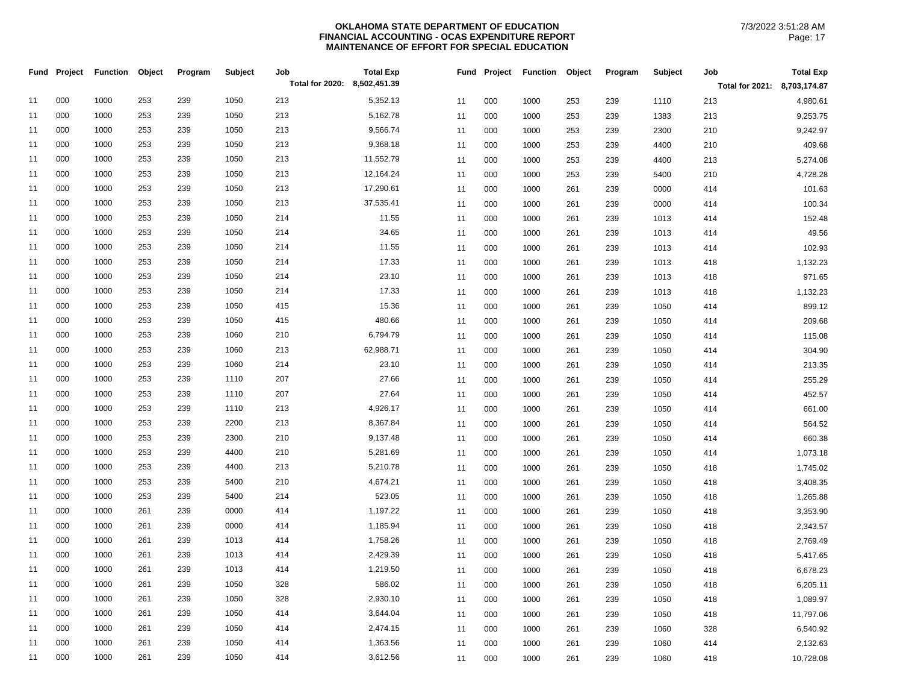|    | Fund Project | <b>Function</b> | Object | Program | Subject | Job                          | <b>Total Exp</b> |    | Fund Project | <b>Function</b> | Object | Program | Subject | Job                          | <b>Total Exp</b> |
|----|--------------|-----------------|--------|---------|---------|------------------------------|------------------|----|--------------|-----------------|--------|---------|---------|------------------------------|------------------|
|    |              |                 |        |         |         | Total for 2020: 8,502,451.39 |                  |    |              |                 |        |         |         | Total for 2021: 8,703,174.87 |                  |
| 11 | 000          | 1000            | 253    | 239     | 1050    | 213                          | 5,352.13         | 11 | 000          | 1000            | 253    | 239     | 1110    | 213                          | 4,980.61         |
| 11 | 000          | 1000            | 253    | 239     | 1050    | 213                          | 5,162.78         | 11 | 000          | 1000            | 253    | 239     | 1383    | 213                          | 9,253.75         |
| 11 | 000          | 1000            | 253    | 239     | 1050    | 213                          | 9,566.74         | 11 | 000          | 1000            | 253    | 239     | 2300    | 210                          | 9,242.97         |
| 11 | 000          | 1000            | 253    | 239     | 1050    | 213                          | 9,368.18         | 11 | 000          | 1000            | 253    | 239     | 4400    | 210                          | 409.68           |
| 11 | 000          | 1000            | 253    | 239     | 1050    | 213                          | 11,552.79        | 11 | 000          | 1000            | 253    | 239     | 4400    | 213                          | 5,274.08         |
| 11 | 000          | 1000            | 253    | 239     | 1050    | 213                          | 12,164.24        | 11 | 000          | 1000            | 253    | 239     | 5400    | 210                          | 4,728.28         |
| 11 | 000          | 1000            | 253    | 239     | 1050    | 213                          | 17,290.61        | 11 | 000          | 1000            | 261    | 239     | 0000    | 414                          | 101.63           |
| 11 | 000          | 1000            | 253    | 239     | 1050    | 213                          | 37,535.41        | 11 | 000          | 1000            | 261    | 239     | 0000    | 414                          | 100.34           |
| 11 | 000          | 1000            | 253    | 239     | 1050    | 214                          | 11.55            | 11 | 000          | 1000            | 261    | 239     | 1013    | 414                          | 152.48           |
| 11 | 000          | 1000            | 253    | 239     | 1050    | 214                          | 34.65            | 11 | 000          | 1000            | 261    | 239     | 1013    | 414                          | 49.56            |
| 11 | 000          | 1000            | 253    | 239     | 1050    | 214                          | 11.55            | 11 | 000          | 1000            | 261    | 239     | 1013    | 414                          | 102.93           |
| 11 | 000          | 1000            | 253    | 239     | 1050    | 214                          | 17.33            | 11 | 000          | 1000            | 261    | 239     | 1013    | 418                          | 1,132.23         |
| 11 | 000          | 1000            | 253    | 239     | 1050    | 214                          | 23.10            | 11 | 000          | 1000            | 261    | 239     | 1013    | 418                          | 971.65           |
| 11 | 000          | 1000            | 253    | 239     | 1050    | 214                          | 17.33            | 11 | 000          | 1000            | 261    | 239     | 1013    | 418                          | 1,132.23         |
| 11 | 000          | 1000            | 253    | 239     | 1050    | 415                          | 15.36            | 11 | 000          | 1000            | 261    | 239     | 1050    | 414                          | 899.12           |
| 11 | 000          | 1000            | 253    | 239     | 1050    | 415                          | 480.66           | 11 | 000          | 1000            | 261    | 239     | 1050    | 414                          | 209.68           |
| 11 | 000          | 1000            | 253    | 239     | 1060    | 210                          | 6,794.79         | 11 | 000          | 1000            | 261    | 239     | 1050    | 414                          | 115.08           |
| 11 | 000          | 1000            | 253    | 239     | 1060    | 213                          | 62,988.71        | 11 | 000          | 1000            | 261    | 239     | 1050    | 414                          | 304.90           |
| 11 | 000          | 1000            | 253    | 239     | 1060    | 214                          | 23.10            | 11 | 000          | 1000            | 261    | 239     | 1050    | 414                          | 213.35           |
| 11 | 000          | 1000            | 253    | 239     | 1110    | 207                          | 27.66            | 11 | 000          | 1000            | 261    | 239     | 1050    | 414                          | 255.29           |
| 11 | 000          | 1000            | 253    | 239     | 1110    | 207                          | 27.64            | 11 | 000          | 1000            | 261    | 239     | 1050    | 414                          | 452.57           |
| 11 | 000          | 1000            | 253    | 239     | 1110    | 213                          | 4,926.17         | 11 | 000          | 1000            | 261    | 239     | 1050    | 414                          | 661.00           |
| 11 | 000          | 1000            | 253    | 239     | 2200    | 213                          | 8,367.84         | 11 | 000          | 1000            | 261    | 239     | 1050    | 414                          | 564.52           |
| 11 | 000          | 1000            | 253    | 239     | 2300    | 210                          | 9,137.48         | 11 | 000          | 1000            | 261    | 239     | 1050    | 414                          | 660.38           |
| 11 | 000          | 1000            | 253    | 239     | 4400    | 210                          | 5,281.69         | 11 | 000          | 1000            | 261    | 239     | 1050    | 414                          | 1,073.18         |
| 11 | 000          | 1000            | 253    | 239     | 4400    | 213                          | 5,210.78         | 11 | 000          | 1000            | 261    | 239     | 1050    | 418                          | 1,745.02         |
| 11 | 000          | 1000            | 253    | 239     | 5400    | 210                          | 4,674.21         | 11 | 000          | 1000            | 261    | 239     | 1050    | 418                          | 3,408.35         |
| 11 | 000          | 1000            | 253    | 239     | 5400    | 214                          | 523.05           | 11 | 000          | 1000            | 261    | 239     | 1050    | 418                          | 1,265.88         |
| 11 | 000          | 1000            | 261    | 239     | 0000    | 414                          | 1,197.22         | 11 | 000          | 1000            | 261    | 239     | 1050    | 418                          | 3,353.90         |
| 11 | 000          | 1000            | 261    | 239     | 0000    | 414                          | 1,185.94         | 11 | 000          | 1000            | 261    | 239     | 1050    | 418                          | 2,343.57         |
| 11 | 000          | 1000            | 261    | 239     | 1013    | 414                          | 1,758.26         | 11 | 000          | 1000            | 261    | 239     | 1050    | 418                          | 2,769.49         |
| 11 | 000          | 1000            | 261    | 239     | 1013    | 414                          | 2,429.39         | 11 | 000          | 1000            | 261    | 239     | 1050    | 418                          | 5,417.65         |
| 11 | 000          | 1000            | 261    | 239     | 1013    | 414                          | 1,219.50         | 11 | 000          | 1000            | 261    | 239     | 1050    | 418                          | 6,678.23         |
| 11 | 000          | 1000            | 261    | 239     | 1050    | 328                          | 586.02           | 11 | 000          | 1000            | 261    | 239     | 1050    | 418                          | 6,205.11         |
| 11 | 000          | 1000            | 261    | 239     | 1050    | 328                          | 2,930.10         | 11 | 000          | 1000            | 261    | 239     | 1050    | 418                          | 1,089.97         |
| 11 | 000          | 1000            | 261    | 239     | 1050    | 414                          | 3,644.04         | 11 | 000          | 1000            | 261    | 239     | 1050    | 418                          | 11,797.06        |
| 11 | 000          | 1000            | 261    | 239     | 1050    | 414                          | 2,474.15         | 11 | 000          | 1000            | 261    | 239     | 1060    | 328                          | 6,540.92         |
| 11 | 000          | 1000            | 261    | 239     | 1050    | 414                          | 1,363.56         | 11 | 000          | 1000            | 261    | 239     | 1060    | 414                          | 2,132.63         |
| 11 | 000          | 1000            | 261    | 239     | 1050    | 414                          | 3,612.56         | 11 | 000          | 1000            | 261    | 239     | 1060    | 418                          | 10,728.08        |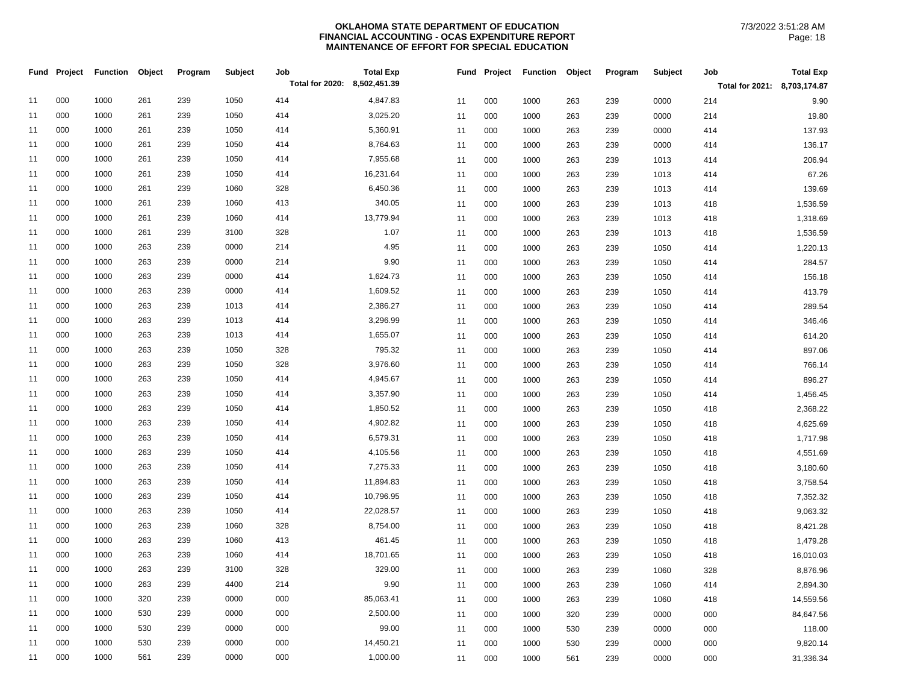|    | Fund Project | <b>Function</b> | Object | Program | Subject | Job<br>Total for 2020: 8,502,451.39 | <b>Total Exp</b> |    | Fund Project | <b>Function</b> | Object | Program | <b>Subject</b> | Job                          | <b>Total Exp</b> |
|----|--------------|-----------------|--------|---------|---------|-------------------------------------|------------------|----|--------------|-----------------|--------|---------|----------------|------------------------------|------------------|
|    |              |                 |        |         |         |                                     |                  |    |              |                 |        |         |                | Total for 2021: 8,703,174.87 |                  |
| 11 | 000          | 1000            | 261    | 239     | 1050    | 414                                 | 4,847.83         | 11 | 000          | 1000            | 263    | 239     | 0000           | 214                          | 9.90             |
| 11 | 000          | 1000            | 261    | 239     | 1050    | 414                                 | 3,025.20         | 11 | 000          | 1000            | 263    | 239     | 0000           | 214                          | 19.80            |
| 11 | 000          | 1000            | 261    | 239     | 1050    | 414                                 | 5,360.91         | 11 | 000          | 1000            | 263    | 239     | 0000           | 414                          | 137.93           |
| 11 | 000          | 1000            | 261    | 239     | 1050    | 414                                 | 8,764.63         | 11 | 000          | 1000            | 263    | 239     | 0000           | 414                          | 136.17           |
| 11 | 000          | 1000            | 261    | 239     | 1050    | 414                                 | 7,955.68         | 11 | 000          | 1000            | 263    | 239     | 1013           | 414                          | 206.94           |
| 11 | 000          | 1000            | 261    | 239     | 1050    | 414                                 | 16,231.64        | 11 | 000          | 1000            | 263    | 239     | 1013           | 414                          | 67.26            |
| 11 | 000          | 1000            | 261    | 239     | 1060    | 328                                 | 6,450.36         | 11 | 000          | 1000            | 263    | 239     | 1013           | 414                          | 139.69           |
| 11 | 000          | 1000            | 261    | 239     | 1060    | 413                                 | 340.05           | 11 | 000          | 1000            | 263    | 239     | 1013           | 418                          | 1,536.59         |
| 11 | 000          | 1000            | 261    | 239     | 1060    | 414                                 | 13,779.94        | 11 | 000          | 1000            | 263    | 239     | 1013           | 418                          | 1,318.69         |
| 11 | 000          | 1000            | 261    | 239     | 3100    | 328                                 | 1.07             | 11 | 000          | 1000            | 263    | 239     | 1013           | 418                          | 1,536.59         |
| 11 | 000          | 1000            | 263    | 239     | 0000    | 214                                 | 4.95             | 11 | 000          | 1000            | 263    | 239     | 1050           | 414                          | 1,220.13         |
| 11 | 000          | 1000            | 263    | 239     | 0000    | 214                                 | 9.90             | 11 | 000          | 1000            | 263    | 239     | 1050           | 414                          | 284.57           |
| 11 | 000          | 1000            | 263    | 239     | 0000    | 414                                 | 1,624.73         | 11 | 000          | 1000            | 263    | 239     | 1050           | 414                          | 156.18           |
| 11 | 000          | 1000            | 263    | 239     | 0000    | 414                                 | 1,609.52         | 11 | 000          | 1000            | 263    | 239     | 1050           | 414                          | 413.79           |
| 11 | 000          | 1000            | 263    | 239     | 1013    | 414                                 | 2,386.27         | 11 | 000          | 1000            | 263    | 239     | 1050           | 414                          | 289.54           |
| 11 | 000          | 1000            | 263    | 239     | 1013    | 414                                 | 3,296.99         | 11 | 000          | 1000            | 263    | 239     | 1050           | 414                          | 346.46           |
| 11 | 000          | 1000            | 263    | 239     | 1013    | 414                                 | 1,655.07         | 11 | 000          | 1000            | 263    | 239     | 1050           | 414                          | 614.20           |
| 11 | 000          | 1000            | 263    | 239     | 1050    | 328                                 | 795.32           | 11 | 000          | 1000            | 263    | 239     | 1050           | 414                          | 897.06           |
| 11 | 000          | 1000            | 263    | 239     | 1050    | 328                                 | 3,976.60         | 11 | 000          | 1000            | 263    | 239     | 1050           | 414                          | 766.14           |
| 11 | 000          | 1000            | 263    | 239     | 1050    | 414                                 | 4,945.67         | 11 | 000          | 1000            | 263    | 239     | 1050           | 414                          | 896.27           |
| 11 | 000          | 1000            | 263    | 239     | 1050    | 414                                 | 3,357.90         | 11 | 000          | 1000            | 263    | 239     | 1050           | 414                          | 1,456.45         |
| 11 | 000          | 1000            | 263    | 239     | 1050    | 414                                 | 1,850.52         | 11 | 000          | 1000            | 263    | 239     | 1050           | 418                          | 2,368.22         |
| 11 | 000          | 1000            | 263    | 239     | 1050    | 414                                 | 4,902.82         | 11 | 000          | 1000            | 263    | 239     | 1050           | 418                          | 4,625.69         |
| 11 | 000          | 1000            | 263    | 239     | 1050    | 414                                 | 6,579.31         | 11 | 000          | 1000            | 263    | 239     | 1050           | 418                          | 1,717.98         |
| 11 | 000          | 1000            | 263    | 239     | 1050    | 414                                 | 4,105.56         | 11 | 000          | 1000            | 263    | 239     | 1050           | 418                          | 4,551.69         |
| 11 | 000          | 1000            | 263    | 239     | 1050    | 414                                 | 7,275.33         | 11 | 000          | 1000            | 263    | 239     | 1050           | 418                          | 3,180.60         |
| 11 | 000          | 1000            | 263    | 239     | 1050    | 414                                 | 11,894.83        | 11 | 000          | 1000            | 263    | 239     | 1050           | 418                          | 3,758.54         |
| 11 | 000          | 1000            | 263    | 239     | 1050    | 414                                 | 10,796.95        | 11 | 000          | 1000            | 263    | 239     | 1050           | 418                          | 7,352.32         |
| 11 | 000          | 1000            | 263    | 239     | 1050    | 414                                 | 22,028.57        | 11 | 000          | 1000            | 263    | 239     | 1050           | 418                          | 9,063.32         |
| 11 | 000          | 1000            | 263    | 239     | 1060    | 328                                 | 8,754.00         | 11 | 000          | 1000            | 263    | 239     | 1050           | 418                          | 8,421.28         |
| 11 | 000          | 1000            | 263    | 239     | 1060    | 413                                 | 461.45           | 11 | 000          | 1000            | 263    | 239     | 1050           | 418                          | 1,479.28         |
| 11 | 000          | 1000            | 263    | 239     | 1060    | 414                                 | 18,701.65        | 11 | 000          | 1000            | 263    | 239     | 1050           | 418                          | 16,010.03        |
| 11 | 000          | 1000            | 263    | 239     | 3100    | 328                                 | 329.00           | 11 | 000          | 1000            | 263    | 239     | 1060           | 328                          | 8,876.96         |
| 11 | 000          | 1000            | 263    | 239     | 4400    | 214                                 | 9.90             | 11 | 000          | 1000            | 263    | 239     | 1060           | 414                          | 2,894.30         |
| 11 | 000          | 1000            | 320    | 239     | 0000    | 000                                 | 85,063.41        | 11 | 000          | 1000            | 263    | 239     | 1060           | 418                          | 14,559.56        |
| 11 | 000          | 1000            | 530    | 239     | 0000    | 000                                 | 2,500.00         | 11 | 000          | 1000            | 320    | 239     | 0000           | 000                          | 84,647.56        |
| 11 | 000          | 1000            | 530    | 239     | 0000    | 000                                 | 99.00            | 11 | 000          | 1000            | 530    | 239     | 0000           | 000                          | 118.00           |
| 11 | 000          | 1000            | 530    | 239     | 0000    | 000                                 | 14,450.21        | 11 | 000          | 1000            | 530    | 239     | 0000           | 000                          | 9,820.14         |
| 11 | 000          | 1000            | 561    | 239     | 0000    | 000                                 | 1,000.00         | 11 | 000          | 1000            | 561    | 239     | 0000           | 000                          | 31,336.34        |
|    |              |                 |        |         |         |                                     |                  |    |              |                 |        |         |                |                              |                  |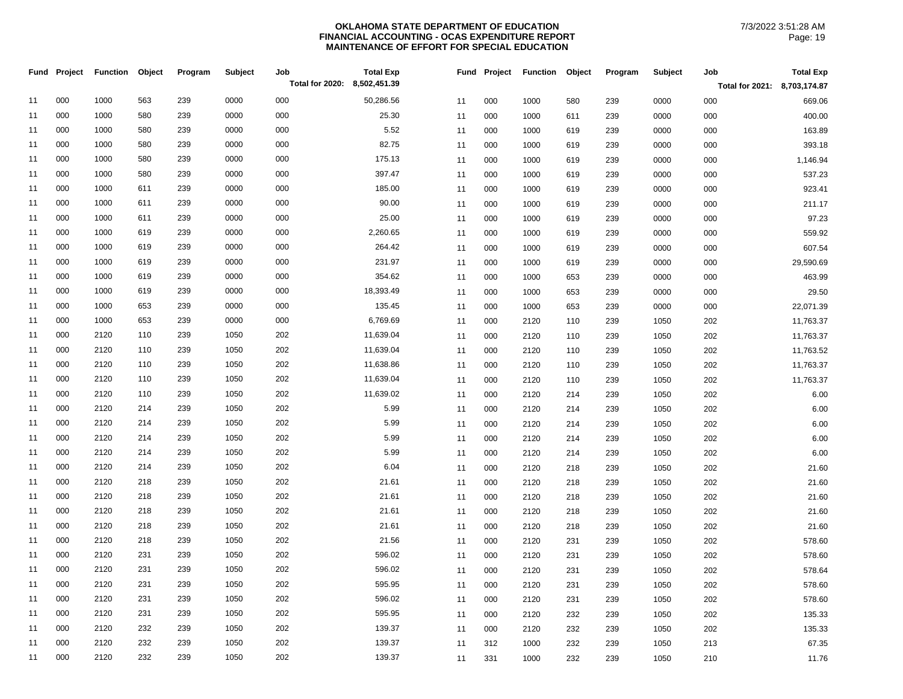|    | Fund Project | <b>Function</b> | Object | Program | <b>Subject</b> | Job                          | <b>Total Exp</b> |    | Fund Project | <b>Function</b> | Object | Program | Subject | Job                          | <b>Total Exp</b> |
|----|--------------|-----------------|--------|---------|----------------|------------------------------|------------------|----|--------------|-----------------|--------|---------|---------|------------------------------|------------------|
|    |              |                 |        |         |                | Total for 2020: 8,502,451.39 |                  |    |              |                 |        |         |         | Total for 2021: 8,703,174.87 |                  |
| 11 | 000          | 1000            | 563    | 239     | 0000           | 000                          | 50,286.56        | 11 | 000          | 1000            | 580    | 239     | 0000    | 000                          | 669.06           |
| 11 | 000          | 1000            | 580    | 239     | 0000           | 000                          | 25.30            | 11 | 000          | 1000            | 611    | 239     | 0000    | 000                          | 400.00           |
| 11 | 000          | 1000            | 580    | 239     | 0000           | 000                          | 5.52             | 11 | 000          | 1000            | 619    | 239     | 0000    | 000                          | 163.89           |
| 11 | 000          | 1000            | 580    | 239     | 0000           | 000                          | 82.75            | 11 | 000          | 1000            | 619    | 239     | 0000    | 000                          | 393.18           |
| 11 | 000          | 1000            | 580    | 239     | 0000           | 000                          | 175.13           | 11 | 000          | 1000            | 619    | 239     | 0000    | 000                          | 1,146.94         |
| 11 | 000          | 1000            | 580    | 239     | 0000           | 000                          | 397.47           | 11 | 000          | 1000            | 619    | 239     | 0000    | 000                          | 537.23           |
| 11 | 000          | 1000            | 611    | 239     | 0000           | 000                          | 185.00           | 11 | 000          | 1000            | 619    | 239     | 0000    | 000                          | 923.41           |
| 11 | 000          | 1000            | 611    | 239     | 0000           | 000                          | 90.00            | 11 | 000          | 1000            | 619    | 239     | 0000    | 000                          | 211.17           |
| 11 | 000          | 1000            | 611    | 239     | 0000           | 000                          | 25.00            | 11 | 000          | 1000            | 619    | 239     | 0000    | 000                          | 97.23            |
| 11 | 000          | 1000            | 619    | 239     | 0000           | 000                          | 2,260.65         | 11 | 000          | 1000            | 619    | 239     | 0000    | 000                          | 559.92           |
| 11 | 000          | 1000            | 619    | 239     | 0000           | 000                          | 264.42           | 11 | 000          | 1000            | 619    | 239     | 0000    | 000                          | 607.54           |
| 11 | 000          | 1000            | 619    | 239     | 0000           | 000                          | 231.97           | 11 | 000          | 1000            | 619    | 239     | 0000    | 000                          | 29,590.69        |
| 11 | 000          | 1000            | 619    | 239     | 0000           | 000                          | 354.62           | 11 | 000          | 1000            | 653    | 239     | 0000    | 000                          | 463.99           |
| 11 | 000          | 1000            | 619    | 239     | 0000           | 000                          | 18,393.49        | 11 | 000          | 1000            | 653    | 239     | 0000    | 000                          | 29.50            |
| 11 | 000          | 1000            | 653    | 239     | 0000           | 000                          | 135.45           | 11 | 000          | 1000            | 653    | 239     | 0000    | 000                          | 22,071.39        |
| 11 | 000          | 1000            | 653    | 239     | 0000           | 000                          | 6,769.69         | 11 | 000          | 2120            | 110    | 239     | 1050    | 202                          | 11,763.37        |
| 11 | 000          | 2120            | 110    | 239     | 1050           | 202                          | 11,639.04        | 11 | 000          | 2120            | 110    | 239     | 1050    | 202                          | 11,763.37        |
| 11 | 000          | 2120            | 110    | 239     | 1050           | 202                          | 11,639.04        | 11 | 000          | 2120            | 110    | 239     | 1050    | 202                          | 11,763.52        |
| 11 | 000          | 2120            | 110    | 239     | 1050           | 202                          | 11,638.86        | 11 | 000          | 2120            | 110    | 239     | 1050    | 202                          | 11,763.37        |
| 11 | 000          | 2120            | 110    | 239     | 1050           | 202                          | 11,639.04        | 11 | 000          | 2120            | 110    | 239     | 1050    | 202                          | 11,763.37        |
| 11 | 000          | 2120            | 110    | 239     | 1050           | 202                          | 11,639.02        | 11 | 000          | 2120            | 214    | 239     | 1050    | 202                          | 6.00             |
| 11 | 000          | 2120            | 214    | 239     | 1050           | 202                          | 5.99             | 11 | 000          | 2120            | 214    | 239     | 1050    | 202                          | 6.00             |
| 11 | 000          | 2120            | 214    | 239     | 1050           | 202                          | 5.99             | 11 | 000          | 2120            | 214    | 239     | 1050    | 202                          | 6.00             |
| 11 | 000          | 2120            | 214    | 239     | 1050           | 202                          | 5.99             | 11 | 000          | 2120            | 214    | 239     | 1050    | 202                          | 6.00             |
| 11 | 000          | 2120            | 214    | 239     | 1050           | 202                          | 5.99             | 11 | 000          | 2120            | 214    | 239     | 1050    | 202                          | 6.00             |
| 11 | 000          | 2120            | 214    | 239     | 1050           | 202                          | 6.04             | 11 | 000          | 2120            | 218    | 239     | 1050    | 202                          | 21.60            |
| 11 | 000          | 2120            | 218    | 239     | 1050           | 202                          | 21.61            | 11 | 000          | 2120            | 218    | 239     | 1050    | 202                          | 21.60            |
| 11 | 000          | 2120            | 218    | 239     | 1050           | 202                          | 21.61            | 11 | 000          | 2120            | 218    | 239     | 1050    | 202                          | 21.60            |
| 11 | 000          | 2120            | 218    | 239     | 1050           | 202                          | 21.61            | 11 | 000          | 2120            | 218    | 239     | 1050    | 202                          | 21.60            |
| 11 | 000          | 2120            | 218    | 239     | 1050           | 202                          | 21.61            | 11 | 000          | 2120            | 218    | 239     | 1050    | 202                          | 21.60            |
| 11 | 000          | 2120            | 218    | 239     | 1050           | 202                          | 21.56            | 11 | 000          | 2120            | 231    | 239     | 1050    | 202                          | 578.60           |
| 11 | 000          | 2120            | 231    | 239     | 1050           | 202                          | 596.02           | 11 | 000          | 2120            | 231    | 239     | 1050    | 202                          | 578.60           |
| 11 | 000          | 2120            | 231    | 239     | 1050           | 202                          | 596.02           | 11 | 000          | 2120            | 231    | 239     | 1050    | 202                          | 578.64           |
| 11 | 000          | 2120            | 231    | 239     | 1050           | 202                          | 595.95           | 11 | 000          | 2120            | 231    | 239     | 1050    | 202                          | 578.60           |
| 11 | 000          | 2120            | 231    | 239     | 1050           | 202                          | 596.02           | 11 | 000          | 2120            | 231    | 239     | 1050    | 202                          | 578.60           |
| 11 | 000          | 2120            | 231    | 239     | 1050           | 202                          | 595.95           | 11 | 000          | 2120            | 232    | 239     | 1050    | 202                          | 135.33           |
| 11 | 000          | 2120            | 232    | 239     | 1050           | 202                          | 139.37           | 11 | 000          | 2120            | 232    | 239     | 1050    | 202                          | 135.33           |
| 11 | 000          | 2120            | 232    | 239     | 1050           | 202                          | 139.37           | 11 | 312          | 1000            | 232    | 239     | 1050    | 213                          | 67.35            |
| 11 | 000          | 2120            | 232    | 239     | 1050           | 202                          | 139.37           | 11 | 331          | 1000            | 232    | 239     | 1050    | 210                          | 11.76            |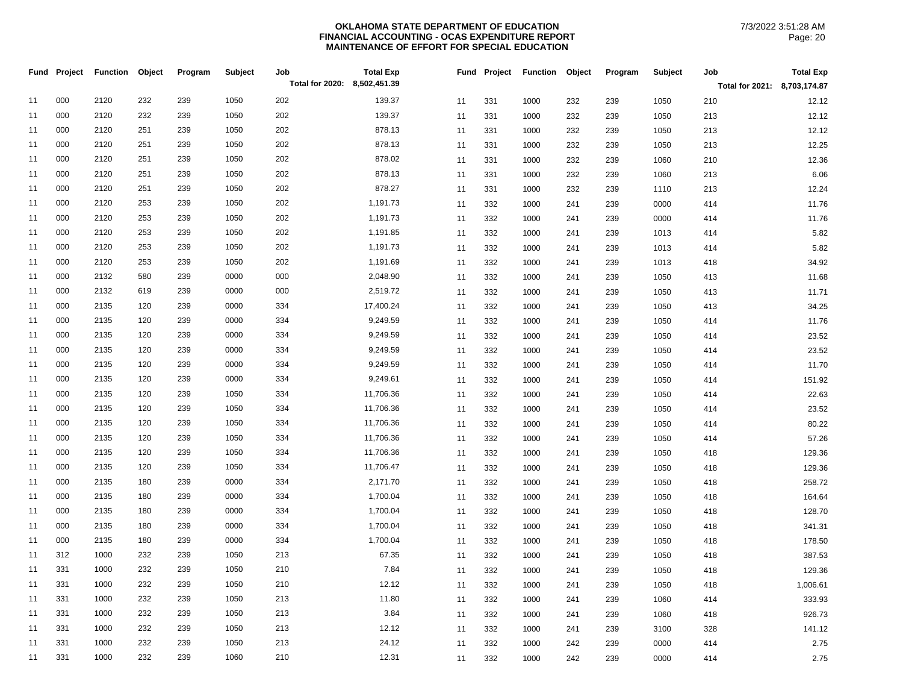| Total for 2020: 8,502,451.39<br>Total for 2021: 8,703,174.87<br>000<br>2120<br>232<br>239<br>1050<br>202<br>11<br>139.37<br>331<br>232<br>1050<br>210<br>12.12<br>11<br>1000<br>239<br>000<br>202<br>2120<br>232<br>239<br>1050<br>139.37<br>11<br>12.12<br>11<br>331<br>1000<br>232<br>239<br>1050<br>213<br>000<br>2120<br>251<br>239<br>1050<br>202<br>878.13<br>12.12<br>11<br>11<br>331<br>1000<br>232<br>239<br>1050<br>213<br>000<br>2120<br>251<br>1050<br>202<br>878.13<br>12.25<br>11<br>239<br>11<br>331<br>1000<br>232<br>239<br>1050<br>213<br>000<br>2120<br>251<br>239<br>1050<br>202<br>878.02<br>11<br>331<br>1060<br>210<br>12.36<br>11<br>1000<br>232<br>239<br>202<br>878.13<br>000<br>2120<br>251<br>239<br>1050<br>6.06<br>11<br>11<br>331<br>1000<br>1060<br>213<br>232<br>239<br>878.27<br>000<br>2120<br>251<br>239<br>1050<br>202<br>11<br>331<br>1000<br>232<br>1110<br>12.24<br>11<br>239<br>213<br>000<br>202<br>1,191.73<br>2120<br>253<br>239<br>1050<br>11<br>332<br>0000<br>11.76<br>11<br>1000<br>241<br>239<br>414<br>202<br>000<br>2120<br>253<br>239<br>1050<br>1,191.73<br>11<br>332<br>1000<br>0000<br>11.76<br>11<br>241<br>239<br>414<br>000<br>2120<br>253<br>239<br>1050<br>202<br>1,191.85<br>11<br>332<br>1013<br>5.82<br>11<br>1000<br>241<br>239<br>414<br>000<br>2120<br>253<br>239<br>1050<br>202<br>1,191.73<br>11<br>5.82<br>11<br>332<br>1000<br>239<br>1013<br>414<br>241<br>000<br>2120<br>253<br>1050<br>202<br>1,191.69<br>34.92<br>11<br>239<br>11<br>332<br>1000<br>239<br>1013<br>418<br>241<br>000<br>2132<br>580<br>239<br>0000<br>000<br>2,048.90<br>11<br>11<br>332<br>1000<br>241<br>239<br>1050<br>413<br>11.68<br>000<br>2132<br>619<br>239<br>0000<br>000<br>2,519.72<br>11<br>11<br>332<br>1050<br>11.71<br>1000<br>241<br>239<br>413<br>000<br>239<br>0000<br>17,400.24<br>2135<br>120<br>334<br>11<br>11<br>332<br>1000<br>239<br>1050<br>413<br>34.25<br>241<br>000<br>2135<br>120<br>239<br>0000<br>334<br>9,249.59<br>11<br>332<br>1000<br>239<br>1050<br>11.76<br>11<br>241<br>414<br>0000<br>9,249.59<br>000<br>2135<br>120<br>239<br>334<br>332<br>23.52<br>11<br>11<br>1000<br>239<br>1050<br>414<br>241<br>9,249.59<br>000<br>2135<br>120<br>239<br>0000<br>334<br>11<br>332<br>1050<br>23.52<br>11<br>1000<br>241<br>239<br>414<br>000<br>2135<br>120<br>239<br>0000<br>334<br>9,249.59<br>11<br>332<br>1050<br>11.70<br>11<br>1000<br>241<br>239<br>414<br>000<br>2135<br>120<br>239<br>0000<br>334<br>9,249.61<br>11<br>151.92<br>11<br>332<br>1000<br>239<br>1050<br>241<br>414<br>000<br>2135<br>120<br>239<br>1050<br>334<br>11,706.36<br>22.63<br>11<br>11<br>332<br>1000<br>239<br>1050<br>414<br>241<br>000<br>2135<br>120<br>239<br>1050<br>334<br>11,706.36<br>11<br>332<br>23.52<br>11<br>1000<br>239<br>1050<br>241<br>414<br>000<br>2135<br>120<br>239<br>1050<br>334<br>11,706.36<br>80.22<br>11<br>11<br>332<br>1050<br>1000<br>241<br>239<br>414<br>1050<br>11,706.36<br>000<br>2135<br>120<br>239<br>334<br>57.26<br>11<br>11<br>332<br>1000<br>239<br>1050<br>414<br>241<br>000<br>334<br>11<br>2135<br>120<br>239<br>1050<br>11,706.36<br>332<br>1000<br>239<br>1050<br>129.36<br>11<br>241<br>418<br>000<br>120<br>239<br>1050<br>334<br>11,706.47<br>2135<br>11<br>332<br>1050<br>129.36<br>11<br>1000<br>241<br>239<br>418<br>000<br>2135<br>180<br>239<br>0000<br>334<br>2,171.70<br>11<br>332<br>1000<br>1050<br>258.72<br>11<br>241<br>239<br>418<br>000<br>2135<br>180<br>239<br>0000<br>334<br>1,700.04<br>11<br>332<br>1050<br>11<br>1000<br>241<br>239<br>418<br>164.64<br>1,700.04<br>000<br>2135<br>180<br>239<br>0000<br>334<br>128.70<br>11<br>332<br>239<br>1050<br>418<br>11<br>1000<br>241<br>000<br>2135<br>0000<br>334<br>1,700.04<br>11<br>180<br>239<br>332<br>341.31<br>11<br>1000<br>239<br>1050<br>418<br>241<br>000<br>2135<br>180<br>239<br>0000<br>334<br>1,700.04<br>11<br>332<br>1050<br>178.50<br>11<br>1000<br>239<br>241<br>418<br>312<br>1000<br>232<br>239<br>1050<br>213<br>67.35<br>11<br>11<br>332<br>1050<br>387.53<br>1000<br>241<br>239<br>418 |    | Fund Project | <b>Function</b> | Object | Program | <b>Subject</b> | Job | <b>Total Exp</b> |    |     | Fund Project Function | Object | Program | Subject | Job | <b>Total Exp</b> |
|------------------------------------------------------------------------------------------------------------------------------------------------------------------------------------------------------------------------------------------------------------------------------------------------------------------------------------------------------------------------------------------------------------------------------------------------------------------------------------------------------------------------------------------------------------------------------------------------------------------------------------------------------------------------------------------------------------------------------------------------------------------------------------------------------------------------------------------------------------------------------------------------------------------------------------------------------------------------------------------------------------------------------------------------------------------------------------------------------------------------------------------------------------------------------------------------------------------------------------------------------------------------------------------------------------------------------------------------------------------------------------------------------------------------------------------------------------------------------------------------------------------------------------------------------------------------------------------------------------------------------------------------------------------------------------------------------------------------------------------------------------------------------------------------------------------------------------------------------------------------------------------------------------------------------------------------------------------------------------------------------------------------------------------------------------------------------------------------------------------------------------------------------------------------------------------------------------------------------------------------------------------------------------------------------------------------------------------------------------------------------------------------------------------------------------------------------------------------------------------------------------------------------------------------------------------------------------------------------------------------------------------------------------------------------------------------------------------------------------------------------------------------------------------------------------------------------------------------------------------------------------------------------------------------------------------------------------------------------------------------------------------------------------------------------------------------------------------------------------------------------------------------------------------------------------------------------------------------------------------------------------------------------------------------------------------------------------------------------------------------------------------------------------------------------------------------------------------------------------------------------------------------------------------------------------------------------------------------------------------------------------------------------------------------------------------------------------------------------------------------------------------------------------------------------------------------------------------------------------------------------------------------------------------------------------------------------------------------------------------------------------------------------------------------------------------------------------------|----|--------------|-----------------|--------|---------|----------------|-----|------------------|----|-----|-----------------------|--------|---------|---------|-----|------------------|
|                                                                                                                                                                                                                                                                                                                                                                                                                                                                                                                                                                                                                                                                                                                                                                                                                                                                                                                                                                                                                                                                                                                                                                                                                                                                                                                                                                                                                                                                                                                                                                                                                                                                                                                                                                                                                                                                                                                                                                                                                                                                                                                                                                                                                                                                                                                                                                                                                                                                                                                                                                                                                                                                                                                                                                                                                                                                                                                                                                                                                                                                                                                                                                                                                                                                                                                                                                                                                                                                                                                                                                                                                                                                                                                                                                                                                                                                                                                                                                                                                                                                                          |    |              |                 |        |         |                |     |                  |    |     |                       |        |         |         |     |                  |
|                                                                                                                                                                                                                                                                                                                                                                                                                                                                                                                                                                                                                                                                                                                                                                                                                                                                                                                                                                                                                                                                                                                                                                                                                                                                                                                                                                                                                                                                                                                                                                                                                                                                                                                                                                                                                                                                                                                                                                                                                                                                                                                                                                                                                                                                                                                                                                                                                                                                                                                                                                                                                                                                                                                                                                                                                                                                                                                                                                                                                                                                                                                                                                                                                                                                                                                                                                                                                                                                                                                                                                                                                                                                                                                                                                                                                                                                                                                                                                                                                                                                                          |    |              |                 |        |         |                |     |                  |    |     |                       |        |         |         |     |                  |
|                                                                                                                                                                                                                                                                                                                                                                                                                                                                                                                                                                                                                                                                                                                                                                                                                                                                                                                                                                                                                                                                                                                                                                                                                                                                                                                                                                                                                                                                                                                                                                                                                                                                                                                                                                                                                                                                                                                                                                                                                                                                                                                                                                                                                                                                                                                                                                                                                                                                                                                                                                                                                                                                                                                                                                                                                                                                                                                                                                                                                                                                                                                                                                                                                                                                                                                                                                                                                                                                                                                                                                                                                                                                                                                                                                                                                                                                                                                                                                                                                                                                                          |    |              |                 |        |         |                |     |                  |    |     |                       |        |         |         |     |                  |
|                                                                                                                                                                                                                                                                                                                                                                                                                                                                                                                                                                                                                                                                                                                                                                                                                                                                                                                                                                                                                                                                                                                                                                                                                                                                                                                                                                                                                                                                                                                                                                                                                                                                                                                                                                                                                                                                                                                                                                                                                                                                                                                                                                                                                                                                                                                                                                                                                                                                                                                                                                                                                                                                                                                                                                                                                                                                                                                                                                                                                                                                                                                                                                                                                                                                                                                                                                                                                                                                                                                                                                                                                                                                                                                                                                                                                                                                                                                                                                                                                                                                                          |    |              |                 |        |         |                |     |                  |    |     |                       |        |         |         |     |                  |
|                                                                                                                                                                                                                                                                                                                                                                                                                                                                                                                                                                                                                                                                                                                                                                                                                                                                                                                                                                                                                                                                                                                                                                                                                                                                                                                                                                                                                                                                                                                                                                                                                                                                                                                                                                                                                                                                                                                                                                                                                                                                                                                                                                                                                                                                                                                                                                                                                                                                                                                                                                                                                                                                                                                                                                                                                                                                                                                                                                                                                                                                                                                                                                                                                                                                                                                                                                                                                                                                                                                                                                                                                                                                                                                                                                                                                                                                                                                                                                                                                                                                                          |    |              |                 |        |         |                |     |                  |    |     |                       |        |         |         |     |                  |
|                                                                                                                                                                                                                                                                                                                                                                                                                                                                                                                                                                                                                                                                                                                                                                                                                                                                                                                                                                                                                                                                                                                                                                                                                                                                                                                                                                                                                                                                                                                                                                                                                                                                                                                                                                                                                                                                                                                                                                                                                                                                                                                                                                                                                                                                                                                                                                                                                                                                                                                                                                                                                                                                                                                                                                                                                                                                                                                                                                                                                                                                                                                                                                                                                                                                                                                                                                                                                                                                                                                                                                                                                                                                                                                                                                                                                                                                                                                                                                                                                                                                                          |    |              |                 |        |         |                |     |                  |    |     |                       |        |         |         |     |                  |
|                                                                                                                                                                                                                                                                                                                                                                                                                                                                                                                                                                                                                                                                                                                                                                                                                                                                                                                                                                                                                                                                                                                                                                                                                                                                                                                                                                                                                                                                                                                                                                                                                                                                                                                                                                                                                                                                                                                                                                                                                                                                                                                                                                                                                                                                                                                                                                                                                                                                                                                                                                                                                                                                                                                                                                                                                                                                                                                                                                                                                                                                                                                                                                                                                                                                                                                                                                                                                                                                                                                                                                                                                                                                                                                                                                                                                                                                                                                                                                                                                                                                                          |    |              |                 |        |         |                |     |                  |    |     |                       |        |         |         |     |                  |
|                                                                                                                                                                                                                                                                                                                                                                                                                                                                                                                                                                                                                                                                                                                                                                                                                                                                                                                                                                                                                                                                                                                                                                                                                                                                                                                                                                                                                                                                                                                                                                                                                                                                                                                                                                                                                                                                                                                                                                                                                                                                                                                                                                                                                                                                                                                                                                                                                                                                                                                                                                                                                                                                                                                                                                                                                                                                                                                                                                                                                                                                                                                                                                                                                                                                                                                                                                                                                                                                                                                                                                                                                                                                                                                                                                                                                                                                                                                                                                                                                                                                                          |    |              |                 |        |         |                |     |                  |    |     |                       |        |         |         |     |                  |
|                                                                                                                                                                                                                                                                                                                                                                                                                                                                                                                                                                                                                                                                                                                                                                                                                                                                                                                                                                                                                                                                                                                                                                                                                                                                                                                                                                                                                                                                                                                                                                                                                                                                                                                                                                                                                                                                                                                                                                                                                                                                                                                                                                                                                                                                                                                                                                                                                                                                                                                                                                                                                                                                                                                                                                                                                                                                                                                                                                                                                                                                                                                                                                                                                                                                                                                                                                                                                                                                                                                                                                                                                                                                                                                                                                                                                                                                                                                                                                                                                                                                                          |    |              |                 |        |         |                |     |                  |    |     |                       |        |         |         |     |                  |
|                                                                                                                                                                                                                                                                                                                                                                                                                                                                                                                                                                                                                                                                                                                                                                                                                                                                                                                                                                                                                                                                                                                                                                                                                                                                                                                                                                                                                                                                                                                                                                                                                                                                                                                                                                                                                                                                                                                                                                                                                                                                                                                                                                                                                                                                                                                                                                                                                                                                                                                                                                                                                                                                                                                                                                                                                                                                                                                                                                                                                                                                                                                                                                                                                                                                                                                                                                                                                                                                                                                                                                                                                                                                                                                                                                                                                                                                                                                                                                                                                                                                                          |    |              |                 |        |         |                |     |                  |    |     |                       |        |         |         |     |                  |
|                                                                                                                                                                                                                                                                                                                                                                                                                                                                                                                                                                                                                                                                                                                                                                                                                                                                                                                                                                                                                                                                                                                                                                                                                                                                                                                                                                                                                                                                                                                                                                                                                                                                                                                                                                                                                                                                                                                                                                                                                                                                                                                                                                                                                                                                                                                                                                                                                                                                                                                                                                                                                                                                                                                                                                                                                                                                                                                                                                                                                                                                                                                                                                                                                                                                                                                                                                                                                                                                                                                                                                                                                                                                                                                                                                                                                                                                                                                                                                                                                                                                                          |    |              |                 |        |         |                |     |                  |    |     |                       |        |         |         |     |                  |
|                                                                                                                                                                                                                                                                                                                                                                                                                                                                                                                                                                                                                                                                                                                                                                                                                                                                                                                                                                                                                                                                                                                                                                                                                                                                                                                                                                                                                                                                                                                                                                                                                                                                                                                                                                                                                                                                                                                                                                                                                                                                                                                                                                                                                                                                                                                                                                                                                                                                                                                                                                                                                                                                                                                                                                                                                                                                                                                                                                                                                                                                                                                                                                                                                                                                                                                                                                                                                                                                                                                                                                                                                                                                                                                                                                                                                                                                                                                                                                                                                                                                                          |    |              |                 |        |         |                |     |                  |    |     |                       |        |         |         |     |                  |
|                                                                                                                                                                                                                                                                                                                                                                                                                                                                                                                                                                                                                                                                                                                                                                                                                                                                                                                                                                                                                                                                                                                                                                                                                                                                                                                                                                                                                                                                                                                                                                                                                                                                                                                                                                                                                                                                                                                                                                                                                                                                                                                                                                                                                                                                                                                                                                                                                                                                                                                                                                                                                                                                                                                                                                                                                                                                                                                                                                                                                                                                                                                                                                                                                                                                                                                                                                                                                                                                                                                                                                                                                                                                                                                                                                                                                                                                                                                                                                                                                                                                                          |    |              |                 |        |         |                |     |                  |    |     |                       |        |         |         |     |                  |
|                                                                                                                                                                                                                                                                                                                                                                                                                                                                                                                                                                                                                                                                                                                                                                                                                                                                                                                                                                                                                                                                                                                                                                                                                                                                                                                                                                                                                                                                                                                                                                                                                                                                                                                                                                                                                                                                                                                                                                                                                                                                                                                                                                                                                                                                                                                                                                                                                                                                                                                                                                                                                                                                                                                                                                                                                                                                                                                                                                                                                                                                                                                                                                                                                                                                                                                                                                                                                                                                                                                                                                                                                                                                                                                                                                                                                                                                                                                                                                                                                                                                                          |    |              |                 |        |         |                |     |                  |    |     |                       |        |         |         |     |                  |
|                                                                                                                                                                                                                                                                                                                                                                                                                                                                                                                                                                                                                                                                                                                                                                                                                                                                                                                                                                                                                                                                                                                                                                                                                                                                                                                                                                                                                                                                                                                                                                                                                                                                                                                                                                                                                                                                                                                                                                                                                                                                                                                                                                                                                                                                                                                                                                                                                                                                                                                                                                                                                                                                                                                                                                                                                                                                                                                                                                                                                                                                                                                                                                                                                                                                                                                                                                                                                                                                                                                                                                                                                                                                                                                                                                                                                                                                                                                                                                                                                                                                                          |    |              |                 |        |         |                |     |                  |    |     |                       |        |         |         |     |                  |
|                                                                                                                                                                                                                                                                                                                                                                                                                                                                                                                                                                                                                                                                                                                                                                                                                                                                                                                                                                                                                                                                                                                                                                                                                                                                                                                                                                                                                                                                                                                                                                                                                                                                                                                                                                                                                                                                                                                                                                                                                                                                                                                                                                                                                                                                                                                                                                                                                                                                                                                                                                                                                                                                                                                                                                                                                                                                                                                                                                                                                                                                                                                                                                                                                                                                                                                                                                                                                                                                                                                                                                                                                                                                                                                                                                                                                                                                                                                                                                                                                                                                                          |    |              |                 |        |         |                |     |                  |    |     |                       |        |         |         |     |                  |
|                                                                                                                                                                                                                                                                                                                                                                                                                                                                                                                                                                                                                                                                                                                                                                                                                                                                                                                                                                                                                                                                                                                                                                                                                                                                                                                                                                                                                                                                                                                                                                                                                                                                                                                                                                                                                                                                                                                                                                                                                                                                                                                                                                                                                                                                                                                                                                                                                                                                                                                                                                                                                                                                                                                                                                                                                                                                                                                                                                                                                                                                                                                                                                                                                                                                                                                                                                                                                                                                                                                                                                                                                                                                                                                                                                                                                                                                                                                                                                                                                                                                                          |    |              |                 |        |         |                |     |                  |    |     |                       |        |         |         |     |                  |
|                                                                                                                                                                                                                                                                                                                                                                                                                                                                                                                                                                                                                                                                                                                                                                                                                                                                                                                                                                                                                                                                                                                                                                                                                                                                                                                                                                                                                                                                                                                                                                                                                                                                                                                                                                                                                                                                                                                                                                                                                                                                                                                                                                                                                                                                                                                                                                                                                                                                                                                                                                                                                                                                                                                                                                                                                                                                                                                                                                                                                                                                                                                                                                                                                                                                                                                                                                                                                                                                                                                                                                                                                                                                                                                                                                                                                                                                                                                                                                                                                                                                                          |    |              |                 |        |         |                |     |                  |    |     |                       |        |         |         |     |                  |
|                                                                                                                                                                                                                                                                                                                                                                                                                                                                                                                                                                                                                                                                                                                                                                                                                                                                                                                                                                                                                                                                                                                                                                                                                                                                                                                                                                                                                                                                                                                                                                                                                                                                                                                                                                                                                                                                                                                                                                                                                                                                                                                                                                                                                                                                                                                                                                                                                                                                                                                                                                                                                                                                                                                                                                                                                                                                                                                                                                                                                                                                                                                                                                                                                                                                                                                                                                                                                                                                                                                                                                                                                                                                                                                                                                                                                                                                                                                                                                                                                                                                                          |    |              |                 |        |         |                |     |                  |    |     |                       |        |         |         |     |                  |
|                                                                                                                                                                                                                                                                                                                                                                                                                                                                                                                                                                                                                                                                                                                                                                                                                                                                                                                                                                                                                                                                                                                                                                                                                                                                                                                                                                                                                                                                                                                                                                                                                                                                                                                                                                                                                                                                                                                                                                                                                                                                                                                                                                                                                                                                                                                                                                                                                                                                                                                                                                                                                                                                                                                                                                                                                                                                                                                                                                                                                                                                                                                                                                                                                                                                                                                                                                                                                                                                                                                                                                                                                                                                                                                                                                                                                                                                                                                                                                                                                                                                                          |    |              |                 |        |         |                |     |                  |    |     |                       |        |         |         |     |                  |
|                                                                                                                                                                                                                                                                                                                                                                                                                                                                                                                                                                                                                                                                                                                                                                                                                                                                                                                                                                                                                                                                                                                                                                                                                                                                                                                                                                                                                                                                                                                                                                                                                                                                                                                                                                                                                                                                                                                                                                                                                                                                                                                                                                                                                                                                                                                                                                                                                                                                                                                                                                                                                                                                                                                                                                                                                                                                                                                                                                                                                                                                                                                                                                                                                                                                                                                                                                                                                                                                                                                                                                                                                                                                                                                                                                                                                                                                                                                                                                                                                                                                                          |    |              |                 |        |         |                |     |                  |    |     |                       |        |         |         |     |                  |
|                                                                                                                                                                                                                                                                                                                                                                                                                                                                                                                                                                                                                                                                                                                                                                                                                                                                                                                                                                                                                                                                                                                                                                                                                                                                                                                                                                                                                                                                                                                                                                                                                                                                                                                                                                                                                                                                                                                                                                                                                                                                                                                                                                                                                                                                                                                                                                                                                                                                                                                                                                                                                                                                                                                                                                                                                                                                                                                                                                                                                                                                                                                                                                                                                                                                                                                                                                                                                                                                                                                                                                                                                                                                                                                                                                                                                                                                                                                                                                                                                                                                                          |    |              |                 |        |         |                |     |                  |    |     |                       |        |         |         |     |                  |
|                                                                                                                                                                                                                                                                                                                                                                                                                                                                                                                                                                                                                                                                                                                                                                                                                                                                                                                                                                                                                                                                                                                                                                                                                                                                                                                                                                                                                                                                                                                                                                                                                                                                                                                                                                                                                                                                                                                                                                                                                                                                                                                                                                                                                                                                                                                                                                                                                                                                                                                                                                                                                                                                                                                                                                                                                                                                                                                                                                                                                                                                                                                                                                                                                                                                                                                                                                                                                                                                                                                                                                                                                                                                                                                                                                                                                                                                                                                                                                                                                                                                                          |    |              |                 |        |         |                |     |                  |    |     |                       |        |         |         |     |                  |
|                                                                                                                                                                                                                                                                                                                                                                                                                                                                                                                                                                                                                                                                                                                                                                                                                                                                                                                                                                                                                                                                                                                                                                                                                                                                                                                                                                                                                                                                                                                                                                                                                                                                                                                                                                                                                                                                                                                                                                                                                                                                                                                                                                                                                                                                                                                                                                                                                                                                                                                                                                                                                                                                                                                                                                                                                                                                                                                                                                                                                                                                                                                                                                                                                                                                                                                                                                                                                                                                                                                                                                                                                                                                                                                                                                                                                                                                                                                                                                                                                                                                                          |    |              |                 |        |         |                |     |                  |    |     |                       |        |         |         |     |                  |
|                                                                                                                                                                                                                                                                                                                                                                                                                                                                                                                                                                                                                                                                                                                                                                                                                                                                                                                                                                                                                                                                                                                                                                                                                                                                                                                                                                                                                                                                                                                                                                                                                                                                                                                                                                                                                                                                                                                                                                                                                                                                                                                                                                                                                                                                                                                                                                                                                                                                                                                                                                                                                                                                                                                                                                                                                                                                                                                                                                                                                                                                                                                                                                                                                                                                                                                                                                                                                                                                                                                                                                                                                                                                                                                                                                                                                                                                                                                                                                                                                                                                                          |    |              |                 |        |         |                |     |                  |    |     |                       |        |         |         |     |                  |
|                                                                                                                                                                                                                                                                                                                                                                                                                                                                                                                                                                                                                                                                                                                                                                                                                                                                                                                                                                                                                                                                                                                                                                                                                                                                                                                                                                                                                                                                                                                                                                                                                                                                                                                                                                                                                                                                                                                                                                                                                                                                                                                                                                                                                                                                                                                                                                                                                                                                                                                                                                                                                                                                                                                                                                                                                                                                                                                                                                                                                                                                                                                                                                                                                                                                                                                                                                                                                                                                                                                                                                                                                                                                                                                                                                                                                                                                                                                                                                                                                                                                                          |    |              |                 |        |         |                |     |                  |    |     |                       |        |         |         |     |                  |
|                                                                                                                                                                                                                                                                                                                                                                                                                                                                                                                                                                                                                                                                                                                                                                                                                                                                                                                                                                                                                                                                                                                                                                                                                                                                                                                                                                                                                                                                                                                                                                                                                                                                                                                                                                                                                                                                                                                                                                                                                                                                                                                                                                                                                                                                                                                                                                                                                                                                                                                                                                                                                                                                                                                                                                                                                                                                                                                                                                                                                                                                                                                                                                                                                                                                                                                                                                                                                                                                                                                                                                                                                                                                                                                                                                                                                                                                                                                                                                                                                                                                                          |    |              |                 |        |         |                |     |                  |    |     |                       |        |         |         |     |                  |
|                                                                                                                                                                                                                                                                                                                                                                                                                                                                                                                                                                                                                                                                                                                                                                                                                                                                                                                                                                                                                                                                                                                                                                                                                                                                                                                                                                                                                                                                                                                                                                                                                                                                                                                                                                                                                                                                                                                                                                                                                                                                                                                                                                                                                                                                                                                                                                                                                                                                                                                                                                                                                                                                                                                                                                                                                                                                                                                                                                                                                                                                                                                                                                                                                                                                                                                                                                                                                                                                                                                                                                                                                                                                                                                                                                                                                                                                                                                                                                                                                                                                                          |    |              |                 |        |         |                |     |                  |    |     |                       |        |         |         |     |                  |
|                                                                                                                                                                                                                                                                                                                                                                                                                                                                                                                                                                                                                                                                                                                                                                                                                                                                                                                                                                                                                                                                                                                                                                                                                                                                                                                                                                                                                                                                                                                                                                                                                                                                                                                                                                                                                                                                                                                                                                                                                                                                                                                                                                                                                                                                                                                                                                                                                                                                                                                                                                                                                                                                                                                                                                                                                                                                                                                                                                                                                                                                                                                                                                                                                                                                                                                                                                                                                                                                                                                                                                                                                                                                                                                                                                                                                                                                                                                                                                                                                                                                                          |    |              |                 |        |         |                |     |                  |    |     |                       |        |         |         |     |                  |
|                                                                                                                                                                                                                                                                                                                                                                                                                                                                                                                                                                                                                                                                                                                                                                                                                                                                                                                                                                                                                                                                                                                                                                                                                                                                                                                                                                                                                                                                                                                                                                                                                                                                                                                                                                                                                                                                                                                                                                                                                                                                                                                                                                                                                                                                                                                                                                                                                                                                                                                                                                                                                                                                                                                                                                                                                                                                                                                                                                                                                                                                                                                                                                                                                                                                                                                                                                                                                                                                                                                                                                                                                                                                                                                                                                                                                                                                                                                                                                                                                                                                                          |    |              |                 |        |         |                |     |                  |    |     |                       |        |         |         |     |                  |
|                                                                                                                                                                                                                                                                                                                                                                                                                                                                                                                                                                                                                                                                                                                                                                                                                                                                                                                                                                                                                                                                                                                                                                                                                                                                                                                                                                                                                                                                                                                                                                                                                                                                                                                                                                                                                                                                                                                                                                                                                                                                                                                                                                                                                                                                                                                                                                                                                                                                                                                                                                                                                                                                                                                                                                                                                                                                                                                                                                                                                                                                                                                                                                                                                                                                                                                                                                                                                                                                                                                                                                                                                                                                                                                                                                                                                                                                                                                                                                                                                                                                                          |    |              |                 |        |         |                |     |                  |    |     |                       |        |         |         |     |                  |
|                                                                                                                                                                                                                                                                                                                                                                                                                                                                                                                                                                                                                                                                                                                                                                                                                                                                                                                                                                                                                                                                                                                                                                                                                                                                                                                                                                                                                                                                                                                                                                                                                                                                                                                                                                                                                                                                                                                                                                                                                                                                                                                                                                                                                                                                                                                                                                                                                                                                                                                                                                                                                                                                                                                                                                                                                                                                                                                                                                                                                                                                                                                                                                                                                                                                                                                                                                                                                                                                                                                                                                                                                                                                                                                                                                                                                                                                                                                                                                                                                                                                                          |    |              |                 |        |         |                |     |                  |    |     |                       |        |         |         |     |                  |
|                                                                                                                                                                                                                                                                                                                                                                                                                                                                                                                                                                                                                                                                                                                                                                                                                                                                                                                                                                                                                                                                                                                                                                                                                                                                                                                                                                                                                                                                                                                                                                                                                                                                                                                                                                                                                                                                                                                                                                                                                                                                                                                                                                                                                                                                                                                                                                                                                                                                                                                                                                                                                                                                                                                                                                                                                                                                                                                                                                                                                                                                                                                                                                                                                                                                                                                                                                                                                                                                                                                                                                                                                                                                                                                                                                                                                                                                                                                                                                                                                                                                                          |    |              |                 |        |         |                |     |                  |    |     |                       |        |         |         |     |                  |
|                                                                                                                                                                                                                                                                                                                                                                                                                                                                                                                                                                                                                                                                                                                                                                                                                                                                                                                                                                                                                                                                                                                                                                                                                                                                                                                                                                                                                                                                                                                                                                                                                                                                                                                                                                                                                                                                                                                                                                                                                                                                                                                                                                                                                                                                                                                                                                                                                                                                                                                                                                                                                                                                                                                                                                                                                                                                                                                                                                                                                                                                                                                                                                                                                                                                                                                                                                                                                                                                                                                                                                                                                                                                                                                                                                                                                                                                                                                                                                                                                                                                                          | 11 | 331          | 1000            | 232    | 239     | 1050           | 210 | 7.84             | 11 | 332 | 1000                  | 241    | 239     | 1050    | 418 | 129.36           |
| 331<br>232<br>210<br>12.12<br>1000<br>239<br>1050<br>332<br>1000<br>239<br>1050<br>1,006.61<br>11<br>11<br>241<br>418                                                                                                                                                                                                                                                                                                                                                                                                                                                                                                                                                                                                                                                                                                                                                                                                                                                                                                                                                                                                                                                                                                                                                                                                                                                                                                                                                                                                                                                                                                                                                                                                                                                                                                                                                                                                                                                                                                                                                                                                                                                                                                                                                                                                                                                                                                                                                                                                                                                                                                                                                                                                                                                                                                                                                                                                                                                                                                                                                                                                                                                                                                                                                                                                                                                                                                                                                                                                                                                                                                                                                                                                                                                                                                                                                                                                                                                                                                                                                                    |    |              |                 |        |         |                |     |                  |    |     |                       |        |         |         |     |                  |
| 331<br>232<br>239<br>1050<br>213<br>11.80<br>1000<br>333.93<br>11<br>332<br>1060<br>11<br>1000<br>241<br>239<br>414                                                                                                                                                                                                                                                                                                                                                                                                                                                                                                                                                                                                                                                                                                                                                                                                                                                                                                                                                                                                                                                                                                                                                                                                                                                                                                                                                                                                                                                                                                                                                                                                                                                                                                                                                                                                                                                                                                                                                                                                                                                                                                                                                                                                                                                                                                                                                                                                                                                                                                                                                                                                                                                                                                                                                                                                                                                                                                                                                                                                                                                                                                                                                                                                                                                                                                                                                                                                                                                                                                                                                                                                                                                                                                                                                                                                                                                                                                                                                                      |    |              |                 |        |         |                |     |                  |    |     |                       |        |         |         |     |                  |
| 331<br>1000<br>232<br>239<br>1050<br>213<br>3.84<br>11<br>332<br>1060<br>926.73<br>11<br>1000<br>241<br>239<br>418                                                                                                                                                                                                                                                                                                                                                                                                                                                                                                                                                                                                                                                                                                                                                                                                                                                                                                                                                                                                                                                                                                                                                                                                                                                                                                                                                                                                                                                                                                                                                                                                                                                                                                                                                                                                                                                                                                                                                                                                                                                                                                                                                                                                                                                                                                                                                                                                                                                                                                                                                                                                                                                                                                                                                                                                                                                                                                                                                                                                                                                                                                                                                                                                                                                                                                                                                                                                                                                                                                                                                                                                                                                                                                                                                                                                                                                                                                                                                                       |    |              |                 |        |         |                |     |                  |    |     |                       |        |         |         |     |                  |
| 331<br>1000<br>232<br>239<br>1050<br>213<br>12.12<br>11<br>332<br>3100<br>141.12<br>11<br>1000<br>241<br>239<br>328                                                                                                                                                                                                                                                                                                                                                                                                                                                                                                                                                                                                                                                                                                                                                                                                                                                                                                                                                                                                                                                                                                                                                                                                                                                                                                                                                                                                                                                                                                                                                                                                                                                                                                                                                                                                                                                                                                                                                                                                                                                                                                                                                                                                                                                                                                                                                                                                                                                                                                                                                                                                                                                                                                                                                                                                                                                                                                                                                                                                                                                                                                                                                                                                                                                                                                                                                                                                                                                                                                                                                                                                                                                                                                                                                                                                                                                                                                                                                                      |    |              |                 |        |         |                |     |                  |    |     |                       |        |         |         |     |                  |
| 331<br>232<br>239<br>213<br>24.12<br>1000<br>1050<br>2.75<br>11<br>332<br>11<br>1000<br>242<br>239<br>0000<br>414                                                                                                                                                                                                                                                                                                                                                                                                                                                                                                                                                                                                                                                                                                                                                                                                                                                                                                                                                                                                                                                                                                                                                                                                                                                                                                                                                                                                                                                                                                                                                                                                                                                                                                                                                                                                                                                                                                                                                                                                                                                                                                                                                                                                                                                                                                                                                                                                                                                                                                                                                                                                                                                                                                                                                                                                                                                                                                                                                                                                                                                                                                                                                                                                                                                                                                                                                                                                                                                                                                                                                                                                                                                                                                                                                                                                                                                                                                                                                                        |    |              |                 |        |         |                |     |                  |    |     |                       |        |         |         |     |                  |
| 331<br>1000<br>232<br>239<br>1060<br>210<br>12.31<br>11<br>332<br>1000<br>242<br>239<br>0000<br>2.75<br>11<br>414                                                                                                                                                                                                                                                                                                                                                                                                                                                                                                                                                                                                                                                                                                                                                                                                                                                                                                                                                                                                                                                                                                                                                                                                                                                                                                                                                                                                                                                                                                                                                                                                                                                                                                                                                                                                                                                                                                                                                                                                                                                                                                                                                                                                                                                                                                                                                                                                                                                                                                                                                                                                                                                                                                                                                                                                                                                                                                                                                                                                                                                                                                                                                                                                                                                                                                                                                                                                                                                                                                                                                                                                                                                                                                                                                                                                                                                                                                                                                                        |    |              |                 |        |         |                |     |                  |    |     |                       |        |         |         |     |                  |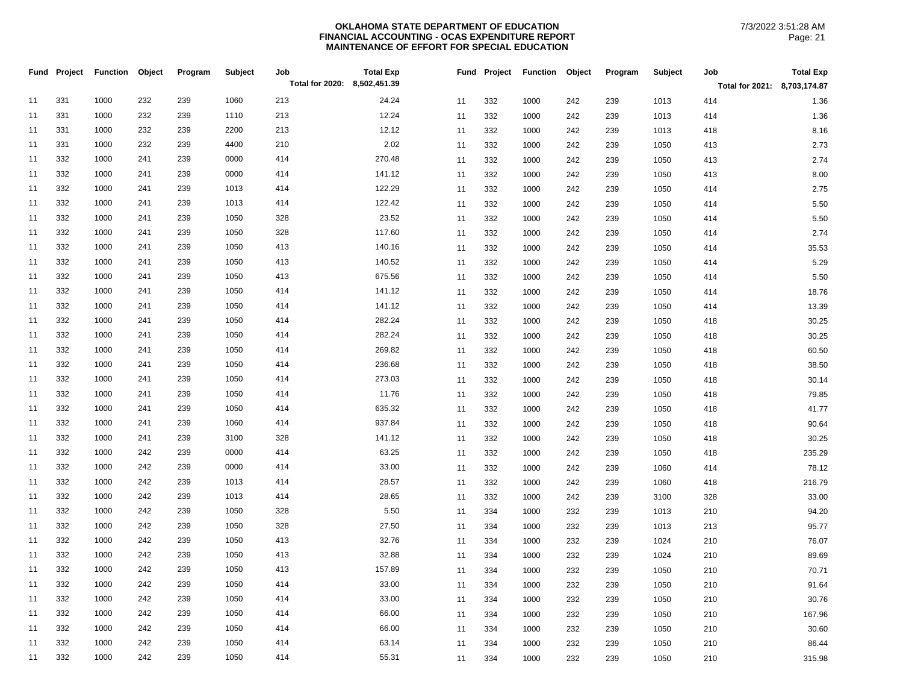|    |     | Fund Project Function Object |     | Program | Subject | Job<br>Total for 2020: 8,502,451.39 | <b>Total Exp</b> |    |     | Fund Project Function Object |     | Program | <b>Subject</b> | Job<br>Total for 2021: 8,703,174.87 | <b>Total Exp</b> |
|----|-----|------------------------------|-----|---------|---------|-------------------------------------|------------------|----|-----|------------------------------|-----|---------|----------------|-------------------------------------|------------------|
| 11 | 331 | 1000                         | 232 | 239     | 1060    | 213                                 | 24.24            | 11 | 332 | 1000                         | 242 | 239     | 1013           | 414                                 | 1.36             |
| 11 | 331 | 1000                         | 232 | 239     | 1110    | 213                                 | 12.24            | 11 | 332 | 1000                         | 242 | 239     | 1013           | 414                                 | 1.36             |
| 11 | 331 | 1000                         | 232 | 239     | 2200    | 213                                 | 12.12            | 11 | 332 | 1000                         | 242 | 239     | 1013           | 418                                 | 8.16             |
| 11 | 331 | 1000                         | 232 | 239     | 4400    | 210                                 | 2.02             | 11 | 332 | 1000                         | 242 | 239     | 1050           | 413                                 | 2.73             |
| 11 | 332 | 1000                         | 241 | 239     | 0000    | 414                                 | 270.48           | 11 | 332 | 1000                         | 242 | 239     | 1050           | 413                                 | 2.74             |
| 11 | 332 | 1000                         | 241 | 239     | 0000    | 414                                 | 141.12           | 11 | 332 | 1000                         | 242 | 239     | 1050           | 413                                 | 8.00             |
| 11 | 332 | 1000                         | 241 | 239     | 1013    | 414                                 | 122.29           | 11 | 332 | 1000                         | 242 | 239     | 1050           | 414                                 | 2.75             |
| 11 | 332 | 1000                         | 241 | 239     | 1013    | 414                                 | 122.42           | 11 | 332 | 1000                         | 242 | 239     | 1050           | 414                                 | 5.50             |
| 11 | 332 | 1000                         | 241 | 239     | 1050    | 328                                 | 23.52            | 11 | 332 | 1000                         | 242 | 239     | 1050           | 414                                 | 5.50             |
| 11 | 332 | 1000                         | 241 | 239     | 1050    | 328                                 | 117.60           | 11 | 332 | 1000                         | 242 | 239     | 1050           | 414                                 | 2.74             |
| 11 | 332 | 1000                         | 241 | 239     | 1050    | 413                                 | 140.16           | 11 | 332 | 1000                         | 242 | 239     | 1050           | 414                                 | 35.53            |
| 11 | 332 | 1000                         | 241 | 239     | 1050    | 413                                 | 140.52           | 11 | 332 | 1000                         | 242 | 239     | 1050           | 414                                 | 5.29             |
| 11 | 332 | 1000                         | 241 | 239     | 1050    | 413                                 | 675.56           | 11 | 332 | 1000                         | 242 | 239     | 1050           | 414                                 | 5.50             |
| 11 | 332 | 1000                         | 241 | 239     | 1050    | 414                                 | 141.12           | 11 | 332 | 1000                         | 242 | 239     | 1050           | 414                                 | 18.76            |
| 11 | 332 | 1000                         | 241 | 239     | 1050    | 414                                 | 141.12           | 11 | 332 | 1000                         | 242 | 239     | 1050           | 414                                 | 13.39            |
| 11 | 332 | 1000                         | 241 | 239     | 1050    | 414                                 | 282.24           | 11 | 332 | 1000                         | 242 | 239     | 1050           | 418                                 | 30.25            |
| 11 | 332 | 1000                         | 241 | 239     | 1050    | 414                                 | 282.24           | 11 | 332 | 1000                         | 242 | 239     | 1050           | 418                                 | 30.25            |
| 11 | 332 | 1000                         | 241 | 239     | 1050    | 414                                 | 269.82           | 11 | 332 | 1000                         | 242 | 239     | 1050           | 418                                 | 60.50            |
| 11 | 332 | 1000                         | 241 | 239     | 1050    | 414                                 | 236.68           | 11 | 332 | 1000                         | 242 | 239     | 1050           | 418                                 | 38.50            |
| 11 | 332 | 1000                         | 241 | 239     | 1050    | 414                                 | 273.03           | 11 | 332 | 1000                         | 242 | 239     | 1050           | 418                                 | 30.14            |
| 11 | 332 | 1000                         | 241 | 239     | 1050    | 414                                 | 11.76            | 11 | 332 | 1000                         | 242 | 239     | 1050           | 418                                 | 79.85            |
| 11 | 332 | 1000                         | 241 | 239     | 1050    | 414                                 | 635.32           | 11 | 332 | 1000                         | 242 | 239     | 1050           | 418                                 | 41.77            |
| 11 | 332 | 1000                         | 241 | 239     | 1060    | 414                                 | 937.84           | 11 | 332 | 1000                         | 242 | 239     | 1050           | 418                                 | 90.64            |
| 11 | 332 | 1000                         | 241 | 239     | 3100    | 328                                 | 141.12           | 11 | 332 | 1000                         | 242 | 239     | 1050           | 418                                 | 30.25            |
| 11 | 332 | 1000                         | 242 | 239     | 0000    | 414                                 | 63.25            | 11 | 332 | 1000                         | 242 | 239     | 1050           | 418                                 | 235.29           |
| 11 | 332 | 1000                         | 242 | 239     | 0000    | 414                                 | 33.00            | 11 | 332 | 1000                         | 242 | 239     | 1060           | 414                                 | 78.12            |
| 11 | 332 | 1000                         | 242 | 239     | 1013    | 414                                 | 28.57            | 11 | 332 | 1000                         | 242 | 239     | 1060           | 418                                 | 216.79           |
| 11 | 332 | 1000                         | 242 | 239     | 1013    | 414                                 | 28.65            | 11 | 332 | 1000                         | 242 | 239     | 3100           | 328                                 | 33.00            |
| 11 | 332 | 1000                         | 242 | 239     | 1050    | 328                                 | 5.50             | 11 | 334 | 1000                         | 232 | 239     | 1013           | 210                                 | 94.20            |
| 11 | 332 | 1000                         | 242 | 239     | 1050    | 328                                 | 27.50            | 11 | 334 | 1000                         | 232 | 239     | 1013           | 213                                 | 95.77            |
| 11 | 332 | 1000                         | 242 | 239     | 1050    | 413                                 | 32.76            | 11 | 334 | 1000                         | 232 | 239     | 1024           | 210                                 | 76.07            |
| 11 | 332 | 1000                         | 242 | 239     | 1050    | 413                                 | 32.88            | 11 | 334 | 1000                         | 232 | 239     | 1024           | 210                                 | 89.69            |
| 11 | 332 | 1000                         | 242 | 239     | 1050    | 413                                 | 157.89           | 11 | 334 | 1000                         | 232 | 239     | 1050           | 210                                 | 70.71            |
| 11 | 332 | 1000                         | 242 | 239     | 1050    | 414                                 | 33.00            | 11 | 334 | 1000                         | 232 | 239     | 1050           | 210                                 | 91.64            |
| 11 | 332 | 1000                         | 242 | 239     | 1050    | 414                                 | 33.00            | 11 | 334 | 1000                         | 232 | 239     | 1050           | 210                                 | 30.76            |
| 11 | 332 | 1000                         | 242 | 239     | 1050    | 414                                 | 66.00            | 11 | 334 | 1000                         | 232 | 239     | 1050           | 210                                 | 167.96           |
| 11 | 332 | 1000                         | 242 | 239     | 1050    | 414                                 | 66.00            | 11 | 334 | 1000                         | 232 | 239     | 1050           | 210                                 | 30.60            |
| 11 | 332 | 1000                         | 242 | 239     | 1050    | 414                                 | 63.14            | 11 | 334 | 1000                         | 232 | 239     | 1050           | 210                                 | 86.44            |
| 11 | 332 | 1000                         | 242 | 239     | 1050    | 414                                 | 55.31            | 11 | 334 | 1000                         | 232 | 239     | 1050           | 210                                 | 315.98           |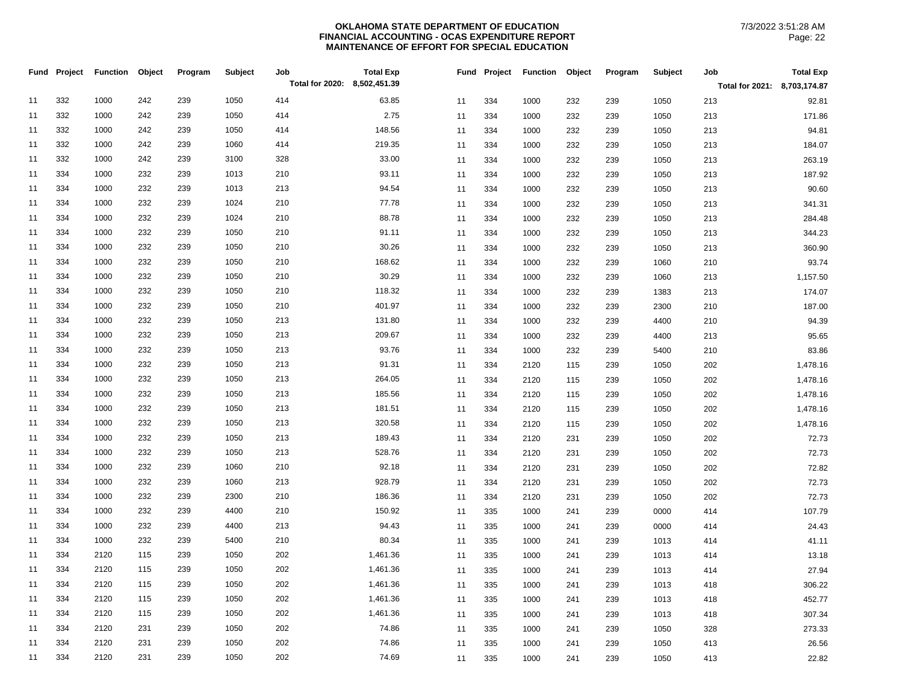| Total for 2020: 8,502,451.39<br>Total for 2021: 8,703,174.87<br>332<br>242<br>239<br>1000<br>1050<br>414<br>63.85<br>11<br>11<br>334<br>1000<br>232<br>239<br>1050<br>213<br>332<br>242<br>414<br>2.75<br>1000<br>239<br>1050<br>334<br>11<br>11<br>1000<br>232<br>239<br>1050<br>213<br>332<br>242<br>148.56<br>1000<br>239<br>1050<br>414<br>11<br>11<br>334<br>1050<br>213<br>1000<br>232<br>239 | 92.81<br>171.86<br>94.81<br>184.07 |
|-----------------------------------------------------------------------------------------------------------------------------------------------------------------------------------------------------------------------------------------------------------------------------------------------------------------------------------------------------------------------------------------------------|------------------------------------|
|                                                                                                                                                                                                                                                                                                                                                                                                     |                                    |
|                                                                                                                                                                                                                                                                                                                                                                                                     |                                    |
|                                                                                                                                                                                                                                                                                                                                                                                                     |                                    |
|                                                                                                                                                                                                                                                                                                                                                                                                     |                                    |
| 332<br>1000<br>242<br>239<br>1060<br>414<br>219.35<br>213<br>11<br>11<br>334<br>1000<br>232<br>239<br>1050                                                                                                                                                                                                                                                                                          |                                    |
| 33.00<br>332<br>1000<br>242<br>239<br>3100<br>328<br>11<br>11<br>334<br>1050<br>213<br>1000<br>232<br>239                                                                                                                                                                                                                                                                                           | 263.19                             |
| 93.11<br>334<br>1000<br>232<br>239<br>1013<br>210<br>11<br>1050<br>11<br>334<br>232<br>213<br>1000<br>239                                                                                                                                                                                                                                                                                           | 187.92                             |
| 94.54<br>334<br>232<br>239<br>213<br>1000<br>1013<br>11<br>11<br>334<br>1000<br>232<br>239<br>1050<br>213                                                                                                                                                                                                                                                                                           | 90.60                              |
| 334<br>77.78<br>1000<br>232<br>239<br>1024<br>210<br>11<br>11<br>334<br>1000<br>232<br>239<br>1050<br>213                                                                                                                                                                                                                                                                                           | 341.31                             |
| 334<br>232<br>239<br>1024<br>210<br>88.78<br>1000<br>11<br>11<br>334<br>1050<br>213<br>1000<br>232<br>239                                                                                                                                                                                                                                                                                           | 284.48                             |
| 334<br>232<br>1000<br>239<br>1050<br>210<br>91.11<br>11<br>11<br>334<br>1050<br>213<br>1000<br>232<br>239                                                                                                                                                                                                                                                                                           | 344.23                             |
| 334<br>1000<br>232<br>239<br>1050<br>210<br>30.26<br>11<br>11<br>334<br>232<br>239<br>1050<br>213<br>1000                                                                                                                                                                                                                                                                                           | 360.90                             |
| 232<br>334<br>1000<br>239<br>1050<br>210<br>168.62<br>11<br>11<br>334<br>232<br>239<br>1060<br>210<br>1000                                                                                                                                                                                                                                                                                          | 93.74                              |
| 30.29<br>334<br>232<br>210<br>11<br>1000<br>239<br>1050<br>11<br>334<br>1000<br>232<br>239<br>1060<br>213                                                                                                                                                                                                                                                                                           | 1,157.50                           |
| 334<br>1000<br>232<br>239<br>1050<br>210<br>118.32<br>334<br>1383<br>11<br>11<br>1000<br>232<br>239<br>213                                                                                                                                                                                                                                                                                          | 174.07                             |
| 334<br>232<br>239<br>1050<br>210<br>401.97<br>1000<br>11<br>11<br>334<br>2300<br>210<br>1000<br>232<br>239                                                                                                                                                                                                                                                                                          | 187.00                             |
| 334<br>1000<br>232<br>239<br>1050<br>213<br>131.80<br>11<br>11<br>334<br>4400<br>210<br>1000<br>232<br>239                                                                                                                                                                                                                                                                                          | 94.39                              |
| 334<br>232<br>1050<br>213<br>209.67<br>1000<br>239<br>11<br>334<br>4400<br>213<br>11<br>1000<br>232<br>239                                                                                                                                                                                                                                                                                          | 95.65                              |
| 232<br>93.76<br>334<br>1000<br>239<br>1050<br>213<br>11<br>5400<br>11<br>334<br>1000<br>232<br>239<br>210                                                                                                                                                                                                                                                                                           | 83.86                              |
| 91.31<br>334<br>232<br>1050<br>213<br>11<br>1000<br>239<br>11<br>334<br>2120<br>115<br>239<br>1050<br>202                                                                                                                                                                                                                                                                                           | 1,478.16                           |
| 334<br>1000<br>232<br>239<br>1050<br>213<br>264.05<br>1050<br>11<br>11<br>334<br>2120<br>239<br>202<br>115                                                                                                                                                                                                                                                                                          | 1,478.16                           |
| 334<br>232<br>239<br>1050<br>213<br>185.56<br>1000<br>11<br>334<br>2120<br>1050<br>202<br>11<br>115<br>239                                                                                                                                                                                                                                                                                          | 1,478.16                           |
| 181.51<br>334<br>1000<br>232<br>239<br>1050<br>213<br>11<br>11<br>334<br>2120<br>239<br>1050<br>202<br>115                                                                                                                                                                                                                                                                                          | 1,478.16                           |
| 334<br>232<br>320.58<br>1000<br>239<br>1050<br>213<br>11<br>11<br>334<br>1050<br>202<br>2120<br>239<br>115                                                                                                                                                                                                                                                                                          | 1,478.16                           |
| 232<br>334<br>1000<br>239<br>1050<br>213<br>189.43<br>11<br>1050<br>11<br>334<br>2120<br>231<br>239<br>202                                                                                                                                                                                                                                                                                          | 72.73                              |
| 334<br>1000<br>232<br>239<br>1050<br>213<br>528.76<br>1050<br>202<br>11<br>11<br>334<br>2120<br>231<br>239                                                                                                                                                                                                                                                                                          | 72.73                              |
| 334<br>92.18<br>1000<br>232<br>239<br>1060<br>210<br>11<br>11<br>334<br>2120<br>231<br>239<br>1050<br>202                                                                                                                                                                                                                                                                                           | 72.82                              |
| 334<br>232<br>239<br>1060<br>213<br>928.79<br>1000<br>11<br>11<br>334<br>2120<br>231<br>239<br>1050<br>202                                                                                                                                                                                                                                                                                          | 72.73                              |
| 334<br>186.36<br>1000<br>232<br>239<br>2300<br>210<br>11<br>11<br>334<br>2120<br>231<br>239<br>1050<br>202                                                                                                                                                                                                                                                                                          | 72.73                              |
| 334<br>1000<br>232<br>4400<br>210<br>150.92<br>239<br>11<br>335<br>0000<br>414<br>11<br>1000<br>241<br>239                                                                                                                                                                                                                                                                                          | 107.79                             |
| 94.43<br>334<br>1000<br>232<br>239<br>4400<br>213<br>11<br>11<br>335<br>0000<br>1000<br>241<br>239<br>414                                                                                                                                                                                                                                                                                           | 24.43                              |
| 80.34<br>334<br>1000<br>232<br>239<br>5400<br>210<br>11<br>335<br>1013<br>11<br>1000<br>241<br>239<br>414                                                                                                                                                                                                                                                                                           | 41.11                              |
| 334<br>2120<br>115<br>239<br>1050<br>202<br>1,461.36<br>11<br>11<br>335<br>1000<br>239<br>1013<br>414<br>241                                                                                                                                                                                                                                                                                        | 13.18                              |
| 334<br>2120<br>115<br>239<br>1050<br>202<br>1,461.36<br>11<br>11<br>335<br>1000<br>239<br>1013<br>414<br>241                                                                                                                                                                                                                                                                                        | 27.94                              |
| 334<br>2120<br>115<br>1050<br>202<br>1,461.36<br>335<br>11<br>239<br>11<br>1000<br>239<br>1013<br>418<br>241                                                                                                                                                                                                                                                                                        | 306.22                             |
| 334<br>2120<br>115<br>239<br>1050<br>202<br>1,461.36<br>11<br>11<br>335<br>1013<br>418<br>1000<br>241<br>239                                                                                                                                                                                                                                                                                        | 452.77                             |
| 334<br>2120<br>115<br>239<br>1050<br>202<br>1,461.36<br>11<br>11<br>335<br>1013<br>418<br>1000<br>241<br>239                                                                                                                                                                                                                                                                                        | 307.34                             |
| 74.86<br>334<br>2120<br>231<br>239<br>1050<br>202<br>11<br>335<br>1050<br>328<br>11<br>1000<br>241<br>239                                                                                                                                                                                                                                                                                           | 273.33                             |
| 334<br>231<br>239<br>202<br>74.86<br>2120<br>1050<br>11<br>11<br>335<br>1000<br>241<br>239<br>1050<br>413                                                                                                                                                                                                                                                                                           | 26.56                              |
| 334<br>2120<br>231<br>239<br>1050<br>202<br>74.69<br>11<br>335<br>1000<br>239<br>1050<br>11<br>241<br>413                                                                                                                                                                                                                                                                                           | 22.82                              |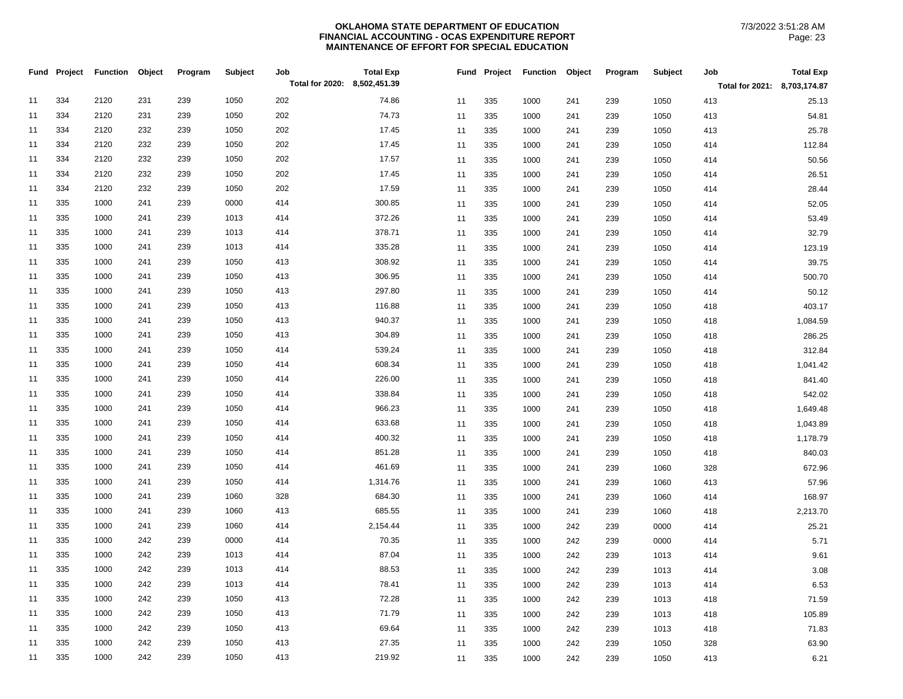|    | Fund Project | Function | Object | Program | Subject | Job                          | <b>Total Exp</b> |    |     | Fund Project Function | Object | Program | <b>Subject</b> | Job                          | <b>Total Exp</b> |
|----|--------------|----------|--------|---------|---------|------------------------------|------------------|----|-----|-----------------------|--------|---------|----------------|------------------------------|------------------|
|    |              |          |        |         |         | Total for 2020: 8,502,451.39 |                  |    |     |                       |        |         |                | Total for 2021: 8,703,174.87 |                  |
| 11 | 334          | 2120     | 231    | 239     | 1050    | 202                          | 74.86            | 11 | 335 | 1000                  | 241    | 239     | 1050           | 413                          | 25.13            |
| 11 | 334          | 2120     | 231    | 239     | 1050    | 202                          | 74.73            | 11 | 335 | 1000                  | 241    | 239     | 1050           | 413                          | 54.81            |
| 11 | 334          | 2120     | 232    | 239     | 1050    | 202                          | 17.45            | 11 | 335 | 1000                  | 241    | 239     | 1050           | 413                          | 25.78            |
| 11 | 334          | 2120     | 232    | 239     | 1050    | 202                          | 17.45            | 11 | 335 | 1000                  | 241    | 239     | 1050           | 414                          | 112.84           |
| 11 | 334          | 2120     | 232    | 239     | 1050    | 202                          | 17.57            | 11 | 335 | 1000                  | 241    | 239     | 1050           | 414                          | 50.56            |
| 11 | 334          | 2120     | 232    | 239     | 1050    | 202                          | 17.45            | 11 | 335 | 1000                  | 241    | 239     | 1050           | 414                          | 26.51            |
| 11 | 334          | 2120     | 232    | 239     | 1050    | 202                          | 17.59            | 11 | 335 | 1000                  | 241    | 239     | 1050           | 414                          | 28.44            |
| 11 | 335          | 1000     | 241    | 239     | 0000    | 414                          | 300.85           | 11 | 335 | 1000                  | 241    | 239     | 1050           | 414                          | 52.05            |
| 11 | 335          | 1000     | 241    | 239     | 1013    | 414                          | 372.26           | 11 | 335 | 1000                  | 241    | 239     | 1050           | 414                          | 53.49            |
| 11 | 335          | 1000     | 241    | 239     | 1013    | 414                          | 378.71           | 11 | 335 | 1000                  | 241    | 239     | 1050           | 414                          | 32.79            |
| 11 | 335          | 1000     | 241    | 239     | 1013    | 414                          | 335.28           | 11 | 335 | 1000                  | 241    | 239     | 1050           | 414                          | 123.19           |
| 11 | 335          | 1000     | 241    | 239     | 1050    | 413                          | 308.92           | 11 | 335 | 1000                  | 241    | 239     | 1050           | 414                          | 39.75            |
| 11 | 335          | 1000     | 241    | 239     | 1050    | 413                          | 306.95           | 11 | 335 | 1000                  | 241    | 239     | 1050           | 414                          | 500.70           |
| 11 | 335          | 1000     | 241    | 239     | 1050    | 413                          | 297.80           | 11 | 335 | 1000                  | 241    | 239     | 1050           | 414                          | 50.12            |
| 11 | 335          | 1000     | 241    | 239     | 1050    | 413                          | 116.88           | 11 | 335 | 1000                  | 241    | 239     | 1050           | 418                          | 403.17           |
| 11 | 335          | 1000     | 241    | 239     | 1050    | 413                          | 940.37           | 11 | 335 | 1000                  | 241    | 239     | 1050           | 418                          | 1,084.59         |
| 11 | 335          | 1000     | 241    | 239     | 1050    | 413                          | 304.89           | 11 | 335 | 1000                  | 241    | 239     | 1050           | 418                          | 286.25           |
| 11 | 335          | 1000     | 241    | 239     | 1050    | 414                          | 539.24           | 11 | 335 | 1000                  | 241    | 239     | 1050           | 418                          | 312.84           |
| 11 | 335          | 1000     | 241    | 239     | 1050    | 414                          | 608.34           | 11 | 335 | 1000                  | 241    | 239     | 1050           | 418                          | 1,041.42         |
| 11 | 335          | 1000     | 241    | 239     | 1050    | 414                          | 226.00           | 11 | 335 | 1000                  | 241    | 239     | 1050           | 418                          | 841.40           |
| 11 | 335          | 1000     | 241    | 239     | 1050    | 414                          | 338.84           | 11 | 335 | 1000                  | 241    | 239     | 1050           | 418                          | 542.02           |
| 11 | 335          | 1000     | 241    | 239     | 1050    | 414                          | 966.23           | 11 | 335 | 1000                  | 241    | 239     | 1050           | 418                          | 1,649.48         |
| 11 | 335          | 1000     | 241    | 239     | 1050    | 414                          | 633.68           | 11 | 335 | 1000                  | 241    | 239     | 1050           | 418                          | 1,043.89         |
| 11 | 335          | 1000     | 241    | 239     | 1050    | 414                          | 400.32           | 11 | 335 | 1000                  | 241    | 239     | 1050           | 418                          | 1,178.79         |
| 11 | 335          | 1000     | 241    | 239     | 1050    | 414                          | 851.28           | 11 | 335 | 1000                  | 241    | 239     | 1050           | 418                          | 840.03           |
| 11 | 335          | 1000     | 241    | 239     | 1050    | 414                          | 461.69           | 11 | 335 | 1000                  | 241    | 239     | 1060           | 328                          | 672.96           |
| 11 | 335          | 1000     | 241    | 239     | 1050    | 414                          | 1,314.76         | 11 | 335 | 1000                  | 241    | 239     | 1060           | 413                          | 57.96            |
| 11 | 335          | 1000     | 241    | 239     | 1060    | 328                          | 684.30           | 11 | 335 | 1000                  | 241    | 239     | 1060           | 414                          | 168.97           |
| 11 | 335          | 1000     | 241    | 239     | 1060    | 413                          | 685.55           | 11 | 335 | 1000                  | 241    | 239     | 1060           | 418                          | 2,213.70         |
| 11 | 335          | 1000     | 241    | 239     | 1060    | 414                          | 2,154.44         | 11 | 335 | 1000                  | 242    | 239     | 0000           | 414                          | 25.21            |
| 11 | 335          | 1000     | 242    | 239     | 0000    | 414                          | 70.35            | 11 | 335 | 1000                  | 242    | 239     | 0000           | 414                          | 5.71             |
| 11 | 335          | 1000     | 242    | 239     | 1013    | 414                          | 87.04            | 11 | 335 | 1000                  | 242    | 239     | 1013           | 414                          | 9.61             |
| 11 | 335          | 1000     | 242    | 239     | 1013    | 414                          | 88.53            | 11 | 335 | 1000                  | 242    | 239     | 1013           | 414                          | 3.08             |
| 11 | 335          | 1000     | 242    | 239     | 1013    | 414                          | 78.41            | 11 | 335 | 1000                  | 242    | 239     | 1013           | 414                          | 6.53             |
| 11 | 335          | 1000     | 242    | 239     | 1050    | 413                          | 72.28            | 11 | 335 | 1000                  | 242    | 239     | 1013           | 418                          | 71.59            |
| 11 | 335          | 1000     | 242    | 239     | 1050    | 413                          | 71.79            | 11 | 335 | 1000                  | 242    | 239     | 1013           | 418                          | 105.89           |
| 11 | 335          | 1000     | 242    | 239     | 1050    | 413                          | 69.64            | 11 | 335 | 1000                  | 242    | 239     | 1013           | 418                          | 71.83            |
| 11 | 335          | 1000     | 242    | 239     | 1050    | 413                          | 27.35            | 11 | 335 | 1000                  | 242    | 239     | 1050           | 328                          | 63.90            |
| 11 | 335          | 1000     | 242    | 239     | 1050    | 413                          | 219.92           | 11 | 335 | 1000                  | 242    | 239     | 1050           | 413                          | 6.21             |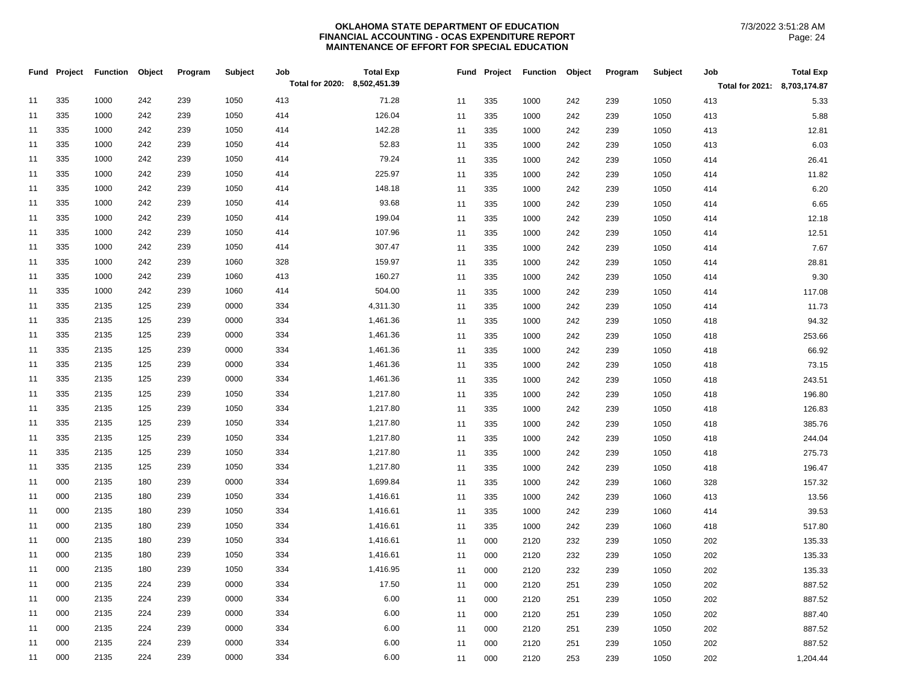| Total for 2021: 8,703,174.87<br>335<br>1000<br>242<br>239<br>1050<br>413<br>11<br>71.28<br>335<br>242<br>1050<br>5.33<br>11<br>1000<br>239<br>413<br>335<br>1000<br>242<br>239<br>1050<br>414<br>126.04<br>11<br>1050<br>5.88<br>11<br>335<br>1000<br>242<br>239<br>413<br>335<br>1000<br>242<br>239<br>1050<br>414<br>142.28<br>11<br>11<br>335<br>1000<br>242<br>239<br>1050<br>413<br>12.81<br>335<br>1000<br>242<br>1050<br>414<br>52.83<br>6.03<br>11<br>239<br>11<br>335<br>1000<br>242<br>239<br>1050<br>413<br>335<br>1000<br>242<br>239<br>1050<br>414<br>79.24<br>11<br>11<br>335<br>1050<br>414<br>26.41<br>1000<br>242<br>239<br>335<br>225.97<br>1000<br>242<br>239<br>1050<br>414<br>11<br>11<br>335<br>1000<br>1050<br>414<br>11.82<br>242<br>239<br>148.18<br>11<br>335<br>1000<br>242<br>239<br>1050<br>414<br>6.20<br>335<br>242<br>1050<br>11<br>1000<br>239<br>414<br>335<br>93.68<br>1000<br>242<br>239<br>1050<br>414<br>11<br>1050<br>6.65<br>11<br>335<br>1000<br>242<br>239<br>414<br>335<br>199.04<br>1000<br>242<br>239<br>1050<br>414<br>11<br>335<br>1000<br>239<br>1050<br>12.18<br>11<br>242<br>414<br>335<br>1000<br>242<br>239<br>1050<br>414<br>107.96<br>11<br>335<br>1050<br>12.51<br>11<br>1000<br>242<br>239<br>414<br>335<br>1000<br>242<br>239<br>1050<br>414<br>307.47<br>11<br>7.67<br>11<br>335<br>1000<br>242<br>239<br>1050<br>414<br>335<br>1000<br>242<br>1060<br>328<br>159.97<br>28.81<br>11<br>239<br>11<br>335<br>1000<br>242<br>239<br>1050<br>414<br>335<br>1000<br>242<br>239<br>1060<br>413<br>160.27<br>9.30<br>11<br>11<br>335<br>1000<br>242<br>239<br>1050<br>414<br>335<br>1000<br>242<br>239<br>1060<br>414<br>504.00<br>11<br>117.08<br>11<br>335<br>1000<br>242<br>239<br>1050<br>414<br>335<br>125<br>239<br>0000<br>2135<br>334<br>4,311.30<br>11.73<br>11<br>11<br>335<br>1000<br>242<br>239<br>1050<br>414<br>335<br>2135<br>125<br>239<br>0000<br>334<br>1,461.36<br>94.32<br>11<br>335<br>1000<br>242<br>239<br>1050<br>11<br>418<br>125<br>0000<br>1,461.36<br>335<br>2135<br>239<br>334<br>253.66<br>11<br>11<br>335<br>1000<br>242<br>239<br>1050<br>418<br>335<br>2135<br>125<br>239<br>0000<br>334<br>1,461.36<br>11<br>335<br>1050<br>66.92<br>11<br>1000<br>242<br>239<br>418<br>335<br>2135<br>125<br>239<br>0000<br>334<br>1,461.36<br>11<br>335<br>242<br>1050<br>73.15<br>11<br>1000<br>239<br>418<br>335<br>2135<br>125<br>239<br>0000<br>334<br>1,461.36<br>11<br>11<br>335<br>1000<br>242<br>239<br>1050<br>243.51<br>418<br>335<br>2135<br>125<br>239<br>1050<br>334<br>1,217.80<br>196.80<br>11<br>11<br>335<br>1000<br>242<br>239<br>1050<br>418<br>335<br>2135<br>125<br>239<br>1050<br>334<br>1,217.80<br>11<br>335<br>1050<br>126.83<br>11<br>1000<br>242<br>239<br>418<br>335<br>2135<br>125<br>239<br>1050<br>334<br>1,217.80<br>11<br>11<br>335<br>1050<br>385.76<br>1000<br>242<br>239<br>418<br>335<br>1050<br>1,217.80<br>2135<br>125<br>239<br>334<br>11<br>11<br>335<br>1000<br>242<br>239<br>1050<br>418<br>244.04<br>335<br>125<br>334<br>1,217.80<br>11<br>2135<br>239<br>1050<br>335<br>1000<br>242<br>239<br>1050<br>275.73<br>11<br>418<br>335<br>125<br>239<br>1050<br>334<br>1,217.80<br>2135<br>11<br>335<br>1050<br>196.47<br>11<br>1000<br>242<br>239<br>418<br>000<br>2135<br>180<br>239<br>0000<br>334<br>1,699.84<br>11<br>335<br>1000<br>1060<br>157.32<br>11<br>242<br>239<br>328<br>000<br>2135<br>180<br>239<br>1050<br>334<br>1,416.61<br>11<br>335<br>1060<br>13.56<br>11<br>1000<br>242<br>239<br>413<br>1,416.61<br>000<br>2135<br>180<br>239<br>1050<br>334<br>39.53<br>11<br>335<br>239<br>1060<br>414<br>11<br>1000<br>242<br>000<br>2135<br>1050<br>334<br>1,416.61<br>11<br>180<br>239<br>517.80<br>11<br>335<br>1000<br>242<br>239<br>1060<br>418<br>000<br>2135<br>180<br>239<br>1050<br>334<br>1,416.61<br>11<br>1050<br>11<br>000<br>2120<br>232<br>239<br>202<br>000<br>2135<br>180<br>239<br>1050<br>334<br>1,416.61<br>11<br>11<br>000<br>2120<br>1050<br>202<br>135.33<br>232<br>239<br>000<br>334<br>1,416.95<br>2135<br>180<br>239<br>1050<br>11<br>000<br>2120<br>232<br>239<br>1050<br>202<br>135.33<br>11<br>000<br>0000<br>334<br>17.50<br>2135<br>224<br>239<br>000<br>2120<br>251<br>239<br>1050<br>202<br>887.52<br>11<br>11 |    | Fund Project | <b>Function</b> | Object | Program | <b>Subject</b> | Job<br>Total for 2020: 8,502,451.39 | <b>Total Exp</b> |    |     | Fund Project Function | Object | Program | Subject | Job | <b>Total Exp</b> |
|---------------------------------------------------------------------------------------------------------------------------------------------------------------------------------------------------------------------------------------------------------------------------------------------------------------------------------------------------------------------------------------------------------------------------------------------------------------------------------------------------------------------------------------------------------------------------------------------------------------------------------------------------------------------------------------------------------------------------------------------------------------------------------------------------------------------------------------------------------------------------------------------------------------------------------------------------------------------------------------------------------------------------------------------------------------------------------------------------------------------------------------------------------------------------------------------------------------------------------------------------------------------------------------------------------------------------------------------------------------------------------------------------------------------------------------------------------------------------------------------------------------------------------------------------------------------------------------------------------------------------------------------------------------------------------------------------------------------------------------------------------------------------------------------------------------------------------------------------------------------------------------------------------------------------------------------------------------------------------------------------------------------------------------------------------------------------------------------------------------------------------------------------------------------------------------------------------------------------------------------------------------------------------------------------------------------------------------------------------------------------------------------------------------------------------------------------------------------------------------------------------------------------------------------------------------------------------------------------------------------------------------------------------------------------------------------------------------------------------------------------------------------------------------------------------------------------------------------------------------------------------------------------------------------------------------------------------------------------------------------------------------------------------------------------------------------------------------------------------------------------------------------------------------------------------------------------------------------------------------------------------------------------------------------------------------------------------------------------------------------------------------------------------------------------------------------------------------------------------------------------------------------------------------------------------------------------------------------------------------------------------------------------------------------------------------------------------------------------------------------------------------------------------------------------------------------------------------------------------------------------------------------------------------------------------------------------------------------------------------------------------------------------------------------------------------------------------------------------------------------------------------------------------------------------------------------------------------------------------------------------------------------------|----|--------------|-----------------|--------|---------|----------------|-------------------------------------|------------------|----|-----|-----------------------|--------|---------|---------|-----|------------------|
|                                                                                                                                                                                                                                                                                                                                                                                                                                                                                                                                                                                                                                                                                                                                                                                                                                                                                                                                                                                                                                                                                                                                                                                                                                                                                                                                                                                                                                                                                                                                                                                                                                                                                                                                                                                                                                                                                                                                                                                                                                                                                                                                                                                                                                                                                                                                                                                                                                                                                                                                                                                                                                                                                                                                                                                                                                                                                                                                                                                                                                                                                                                                                                                                                                                                                                                                                                                                                                                                                                                                                                                                                                                                                                                                                                                                                                                                                                                                                                                                                                                                                                                                                                                                                                                                           |    |              |                 |        |         |                |                                     |                  |    |     |                       |        |         |         |     |                  |
|                                                                                                                                                                                                                                                                                                                                                                                                                                                                                                                                                                                                                                                                                                                                                                                                                                                                                                                                                                                                                                                                                                                                                                                                                                                                                                                                                                                                                                                                                                                                                                                                                                                                                                                                                                                                                                                                                                                                                                                                                                                                                                                                                                                                                                                                                                                                                                                                                                                                                                                                                                                                                                                                                                                                                                                                                                                                                                                                                                                                                                                                                                                                                                                                                                                                                                                                                                                                                                                                                                                                                                                                                                                                                                                                                                                                                                                                                                                                                                                                                                                                                                                                                                                                                                                                           |    |              |                 |        |         |                |                                     |                  |    |     |                       |        |         |         |     |                  |
|                                                                                                                                                                                                                                                                                                                                                                                                                                                                                                                                                                                                                                                                                                                                                                                                                                                                                                                                                                                                                                                                                                                                                                                                                                                                                                                                                                                                                                                                                                                                                                                                                                                                                                                                                                                                                                                                                                                                                                                                                                                                                                                                                                                                                                                                                                                                                                                                                                                                                                                                                                                                                                                                                                                                                                                                                                                                                                                                                                                                                                                                                                                                                                                                                                                                                                                                                                                                                                                                                                                                                                                                                                                                                                                                                                                                                                                                                                                                                                                                                                                                                                                                                                                                                                                                           |    |              |                 |        |         |                |                                     |                  |    |     |                       |        |         |         |     |                  |
|                                                                                                                                                                                                                                                                                                                                                                                                                                                                                                                                                                                                                                                                                                                                                                                                                                                                                                                                                                                                                                                                                                                                                                                                                                                                                                                                                                                                                                                                                                                                                                                                                                                                                                                                                                                                                                                                                                                                                                                                                                                                                                                                                                                                                                                                                                                                                                                                                                                                                                                                                                                                                                                                                                                                                                                                                                                                                                                                                                                                                                                                                                                                                                                                                                                                                                                                                                                                                                                                                                                                                                                                                                                                                                                                                                                                                                                                                                                                                                                                                                                                                                                                                                                                                                                                           |    |              |                 |        |         |                |                                     |                  |    |     |                       |        |         |         |     |                  |
|                                                                                                                                                                                                                                                                                                                                                                                                                                                                                                                                                                                                                                                                                                                                                                                                                                                                                                                                                                                                                                                                                                                                                                                                                                                                                                                                                                                                                                                                                                                                                                                                                                                                                                                                                                                                                                                                                                                                                                                                                                                                                                                                                                                                                                                                                                                                                                                                                                                                                                                                                                                                                                                                                                                                                                                                                                                                                                                                                                                                                                                                                                                                                                                                                                                                                                                                                                                                                                                                                                                                                                                                                                                                                                                                                                                                                                                                                                                                                                                                                                                                                                                                                                                                                                                                           |    |              |                 |        |         |                |                                     |                  |    |     |                       |        |         |         |     |                  |
|                                                                                                                                                                                                                                                                                                                                                                                                                                                                                                                                                                                                                                                                                                                                                                                                                                                                                                                                                                                                                                                                                                                                                                                                                                                                                                                                                                                                                                                                                                                                                                                                                                                                                                                                                                                                                                                                                                                                                                                                                                                                                                                                                                                                                                                                                                                                                                                                                                                                                                                                                                                                                                                                                                                                                                                                                                                                                                                                                                                                                                                                                                                                                                                                                                                                                                                                                                                                                                                                                                                                                                                                                                                                                                                                                                                                                                                                                                                                                                                                                                                                                                                                                                                                                                                                           |    |              |                 |        |         |                |                                     |                  |    |     |                       |        |         |         |     |                  |
|                                                                                                                                                                                                                                                                                                                                                                                                                                                                                                                                                                                                                                                                                                                                                                                                                                                                                                                                                                                                                                                                                                                                                                                                                                                                                                                                                                                                                                                                                                                                                                                                                                                                                                                                                                                                                                                                                                                                                                                                                                                                                                                                                                                                                                                                                                                                                                                                                                                                                                                                                                                                                                                                                                                                                                                                                                                                                                                                                                                                                                                                                                                                                                                                                                                                                                                                                                                                                                                                                                                                                                                                                                                                                                                                                                                                                                                                                                                                                                                                                                                                                                                                                                                                                                                                           |    |              |                 |        |         |                |                                     |                  |    |     |                       |        |         |         |     |                  |
| 135.33                                                                                                                                                                                                                                                                                                                                                                                                                                                                                                                                                                                                                                                                                                                                                                                                                                                                                                                                                                                                                                                                                                                                                                                                                                                                                                                                                                                                                                                                                                                                                                                                                                                                                                                                                                                                                                                                                                                                                                                                                                                                                                                                                                                                                                                                                                                                                                                                                                                                                                                                                                                                                                                                                                                                                                                                                                                                                                                                                                                                                                                                                                                                                                                                                                                                                                                                                                                                                                                                                                                                                                                                                                                                                                                                                                                                                                                                                                                                                                                                                                                                                                                                                                                                                                                                    |    |              |                 |        |         |                |                                     |                  |    |     |                       |        |         |         |     |                  |
|                                                                                                                                                                                                                                                                                                                                                                                                                                                                                                                                                                                                                                                                                                                                                                                                                                                                                                                                                                                                                                                                                                                                                                                                                                                                                                                                                                                                                                                                                                                                                                                                                                                                                                                                                                                                                                                                                                                                                                                                                                                                                                                                                                                                                                                                                                                                                                                                                                                                                                                                                                                                                                                                                                                                                                                                                                                                                                                                                                                                                                                                                                                                                                                                                                                                                                                                                                                                                                                                                                                                                                                                                                                                                                                                                                                                                                                                                                                                                                                                                                                                                                                                                                                                                                                                           |    |              |                 |        |         |                |                                     |                  |    |     |                       |        |         |         |     |                  |
|                                                                                                                                                                                                                                                                                                                                                                                                                                                                                                                                                                                                                                                                                                                                                                                                                                                                                                                                                                                                                                                                                                                                                                                                                                                                                                                                                                                                                                                                                                                                                                                                                                                                                                                                                                                                                                                                                                                                                                                                                                                                                                                                                                                                                                                                                                                                                                                                                                                                                                                                                                                                                                                                                                                                                                                                                                                                                                                                                                                                                                                                                                                                                                                                                                                                                                                                                                                                                                                                                                                                                                                                                                                                                                                                                                                                                                                                                                                                                                                                                                                                                                                                                                                                                                                                           |    |              |                 |        |         |                |                                     |                  |    |     |                       |        |         |         |     |                  |
|                                                                                                                                                                                                                                                                                                                                                                                                                                                                                                                                                                                                                                                                                                                                                                                                                                                                                                                                                                                                                                                                                                                                                                                                                                                                                                                                                                                                                                                                                                                                                                                                                                                                                                                                                                                                                                                                                                                                                                                                                                                                                                                                                                                                                                                                                                                                                                                                                                                                                                                                                                                                                                                                                                                                                                                                                                                                                                                                                                                                                                                                                                                                                                                                                                                                                                                                                                                                                                                                                                                                                                                                                                                                                                                                                                                                                                                                                                                                                                                                                                                                                                                                                                                                                                                                           |    |              |                 |        |         |                |                                     |                  |    |     |                       |        |         |         |     |                  |
|                                                                                                                                                                                                                                                                                                                                                                                                                                                                                                                                                                                                                                                                                                                                                                                                                                                                                                                                                                                                                                                                                                                                                                                                                                                                                                                                                                                                                                                                                                                                                                                                                                                                                                                                                                                                                                                                                                                                                                                                                                                                                                                                                                                                                                                                                                                                                                                                                                                                                                                                                                                                                                                                                                                                                                                                                                                                                                                                                                                                                                                                                                                                                                                                                                                                                                                                                                                                                                                                                                                                                                                                                                                                                                                                                                                                                                                                                                                                                                                                                                                                                                                                                                                                                                                                           |    |              |                 |        |         |                |                                     |                  |    |     |                       |        |         |         |     |                  |
|                                                                                                                                                                                                                                                                                                                                                                                                                                                                                                                                                                                                                                                                                                                                                                                                                                                                                                                                                                                                                                                                                                                                                                                                                                                                                                                                                                                                                                                                                                                                                                                                                                                                                                                                                                                                                                                                                                                                                                                                                                                                                                                                                                                                                                                                                                                                                                                                                                                                                                                                                                                                                                                                                                                                                                                                                                                                                                                                                                                                                                                                                                                                                                                                                                                                                                                                                                                                                                                                                                                                                                                                                                                                                                                                                                                                                                                                                                                                                                                                                                                                                                                                                                                                                                                                           |    |              |                 |        |         |                |                                     |                  |    |     |                       |        |         |         |     |                  |
|                                                                                                                                                                                                                                                                                                                                                                                                                                                                                                                                                                                                                                                                                                                                                                                                                                                                                                                                                                                                                                                                                                                                                                                                                                                                                                                                                                                                                                                                                                                                                                                                                                                                                                                                                                                                                                                                                                                                                                                                                                                                                                                                                                                                                                                                                                                                                                                                                                                                                                                                                                                                                                                                                                                                                                                                                                                                                                                                                                                                                                                                                                                                                                                                                                                                                                                                                                                                                                                                                                                                                                                                                                                                                                                                                                                                                                                                                                                                                                                                                                                                                                                                                                                                                                                                           |    |              |                 |        |         |                |                                     |                  |    |     |                       |        |         |         |     |                  |
|                                                                                                                                                                                                                                                                                                                                                                                                                                                                                                                                                                                                                                                                                                                                                                                                                                                                                                                                                                                                                                                                                                                                                                                                                                                                                                                                                                                                                                                                                                                                                                                                                                                                                                                                                                                                                                                                                                                                                                                                                                                                                                                                                                                                                                                                                                                                                                                                                                                                                                                                                                                                                                                                                                                                                                                                                                                                                                                                                                                                                                                                                                                                                                                                                                                                                                                                                                                                                                                                                                                                                                                                                                                                                                                                                                                                                                                                                                                                                                                                                                                                                                                                                                                                                                                                           |    |              |                 |        |         |                |                                     |                  |    |     |                       |        |         |         |     |                  |
|                                                                                                                                                                                                                                                                                                                                                                                                                                                                                                                                                                                                                                                                                                                                                                                                                                                                                                                                                                                                                                                                                                                                                                                                                                                                                                                                                                                                                                                                                                                                                                                                                                                                                                                                                                                                                                                                                                                                                                                                                                                                                                                                                                                                                                                                                                                                                                                                                                                                                                                                                                                                                                                                                                                                                                                                                                                                                                                                                                                                                                                                                                                                                                                                                                                                                                                                                                                                                                                                                                                                                                                                                                                                                                                                                                                                                                                                                                                                                                                                                                                                                                                                                                                                                                                                           |    |              |                 |        |         |                |                                     |                  |    |     |                       |        |         |         |     |                  |
|                                                                                                                                                                                                                                                                                                                                                                                                                                                                                                                                                                                                                                                                                                                                                                                                                                                                                                                                                                                                                                                                                                                                                                                                                                                                                                                                                                                                                                                                                                                                                                                                                                                                                                                                                                                                                                                                                                                                                                                                                                                                                                                                                                                                                                                                                                                                                                                                                                                                                                                                                                                                                                                                                                                                                                                                                                                                                                                                                                                                                                                                                                                                                                                                                                                                                                                                                                                                                                                                                                                                                                                                                                                                                                                                                                                                                                                                                                                                                                                                                                                                                                                                                                                                                                                                           |    |              |                 |        |         |                |                                     |                  |    |     |                       |        |         |         |     |                  |
|                                                                                                                                                                                                                                                                                                                                                                                                                                                                                                                                                                                                                                                                                                                                                                                                                                                                                                                                                                                                                                                                                                                                                                                                                                                                                                                                                                                                                                                                                                                                                                                                                                                                                                                                                                                                                                                                                                                                                                                                                                                                                                                                                                                                                                                                                                                                                                                                                                                                                                                                                                                                                                                                                                                                                                                                                                                                                                                                                                                                                                                                                                                                                                                                                                                                                                                                                                                                                                                                                                                                                                                                                                                                                                                                                                                                                                                                                                                                                                                                                                                                                                                                                                                                                                                                           |    |              |                 |        |         |                |                                     |                  |    |     |                       |        |         |         |     |                  |
|                                                                                                                                                                                                                                                                                                                                                                                                                                                                                                                                                                                                                                                                                                                                                                                                                                                                                                                                                                                                                                                                                                                                                                                                                                                                                                                                                                                                                                                                                                                                                                                                                                                                                                                                                                                                                                                                                                                                                                                                                                                                                                                                                                                                                                                                                                                                                                                                                                                                                                                                                                                                                                                                                                                                                                                                                                                                                                                                                                                                                                                                                                                                                                                                                                                                                                                                                                                                                                                                                                                                                                                                                                                                                                                                                                                                                                                                                                                                                                                                                                                                                                                                                                                                                                                                           |    |              |                 |        |         |                |                                     |                  |    |     |                       |        |         |         |     |                  |
|                                                                                                                                                                                                                                                                                                                                                                                                                                                                                                                                                                                                                                                                                                                                                                                                                                                                                                                                                                                                                                                                                                                                                                                                                                                                                                                                                                                                                                                                                                                                                                                                                                                                                                                                                                                                                                                                                                                                                                                                                                                                                                                                                                                                                                                                                                                                                                                                                                                                                                                                                                                                                                                                                                                                                                                                                                                                                                                                                                                                                                                                                                                                                                                                                                                                                                                                                                                                                                                                                                                                                                                                                                                                                                                                                                                                                                                                                                                                                                                                                                                                                                                                                                                                                                                                           |    |              |                 |        |         |                |                                     |                  |    |     |                       |        |         |         |     |                  |
|                                                                                                                                                                                                                                                                                                                                                                                                                                                                                                                                                                                                                                                                                                                                                                                                                                                                                                                                                                                                                                                                                                                                                                                                                                                                                                                                                                                                                                                                                                                                                                                                                                                                                                                                                                                                                                                                                                                                                                                                                                                                                                                                                                                                                                                                                                                                                                                                                                                                                                                                                                                                                                                                                                                                                                                                                                                                                                                                                                                                                                                                                                                                                                                                                                                                                                                                                                                                                                                                                                                                                                                                                                                                                                                                                                                                                                                                                                                                                                                                                                                                                                                                                                                                                                                                           |    |              |                 |        |         |                |                                     |                  |    |     |                       |        |         |         |     |                  |
|                                                                                                                                                                                                                                                                                                                                                                                                                                                                                                                                                                                                                                                                                                                                                                                                                                                                                                                                                                                                                                                                                                                                                                                                                                                                                                                                                                                                                                                                                                                                                                                                                                                                                                                                                                                                                                                                                                                                                                                                                                                                                                                                                                                                                                                                                                                                                                                                                                                                                                                                                                                                                                                                                                                                                                                                                                                                                                                                                                                                                                                                                                                                                                                                                                                                                                                                                                                                                                                                                                                                                                                                                                                                                                                                                                                                                                                                                                                                                                                                                                                                                                                                                                                                                                                                           |    |              |                 |        |         |                |                                     |                  |    |     |                       |        |         |         |     |                  |
|                                                                                                                                                                                                                                                                                                                                                                                                                                                                                                                                                                                                                                                                                                                                                                                                                                                                                                                                                                                                                                                                                                                                                                                                                                                                                                                                                                                                                                                                                                                                                                                                                                                                                                                                                                                                                                                                                                                                                                                                                                                                                                                                                                                                                                                                                                                                                                                                                                                                                                                                                                                                                                                                                                                                                                                                                                                                                                                                                                                                                                                                                                                                                                                                                                                                                                                                                                                                                                                                                                                                                                                                                                                                                                                                                                                                                                                                                                                                                                                                                                                                                                                                                                                                                                                                           |    |              |                 |        |         |                |                                     |                  |    |     |                       |        |         |         |     |                  |
|                                                                                                                                                                                                                                                                                                                                                                                                                                                                                                                                                                                                                                                                                                                                                                                                                                                                                                                                                                                                                                                                                                                                                                                                                                                                                                                                                                                                                                                                                                                                                                                                                                                                                                                                                                                                                                                                                                                                                                                                                                                                                                                                                                                                                                                                                                                                                                                                                                                                                                                                                                                                                                                                                                                                                                                                                                                                                                                                                                                                                                                                                                                                                                                                                                                                                                                                                                                                                                                                                                                                                                                                                                                                                                                                                                                                                                                                                                                                                                                                                                                                                                                                                                                                                                                                           |    |              |                 |        |         |                |                                     |                  |    |     |                       |        |         |         |     |                  |
|                                                                                                                                                                                                                                                                                                                                                                                                                                                                                                                                                                                                                                                                                                                                                                                                                                                                                                                                                                                                                                                                                                                                                                                                                                                                                                                                                                                                                                                                                                                                                                                                                                                                                                                                                                                                                                                                                                                                                                                                                                                                                                                                                                                                                                                                                                                                                                                                                                                                                                                                                                                                                                                                                                                                                                                                                                                                                                                                                                                                                                                                                                                                                                                                                                                                                                                                                                                                                                                                                                                                                                                                                                                                                                                                                                                                                                                                                                                                                                                                                                                                                                                                                                                                                                                                           |    |              |                 |        |         |                |                                     |                  |    |     |                       |        |         |         |     |                  |
|                                                                                                                                                                                                                                                                                                                                                                                                                                                                                                                                                                                                                                                                                                                                                                                                                                                                                                                                                                                                                                                                                                                                                                                                                                                                                                                                                                                                                                                                                                                                                                                                                                                                                                                                                                                                                                                                                                                                                                                                                                                                                                                                                                                                                                                                                                                                                                                                                                                                                                                                                                                                                                                                                                                                                                                                                                                                                                                                                                                                                                                                                                                                                                                                                                                                                                                                                                                                                                                                                                                                                                                                                                                                                                                                                                                                                                                                                                                                                                                                                                                                                                                                                                                                                                                                           |    |              |                 |        |         |                |                                     |                  |    |     |                       |        |         |         |     |                  |
|                                                                                                                                                                                                                                                                                                                                                                                                                                                                                                                                                                                                                                                                                                                                                                                                                                                                                                                                                                                                                                                                                                                                                                                                                                                                                                                                                                                                                                                                                                                                                                                                                                                                                                                                                                                                                                                                                                                                                                                                                                                                                                                                                                                                                                                                                                                                                                                                                                                                                                                                                                                                                                                                                                                                                                                                                                                                                                                                                                                                                                                                                                                                                                                                                                                                                                                                                                                                                                                                                                                                                                                                                                                                                                                                                                                                                                                                                                                                                                                                                                                                                                                                                                                                                                                                           |    |              |                 |        |         |                |                                     |                  |    |     |                       |        |         |         |     |                  |
|                                                                                                                                                                                                                                                                                                                                                                                                                                                                                                                                                                                                                                                                                                                                                                                                                                                                                                                                                                                                                                                                                                                                                                                                                                                                                                                                                                                                                                                                                                                                                                                                                                                                                                                                                                                                                                                                                                                                                                                                                                                                                                                                                                                                                                                                                                                                                                                                                                                                                                                                                                                                                                                                                                                                                                                                                                                                                                                                                                                                                                                                                                                                                                                                                                                                                                                                                                                                                                                                                                                                                                                                                                                                                                                                                                                                                                                                                                                                                                                                                                                                                                                                                                                                                                                                           |    |              |                 |        |         |                |                                     |                  |    |     |                       |        |         |         |     |                  |
|                                                                                                                                                                                                                                                                                                                                                                                                                                                                                                                                                                                                                                                                                                                                                                                                                                                                                                                                                                                                                                                                                                                                                                                                                                                                                                                                                                                                                                                                                                                                                                                                                                                                                                                                                                                                                                                                                                                                                                                                                                                                                                                                                                                                                                                                                                                                                                                                                                                                                                                                                                                                                                                                                                                                                                                                                                                                                                                                                                                                                                                                                                                                                                                                                                                                                                                                                                                                                                                                                                                                                                                                                                                                                                                                                                                                                                                                                                                                                                                                                                                                                                                                                                                                                                                                           |    |              |                 |        |         |                |                                     |                  |    |     |                       |        |         |         |     |                  |
|                                                                                                                                                                                                                                                                                                                                                                                                                                                                                                                                                                                                                                                                                                                                                                                                                                                                                                                                                                                                                                                                                                                                                                                                                                                                                                                                                                                                                                                                                                                                                                                                                                                                                                                                                                                                                                                                                                                                                                                                                                                                                                                                                                                                                                                                                                                                                                                                                                                                                                                                                                                                                                                                                                                                                                                                                                                                                                                                                                                                                                                                                                                                                                                                                                                                                                                                                                                                                                                                                                                                                                                                                                                                                                                                                                                                                                                                                                                                                                                                                                                                                                                                                                                                                                                                           |    |              |                 |        |         |                |                                     |                  |    |     |                       |        |         |         |     |                  |
|                                                                                                                                                                                                                                                                                                                                                                                                                                                                                                                                                                                                                                                                                                                                                                                                                                                                                                                                                                                                                                                                                                                                                                                                                                                                                                                                                                                                                                                                                                                                                                                                                                                                                                                                                                                                                                                                                                                                                                                                                                                                                                                                                                                                                                                                                                                                                                                                                                                                                                                                                                                                                                                                                                                                                                                                                                                                                                                                                                                                                                                                                                                                                                                                                                                                                                                                                                                                                                                                                                                                                                                                                                                                                                                                                                                                                                                                                                                                                                                                                                                                                                                                                                                                                                                                           |    |              |                 |        |         |                |                                     |                  |    |     |                       |        |         |         |     |                  |
|                                                                                                                                                                                                                                                                                                                                                                                                                                                                                                                                                                                                                                                                                                                                                                                                                                                                                                                                                                                                                                                                                                                                                                                                                                                                                                                                                                                                                                                                                                                                                                                                                                                                                                                                                                                                                                                                                                                                                                                                                                                                                                                                                                                                                                                                                                                                                                                                                                                                                                                                                                                                                                                                                                                                                                                                                                                                                                                                                                                                                                                                                                                                                                                                                                                                                                                                                                                                                                                                                                                                                                                                                                                                                                                                                                                                                                                                                                                                                                                                                                                                                                                                                                                                                                                                           |    |              |                 |        |         |                |                                     |                  |    |     |                       |        |         |         |     |                  |
|                                                                                                                                                                                                                                                                                                                                                                                                                                                                                                                                                                                                                                                                                                                                                                                                                                                                                                                                                                                                                                                                                                                                                                                                                                                                                                                                                                                                                                                                                                                                                                                                                                                                                                                                                                                                                                                                                                                                                                                                                                                                                                                                                                                                                                                                                                                                                                                                                                                                                                                                                                                                                                                                                                                                                                                                                                                                                                                                                                                                                                                                                                                                                                                                                                                                                                                                                                                                                                                                                                                                                                                                                                                                                                                                                                                                                                                                                                                                                                                                                                                                                                                                                                                                                                                                           |    |              |                 |        |         |                |                                     |                  |    |     |                       |        |         |         |     |                  |
|                                                                                                                                                                                                                                                                                                                                                                                                                                                                                                                                                                                                                                                                                                                                                                                                                                                                                                                                                                                                                                                                                                                                                                                                                                                                                                                                                                                                                                                                                                                                                                                                                                                                                                                                                                                                                                                                                                                                                                                                                                                                                                                                                                                                                                                                                                                                                                                                                                                                                                                                                                                                                                                                                                                                                                                                                                                                                                                                                                                                                                                                                                                                                                                                                                                                                                                                                                                                                                                                                                                                                                                                                                                                                                                                                                                                                                                                                                                                                                                                                                                                                                                                                                                                                                                                           |    |              |                 |        |         |                |                                     |                  |    |     |                       |        |         |         |     |                  |
|                                                                                                                                                                                                                                                                                                                                                                                                                                                                                                                                                                                                                                                                                                                                                                                                                                                                                                                                                                                                                                                                                                                                                                                                                                                                                                                                                                                                                                                                                                                                                                                                                                                                                                                                                                                                                                                                                                                                                                                                                                                                                                                                                                                                                                                                                                                                                                                                                                                                                                                                                                                                                                                                                                                                                                                                                                                                                                                                                                                                                                                                                                                                                                                                                                                                                                                                                                                                                                                                                                                                                                                                                                                                                                                                                                                                                                                                                                                                                                                                                                                                                                                                                                                                                                                                           |    |              |                 |        |         |                |                                     |                  |    |     |                       |        |         |         |     |                  |
|                                                                                                                                                                                                                                                                                                                                                                                                                                                                                                                                                                                                                                                                                                                                                                                                                                                                                                                                                                                                                                                                                                                                                                                                                                                                                                                                                                                                                                                                                                                                                                                                                                                                                                                                                                                                                                                                                                                                                                                                                                                                                                                                                                                                                                                                                                                                                                                                                                                                                                                                                                                                                                                                                                                                                                                                                                                                                                                                                                                                                                                                                                                                                                                                                                                                                                                                                                                                                                                                                                                                                                                                                                                                                                                                                                                                                                                                                                                                                                                                                                                                                                                                                                                                                                                                           | 11 | 000          | 2135            | 224    | 239     | 0000           | 334                                 | 6.00             | 11 | 000 | 2120                  | 251    | 239     | 1050    | 202 | 887.52           |
| 000<br>2135<br>224<br>239<br>0000<br>334<br>6.00<br>11<br>000<br>2120<br>1050<br>202<br>887.40<br>11<br>251<br>239                                                                                                                                                                                                                                                                                                                                                                                                                                                                                                                                                                                                                                                                                                                                                                                                                                                                                                                                                                                                                                                                                                                                                                                                                                                                                                                                                                                                                                                                                                                                                                                                                                                                                                                                                                                                                                                                                                                                                                                                                                                                                                                                                                                                                                                                                                                                                                                                                                                                                                                                                                                                                                                                                                                                                                                                                                                                                                                                                                                                                                                                                                                                                                                                                                                                                                                                                                                                                                                                                                                                                                                                                                                                                                                                                                                                                                                                                                                                                                                                                                                                                                                                                        |    |              |                 |        |         |                |                                     |                  |    |     |                       |        |         |         |     |                  |
| 000<br>2135<br>224<br>239<br>0000<br>334<br>6.00<br>11<br>1050<br>202<br>887.52<br>11<br>000<br>2120<br>251<br>239                                                                                                                                                                                                                                                                                                                                                                                                                                                                                                                                                                                                                                                                                                                                                                                                                                                                                                                                                                                                                                                                                                                                                                                                                                                                                                                                                                                                                                                                                                                                                                                                                                                                                                                                                                                                                                                                                                                                                                                                                                                                                                                                                                                                                                                                                                                                                                                                                                                                                                                                                                                                                                                                                                                                                                                                                                                                                                                                                                                                                                                                                                                                                                                                                                                                                                                                                                                                                                                                                                                                                                                                                                                                                                                                                                                                                                                                                                                                                                                                                                                                                                                                                        |    |              |                 |        |         |                |                                     |                  |    |     |                       |        |         |         |     |                  |
| 000<br>224<br>239<br>334<br>6.00<br>2135<br>0000<br>11<br>11<br>000<br>2120<br>251<br>239<br>1050<br>202<br>887.52                                                                                                                                                                                                                                                                                                                                                                                                                                                                                                                                                                                                                                                                                                                                                                                                                                                                                                                                                                                                                                                                                                                                                                                                                                                                                                                                                                                                                                                                                                                                                                                                                                                                                                                                                                                                                                                                                                                                                                                                                                                                                                                                                                                                                                                                                                                                                                                                                                                                                                                                                                                                                                                                                                                                                                                                                                                                                                                                                                                                                                                                                                                                                                                                                                                                                                                                                                                                                                                                                                                                                                                                                                                                                                                                                                                                                                                                                                                                                                                                                                                                                                                                                        |    |              |                 |        |         |                |                                     |                  |    |     |                       |        |         |         |     |                  |
| 000<br>2135<br>224<br>239<br>0000<br>334<br>6.00<br>11<br>000<br>2120<br>253<br>239<br>1050<br>202<br>11<br>1,204.44                                                                                                                                                                                                                                                                                                                                                                                                                                                                                                                                                                                                                                                                                                                                                                                                                                                                                                                                                                                                                                                                                                                                                                                                                                                                                                                                                                                                                                                                                                                                                                                                                                                                                                                                                                                                                                                                                                                                                                                                                                                                                                                                                                                                                                                                                                                                                                                                                                                                                                                                                                                                                                                                                                                                                                                                                                                                                                                                                                                                                                                                                                                                                                                                                                                                                                                                                                                                                                                                                                                                                                                                                                                                                                                                                                                                                                                                                                                                                                                                                                                                                                                                                      |    |              |                 |        |         |                |                                     |                  |    |     |                       |        |         |         |     |                  |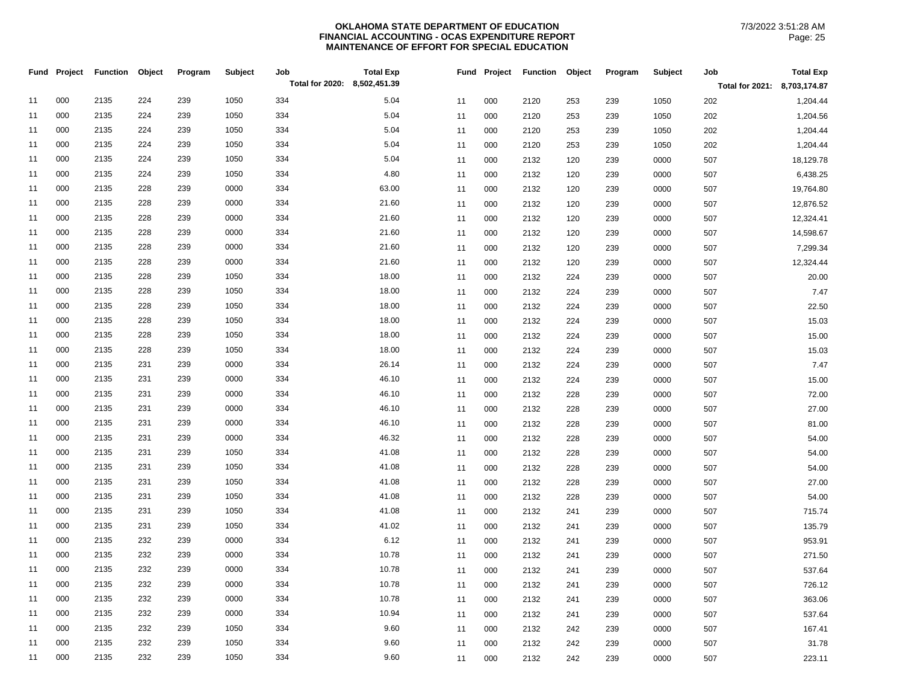|    | Fund Project | <b>Function</b> | Object | Program | Subject | Job<br>Total for 2020: 8,502,451.39 | <b>Total Exp</b> |    |     | Fund Project Function Object |     | Program | Subject | Job<br>Total for 2021: 8,703,174.87 | <b>Total Exp</b> |
|----|--------------|-----------------|--------|---------|---------|-------------------------------------|------------------|----|-----|------------------------------|-----|---------|---------|-------------------------------------|------------------|
| 11 | 000          | 2135            | 224    | 239     | 1050    | 334                                 | 5.04             | 11 | 000 | 2120                         | 253 | 239     | 1050    | 202                                 | 1,204.44         |
| 11 | 000          | 2135            | 224    | 239     | 1050    | 334                                 | 5.04             | 11 | 000 | 2120                         | 253 | 239     | 1050    | 202                                 | 1,204.56         |
| 11 | 000          | 2135            | 224    | 239     | 1050    | 334                                 | 5.04             | 11 | 000 | 2120                         | 253 | 239     | 1050    | 202                                 | 1,204.44         |
| 11 | 000          | 2135            | 224    | 239     | 1050    | 334                                 | 5.04             | 11 | 000 | 2120                         | 253 | 239     | 1050    | 202                                 | 1,204.44         |
| 11 | 000          | 2135            | 224    | 239     | 1050    | 334                                 | 5.04             | 11 | 000 | 2132                         | 120 | 239     | 0000    | 507                                 | 18,129.78        |
| 11 | 000          | 2135            | 224    | 239     | 1050    | 334                                 | 4.80             | 11 | 000 | 2132                         | 120 | 239     | 0000    | 507                                 | 6,438.25         |
| 11 | 000          | 2135            | 228    | 239     | 0000    | 334                                 | 63.00            | 11 | 000 | 2132                         | 120 | 239     | 0000    | 507                                 | 19,764.80        |
| 11 | 000          | 2135            | 228    | 239     | 0000    | 334                                 | 21.60            | 11 | 000 | 2132                         | 120 | 239     | 0000    | 507                                 | 12,876.52        |
| 11 | 000          | 2135            | 228    | 239     | 0000    | 334                                 | 21.60            | 11 | 000 | 2132                         | 120 | 239     | 0000    | 507                                 | 12,324.41        |
| 11 | 000          | 2135            | 228    | 239     | 0000    | 334                                 | 21.60            | 11 | 000 | 2132                         | 120 | 239     | 0000    | 507                                 | 14,598.67        |
| 11 | 000          | 2135            | 228    | 239     | 0000    | 334                                 | 21.60            | 11 | 000 | 2132                         | 120 | 239     | 0000    | 507                                 | 7,299.34         |
| 11 | 000          | 2135            | 228    | 239     | 0000    | 334                                 | 21.60            | 11 | 000 | 2132                         | 120 | 239     | 0000    | 507                                 | 12,324.44        |
| 11 | 000          | 2135            | 228    | 239     | 1050    | 334                                 | 18.00            | 11 | 000 | 2132                         | 224 | 239     | 0000    | 507                                 | 20.00            |
| 11 | 000          | 2135            | 228    | 239     | 1050    | 334                                 | 18.00            | 11 | 000 | 2132                         | 224 | 239     | 0000    | 507                                 | 7.47             |
| 11 | 000          | 2135            | 228    | 239     | 1050    | 334                                 | 18.00            | 11 | 000 | 2132                         | 224 | 239     | 0000    | 507                                 | 22.50            |
| 11 | 000          | 2135            | 228    | 239     | 1050    | 334                                 | 18.00            | 11 | 000 | 2132                         | 224 | 239     | 0000    | 507                                 | 15.03            |
| 11 | 000          | 2135            | 228    | 239     | 1050    | 334                                 | 18.00            | 11 | 000 | 2132                         | 224 | 239     | 0000    | 507                                 | 15.00            |
| 11 | 000          | 2135            | 228    | 239     | 1050    | 334                                 | 18.00            | 11 | 000 | 2132                         | 224 | 239     | 0000    | 507                                 | 15.03            |
| 11 | 000          | 2135            | 231    | 239     | 0000    | 334                                 | 26.14            | 11 | 000 | 2132                         | 224 | 239     | 0000    | 507                                 | 7.47             |
| 11 | 000          | 2135            | 231    | 239     | 0000    | 334                                 | 46.10            | 11 | 000 | 2132                         | 224 | 239     | 0000    | 507                                 | 15.00            |
| 11 | 000          | 2135            | 231    | 239     | 0000    | 334                                 | 46.10            | 11 | 000 | 2132                         | 228 | 239     | 0000    | 507                                 | 72.00            |
| 11 | 000          | 2135            | 231    | 239     | 0000    | 334                                 | 46.10            | 11 | 000 | 2132                         | 228 | 239     | 0000    | 507                                 | 27.00            |
| 11 | 000          | 2135            | 231    | 239     | 0000    | 334                                 | 46.10            | 11 | 000 | 2132                         | 228 | 239     | 0000    | 507                                 | 81.00            |
| 11 | 000          | 2135            | 231    | 239     | 0000    | 334                                 | 46.32            | 11 | 000 | 2132                         | 228 | 239     | 0000    | 507                                 | 54.00            |
| 11 | 000          | 2135            | 231    | 239     | 1050    | 334                                 | 41.08            | 11 | 000 | 2132                         | 228 | 239     | 0000    | 507                                 | 54.00            |
| 11 | 000          | 2135            | 231    | 239     | 1050    | 334                                 | 41.08            | 11 | 000 | 2132                         | 228 | 239     | 0000    | 507                                 | 54.00            |
| 11 | 000          | 2135            | 231    | 239     | 1050    | 334                                 | 41.08            | 11 | 000 | 2132                         | 228 | 239     | 0000    | 507                                 | 27.00            |
| 11 | 000          | 2135            | 231    | 239     | 1050    | 334                                 | 41.08            | 11 | 000 | 2132                         | 228 | 239     | 0000    | 507                                 | 54.00            |
| 11 | 000          | 2135            | 231    | 239     | 1050    | 334                                 | 41.08            | 11 | 000 | 2132                         | 241 | 239     | 0000    | 507                                 | 715.74           |
| 11 | 000          | 2135            | 231    | 239     | 1050    | 334                                 | 41.02            | 11 | 000 | 2132                         | 241 | 239     | 0000    | 507                                 | 135.79           |
| 11 | 000          | 2135            | 232    | 239     | 0000    | 334                                 | 6.12             | 11 | 000 | 2132                         | 241 | 239     | 0000    | 507                                 | 953.91           |
| 11 | 000          | 2135            | 232    | 239     | 0000    | 334                                 | 10.78            | 11 | 000 | 2132                         | 241 | 239     | 0000    | 507                                 | 271.50           |
| 11 | 000          | 2135            | 232    | 239     | 0000    | 334                                 | 10.78            | 11 | 000 | 2132                         | 241 | 239     | 0000    | 507                                 | 537.64           |
| 11 | 000          | 2135            | 232    | 239     | 0000    | 334                                 | 10.78            | 11 | 000 | 2132                         | 241 | 239     | 0000    | 507                                 | 726.12           |
| 11 | 000          | 2135            | 232    | 239     | 0000    | 334                                 | 10.78            | 11 | 000 | 2132                         | 241 | 239     | 0000    | 507                                 | 363.06           |
| 11 | 000          | 2135            | 232    | 239     | 0000    | 334                                 | 10.94            | 11 | 000 | 2132                         | 241 | 239     | 0000    | 507                                 | 537.64           |
| 11 | 000          | 2135            | 232    | 239     | 1050    | 334                                 | 9.60             | 11 | 000 | 2132                         | 242 | 239     | 0000    | 507                                 | 167.41           |
| 11 | 000          | 2135            | 232    | 239     | 1050    | 334                                 | 9.60             | 11 | 000 | 2132                         | 242 | 239     | 0000    | 507                                 | 31.78            |
| 11 | 000          | 2135            | 232    | 239     | 1050    | 334                                 | 9.60             | 11 | 000 | 2132                         | 242 | 239     | 0000    | 507                                 | 223.11           |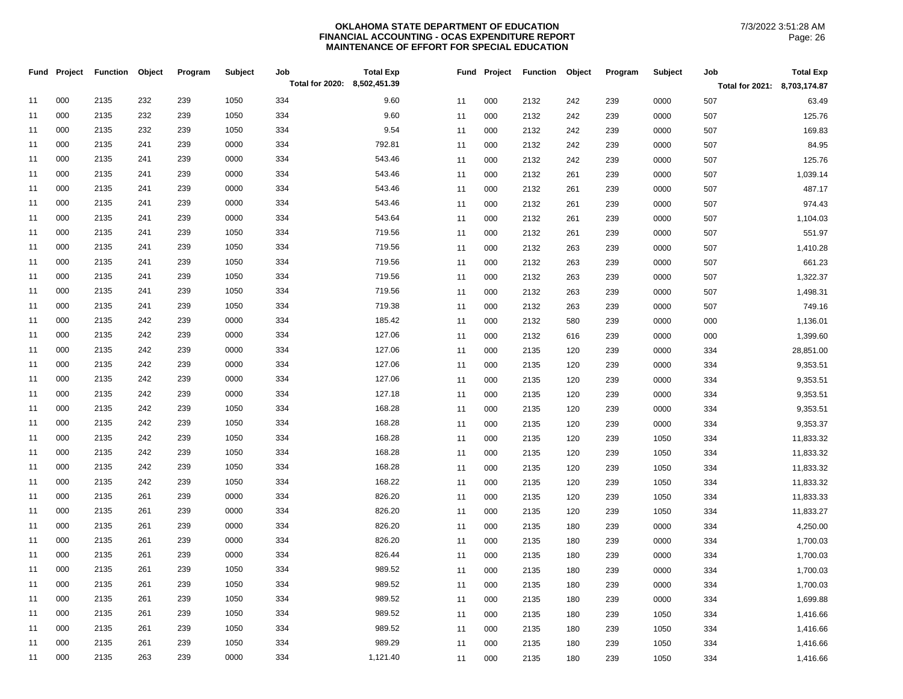|    | Fund Project | <b>Function</b> | Object | Program | Subject | Job<br>Total for 2020: 8,502,451.39 | <b>Total Exp</b> |    |     | Fund Project Function | Object | Program | Subject | Job                          | <b>Total Exp</b> |
|----|--------------|-----------------|--------|---------|---------|-------------------------------------|------------------|----|-----|-----------------------|--------|---------|---------|------------------------------|------------------|
|    |              |                 |        |         |         |                                     |                  |    |     |                       |        |         |         | Total for 2021: 8,703,174.87 |                  |
| 11 | 000          | 2135            | 232    | 239     | 1050    | 334                                 | 9.60             | 11 | 000 | 2132                  | 242    | 239     | 0000    | 507                          | 63.49            |
| 11 | 000          | 2135            | 232    | 239     | 1050    | 334                                 | 9.60             | 11 | 000 | 2132                  | 242    | 239     | 0000    | 507                          | 125.76           |
| 11 | 000          | 2135            | 232    | 239     | 1050    | 334                                 | 9.54             | 11 | 000 | 2132                  | 242    | 239     | 0000    | 507                          | 169.83           |
| 11 | 000          | 2135            | 241    | 239     | 0000    | 334                                 | 792.81           | 11 | 000 | 2132                  | 242    | 239     | 0000    | 507                          | 84.95            |
| 11 | 000          | 2135            | 241    | 239     | 0000    | 334                                 | 543.46           | 11 | 000 | 2132                  | 242    | 239     | 0000    | 507                          | 125.76           |
| 11 | 000          | 2135            | 241    | 239     | 0000    | 334                                 | 543.46           | 11 | 000 | 2132                  | 261    | 239     | 0000    | 507                          | 1,039.14         |
| 11 | 000          | 2135            | 241    | 239     | 0000    | 334                                 | 543.46           | 11 | 000 | 2132                  | 261    | 239     | 0000    | 507                          | 487.17           |
| 11 | 000          | 2135            | 241    | 239     | 0000    | 334                                 | 543.46           | 11 | 000 | 2132                  | 261    | 239     | 0000    | 507                          | 974.43           |
| 11 | 000          | 2135            | 241    | 239     | 0000    | 334                                 | 543.64           | 11 | 000 | 2132                  | 261    | 239     | 0000    | 507                          | 1,104.03         |
| 11 | 000          | 2135            | 241    | 239     | 1050    | 334                                 | 719.56           | 11 | 000 | 2132                  | 261    | 239     | 0000    | 507                          | 551.97           |
| 11 | 000          | 2135            | 241    | 239     | 1050    | 334                                 | 719.56           | 11 | 000 | 2132                  | 263    | 239     | 0000    | 507                          | 1,410.28         |
| 11 | 000          | 2135            | 241    | 239     | 1050    | 334                                 | 719.56           | 11 | 000 | 2132                  | 263    | 239     | 0000    | 507                          | 661.23           |
| 11 | 000          | 2135            | 241    | 239     | 1050    | 334                                 | 719.56           | 11 | 000 | 2132                  | 263    | 239     | 0000    | 507                          | 1,322.37         |
| 11 | 000          | 2135            | 241    | 239     | 1050    | 334                                 | 719.56           | 11 | 000 | 2132                  | 263    | 239     | 0000    | 507                          | 1,498.31         |
| 11 | 000          | 2135            | 241    | 239     | 1050    | 334                                 | 719.38           | 11 | 000 | 2132                  | 263    | 239     | 0000    | 507                          | 749.16           |
| 11 | 000          | 2135            | 242    | 239     | 0000    | 334                                 | 185.42           | 11 | 000 | 2132                  | 580    | 239     | 0000    | 000                          | 1,136.01         |
| 11 | 000          | 2135            | 242    | 239     | 0000    | 334                                 | 127.06           | 11 | 000 | 2132                  | 616    | 239     | 0000    | 000                          | 1,399.60         |
| 11 | 000          | 2135            | 242    | 239     | 0000    | 334                                 | 127.06           | 11 | 000 | 2135                  | 120    | 239     | 0000    | 334                          | 28,851.00        |
| 11 | 000          | 2135            | 242    | 239     | 0000    | 334                                 | 127.06           | 11 | 000 | 2135                  | 120    | 239     | 0000    | 334                          | 9,353.51         |
| 11 | 000          | 2135            | 242    | 239     | 0000    | 334                                 | 127.06           | 11 | 000 | 2135                  | 120    | 239     | 0000    | 334                          | 9,353.51         |
| 11 | 000          | 2135            | 242    | 239     | 0000    | 334                                 | 127.18           | 11 | 000 | 2135                  | 120    | 239     | 0000    | 334                          | 9,353.51         |
| 11 | 000          | 2135            | 242    | 239     | 1050    | 334                                 | 168.28           | 11 | 000 | 2135                  | 120    | 239     | 0000    | 334                          | 9,353.51         |
| 11 | 000          | 2135            | 242    | 239     | 1050    | 334                                 | 168.28           | 11 | 000 | 2135                  | 120    | 239     | 0000    | 334                          | 9,353.37         |
| 11 | 000          | 2135            | 242    | 239     | 1050    | 334                                 | 168.28           | 11 | 000 | 2135                  | 120    | 239     | 1050    | 334                          | 11,833.32        |
| 11 | 000          | 2135            | 242    | 239     | 1050    | 334                                 | 168.28           | 11 | 000 | 2135                  | 120    | 239     | 1050    | 334                          | 11,833.32        |
| 11 | 000          | 2135            | 242    | 239     | 1050    | 334                                 | 168.28           | 11 | 000 | 2135                  | 120    | 239     | 1050    | 334                          | 11,833.32        |
| 11 | 000          | 2135            | 242    | 239     | 1050    | 334                                 | 168.22           | 11 | 000 | 2135                  | 120    | 239     | 1050    | 334                          | 11,833.32        |
| 11 | 000          | 2135            | 261    | 239     | 0000    | 334                                 | 826.20           | 11 | 000 | 2135                  | 120    | 239     | 1050    | 334                          | 11,833.33        |
| 11 | 000          | 2135            | 261    | 239     | 0000    | 334                                 | 826.20           | 11 | 000 | 2135                  | 120    | 239     | 1050    | 334                          | 11,833.27        |
| 11 | 000          | 2135            | 261    | 239     | 0000    | 334                                 | 826.20           | 11 | 000 | 2135                  | 180    | 239     | 0000    | 334                          | 4,250.00         |
| 11 | 000          | 2135            | 261    | 239     | 0000    | 334                                 | 826.20           | 11 | 000 | 2135                  | 180    | 239     | 0000    | 334                          | 1,700.03         |
| 11 | 000          | 2135            | 261    | 239     | 0000    | 334                                 | 826.44           | 11 | 000 | 2135                  | 180    | 239     | 0000    | 334                          | 1,700.03         |
| 11 | 000          | 2135            | 261    | 239     | 1050    | 334                                 | 989.52           | 11 | 000 | 2135                  | 180    | 239     | 0000    | 334                          | 1,700.03         |
| 11 | 000          | 2135            | 261    | 239     | 1050    | 334                                 | 989.52           | 11 | 000 | 2135                  | 180    | 239     | 0000    | 334                          | 1,700.03         |
| 11 | 000          | 2135            | 261    | 239     | 1050    | 334                                 | 989.52           | 11 | 000 | 2135                  | 180    | 239     | 0000    | 334                          | 1,699.88         |
| 11 | 000          | 2135            | 261    | 239     | 1050    | 334                                 | 989.52           | 11 | 000 | 2135                  | 180    | 239     | 1050    | 334                          | 1,416.66         |
| 11 | 000          | 2135            | 261    | 239     | 1050    | 334                                 | 989.52           | 11 | 000 | 2135                  | 180    | 239     | 1050    | 334                          | 1,416.66         |
| 11 | 000          | 2135            | 261    | 239     | 1050    | 334                                 | 989.29           | 11 | 000 | 2135                  | 180    | 239     | 1050    | 334                          | 1,416.66         |
| 11 | 000          | 2135            | 263    | 239     | 0000    | 334                                 | 1,121.40         | 11 | 000 | 2135                  | 180    | 239     | 1050    | 334                          | 1,416.66         |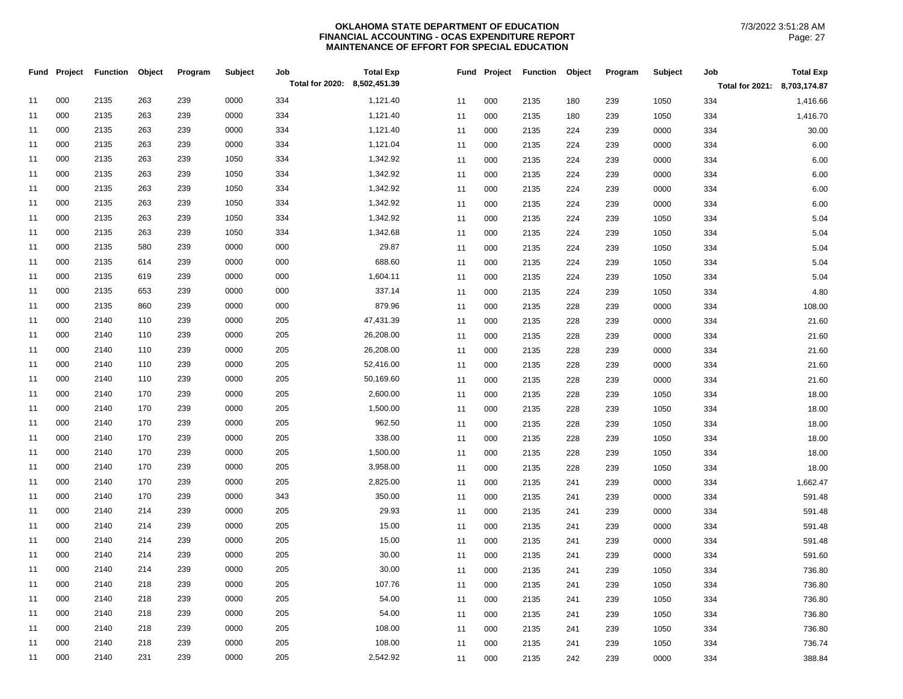|    | Fund Project | Function Object |     | Program | Subject | Job<br>Total for 2020: 8,502,451.39 | <b>Total Exp</b> |    | Fund Project | Function Object |     | Program | Subject | Job                          | <b>Total Exp</b> |
|----|--------------|-----------------|-----|---------|---------|-------------------------------------|------------------|----|--------------|-----------------|-----|---------|---------|------------------------------|------------------|
|    |              |                 |     |         |         |                                     |                  |    |              |                 |     |         |         | Total for 2021: 8,703,174.87 |                  |
| 11 | 000          | 2135            | 263 | 239     | 0000    | 334                                 | 1,121.40         | 11 | 000          | 2135            | 180 | 239     | 1050    | 334                          | 1,416.66         |
| 11 | 000          | 2135            | 263 | 239     | 0000    | 334                                 | 1,121.40         | 11 | 000          | 2135            | 180 | 239     | 1050    | 334                          | 1,416.70         |
| 11 | 000          | 2135            | 263 | 239     | 0000    | 334                                 | 1,121.40         | 11 | 000          | 2135            | 224 | 239     | 0000    | 334                          | 30.00            |
| 11 | 000          | 2135            | 263 | 239     | 0000    | 334                                 | 1,121.04         | 11 | 000          | 2135            | 224 | 239     | 0000    | 334                          | 6.00             |
| 11 | 000          | 2135            | 263 | 239     | 1050    | 334                                 | 1,342.92         | 11 | 000          | 2135            | 224 | 239     | 0000    | 334                          | 6.00             |
| 11 | 000          | 2135            | 263 | 239     | 1050    | 334                                 | 1,342.92         | 11 | 000          | 2135            | 224 | 239     | 0000    | 334                          | 6.00             |
| 11 | 000          | 2135            | 263 | 239     | 1050    | 334                                 | 1,342.92         | 11 | 000          | 2135            | 224 | 239     | 0000    | 334                          | 6.00             |
| 11 | 000          | 2135            | 263 | 239     | 1050    | 334                                 | 1,342.92         | 11 | 000          | 2135            | 224 | 239     | 0000    | 334                          | 6.00             |
| 11 | 000          | 2135            | 263 | 239     | 1050    | 334                                 | 1,342.92         | 11 | 000          | 2135            | 224 | 239     | 1050    | 334                          | 5.04             |
| 11 | 000          | 2135            | 263 | 239     | 1050    | 334                                 | 1,342.68         | 11 | 000          | 2135            | 224 | 239     | 1050    | 334                          | 5.04             |
| 11 | 000          | 2135            | 580 | 239     | 0000    | 000                                 | 29.87            | 11 | 000          | 2135            | 224 | 239     | 1050    | 334                          | 5.04             |
| 11 | 000          | 2135            | 614 | 239     | 0000    | 000                                 | 688.60           | 11 | 000          | 2135            | 224 | 239     | 1050    | 334                          | 5.04             |
| 11 | 000          | 2135            | 619 | 239     | 0000    | 000                                 | 1,604.11         | 11 | 000          | 2135            | 224 | 239     | 1050    | 334                          | 5.04             |
| 11 | 000          | 2135            | 653 | 239     | 0000    | 000                                 | 337.14           | 11 | 000          | 2135            | 224 | 239     | 1050    | 334                          | 4.80             |
| 11 | 000          | 2135            | 860 | 239     | 0000    | 000                                 | 879.96           | 11 | 000          | 2135            | 228 | 239     | 0000    | 334                          | 108.00           |
| 11 | 000          | 2140            | 110 | 239     | 0000    | 205                                 | 47,431.39        | 11 | 000          | 2135            | 228 | 239     | 0000    | 334                          | 21.60            |
| 11 | 000          | 2140            | 110 | 239     | 0000    | 205                                 | 26,208.00        | 11 | 000          | 2135            | 228 | 239     | 0000    | 334                          | 21.60            |
| 11 | 000          | 2140            | 110 | 239     | 0000    | 205                                 | 26,208.00        | 11 | 000          | 2135            | 228 | 239     | 0000    | 334                          | 21.60            |
| 11 | 000          | 2140            | 110 | 239     | 0000    | 205                                 | 52,416.00        | 11 | 000          | 2135            | 228 | 239     | 0000    | 334                          | 21.60            |
| 11 | 000          | 2140            | 110 | 239     | 0000    | 205                                 | 50,169.60        | 11 | 000          | 2135            | 228 | 239     | 0000    | 334                          | 21.60            |
| 11 | 000          | 2140            | 170 | 239     | 0000    | 205                                 | 2,600.00         | 11 | 000          | 2135            | 228 | 239     | 1050    | 334                          | 18.00            |
| 11 | 000          | 2140            | 170 | 239     | 0000    | 205                                 | 1,500.00         | 11 | 000          | 2135            | 228 | 239     | 1050    | 334                          | 18.00            |
| 11 | 000          | 2140            | 170 | 239     | 0000    | 205                                 | 962.50           | 11 | 000          | 2135            | 228 | 239     | 1050    | 334                          | 18.00            |
| 11 | 000          | 2140            | 170 | 239     | 0000    | 205                                 | 338.00           | 11 | 000          | 2135            | 228 | 239     | 1050    | 334                          | 18.00            |
| 11 | 000          | 2140            | 170 | 239     | 0000    | 205                                 | 1,500.00         | 11 | 000          | 2135            | 228 | 239     | 1050    | 334                          | 18.00            |
| 11 | 000          | 2140            | 170 | 239     | 0000    | 205                                 | 3,958.00         | 11 | 000          | 2135            | 228 | 239     | 1050    | 334                          | 18.00            |
| 11 | 000          | 2140            | 170 | 239     | 0000    | 205                                 | 2,825.00         | 11 | 000          | 2135            | 241 | 239     | 0000    | 334                          | 1,662.47         |
| 11 | 000          | 2140            | 170 | 239     | 0000    | 343                                 | 350.00           | 11 | 000          | 2135            | 241 | 239     | 0000    | 334                          | 591.48           |
| 11 | 000          | 2140            | 214 | 239     | 0000    | 205                                 | 29.93            | 11 | 000          | 2135            | 241 | 239     | 0000    | 334                          | 591.48           |
| 11 | 000          | 2140            | 214 | 239     | 0000    | 205                                 | 15.00            | 11 | 000          | 2135            | 241 | 239     | 0000    | 334                          | 591.48           |
| 11 | 000          | 2140            | 214 | 239     | 0000    | 205                                 | 15.00            | 11 | 000          | 2135            | 241 | 239     | 0000    | 334                          | 591.48           |
| 11 | 000          | 2140            | 214 | 239     | 0000    | 205                                 | 30.00            | 11 | 000          | 2135            | 241 | 239     | 0000    | 334                          | 591.60           |
| 11 | 000          | 2140            | 214 | 239     | 0000    | 205                                 | 30.00            | 11 | 000          | 2135            | 241 | 239     | 1050    | 334                          | 736.80           |
| 11 | 000          | 2140            | 218 | 239     | 0000    | 205                                 | 107.76           | 11 | 000          | 2135            | 241 | 239     | 1050    | 334                          | 736.80           |
| 11 | 000          | 2140            | 218 | 239     | 0000    | 205                                 | 54.00            | 11 | 000          | 2135            | 241 | 239     | 1050    | 334                          | 736.80           |
| 11 | 000          | 2140            | 218 | 239     | 0000    | 205                                 | 54.00            | 11 | 000          | 2135            | 241 | 239     | 1050    | 334                          | 736.80           |
| 11 | 000          | 2140            | 218 | 239     | 0000    | 205                                 | 108.00           | 11 | 000          | 2135            | 241 | 239     | 1050    | 334                          | 736.80           |
| 11 | 000          | 2140            | 218 | 239     | 0000    | 205                                 | 108.00           | 11 | 000          | 2135            | 241 | 239     | 1050    | 334                          | 736.74           |
| 11 | 000          | 2140            | 231 | 239     | 0000    | 205                                 | 2,542.92         | 11 | 000          | 2135            | 242 | 239     | 0000    | 334                          | 388.84           |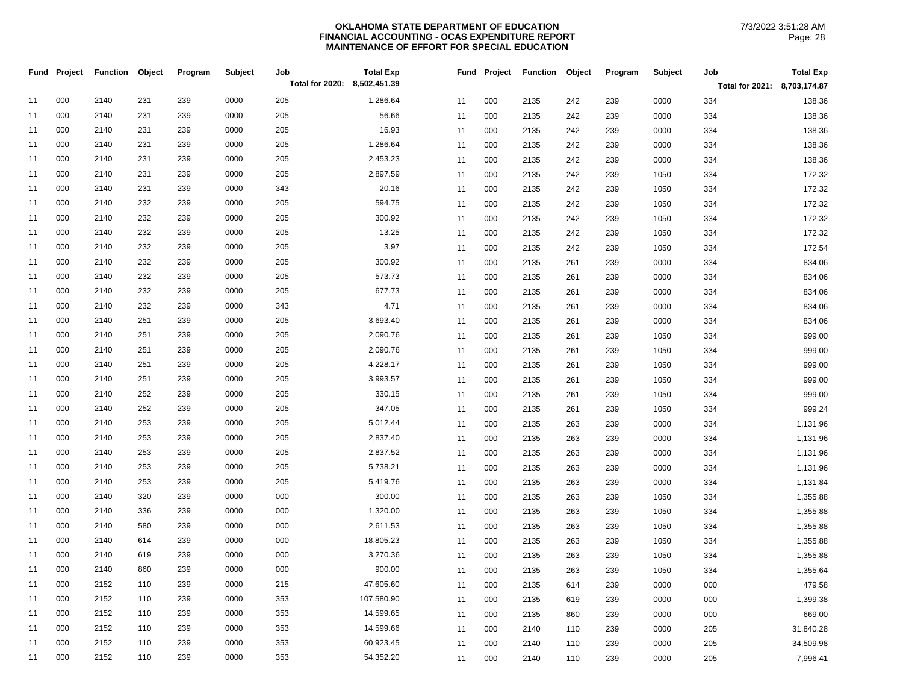|    | Fund Project | <b>Function</b> | Object | Program | Subject | Job<br>Total for 2020: 8,502,451.39 | <b>Total Exp</b> |          | Fund Project | <b>Function</b> | Object | Program    | Subject      | Job                          | <b>Total Exp</b>   |
|----|--------------|-----------------|--------|---------|---------|-------------------------------------|------------------|----------|--------------|-----------------|--------|------------|--------------|------------------------------|--------------------|
|    |              |                 |        |         |         |                                     |                  |          |              |                 |        |            |              | Total for 2021: 8,703,174.87 |                    |
| 11 | 000          | 2140            | 231    | 239     | 0000    | 205                                 | 1,286.64         | 11       | 000          | 2135            | 242    | 239        | 0000         | 334                          | 138.36             |
| 11 | 000          | 2140            | 231    | 239     | 0000    | 205                                 | 56.66            | 11       | 000          | 2135            | 242    | 239        | 0000         | 334                          | 138.36             |
| 11 | 000          | 2140            | 231    | 239     | 0000    | 205                                 | 16.93            | 11       | 000          | 2135            | 242    | 239        | 0000         | 334                          | 138.36             |
| 11 | 000          | 2140            | 231    | 239     | 0000    | 205                                 | 1,286.64         | 11       | 000          | 2135            | 242    | 239        | 0000         | 334                          | 138.36             |
| 11 | 000          | 2140            | 231    | 239     | 0000    | 205                                 | 2,453.23         | 11       | 000          | 2135            | 242    | 239        | 0000         | 334                          | 138.36             |
| 11 | 000          | 2140            | 231    | 239     | 0000    | 205                                 | 2,897.59         | 11       | 000          | 2135            | 242    | 239        | 1050         | 334                          | 172.32             |
| 11 | 000          | 2140            | 231    | 239     | 0000    | 343                                 | 20.16            | 11       | 000          | 2135            | 242    | 239        | 1050         | 334                          | 172.32             |
| 11 | 000          | 2140            | 232    | 239     | 0000    | 205                                 | 594.75           | 11       | 000          | 2135            | 242    | 239        | 1050         | 334                          | 172.32             |
| 11 | 000          | 2140            | 232    | 239     | 0000    | 205                                 | 300.92           | 11       | 000          | 2135            | 242    | 239        | 1050         | 334                          | 172.32             |
| 11 | 000          | 2140            | 232    | 239     | 0000    | 205                                 | 13.25            | 11       | 000          | 2135            | 242    | 239        | 1050         | 334                          | 172.32             |
| 11 | 000          | 2140            | 232    | 239     | 0000    | 205                                 | 3.97             | 11       | 000          | 2135            | 242    | 239        | 1050         | 334                          | 172.54             |
| 11 | 000          | 2140            | 232    | 239     | 0000    | 205                                 | 300.92           | 11       | 000          | 2135            | 261    | 239        | 0000         | 334                          | 834.06             |
| 11 | 000          | 2140            | 232    | 239     | 0000    | 205                                 | 573.73           | 11       | 000          | 2135            | 261    | 239        | 0000         | 334                          | 834.06             |
| 11 | 000          | 2140            | 232    | 239     | 0000    | 205                                 | 677.73           | 11       | 000          | 2135            | 261    | 239        | 0000         | 334                          | 834.06             |
| 11 | 000          | 2140            | 232    | 239     | 0000    | 343                                 | 4.71             | 11       | 000          | 2135            | 261    | 239        | 0000         | 334                          | 834.06             |
| 11 | 000          | 2140            | 251    | 239     | 0000    | 205                                 | 3,693.40         | 11       | 000          | 2135            | 261    | 239        | 0000         | 334                          | 834.06             |
| 11 | 000          | 2140            | 251    | 239     | 0000    | 205                                 | 2,090.76         | 11       | 000          | 2135            | 261    | 239        | 1050         | 334                          | 999.00             |
| 11 | 000          | 2140            | 251    | 239     | 0000    | 205                                 | 2,090.76         | 11       | 000          | 2135            | 261    | 239        | 1050         | 334                          | 999.00             |
| 11 | 000          | 2140            | 251    | 239     | 0000    | 205                                 | 4,228.17         | 11       | 000          | 2135            | 261    | 239        | 1050         | 334                          | 999.00             |
| 11 | 000          | 2140            | 251    | 239     | 0000    | 205                                 | 3,993.57         | 11       | 000          | 2135            | 261    | 239        | 1050         | 334                          | 999.00             |
| 11 | 000          | 2140            | 252    | 239     | 0000    | 205                                 | 330.15           | 11       | 000          | 2135            | 261    | 239        | 1050         | 334                          | 999.00             |
| 11 | 000          | 2140            | 252    | 239     | 0000    | 205                                 | 347.05           | 11       | 000          | 2135            | 261    | 239        | 1050         | 334                          | 999.24             |
| 11 | 000          | 2140            | 253    | 239     | 0000    | 205                                 | 5,012.44         | 11       | 000          | 2135            | 263    | 239        | 0000         | 334                          | 1,131.96           |
| 11 | 000          | 2140            | 253    | 239     | 0000    | 205                                 | 2,837.40         | 11       | 000          | 2135            | 263    | 239        | 0000         | 334                          | 1,131.96           |
| 11 | 000          | 2140            | 253    | 239     | 0000    | 205                                 | 2,837.52         | 11       | 000          | 2135            | 263    | 239        | 0000         | 334                          | 1,131.96           |
| 11 | 000          | 2140            | 253    | 239     | 0000    | 205                                 | 5,738.21         | 11       | 000          | 2135            | 263    | 239        | 0000         | 334                          | 1,131.96           |
| 11 | 000          | 2140            | 253    | 239     | 0000    | 205                                 | 5,419.76         | 11       | 000          | 2135            | 263    | 239        | 0000         | 334                          | 1,131.84           |
| 11 | 000          | 2140            | 320    | 239     | 0000    | 000                                 | 300.00           | 11       | 000          | 2135            | 263    | 239        | 1050         | 334                          | 1,355.88           |
| 11 | 000          | 2140            | 336    | 239     | 0000    | 000                                 | 1,320.00         | 11       | 000          | 2135            | 263    | 239        | 1050         | 334                          | 1,355.88           |
| 11 | 000          | 2140            | 580    | 239     | 0000    | 000                                 | 2,611.53         | 11       | 000          | 2135            | 263    | 239        | 1050         | 334                          | 1,355.88           |
| 11 | 000          | 2140            | 614    | 239     | 0000    | 000                                 | 18,805.23        | 11       | 000          | 2135            | 263    | 239        | 1050         | 334                          | 1,355.88           |
| 11 | 000          | 2140            | 619    | 239     | 0000    | 000                                 | 3,270.36         | 11       | 000          | 2135            | 263    | 239        | 1050         | 334                          | 1,355.88           |
| 11 | 000          | 2140            | 860    | 239     | 0000    | 000                                 | 900.00           | 11       | 000          | 2135            | 263    | 239        | 1050         | 334                          | 1,355.64           |
| 11 | 000          | 2152            | 110    | 239     | 0000    | 215                                 | 47,605.60        | 11       | 000          | 2135            | 614    | 239        | 0000         | 000                          | 479.58             |
| 11 | 000          | 2152            | 110    | 239     | 0000    | 353                                 | 107,580.90       |          | 000          |                 |        |            |              |                              |                    |
| 11 | 000          | 2152            | 110    | 239     | 0000    | 353                                 | 14,599.65        | 11<br>11 | 000          | 2135<br>2135    | 619    | 239<br>239 | 0000<br>0000 | 000<br>000                   | 1,399.38<br>669.00 |
| 11 | 000          | 2152            | 110    | 239     | 0000    | 353                                 | 14,599.66        |          |              |                 | 860    |            |              |                              |                    |
|    | 000          |                 |        |         |         |                                     |                  | 11       | 000          | 2140            | 110    | 239        | 0000         | 205                          | 31,840.28          |
| 11 |              | 2152            | 110    | 239     | 0000    | 353                                 | 60,923.45        | 11       | 000          | 2140            | 110    | 239        | 0000         | 205                          | 34,509.98          |
| 11 | 000          | 2152            | 110    | 239     | 0000    | 353                                 | 54,352.20        | 11       | 000          | 2140            | 110    | 239        | 0000         | 205                          | 7,996.41           |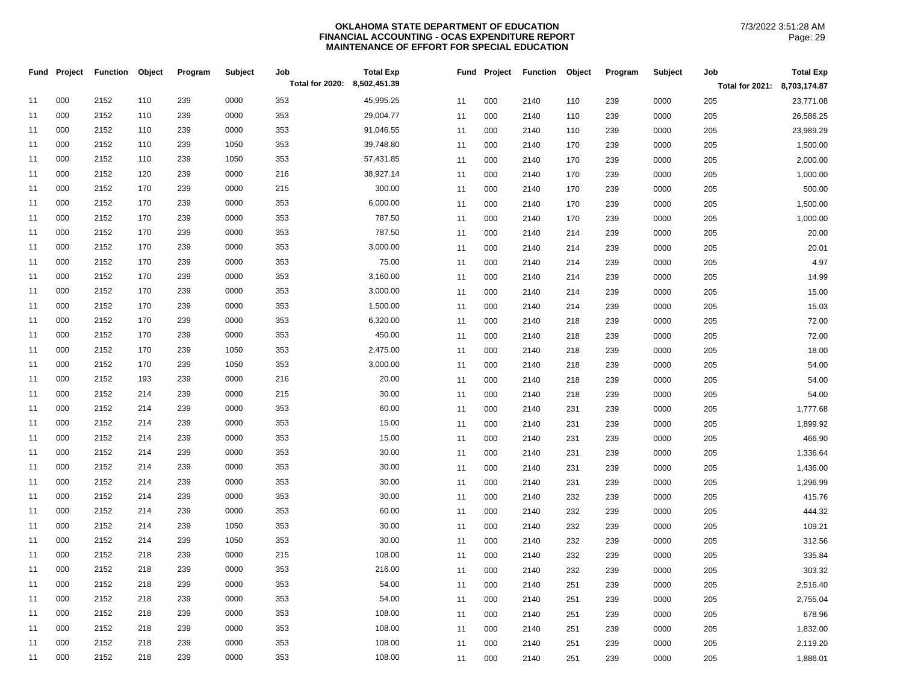|    | Fund Project | <b>Function</b> | Object | Program | Subject | Job                          | <b>Total Exp</b> | Fund | Project | <b>Function</b> | Object | Program | Subject | Job                          | <b>Total Exp</b> |
|----|--------------|-----------------|--------|---------|---------|------------------------------|------------------|------|---------|-----------------|--------|---------|---------|------------------------------|------------------|
|    |              |                 |        |         |         | Total for 2020: 8,502,451.39 |                  |      |         |                 |        |         |         | Total for 2021: 8,703,174.87 |                  |
| 11 | 000          | 2152            | 110    | 239     | 0000    | 353                          | 45,995.25        | 11   | 000     | 2140            | 110    | 239     | 0000    | 205                          | 23,771.08        |
| 11 | 000          | 2152            | 110    | 239     | 0000    | 353                          | 29,004.77        | 11   | 000     | 2140            | 110    | 239     | 0000    | 205                          | 26,586.25        |
| 11 | 000          | 2152            | 110    | 239     | 0000    | 353                          | 91,046.55        | 11   | 000     | 2140            | 110    | 239     | 0000    | 205                          | 23,989.29        |
| 11 | 000          | 2152            | 110    | 239     | 1050    | 353                          | 39,748.80        | 11   | 000     | 2140            | 170    | 239     | 0000    | 205                          | 1,500.00         |
| 11 | 000          | 2152            | 110    | 239     | 1050    | 353                          | 57,431.85        | 11   | 000     | 2140            | 170    | 239     | 0000    | 205                          | 2,000.00         |
| 11 | 000          | 2152            | 120    | 239     | 0000    | 216                          | 38,927.14        | 11   | 000     | 2140            | 170    | 239     | 0000    | 205                          | 1,000.00         |
| 11 | 000          | 2152            | 170    | 239     | 0000    | 215                          | 300.00           | 11   | 000     | 2140            | 170    | 239     | 0000    | 205                          | 500.00           |
| 11 | 000          | 2152            | 170    | 239     | 0000    | 353                          | 6,000.00         | 11   | 000     | 2140            | 170    | 239     | 0000    | 205                          | 1,500.00         |
| 11 | 000          | 2152            | 170    | 239     | 0000    | 353                          | 787.50           | 11   | 000     | 2140            | 170    | 239     | 0000    | 205                          | 1,000.00         |
| 11 | 000          | 2152            | 170    | 239     | 0000    | 353                          | 787.50           | 11   | 000     | 2140            | 214    | 239     | 0000    | 205                          | 20.00            |
| 11 | 000          | 2152            | 170    | 239     | 0000    | 353                          | 3,000.00         | 11   | 000     | 2140            | 214    | 239     | 0000    | 205                          | 20.01            |
| 11 | 000          | 2152            | 170    | 239     | 0000    | 353                          | 75.00            | 11   | 000     | 2140            | 214    | 239     | 0000    | 205                          | 4.97             |
| 11 | 000          | 2152            | 170    | 239     | 0000    | 353                          | 3,160.00         | 11   | 000     | 2140            | 214    | 239     | 0000    | 205                          | 14.99            |
| 11 | 000          | 2152            | 170    | 239     | 0000    | 353                          | 3,000.00         | 11   | 000     | 2140            | 214    | 239     | 0000    | 205                          | 15.00            |
| 11 | 000          | 2152            | 170    | 239     | 0000    | 353                          | 1,500.00         | 11   | 000     | 2140            | 214    | 239     | 0000    | 205                          | 15.03            |
| 11 | 000          | 2152            | 170    | 239     | 0000    | 353                          | 6,320.00         | 11   | 000     | 2140            | 218    | 239     | 0000    | 205                          | 72.00            |
| 11 | 000          | 2152            | 170    | 239     | 0000    | 353                          | 450.00           | 11   | 000     | 2140            | 218    | 239     | 0000    | 205                          | 72.00            |
| 11 | 000          | 2152            | 170    | 239     | 1050    | 353                          | 2,475.00         | 11   | 000     | 2140            | 218    | 239     | 0000    | 205                          | 18.00            |
| 11 | 000          | 2152            | 170    | 239     | 1050    | 353                          | 3,000.00         | 11   | 000     | 2140            | 218    | 239     | 0000    | 205                          | 54.00            |
| 11 | 000          | 2152            | 193    | 239     | 0000    | 216                          | 20.00            | 11   | 000     | 2140            | 218    | 239     | 0000    | 205                          | 54.00            |
| 11 | 000          | 2152            | 214    | 239     | 0000    | 215                          | 30.00            | 11   | 000     | 2140            | 218    | 239     | 0000    | 205                          | 54.00            |
| 11 | 000          | 2152            | 214    | 239     | 0000    | 353                          | 60.00            | 11   | 000     | 2140            | 231    | 239     | 0000    | 205                          | 1,777.68         |
| 11 | 000          | 2152            | 214    | 239     | 0000    | 353                          | 15.00            | 11   | 000     | 2140            | 231    | 239     | 0000    | 205                          | 1,899.92         |
| 11 | 000          | 2152            | 214    | 239     | 0000    | 353                          | 15.00            | 11   | 000     | 2140            | 231    | 239     | 0000    | 205                          | 466.90           |
| 11 | 000          | 2152            | 214    | 239     | 0000    | 353                          | 30.00            | 11   | 000     | 2140            | 231    | 239     | 0000    | 205                          | 1,336.64         |
| 11 | 000          | 2152            | 214    | 239     | 0000    | 353                          | 30.00            | 11   | 000     | 2140            | 231    | 239     | 0000    | 205                          | 1,436.00         |
| 11 | 000          | 2152            | 214    | 239     | 0000    | 353                          | 30.00            | 11   | 000     | 2140            | 231    | 239     | 0000    | 205                          | 1,296.99         |
| 11 | 000          | 2152            | 214    | 239     | 0000    | 353                          | 30.00            | 11   | 000     | 2140            | 232    | 239     | 0000    | 205                          | 415.76           |
| 11 | 000          | 2152            | 214    | 239     | 0000    | 353                          | 60.00            | 11   | 000     | 2140            | 232    | 239     | 0000    | 205                          | 444.32           |
| 11 | 000          | 2152            | 214    | 239     | 1050    | 353                          | 30.00            | 11   | 000     | 2140            | 232    | 239     | 0000    | 205                          | 109.21           |
| 11 | 000          | 2152            | 214    | 239     | 1050    | 353                          | 30.00            | 11   | 000     | 2140            | 232    | 239     | 0000    | 205                          | 312.56           |
| 11 | 000          | 2152            | 218    | 239     | 0000    | 215                          | 108.00           | 11   | 000     | 2140            | 232    | 239     | 0000    | 205                          | 335.84           |
| 11 | 000          | 2152            | 218    | 239     | 0000    | 353                          | 216.00           | 11   | 000     | 2140            | 232    | 239     | 0000    | 205                          | 303.32           |
| 11 | 000          | 2152            | 218    | 239     | 0000    | 353                          | 54.00            | 11   | 000     | 2140            | 251    | 239     | 0000    | 205                          | 2,516.40         |
| 11 | 000          | 2152            | 218    | 239     | 0000    | 353                          | 54.00            | 11   | 000     | 2140            | 251    | 239     | 0000    | 205                          | 2,755.04         |
| 11 | 000          | 2152            | 218    | 239     | 0000    | 353                          | 108.00           | 11   | 000     | 2140            | 251    | 239     | 0000    | 205                          | 678.96           |
| 11 | 000          | 2152            | 218    | 239     | 0000    | 353                          | 108.00           | 11   | 000     | 2140            | 251    | 239     | 0000    | 205                          | 1,832.00         |
| 11 | 000          | 2152            | 218    | 239     | 0000    | 353                          | 108.00           | 11   | 000     | 2140            | 251    | 239     | 0000    | 205                          | 2,119.20         |
| 11 | 000          | 2152            | 218    | 239     | 0000    | 353                          | 108.00           | 11   | 000     | 2140            | 251    | 239     | 0000    | 205                          | 1,886.01         |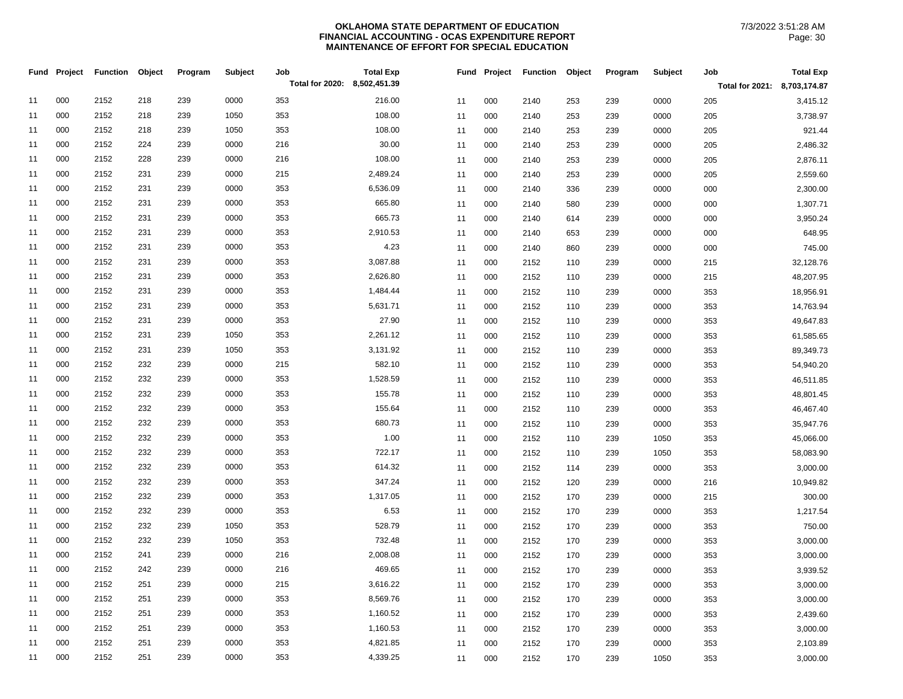| Fund | Project | <b>Function</b> | Object | Program | Subject | Job                          | <b>Total Exp</b> | Fund | Project | <b>Function</b> | Object | Program | Subject | Job                          | <b>Total Exp</b> |
|------|---------|-----------------|--------|---------|---------|------------------------------|------------------|------|---------|-----------------|--------|---------|---------|------------------------------|------------------|
|      |         |                 |        |         |         | Total for 2020: 8,502,451.39 |                  |      |         |                 |        |         |         | Total for 2021: 8,703,174.87 |                  |
| 11   | 000     | 2152            | 218    | 239     | 0000    | 353                          | 216.00           | 11   | 000     | 2140            | 253    | 239     | 0000    | 205                          | 3,415.12         |
| 11   | 000     | 2152            | 218    | 239     | 1050    | 353                          | 108.00           | 11   | 000     | 2140            | 253    | 239     | 0000    | 205                          | 3,738.97         |
| 11   | 000     | 2152            | 218    | 239     | 1050    | 353                          | 108.00           | 11   | 000     | 2140            | 253    | 239     | 0000    | 205                          | 921.44           |
| 11   | 000     | 2152            | 224    | 239     | 0000    | 216                          | 30.00            | 11   | 000     | 2140            | 253    | 239     | 0000    | 205                          | 2,486.32         |
| 11   | 000     | 2152            | 228    | 239     | 0000    | 216                          | 108.00           | 11   | 000     | 2140            | 253    | 239     | 0000    | 205                          | 2,876.11         |
| 11   | 000     | 2152            | 231    | 239     | 0000    | 215                          | 2,489.24         | 11   | 000     | 2140            | 253    | 239     | 0000    | 205                          | 2,559.60         |
| 11   | 000     | 2152            | 231    | 239     | 0000    | 353                          | 6,536.09         | 11   | 000     | 2140            | 336    | 239     | 0000    | 000                          | 2,300.00         |
| 11   | 000     | 2152            | 231    | 239     | 0000    | 353                          | 665.80           | 11   | 000     | 2140            | 580    | 239     | 0000    | 000                          | 1,307.71         |
| 11   | 000     | 2152            | 231    | 239     | 0000    | 353                          | 665.73           | 11   | 000     | 2140            | 614    | 239     | 0000    | 000                          | 3,950.24         |
| 11   | 000     | 2152            | 231    | 239     | 0000    | 353                          | 2,910.53         | 11   | 000     | 2140            | 653    | 239     | 0000    | 000                          | 648.95           |
| 11   | 000     | 2152            | 231    | 239     | 0000    | 353                          | 4.23             | 11   | 000     | 2140            | 860    | 239     | 0000    | 000                          | 745.00           |
| 11   | 000     | 2152            | 231    | 239     | 0000    | 353                          | 3,087.88         | 11   | 000     | 2152            | 110    | 239     | 0000    | 215                          | 32,128.76        |
| 11   | 000     | 2152            | 231    | 239     | 0000    | 353                          | 2,626.80         | 11   | 000     | 2152            | 110    | 239     | 0000    | 215                          | 48,207.95        |
| 11   | 000     | 2152            | 231    | 239     | 0000    | 353                          | 1,484.44         | 11   | 000     | 2152            | 110    | 239     | 0000    | 353                          | 18,956.91        |
| 11   | 000     | 2152            | 231    | 239     | 0000    | 353                          | 5,631.71         | 11   | 000     | 2152            | 110    | 239     | 0000    | 353                          | 14,763.94        |
| 11   | 000     | 2152            | 231    | 239     | 0000    | 353                          | 27.90            | 11   | 000     | 2152            | 110    | 239     | 0000    | 353                          | 49,647.83        |
| 11   | 000     | 2152            | 231    | 239     | 1050    | 353                          | 2,261.12         | 11   | 000     | 2152            | 110    | 239     | 0000    | 353                          | 61,585.65        |
| 11   | 000     | 2152            | 231    | 239     | 1050    | 353                          | 3,131.92         | 11   | 000     | 2152            | 110    | 239     | 0000    | 353                          | 89,349.73        |
| 11   | 000     | 2152            | 232    | 239     | 0000    | 215                          | 582.10           | 11   | 000     | 2152            | 110    | 239     | 0000    | 353                          | 54,940.20        |
| 11   | 000     | 2152            | 232    | 239     | 0000    | 353                          | 1,528.59         | 11   | 000     | 2152            | 110    | 239     | 0000    | 353                          | 46,511.85        |
| 11   | 000     | 2152            | 232    | 239     | 0000    | 353                          | 155.78           | 11   | 000     | 2152            | 110    | 239     | 0000    | 353                          | 48,801.45        |
| 11   | 000     | 2152            | 232    | 239     | 0000    | 353                          | 155.64           | 11   | 000     | 2152            | 110    | 239     | 0000    | 353                          | 46,467.40        |
| 11   | 000     | 2152            | 232    | 239     | 0000    | 353                          | 680.73           | 11   | 000     | 2152            | 110    | 239     | 0000    | 353                          | 35,947.76        |
| 11   | 000     | 2152            | 232    | 239     | 0000    | 353                          | 1.00             | 11   | 000     | 2152            | 110    | 239     | 1050    | 353                          | 45,066.00        |
| 11   | 000     | 2152            | 232    | 239     | 0000    | 353                          | 722.17           | 11   | 000     | 2152            | 110    | 239     | 1050    | 353                          | 58,083.90        |
| 11   | 000     | 2152            | 232    | 239     | 0000    | 353                          | 614.32           | 11   | 000     | 2152            | 114    | 239     | 0000    | 353                          | 3,000.00         |
| 11   | 000     | 2152            | 232    | 239     | 0000    | 353                          | 347.24           | 11   | 000     | 2152            | 120    | 239     | 0000    | 216                          | 10,949.82        |
| 11   | 000     | 2152            | 232    | 239     | 0000    | 353                          | 1,317.05         | 11   | 000     | 2152            | 170    | 239     | 0000    | 215                          | 300.00           |
| 11   | 000     | 2152            | 232    | 239     | 0000    | 353                          | 6.53             | 11   | 000     | 2152            | 170    | 239     | 0000    | 353                          | 1,217.54         |
| 11   | 000     | 2152            | 232    | 239     | 1050    | 353                          | 528.79           | 11   | 000     | 2152            | 170    | 239     | 0000    | 353                          | 750.00           |
| 11   | 000     | 2152            | 232    | 239     | 1050    | 353                          | 732.48           | 11   | 000     | 2152            | 170    | 239     | 0000    | 353                          | 3,000.00         |
| 11   | 000     | 2152            | 241    | 239     | 0000    | 216                          | 2,008.08         | 11   | 000     | 2152            | 170    | 239     | 0000    | 353                          | 3,000.00         |
| 11   | 000     | 2152            | 242    | 239     | 0000    | 216                          | 469.65           | 11   | 000     | 2152            | 170    | 239     | 0000    | 353                          | 3,939.52         |
| 11   | 000     | 2152            | 251    | 239     | 0000    | 215                          | 3,616.22         | 11   | 000     | 2152            | 170    | 239     | 0000    | 353                          | 3,000.00         |
| 11   | 000     | 2152            | 251    | 239     | 0000    | 353                          | 8,569.76         | 11   | 000     | 2152            | 170    | 239     | 0000    | 353                          | 3,000.00         |
| 11   | 000     | 2152            | 251    | 239     | 0000    | 353                          | 1,160.52         | 11   | 000     | 2152            | 170    | 239     | 0000    | 353                          | 2,439.60         |
| 11   | 000     | 2152            | 251    | 239     | 0000    | 353                          | 1,160.53         | 11   | 000     | 2152            | 170    | 239     | 0000    | 353                          | 3,000.00         |
| 11   | 000     | 2152            | 251    | 239     | 0000    | 353                          | 4,821.85         | 11   | 000     | 2152            | 170    | 239     | 0000    | 353                          | 2,103.89         |
| 11   | 000     | 2152            | 251    | 239     | 0000    | 353                          | 4,339.25         | 11   | 000     | 2152            | 170    | 239     | 1050    | 353                          | 3,000.00         |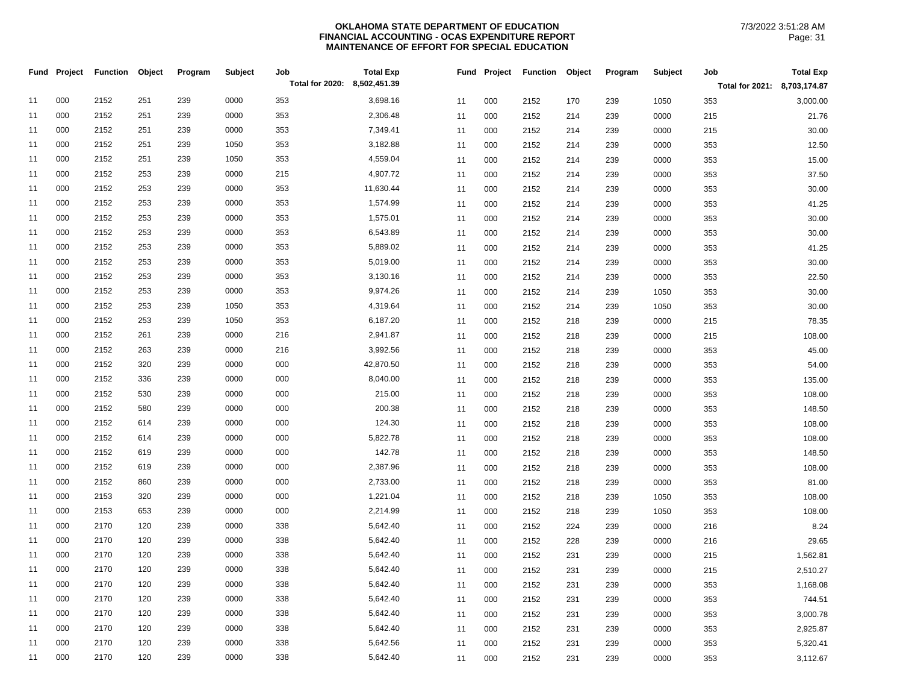| Total for 2020: 8,502,451.39<br>Total for 2021: 8,703,174.87<br>000<br>239<br>0000<br>2152<br>251<br>353<br>3,698.16<br>11<br>11<br>000<br>2152<br>170<br>239<br>1050<br>353<br>000<br>239<br>0000<br>353<br>2,306.48<br>11<br>2152<br>251<br>11<br>000<br>2152<br>0000<br>215<br>214<br>239<br>000<br>239<br>0000<br>7,349.41<br>2152<br>251<br>353<br>11<br>000<br>2152<br>239<br>0000<br>215<br>11<br>214 | 3,000.00<br>21.76<br>30.00<br>12.50<br>15.00<br>37.50 |
|--------------------------------------------------------------------------------------------------------------------------------------------------------------------------------------------------------------------------------------------------------------------------------------------------------------------------------------------------------------------------------------------------------------|-------------------------------------------------------|
|                                                                                                                                                                                                                                                                                                                                                                                                              |                                                       |
|                                                                                                                                                                                                                                                                                                                                                                                                              |                                                       |
|                                                                                                                                                                                                                                                                                                                                                                                                              |                                                       |
|                                                                                                                                                                                                                                                                                                                                                                                                              |                                                       |
| 000<br>3,182.88<br>2152<br>251<br>239<br>1050<br>353<br>11<br>11<br>000<br>2152<br>214<br>239<br>0000<br>353                                                                                                                                                                                                                                                                                                 |                                                       |
| 000<br>4,559.04<br>2152<br>251<br>239<br>1050<br>353<br>11<br>000<br>0000<br>353<br>11<br>2152<br>214<br>239                                                                                                                                                                                                                                                                                                 |                                                       |
| 000<br>4,907.72<br>2152<br>253<br>239<br>0000<br>215<br>11<br>000<br>11<br>2152<br>214<br>239<br>0000<br>353                                                                                                                                                                                                                                                                                                 |                                                       |
| 000<br>353<br>11,630.44<br>2152<br>253<br>239<br>0000<br>11<br>000<br>0000<br>11<br>2152<br>214<br>239<br>353                                                                                                                                                                                                                                                                                                | 30.00                                                 |
| 000<br>2152<br>253<br>239<br>0000<br>353<br>1,574.99<br>11<br>11<br>000<br>2152<br>214<br>239<br>0000<br>353                                                                                                                                                                                                                                                                                                 | 41.25                                                 |
| 000<br>239<br>0000<br>1,575.01<br>2152<br>253<br>353<br>11<br>000<br>2152<br>0000<br>11<br>214<br>239<br>353                                                                                                                                                                                                                                                                                                 | 30.00                                                 |
| 000<br>239<br>0000<br>6,543.89<br>2152<br>253<br>353<br>11<br>000<br>2152<br>239<br>0000<br>353<br>11<br>214                                                                                                                                                                                                                                                                                                 | 30.00                                                 |
| 000<br>239<br>0000<br>353<br>5,889.02<br>2152<br>253<br>11<br>0000<br>11<br>000<br>2152<br>214<br>239<br>353                                                                                                                                                                                                                                                                                                 | 41.25                                                 |
| 000<br>5,019.00<br>2152<br>253<br>239<br>0000<br>353<br>11<br>000<br>2152<br>239<br>0000<br>353<br>11<br>214                                                                                                                                                                                                                                                                                                 | 30.00                                                 |
| 000<br>3,130.16<br>2152<br>253<br>239<br>0000<br>353<br>000<br>0000<br>11<br>11<br>2152<br>214<br>239<br>353                                                                                                                                                                                                                                                                                                 | 22.50                                                 |
| 000<br>239<br>353<br>9,974.26<br>2152<br>253<br>0000<br>11<br>000<br>1050<br>11<br>2152<br>214<br>239<br>353                                                                                                                                                                                                                                                                                                 | 30.00                                                 |
| 000<br>4,319.64<br>2152<br>253<br>239<br>1050<br>353<br>11<br>000<br>2152<br>1050<br>11<br>214<br>239<br>353                                                                                                                                                                                                                                                                                                 | 30.00                                                 |
| 000<br>353<br>6,187.20<br>2152<br>253<br>239<br>1050<br>11<br>000<br>2152<br>0000<br>11<br>218<br>239<br>215                                                                                                                                                                                                                                                                                                 | 78.35                                                 |
| 000<br>239<br>0000<br>216<br>2,941.87<br>2152<br>261<br>000<br>2152<br>0000<br>11<br>11<br>218<br>239<br>215                                                                                                                                                                                                                                                                                                 | 108.00                                                |
| 000<br>239<br>0000<br>216<br>3,992.56<br>2152<br>263<br>11<br>000<br>11<br>2152<br>218<br>239<br>0000<br>353                                                                                                                                                                                                                                                                                                 | 45.00                                                 |
| 000<br>42,870.50<br>2152<br>320<br>239<br>0000<br>000<br>11<br>11<br>000<br>2152<br>0000<br>353<br>218<br>239                                                                                                                                                                                                                                                                                                | 54.00                                                 |
| 000<br>239<br>0000<br>000<br>8,040.00<br>2152<br>336<br>11<br>000<br>11<br>2152<br>218<br>239<br>0000<br>353                                                                                                                                                                                                                                                                                                 | 135.00                                                |
| 000<br>215.00<br>2152<br>530<br>239<br>0000<br>000<br>000<br>2152<br>0000<br>11<br>11<br>218<br>239<br>353                                                                                                                                                                                                                                                                                                   | 108.00                                                |
| 000<br>200.38<br>2152<br>580<br>239<br>0000<br>000<br>11<br>11<br>000<br>2152<br>218<br>239<br>0000<br>353                                                                                                                                                                                                                                                                                                   | 148.50                                                |
| 000<br>124.30<br>2152<br>614<br>239<br>0000<br>000<br>11<br>000<br>2152<br>0000<br>11<br>218<br>239<br>353                                                                                                                                                                                                                                                                                                   | 108.00                                                |
| 000<br>0000<br>5,822.78<br>2152<br>614<br>239<br>000<br>11<br>000<br>2152<br>0000<br>353<br>11<br>218<br>239                                                                                                                                                                                                                                                                                                 | 108.00                                                |
| 000<br>239<br>0000<br>000<br>142.78<br>2152<br>619<br>000<br>0000<br>11<br>11<br>2152<br>218<br>239<br>353                                                                                                                                                                                                                                                                                                   | 148.50                                                |
| 000<br>2,387.96<br>2152<br>619<br>239<br>0000<br>000<br>11<br>11<br>000<br>2152<br>239<br>0000<br>353<br>218                                                                                                                                                                                                                                                                                                 | 108.00                                                |
| 000<br>239<br>0000<br>2,733.00<br>2152<br>860<br>000<br>11<br>000<br>0000<br>11<br>2152<br>218<br>239<br>353                                                                                                                                                                                                                                                                                                 | 81.00                                                 |
| 000<br>1,221.04<br>2153<br>320<br>239<br>0000<br>000<br>11<br>11<br>000<br>2152<br>239<br>1050<br>218<br>353                                                                                                                                                                                                                                                                                                 | 108.00                                                |
| 000<br>2,214.99<br>2153<br>653<br>239<br>0000<br>000<br>11<br>11<br>000<br>2152<br>218<br>239<br>1050<br>353                                                                                                                                                                                                                                                                                                 | 108.00                                                |
| 000<br>5,642.40<br>2170<br>120<br>239<br>0000<br>338<br>11<br>000<br>2152<br>0000<br>11<br>224<br>239<br>216                                                                                                                                                                                                                                                                                                 | 8.24                                                  |
| 000<br>0000<br>5,642.40<br>2170<br>120<br>239<br>338<br>11<br>000<br>2152<br>239<br>0000<br>11<br>228<br>216                                                                                                                                                                                                                                                                                                 | 29.65                                                 |
| 000<br>2170<br>120<br>239<br>0000<br>338<br>5,642.40<br>11<br>000<br>0000<br>215<br>11<br>2152<br>231<br>239                                                                                                                                                                                                                                                                                                 | 1,562.81                                              |
| 000<br>2170<br>0000<br>120<br>239<br>338<br>5,642.40<br>000<br>2152<br>231<br>239<br>0000<br>11<br>11<br>215                                                                                                                                                                                                                                                                                                 | 2,510.27                                              |
| 000<br>2170<br>239<br>0000<br>5,642.40<br>120<br>338<br>11<br>11<br>000<br>2152<br>231<br>239<br>0000<br>353                                                                                                                                                                                                                                                                                                 | 1,168.08                                              |
| 000<br>2170<br>239<br>0000<br>338<br>5,642.40<br>120<br>11<br>11<br>000<br>2152<br>239<br>0000<br>353<br>231                                                                                                                                                                                                                                                                                                 | 744.51                                                |
| 000<br>2170<br>120<br>239<br>0000<br>338<br>5,642.40<br>11<br>11<br>000<br>2152<br>231<br>239<br>0000<br>353                                                                                                                                                                                                                                                                                                 | 3,000.78                                              |
| 000<br>2170<br>120<br>239<br>0000<br>338<br>5,642.40<br>11<br>11<br>2152<br>239<br>0000<br>000<br>231<br>353                                                                                                                                                                                                                                                                                                 | 2,925.87                                              |
| 000<br>239<br>0000<br>5,642.56<br>2170<br>120<br>338<br>11<br>11<br>000<br>2152<br>239<br>0000<br>231<br>353                                                                                                                                                                                                                                                                                                 | 5,320.41                                              |
| 000<br>2170<br>120<br>239<br>0000<br>338<br>5,642.40<br>11<br>11<br>000<br>2152<br>0000<br>231<br>239<br>353                                                                                                                                                                                                                                                                                                 | 3,112.67                                              |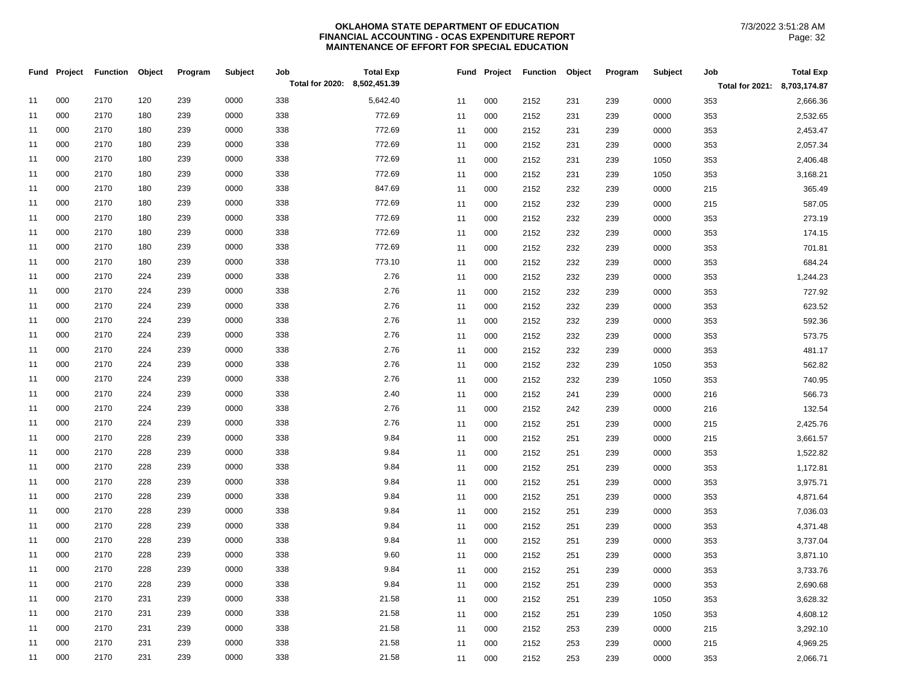|    | Fund Project | <b>Function</b> | Object | Program | Subject | Job                          | <b>Total Exp</b> | Fund | Project | <b>Function</b> | Object | Program | Subject | Job                          | <b>Total Exp</b> |
|----|--------------|-----------------|--------|---------|---------|------------------------------|------------------|------|---------|-----------------|--------|---------|---------|------------------------------|------------------|
|    |              |                 |        |         |         | Total for 2020: 8,502,451.39 |                  |      |         |                 |        |         |         | Total for 2021: 8,703,174.87 |                  |
| 11 | 000          | 2170            | 120    | 239     | 0000    | 338                          | 5,642.40         | 11   | 000     | 2152            | 231    | 239     | 0000    | 353                          | 2,666.36         |
| 11 | 000          | 2170            | 180    | 239     | 0000    | 338                          | 772.69           | 11   | 000     | 2152            | 231    | 239     | 0000    | 353                          | 2,532.65         |
| 11 | 000          | 2170            | 180    | 239     | 0000    | 338                          | 772.69           | 11   | 000     | 2152            | 231    | 239     | 0000    | 353                          | 2,453.47         |
| 11 | 000          | 2170            | 180    | 239     | 0000    | 338                          | 772.69           | 11   | 000     | 2152            | 231    | 239     | 0000    | 353                          | 2,057.34         |
| 11 | 000          | 2170            | 180    | 239     | 0000    | 338                          | 772.69           | 11   | 000     | 2152            | 231    | 239     | 1050    | 353                          | 2,406.48         |
| 11 | 000          | 2170            | 180    | 239     | 0000    | 338                          | 772.69           | 11   | 000     | 2152            | 231    | 239     | 1050    | 353                          | 3,168.21         |
| 11 | 000          | 2170            | 180    | 239     | 0000    | 338                          | 847.69           | 11   | 000     | 2152            | 232    | 239     | 0000    | 215                          | 365.49           |
| 11 | 000          | 2170            | 180    | 239     | 0000    | 338                          | 772.69           | 11   | 000     | 2152            | 232    | 239     | 0000    | 215                          | 587.05           |
| 11 | 000          | 2170            | 180    | 239     | 0000    | 338                          | 772.69           | 11   | 000     | 2152            | 232    | 239     | 0000    | 353                          | 273.19           |
| 11 | 000          | 2170            | 180    | 239     | 0000    | 338                          | 772.69           | 11   | 000     | 2152            | 232    | 239     | 0000    | 353                          | 174.15           |
| 11 | 000          | 2170            | 180    | 239     | 0000    | 338                          | 772.69           | 11   | 000     | 2152            | 232    | 239     | 0000    | 353                          | 701.81           |
| 11 | 000          | 2170            | 180    | 239     | 0000    | 338                          | 773.10           | 11   | 000     | 2152            | 232    | 239     | 0000    | 353                          | 684.24           |
| 11 | 000          | 2170            | 224    | 239     | 0000    | 338                          | 2.76             | 11   | 000     | 2152            | 232    | 239     | 0000    | 353                          | 1,244.23         |
| 11 | 000          | 2170            | 224    | 239     | 0000    | 338                          | 2.76             | 11   | 000     | 2152            | 232    | 239     | 0000    | 353                          | 727.92           |
| 11 | 000          | 2170            | 224    | 239     | 0000    | 338                          | 2.76             | 11   | 000     | 2152            | 232    | 239     | 0000    | 353                          | 623.52           |
| 11 | 000          | 2170            | 224    | 239     | 0000    | 338                          | 2.76             | 11   | 000     | 2152            | 232    | 239     | 0000    | 353                          | 592.36           |
| 11 | 000          | 2170            | 224    | 239     | 0000    | 338                          | 2.76             | 11   | 000     | 2152            | 232    | 239     | 0000    | 353                          | 573.75           |
| 11 | 000          | 2170            | 224    | 239     | 0000    | 338                          | 2.76             | 11   | 000     | 2152            | 232    | 239     | 0000    | 353                          | 481.17           |
| 11 | 000          | 2170            | 224    | 239     | 0000    | 338                          | 2.76             | 11   | 000     | 2152            | 232    | 239     | 1050    | 353                          | 562.82           |
| 11 | 000          | 2170            | 224    | 239     | 0000    | 338                          | 2.76             | 11   | 000     | 2152            | 232    | 239     | 1050    | 353                          | 740.95           |
| 11 | 000          | 2170            | 224    | 239     | 0000    | 338                          | 2.40             | 11   | 000     | 2152            | 241    | 239     | 0000    | 216                          | 566.73           |
| 11 | 000          | 2170            | 224    | 239     | 0000    | 338                          | 2.76             | 11   | 000     | 2152            | 242    | 239     | 0000    | 216                          | 132.54           |
| 11 | 000          | 2170            | 224    | 239     | 0000    | 338                          | 2.76             | 11   | 000     | 2152            | 251    | 239     | 0000    | 215                          | 2,425.76         |
| 11 | 000          | 2170            | 228    | 239     | 0000    | 338                          | 9.84             | 11   | 000     | 2152            | 251    | 239     | 0000    | 215                          | 3,661.57         |
| 11 | 000          | 2170            | 228    | 239     | 0000    | 338                          | 9.84             | 11   | 000     | 2152            | 251    | 239     | 0000    | 353                          | 1,522.82         |
| 11 | 000          | 2170            | 228    | 239     | 0000    | 338                          | 9.84             | 11   | 000     | 2152            | 251    | 239     | 0000    | 353                          | 1,172.81         |
| 11 | 000          | 2170            | 228    | 239     | 0000    | 338                          | 9.84             | 11   | 000     | 2152            | 251    | 239     | 0000    | 353                          | 3,975.71         |
| 11 | 000          | 2170            | 228    | 239     | 0000    | 338                          | 9.84             | 11   | 000     | 2152            | 251    | 239     | 0000    | 353                          | 4,871.64         |
| 11 | 000          | 2170            | 228    | 239     | 0000    | 338                          | 9.84             | 11   | 000     | 2152            | 251    | 239     | 0000    | 353                          | 7,036.03         |
| 11 | 000          | 2170            | 228    | 239     | 0000    | 338                          | 9.84             | 11   | 000     | 2152            | 251    | 239     | 0000    | 353                          | 4,371.48         |
| 11 | 000          | 2170            | 228    | 239     | 0000    | 338                          | 9.84             | 11   | 000     | 2152            | 251    | 239     | 0000    | 353                          | 3,737.04         |
| 11 | 000          | 2170            | 228    | 239     | 0000    | 338                          | 9.60             | 11   | 000     | 2152            | 251    | 239     | 0000    | 353                          | 3,871.10         |
| 11 | 000          | 2170            | 228    | 239     | 0000    | 338                          | 9.84             | 11   | 000     | 2152            | 251    | 239     | 0000    | 353                          | 3,733.76         |
| 11 | 000          | 2170            | 228    | 239     | 0000    | 338                          | 9.84             | 11   | 000     | 2152            | 251    | 239     | 0000    | 353                          | 2,690.68         |
| 11 | 000          | 2170            | 231    | 239     | 0000    | 338                          | 21.58            | 11   | 000     | 2152            | 251    | 239     | 1050    | 353                          | 3,628.32         |
| 11 | 000          | 2170            | 231    | 239     | 0000    | 338                          | 21.58            | 11   | 000     | 2152            | 251    | 239     | 1050    | 353                          | 4,608.12         |
| 11 | 000          | 2170            | 231    | 239     | 0000    | 338                          | 21.58            | 11   | 000     | 2152            | 253    | 239     | 0000    | 215                          | 3,292.10         |
| 11 | 000          | 2170            | 231    | 239     | 0000    | 338                          | 21.58            | 11   | 000     | 2152            | 253    | 239     | 0000    | 215                          | 4,969.25         |
| 11 | 000          | 2170            | 231    | 239     | 0000    | 338                          | 21.58            | 11   | 000     | 2152            | 253    | 239     | 0000    | 353                          | 2,066.71         |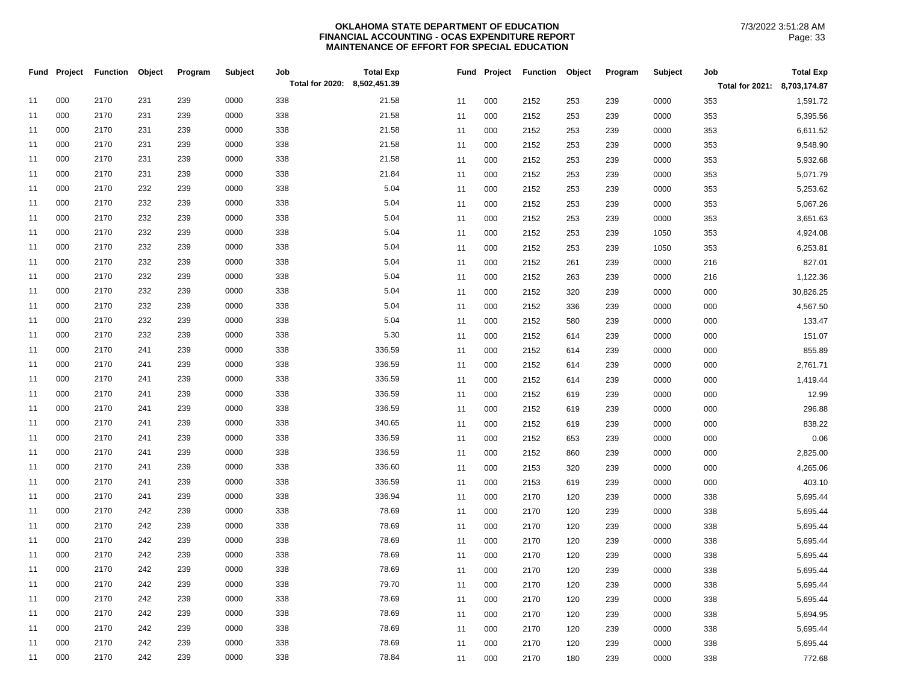|    | Fund Project | <b>Function</b> | Object | Program | <b>Subject</b> | Job<br>Total for 2020: 8,502,451.39 | <b>Total Exp</b> |    | Fund Project | <b>Function</b> | Object | Program | <b>Subject</b> | Job                          | <b>Total Exp</b> |
|----|--------------|-----------------|--------|---------|----------------|-------------------------------------|------------------|----|--------------|-----------------|--------|---------|----------------|------------------------------|------------------|
|    |              |                 |        |         |                |                                     |                  |    |              |                 |        |         |                | Total for 2021: 8,703,174.87 |                  |
| 11 | 000          | 2170            | 231    | 239     | 0000           | 338                                 | 21.58            | 11 | 000          | 2152            | 253    | 239     | 0000           | 353                          | 1,591.72         |
| 11 | 000          | 2170            | 231    | 239     | 0000           | 338                                 | 21.58            | 11 | 000          | 2152            | 253    | 239     | 0000           | 353                          | 5,395.56         |
| 11 | 000          | 2170            | 231    | 239     | 0000           | 338                                 | 21.58            | 11 | 000          | 2152            | 253    | 239     | 0000           | 353                          | 6,611.52         |
| 11 | 000          | 2170            | 231    | 239     | 0000           | 338                                 | 21.58            | 11 | 000          | 2152            | 253    | 239     | 0000           | 353                          | 9,548.90         |
| 11 | 000          | 2170            | 231    | 239     | 0000           | 338                                 | 21.58            | 11 | 000          | 2152            | 253    | 239     | 0000           | 353                          | 5,932.68         |
| 11 | 000          | 2170            | 231    | 239     | 0000           | 338                                 | 21.84            | 11 | 000          | 2152            | 253    | 239     | 0000           | 353                          | 5,071.79         |
| 11 | 000          | 2170            | 232    | 239     | 0000           | 338                                 | 5.04             | 11 | 000          | 2152            | 253    | 239     | 0000           | 353                          | 5,253.62         |
| 11 | 000          | 2170            | 232    | 239     | 0000           | 338                                 | 5.04             | 11 | 000          | 2152            | 253    | 239     | 0000           | 353                          | 5,067.26         |
| 11 | 000          | 2170            | 232    | 239     | 0000           | 338                                 | 5.04             | 11 | 000          | 2152            | 253    | 239     | 0000           | 353                          | 3,651.63         |
| 11 | 000          | 2170            | 232    | 239     | 0000           | 338                                 | 5.04             | 11 | 000          | 2152            | 253    | 239     | 1050           | 353                          | 4,924.08         |
| 11 | 000          | 2170            | 232    | 239     | 0000           | 338                                 | 5.04             | 11 | 000          | 2152            | 253    | 239     | 1050           | 353                          | 6,253.81         |
| 11 | 000          | 2170            | 232    | 239     | 0000           | 338                                 | 5.04             | 11 | 000          | 2152            | 261    | 239     | 0000           | 216                          | 827.01           |
| 11 | 000          | 2170            | 232    | 239     | 0000           | 338                                 | 5.04             | 11 | 000          | 2152            | 263    | 239     | 0000           | 216                          | 1,122.36         |
| 11 | 000          | 2170            | 232    | 239     | 0000           | 338                                 | 5.04             | 11 | 000          | 2152            | 320    | 239     | 0000           | 000                          | 30,826.25        |
| 11 | 000          | 2170            | 232    | 239     | 0000           | 338                                 | 5.04             | 11 | 000          | 2152            | 336    | 239     | 0000           | 000                          | 4,567.50         |
| 11 | 000          | 2170            | 232    | 239     | 0000           | 338                                 | 5.04             | 11 | 000          | 2152            | 580    | 239     | 0000           | 000                          | 133.47           |
| 11 | 000          | 2170            | 232    | 239     | 0000           | 338                                 | 5.30             | 11 | 000          | 2152            | 614    | 239     | 0000           | 000                          | 151.07           |
| 11 | 000          | 2170            | 241    | 239     | 0000           | 338                                 | 336.59           | 11 | 000          | 2152            | 614    | 239     | 0000           | 000                          | 855.89           |
| 11 | 000          | 2170            | 241    | 239     | 0000           | 338                                 | 336.59           | 11 | 000          | 2152            | 614    | 239     | 0000           | 000                          | 2,761.71         |
| 11 | 000          | 2170            | 241    | 239     | 0000           | 338                                 | 336.59           | 11 | 000          | 2152            | 614    | 239     | 0000           | 000                          | 1,419.44         |
| 11 | 000          | 2170            | 241    | 239     | 0000           | 338                                 | 336.59           | 11 | 000          | 2152            | 619    | 239     | 0000           | 000                          | 12.99            |
| 11 | 000          | 2170            | 241    | 239     | 0000           | 338                                 | 336.59           | 11 | 000          | 2152            | 619    | 239     | 0000           | 000                          | 296.88           |
| 11 | 000          | 2170            | 241    | 239     | 0000           | 338                                 | 340.65           | 11 | 000          | 2152            | 619    | 239     | 0000           | 000                          | 838.22           |
| 11 | 000          | 2170            | 241    | 239     | 0000           | 338                                 | 336.59           | 11 | 000          | 2152            | 653    | 239     | 0000           | 000                          | 0.06             |
| 11 | 000          | 2170            | 241    | 239     | 0000           | 338                                 | 336.59           | 11 | 000          | 2152            | 860    | 239     | 0000           | 000                          | 2,825.00         |
| 11 | 000          | 2170            | 241    | 239     | 0000           | 338                                 | 336.60           | 11 | 000          | 2153            | 320    | 239     | 0000           | 000                          | 4,265.06         |
| 11 | 000          | 2170            | 241    | 239     | 0000           | 338                                 | 336.59           | 11 | 000          | 2153            | 619    | 239     | 0000           | 000                          | 403.10           |
| 11 | 000          | 2170            | 241    | 239     | 0000           | 338                                 | 336.94           | 11 | 000          | 2170            | 120    | 239     | 0000           | 338                          | 5,695.44         |
| 11 | 000          | 2170            | 242    | 239     | 0000           | 338                                 | 78.69            | 11 | 000          | 2170            | 120    | 239     | 0000           | 338                          | 5,695.44         |
| 11 | 000          | 2170            | 242    | 239     | 0000           | 338                                 | 78.69            | 11 | 000          | 2170            | 120    | 239     | 0000           | 338                          | 5,695.44         |
| 11 | 000          | 2170            | 242    | 239     | 0000           | 338                                 | 78.69            | 11 | 000          | 2170            | 120    | 239     | 0000           | 338                          | 5,695.44         |
| 11 | 000          | 2170            | 242    | 239     | 0000           | 338                                 | 78.69            | 11 | 000          | 2170            | 120    | 239     | 0000           | 338                          | 5,695.44         |
| 11 | 000          | 2170            | 242    | 239     | 0000           | 338                                 | 78.69            | 11 | 000          | 2170            | 120    | 239     | 0000           | 338                          | 5,695.44         |
| 11 | 000          | 2170            | 242    | 239     | 0000           | 338                                 | 79.70            | 11 | 000          | 2170            | 120    | 239     | 0000           | 338                          | 5,695.44         |
| 11 | 000          | 2170            | 242    | 239     | 0000           | 338                                 | 78.69            | 11 | 000          | 2170            | 120    | 239     | 0000           | 338                          | 5,695.44         |
| 11 | 000          | 2170            | 242    | 239     | 0000           | 338                                 | 78.69            | 11 | 000          | 2170            | 120    | 239     | 0000           | 338                          | 5,694.95         |
| 11 | 000          | 2170            | 242    | 239     | 0000           | 338                                 | 78.69            | 11 | 000          | 2170            | 120    | 239     | 0000           | 338                          | 5,695.44         |
| 11 | 000          | 2170            | 242    | 239     | 0000           | 338                                 | 78.69            | 11 | 000          | 2170            | 120    | 239     | 0000           | 338                          | 5,695.44         |
| 11 | 000          | 2170            | 242    | 239     | 0000           | 338                                 | 78.84            | 11 | 000          | 2170            | 180    | 239     | 0000           | 338                          | 772.68           |
|    |              |                 |        |         |                |                                     |                  |    |              |                 |        |         |                |                              |                  |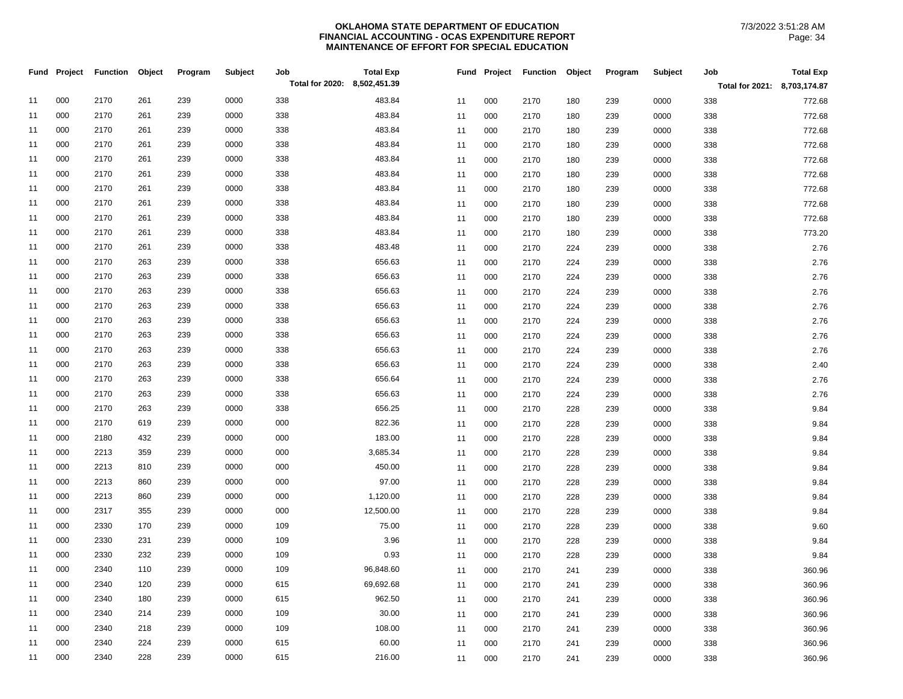|    | Fund Project | <b>Function</b> | Object | Program | Subject | Job                          | <b>Total Exp</b> | Fund | Project | <b>Function</b> | Object | Program | Subject | Job                          | <b>Total Exp</b> |
|----|--------------|-----------------|--------|---------|---------|------------------------------|------------------|------|---------|-----------------|--------|---------|---------|------------------------------|------------------|
|    |              |                 |        |         |         | Total for 2020: 8,502,451.39 |                  |      |         |                 |        |         |         | Total for 2021: 8,703,174.87 |                  |
| 11 | 000          | 2170            | 261    | 239     | 0000    | 338                          | 483.84           | 11   | 000     | 2170            | 180    | 239     | 0000    | 338                          | 772.68           |
| 11 | 000          | 2170            | 261    | 239     | 0000    | 338                          | 483.84           | 11   | 000     | 2170            | 180    | 239     | 0000    | 338                          | 772.68           |
| 11 | 000          | 2170            | 261    | 239     | 0000    | 338                          | 483.84           | 11   | 000     | 2170            | 180    | 239     | 0000    | 338                          | 772.68           |
| 11 | 000          | 2170            | 261    | 239     | 0000    | 338                          | 483.84           | 11   | 000     | 2170            | 180    | 239     | 0000    | 338                          | 772.68           |
| 11 | 000          | 2170            | 261    | 239     | 0000    | 338                          | 483.84           | 11   | 000     | 2170            | 180    | 239     | 0000    | 338                          | 772.68           |
| 11 | 000          | 2170            | 261    | 239     | 0000    | 338                          | 483.84           | 11   | 000     | 2170            | 180    | 239     | 0000    | 338                          | 772.68           |
| 11 | 000          | 2170            | 261    | 239     | 0000    | 338                          | 483.84           | 11   | 000     | 2170            | 180    | 239     | 0000    | 338                          | 772.68           |
| 11 | 000          | 2170            | 261    | 239     | 0000    | 338                          | 483.84           | 11   | 000     | 2170            | 180    | 239     | 0000    | 338                          | 772.68           |
| 11 | 000          | 2170            | 261    | 239     | 0000    | 338                          | 483.84           | 11   | 000     | 2170            | 180    | 239     | 0000    | 338                          | 772.68           |
| 11 | 000          | 2170            | 261    | 239     | 0000    | 338                          | 483.84           | 11   | 000     | 2170            | 180    | 239     | 0000    | 338                          | 773.20           |
| 11 | 000          | 2170            | 261    | 239     | 0000    | 338                          | 483.48           | 11   | 000     | 2170            | 224    | 239     | 0000    | 338                          | 2.76             |
| 11 | 000          | 2170            | 263    | 239     | 0000    | 338                          | 656.63           | 11   | 000     | 2170            | 224    | 239     | 0000    | 338                          | 2.76             |
| 11 | 000          | 2170            | 263    | 239     | 0000    | 338                          | 656.63           | 11   | 000     | 2170            | 224    | 239     | 0000    | 338                          | 2.76             |
| 11 | 000          | 2170            | 263    | 239     | 0000    | 338                          | 656.63           | 11   | 000     | 2170            | 224    | 239     | 0000    | 338                          | 2.76             |
| 11 | 000          | 2170            | 263    | 239     | 0000    | 338                          | 656.63           | 11   | 000     | 2170            | 224    | 239     | 0000    | 338                          | 2.76             |
| 11 | 000          | 2170            | 263    | 239     | 0000    | 338                          | 656.63           | 11   | 000     | 2170            | 224    | 239     | 0000    | 338                          | 2.76             |
| 11 | 000          | 2170            | 263    | 239     | 0000    | 338                          | 656.63           | 11   | 000     | 2170            | 224    | 239     | 0000    | 338                          | 2.76             |
| 11 | 000          | 2170            | 263    | 239     | 0000    | 338                          | 656.63           | 11   | 000     | 2170            | 224    | 239     | 0000    | 338                          | 2.76             |
| 11 | 000          | 2170            | 263    | 239     | 0000    | 338                          | 656.63           | 11   | 000     | 2170            | 224    | 239     | 0000    | 338                          | 2.40             |
| 11 | 000          | 2170            | 263    | 239     | 0000    | 338                          | 656.64           | 11   | 000     | 2170            | 224    | 239     | 0000    | 338                          | 2.76             |
| 11 | 000          | 2170            | 263    | 239     | 0000    | 338                          | 656.63           | 11   | 000     | 2170            | 224    | 239     | 0000    | 338                          | 2.76             |
| 11 | 000          | 2170            | 263    | 239     | 0000    | 338                          | 656.25           | 11   | 000     | 2170            | 228    | 239     | 0000    | 338                          | 9.84             |
| 11 | 000          | 2170            | 619    | 239     | 0000    | 000                          | 822.36           | 11   | 000     | 2170            | 228    | 239     | 0000    | 338                          | 9.84             |
| 11 | 000          | 2180            | 432    | 239     | 0000    | 000                          | 183.00           | 11   | 000     | 2170            | 228    | 239     | 0000    | 338                          | 9.84             |
| 11 | 000          | 2213            | 359    | 239     | 0000    | 000                          | 3,685.34         | 11   | 000     | 2170            | 228    | 239     | 0000    | 338                          | 9.84             |
| 11 | 000          | 2213            | 810    | 239     | 0000    | 000                          | 450.00           | 11   | 000     | 2170            | 228    | 239     | 0000    | 338                          | 9.84             |
| 11 | 000          | 2213            | 860    | 239     | 0000    | 000                          | 97.00            | 11   | 000     | 2170            | 228    | 239     | 0000    | 338                          | 9.84             |
| 11 | 000          | 2213            | 860    | 239     | 0000    | 000                          | 1,120.00         | 11   | 000     | 2170            | 228    | 239     | 0000    | 338                          | 9.84             |
| 11 | 000          | 2317            | 355    | 239     | 0000    | 000                          | 12,500.00        | 11   | 000     | 2170            | 228    | 239     | 0000    | 338                          | 9.84             |
| 11 | 000          | 2330            | 170    | 239     | 0000    | 109                          | 75.00            | 11   | 000     | 2170            | 228    | 239     | 0000    | 338                          | 9.60             |
| 11 | 000          | 2330            | 231    | 239     | 0000    | 109                          | 3.96             | 11   | 000     | 2170            | 228    | 239     | 0000    | 338                          | 9.84             |
| 11 | 000          | 2330            | 232    | 239     | 0000    | 109                          | 0.93             | 11   | 000     | 2170            | 228    | 239     | 0000    | 338                          | 9.84             |
| 11 | 000          | 2340            | 110    | 239     | 0000    | 109                          | 96,848.60        | 11   | 000     | 2170            | 241    | 239     | 0000    | 338                          | 360.96           |
| 11 | 000          | 2340            | 120    | 239     | 0000    | 615                          | 69,692.68        | 11   | 000     | 2170            | 241    | 239     | 0000    | 338                          | 360.96           |
| 11 | 000          | 2340            | 180    | 239     | 0000    | 615                          | 962.50           | 11   | 000     | 2170            | 241    | 239     | 0000    | 338                          | 360.96           |
| 11 | 000          | 2340            | 214    | 239     | 0000    | 109                          | 30.00            | 11   | 000     | 2170            | 241    | 239     | 0000    | 338                          | 360.96           |
| 11 | 000          | 2340            | 218    | 239     | 0000    | 109                          | 108.00           | 11   | 000     | 2170            | 241    | 239     | 0000    | 338                          | 360.96           |
| 11 | 000          | 2340            | 224    | 239     | 0000    | 615                          | 60.00            | 11   | 000     | 2170            | 241    | 239     | 0000    | 338                          | 360.96           |
| 11 | 000          | 2340            | 228    | 239     | 0000    | 615                          | 216.00           | 11   | 000     | 2170            | 241    | 239     | 0000    | 338                          | 360.96           |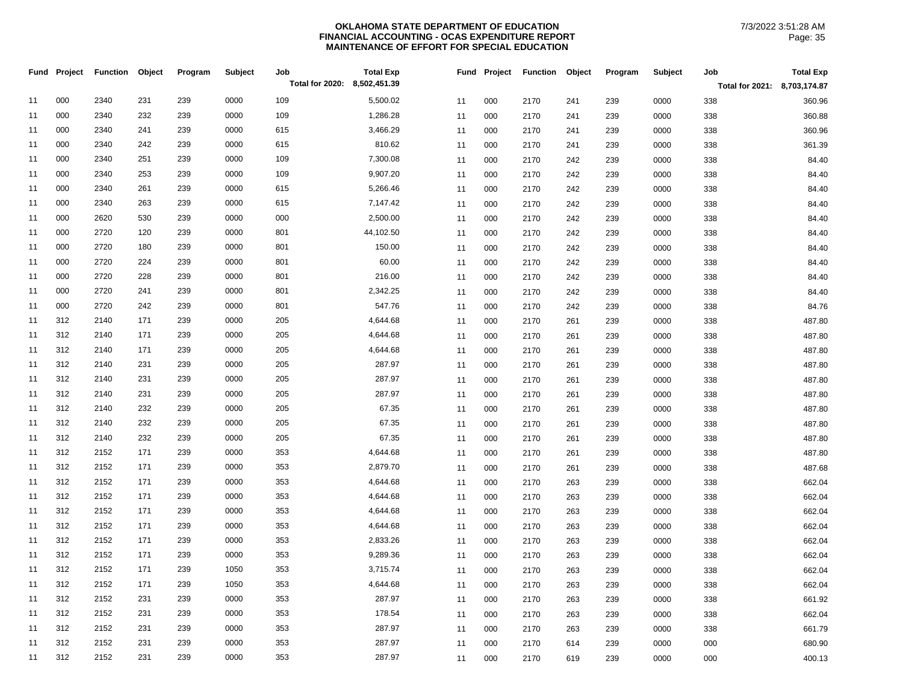|    | Fund Project | <b>Function</b> | Object | Program | Subject | Job                          | <b>Total Exp</b> | Fund | Project | <b>Function</b> | Object | Program | Subject | Job                          | <b>Total Exp</b> |
|----|--------------|-----------------|--------|---------|---------|------------------------------|------------------|------|---------|-----------------|--------|---------|---------|------------------------------|------------------|
|    |              |                 |        |         |         | Total for 2020: 8,502,451.39 |                  |      |         |                 |        |         |         | Total for 2021: 8,703,174.87 |                  |
| 11 | 000          | 2340            | 231    | 239     | 0000    | 109                          | 5,500.02         | 11   | 000     | 2170            | 241    | 239     | 0000    | 338                          | 360.96           |
| 11 | 000          | 2340            | 232    | 239     | 0000    | 109                          | 1,286.28         | 11   | 000     | 2170            | 241    | 239     | 0000    | 338                          | 360.88           |
| 11 | 000          | 2340            | 241    | 239     | 0000    | 615                          | 3,466.29         | 11   | 000     | 2170            | 241    | 239     | 0000    | 338                          | 360.96           |
| 11 | 000          | 2340            | 242    | 239     | 0000    | 615                          | 810.62           | 11   | 000     | 2170            | 241    | 239     | 0000    | 338                          | 361.39           |
| 11 | 000          | 2340            | 251    | 239     | 0000    | 109                          | 7,300.08         | 11   | 000     | 2170            | 242    | 239     | 0000    | 338                          | 84.40            |
| 11 | 000          | 2340            | 253    | 239     | 0000    | 109                          | 9,907.20         | 11   | 000     | 2170            | 242    | 239     | 0000    | 338                          | 84.40            |
| 11 | 000          | 2340            | 261    | 239     | 0000    | 615                          | 5,266.46         | 11   | 000     | 2170            | 242    | 239     | 0000    | 338                          | 84.40            |
| 11 | 000          | 2340            | 263    | 239     | 0000    | 615                          | 7,147.42         | 11   | 000     | 2170            | 242    | 239     | 0000    | 338                          | 84.40            |
| 11 | 000          | 2620            | 530    | 239     | 0000    | 000                          | 2,500.00         | 11   | 000     | 2170            | 242    | 239     | 0000    | 338                          | 84.40            |
| 11 | 000          | 2720            | 120    | 239     | 0000    | 801                          | 44,102.50        | 11   | 000     | 2170            | 242    | 239     | 0000    | 338                          | 84.40            |
| 11 | 000          | 2720            | 180    | 239     | 0000    | 801                          | 150.00           | 11   | 000     | 2170            | 242    | 239     | 0000    | 338                          | 84.40            |
| 11 | 000          | 2720            | 224    | 239     | 0000    | 801                          | 60.00            | 11   | 000     | 2170            | 242    | 239     | 0000    | 338                          | 84.40            |
| 11 | 000          | 2720            | 228    | 239     | 0000    | 801                          | 216.00           | 11   | 000     | 2170            | 242    | 239     | 0000    | 338                          | 84.40            |
| 11 | 000          | 2720            | 241    | 239     | 0000    | 801                          | 2,342.25         | 11   | 000     | 2170            | 242    | 239     | 0000    | 338                          | 84.40            |
| 11 | 000          | 2720            | 242    | 239     | 0000    | 801                          | 547.76           | 11   | 000     | 2170            | 242    | 239     | 0000    | 338                          | 84.76            |
| 11 | 312          | 2140            | 171    | 239     | 0000    | 205                          | 4,644.68         | 11   | 000     | 2170            | 261    | 239     | 0000    | 338                          | 487.80           |
| 11 | 312          | 2140            | 171    | 239     | 0000    | 205                          | 4,644.68         | 11   | 000     | 2170            | 261    | 239     | 0000    | 338                          | 487.80           |
| 11 | 312          | 2140            | 171    | 239     | 0000    | 205                          | 4,644.68         | 11   | 000     | 2170            | 261    | 239     | 0000    | 338                          | 487.80           |
| 11 | 312          | 2140            | 231    | 239     | 0000    | 205                          | 287.97           | 11   | 000     | 2170            | 261    | 239     | 0000    | 338                          | 487.80           |
| 11 | 312          | 2140            | 231    | 239     | 0000    | 205                          | 287.97           | 11   | 000     | 2170            | 261    | 239     | 0000    | 338                          | 487.80           |
| 11 | 312          | 2140            | 231    | 239     | 0000    | 205                          | 287.97           | 11   | 000     | 2170            | 261    | 239     | 0000    | 338                          | 487.80           |
| 11 | 312          | 2140            | 232    | 239     | 0000    | 205                          | 67.35            | 11   | 000     | 2170            | 261    | 239     | 0000    | 338                          | 487.80           |
| 11 | 312          | 2140            | 232    | 239     | 0000    | 205                          | 67.35            | 11   | 000     | 2170            | 261    | 239     | 0000    | 338                          | 487.80           |
| 11 | 312          | 2140            | 232    | 239     | 0000    | 205                          | 67.35            | 11   | 000     | 2170            | 261    | 239     | 0000    | 338                          | 487.80           |
| 11 | 312          | 2152            | 171    | 239     | 0000    | 353                          | 4,644.68         | 11   | 000     | 2170            | 261    | 239     | 0000    | 338                          | 487.80           |
| 11 | 312          | 2152            | 171    | 239     | 0000    | 353                          | 2,879.70         | 11   | 000     | 2170            | 261    | 239     | 0000    | 338                          | 487.68           |
| 11 | 312          | 2152            | 171    | 239     | 0000    | 353                          | 4,644.68         | 11   | 000     | 2170            | 263    | 239     | 0000    | 338                          | 662.04           |
| 11 | 312          | 2152            | 171    | 239     | 0000    | 353                          | 4,644.68         | 11   | 000     | 2170            | 263    | 239     | 0000    | 338                          | 662.04           |
| 11 | 312          | 2152            | 171    | 239     | 0000    | 353                          | 4,644.68         | 11   | 000     | 2170            | 263    | 239     | 0000    | 338                          | 662.04           |
| 11 | 312          | 2152            | 171    | 239     | 0000    | 353                          | 4,644.68         | 11   | 000     | 2170            | 263    | 239     | 0000    | 338                          | 662.04           |
| 11 | 312          | 2152            | 171    | 239     | 0000    | 353                          | 2,833.26         | 11   | 000     | 2170            | 263    | 239     | 0000    | 338                          | 662.04           |
| 11 | 312          | 2152            | 171    | 239     | 0000    | 353                          | 9,289.36         | 11   | 000     | 2170            | 263    | 239     | 0000    | 338                          | 662.04           |
| 11 | 312          | 2152            | 171    | 239     | 1050    | 353                          | 3,715.74         | 11   | 000     | 2170            | 263    | 239     | 0000    | 338                          | 662.04           |
| 11 | 312          | 2152            | 171    | 239     | 1050    | 353                          | 4,644.68         | 11   | 000     | 2170            | 263    | 239     | 0000    | 338                          | 662.04           |
| 11 | 312          | 2152            | 231    | 239     | 0000    | 353                          | 287.97           | 11   | 000     | 2170            | 263    | 239     | 0000    | 338                          | 661.92           |
| 11 | 312          | 2152            | 231    | 239     | 0000    | 353                          | 178.54           | 11   | 000     | 2170            | 263    | 239     | 0000    | 338                          | 662.04           |
| 11 | 312          | 2152            | 231    | 239     | 0000    | 353                          | 287.97           | 11   | 000     | 2170            | 263    | 239     | 0000    | 338                          | 661.79           |
| 11 | 312          | 2152            | 231    | 239     | 0000    | 353                          | 287.97           | 11   | 000     | 2170            | 614    | 239     | 0000    | 000                          | 680.90           |
| 11 | 312          | 2152            | 231    | 239     | 0000    | 353                          | 287.97           | 11   | 000     | 2170            | 619    | 239     | 0000    | 000                          | 400.13           |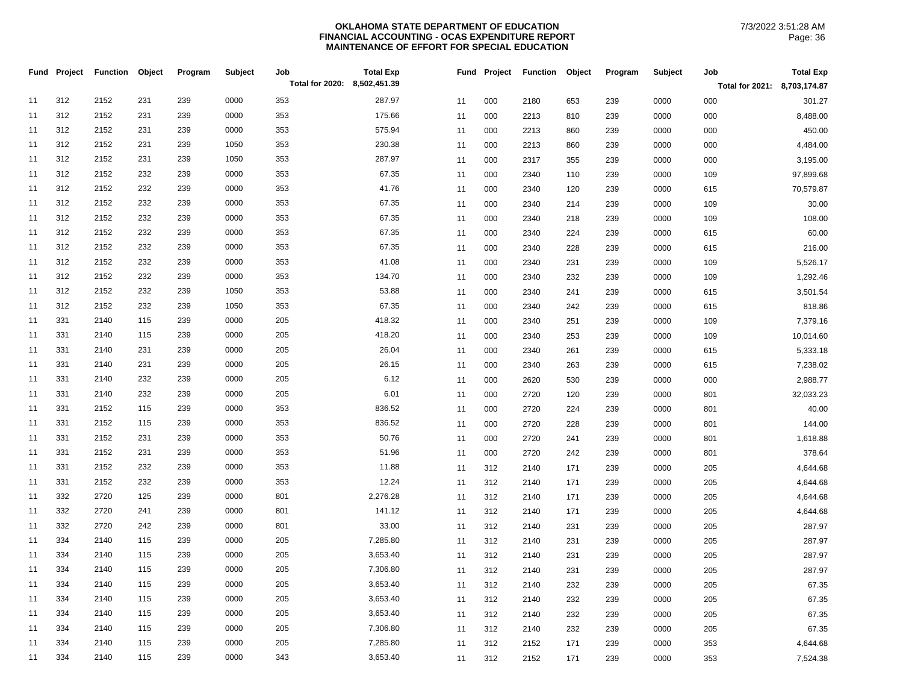| Total for 2021: 8,703,174.87<br>312<br>2152<br>231<br>239<br>0000<br>287.97<br>353<br>301.27<br>11<br>000<br>239<br>0000<br>000<br>11<br>2180<br>653<br>312<br>239<br>0000<br>353<br>175.66<br>2152<br>231<br>8,488.00<br>11<br>000<br>2213<br>0000<br>000<br>11<br>810<br>239<br>312<br>0000<br>353<br>575.94<br>2152<br>231<br>239<br>450.00<br>11<br>000<br>2213<br>0000<br>000<br>11<br>860<br>239<br>312<br>230.38<br>4,484.00<br>2152<br>231<br>239<br>1050<br>353<br>000<br>0000<br>000<br>11<br>11<br>2213<br>860<br>239<br>312<br>1050<br>287.97<br>2152<br>231<br>239<br>353<br>3,195.00<br>11<br>000<br>000<br>11<br>2317<br>355<br>239<br>0000<br>312<br>67.35<br>2152<br>232<br>239<br>0000<br>353<br>11<br>000<br>239<br>0000<br>109<br>97,899.68<br>11<br>2340<br>110<br>312<br>232<br>0000<br>353<br>41.76<br>2152<br>239<br>70,579.87<br>11<br>000<br>11<br>2340<br>120<br>239<br>0000<br>615<br>312<br>67.35<br>2152<br>232<br>239<br>0000<br>353<br>30.00<br>11<br>000<br>239<br>0000<br>109<br>11<br>2340<br>214<br>312<br>232<br>239<br>0000<br>67.35<br>2152<br>353<br>108.00<br>11<br>000<br>0000<br>11<br>2340<br>218<br>239<br>109<br>312<br>232<br>239<br>0000<br>353<br>67.35<br>60.00<br>2152<br>11<br>000<br>0000<br>615<br>11<br>2340<br>224<br>239<br>312<br>0000<br>67.35<br>2152<br>232<br>239<br>353<br>216.00<br>11<br>0000<br>11<br>000<br>2340<br>228<br>239<br>615<br>312<br>232<br>239<br>0000<br>41.08<br>5,526.17<br>2152<br>353<br>000<br>0000<br>109<br>11<br>11<br>2340<br>231<br>239<br>312<br>134.70<br>2152<br>232<br>239<br>0000<br>353<br>000<br>1,292.46<br>11<br>11<br>2340<br>232<br>239<br>0000<br>109<br>312<br>232<br>239<br>1050<br>353<br>53.88<br>2152<br>11<br>000<br>3,501.54<br>11<br>2340<br>241<br>239<br>0000<br>615<br>312<br>67.35<br>2152<br>232<br>239<br>1050<br>353<br>818.86<br>11<br>000<br>242<br>239<br>0000<br>615<br>11<br>2340<br>331<br>115<br>239<br>0000<br>205<br>418.32<br>2140<br>7,379.16<br>11<br>000<br>0000<br>109<br>11<br>2340<br>251<br>239<br>331<br>0000<br>418.20<br>10,014.60<br>11<br>2140<br>115<br>239<br>205<br>000<br>239<br>0000<br>109<br>11<br>2340<br>253<br>331<br>0000<br>26.04<br>2140<br>231<br>239<br>205<br>11<br>000<br>0000<br>5,333.18<br>11<br>2340<br>261<br>239<br>615<br>331<br>0000<br>26.15<br>2140<br>231<br>239<br>205<br>7,238.02<br>11<br>000<br>0000<br>615<br>11<br>2340<br>263<br>239<br>331<br>6.12<br>2140<br>232<br>239<br>0000<br>205<br>2,988.77<br>11<br>000<br>11<br>2620<br>530<br>239<br>0000<br>000<br>331<br>232<br>239<br>0000<br>205<br>6.01<br>32,033.23<br>2140<br>000<br>0000<br>11<br>11<br>2720<br>120<br>239<br>801<br>331<br>836.52<br>2152<br>115<br>239<br>0000<br>353<br>40.00<br>11<br>000<br>2720<br>239<br>0000<br>801<br>11<br>224<br>331<br>239<br>0000<br>836.52<br>144.00<br>2152<br>115<br>353<br>11<br>000<br>0000<br>11<br>2720<br>228<br>239<br>801<br>331<br>239<br>0000<br>50.76<br>2152<br>231<br>353<br>1,618.88<br>11<br>000<br>2720<br>239<br>0000<br>801<br>11<br>241<br>331<br>0000<br>51.96<br>378.64<br>2152<br>231<br>239<br>353<br>000<br>0000<br>801<br>11<br>11<br>2720<br>242<br>239<br>331<br>0000<br>11.88<br>2152<br>232<br>239<br>353<br>4,644.68<br>11<br>312<br>0000<br>205<br>11<br>2140<br>171<br>239<br>331<br>12.24<br>2152<br>232<br>239<br>0000<br>353<br>11<br>312<br>4,644.68<br>11<br>2140<br>171<br>239<br>0000<br>205 |  | <b>Fund Project Function</b> | Object | Program | <b>Subject</b> | Job<br>Total for 2020: | <b>Total Exp</b><br>8,502,451.39 |  | Fund Project | Function | Object | Program | Subject | Job | <b>Total Exp</b> |
|----------------------------------------------------------------------------------------------------------------------------------------------------------------------------------------------------------------------------------------------------------------------------------------------------------------------------------------------------------------------------------------------------------------------------------------------------------------------------------------------------------------------------------------------------------------------------------------------------------------------------------------------------------------------------------------------------------------------------------------------------------------------------------------------------------------------------------------------------------------------------------------------------------------------------------------------------------------------------------------------------------------------------------------------------------------------------------------------------------------------------------------------------------------------------------------------------------------------------------------------------------------------------------------------------------------------------------------------------------------------------------------------------------------------------------------------------------------------------------------------------------------------------------------------------------------------------------------------------------------------------------------------------------------------------------------------------------------------------------------------------------------------------------------------------------------------------------------------------------------------------------------------------------------------------------------------------------------------------------------------------------------------------------------------------------------------------------------------------------------------------------------------------------------------------------------------------------------------------------------------------------------------------------------------------------------------------------------------------------------------------------------------------------------------------------------------------------------------------------------------------------------------------------------------------------------------------------------------------------------------------------------------------------------------------------------------------------------------------------------------------------------------------------------------------------------------------------------------------------------------------------------------------------------------------------------------------------------------------------------------------------------------------------------------------------------------------------------------------------------------------------------------------------------------------------------------------------------------------------------------------------------------------------------------------------------------------------------------------------------------------------------------------------------------|--|------------------------------|--------|---------|----------------|------------------------|----------------------------------|--|--------------|----------|--------|---------|---------|-----|------------------|
|                                                                                                                                                                                                                                                                                                                                                                                                                                                                                                                                                                                                                                                                                                                                                                                                                                                                                                                                                                                                                                                                                                                                                                                                                                                                                                                                                                                                                                                                                                                                                                                                                                                                                                                                                                                                                                                                                                                                                                                                                                                                                                                                                                                                                                                                                                                                                                                                                                                                                                                                                                                                                                                                                                                                                                                                                                                                                                                                                                                                                                                                                                                                                                                                                                                                                                                                                                                                                      |  |                              |        |         |                |                        |                                  |  |              |          |        |         |         |     |                  |
|                                                                                                                                                                                                                                                                                                                                                                                                                                                                                                                                                                                                                                                                                                                                                                                                                                                                                                                                                                                                                                                                                                                                                                                                                                                                                                                                                                                                                                                                                                                                                                                                                                                                                                                                                                                                                                                                                                                                                                                                                                                                                                                                                                                                                                                                                                                                                                                                                                                                                                                                                                                                                                                                                                                                                                                                                                                                                                                                                                                                                                                                                                                                                                                                                                                                                                                                                                                                                      |  |                              |        |         |                |                        |                                  |  |              |          |        |         |         |     |                  |
|                                                                                                                                                                                                                                                                                                                                                                                                                                                                                                                                                                                                                                                                                                                                                                                                                                                                                                                                                                                                                                                                                                                                                                                                                                                                                                                                                                                                                                                                                                                                                                                                                                                                                                                                                                                                                                                                                                                                                                                                                                                                                                                                                                                                                                                                                                                                                                                                                                                                                                                                                                                                                                                                                                                                                                                                                                                                                                                                                                                                                                                                                                                                                                                                                                                                                                                                                                                                                      |  |                              |        |         |                |                        |                                  |  |              |          |        |         |         |     |                  |
|                                                                                                                                                                                                                                                                                                                                                                                                                                                                                                                                                                                                                                                                                                                                                                                                                                                                                                                                                                                                                                                                                                                                                                                                                                                                                                                                                                                                                                                                                                                                                                                                                                                                                                                                                                                                                                                                                                                                                                                                                                                                                                                                                                                                                                                                                                                                                                                                                                                                                                                                                                                                                                                                                                                                                                                                                                                                                                                                                                                                                                                                                                                                                                                                                                                                                                                                                                                                                      |  |                              |        |         |                |                        |                                  |  |              |          |        |         |         |     |                  |
|                                                                                                                                                                                                                                                                                                                                                                                                                                                                                                                                                                                                                                                                                                                                                                                                                                                                                                                                                                                                                                                                                                                                                                                                                                                                                                                                                                                                                                                                                                                                                                                                                                                                                                                                                                                                                                                                                                                                                                                                                                                                                                                                                                                                                                                                                                                                                                                                                                                                                                                                                                                                                                                                                                                                                                                                                                                                                                                                                                                                                                                                                                                                                                                                                                                                                                                                                                                                                      |  |                              |        |         |                |                        |                                  |  |              |          |        |         |         |     |                  |
|                                                                                                                                                                                                                                                                                                                                                                                                                                                                                                                                                                                                                                                                                                                                                                                                                                                                                                                                                                                                                                                                                                                                                                                                                                                                                                                                                                                                                                                                                                                                                                                                                                                                                                                                                                                                                                                                                                                                                                                                                                                                                                                                                                                                                                                                                                                                                                                                                                                                                                                                                                                                                                                                                                                                                                                                                                                                                                                                                                                                                                                                                                                                                                                                                                                                                                                                                                                                                      |  |                              |        |         |                |                        |                                  |  |              |          |        |         |         |     |                  |
|                                                                                                                                                                                                                                                                                                                                                                                                                                                                                                                                                                                                                                                                                                                                                                                                                                                                                                                                                                                                                                                                                                                                                                                                                                                                                                                                                                                                                                                                                                                                                                                                                                                                                                                                                                                                                                                                                                                                                                                                                                                                                                                                                                                                                                                                                                                                                                                                                                                                                                                                                                                                                                                                                                                                                                                                                                                                                                                                                                                                                                                                                                                                                                                                                                                                                                                                                                                                                      |  |                              |        |         |                |                        |                                  |  |              |          |        |         |         |     |                  |
|                                                                                                                                                                                                                                                                                                                                                                                                                                                                                                                                                                                                                                                                                                                                                                                                                                                                                                                                                                                                                                                                                                                                                                                                                                                                                                                                                                                                                                                                                                                                                                                                                                                                                                                                                                                                                                                                                                                                                                                                                                                                                                                                                                                                                                                                                                                                                                                                                                                                                                                                                                                                                                                                                                                                                                                                                                                                                                                                                                                                                                                                                                                                                                                                                                                                                                                                                                                                                      |  |                              |        |         |                |                        |                                  |  |              |          |        |         |         |     |                  |
|                                                                                                                                                                                                                                                                                                                                                                                                                                                                                                                                                                                                                                                                                                                                                                                                                                                                                                                                                                                                                                                                                                                                                                                                                                                                                                                                                                                                                                                                                                                                                                                                                                                                                                                                                                                                                                                                                                                                                                                                                                                                                                                                                                                                                                                                                                                                                                                                                                                                                                                                                                                                                                                                                                                                                                                                                                                                                                                                                                                                                                                                                                                                                                                                                                                                                                                                                                                                                      |  |                              |        |         |                |                        |                                  |  |              |          |        |         |         |     |                  |
|                                                                                                                                                                                                                                                                                                                                                                                                                                                                                                                                                                                                                                                                                                                                                                                                                                                                                                                                                                                                                                                                                                                                                                                                                                                                                                                                                                                                                                                                                                                                                                                                                                                                                                                                                                                                                                                                                                                                                                                                                                                                                                                                                                                                                                                                                                                                                                                                                                                                                                                                                                                                                                                                                                                                                                                                                                                                                                                                                                                                                                                                                                                                                                                                                                                                                                                                                                                                                      |  |                              |        |         |                |                        |                                  |  |              |          |        |         |         |     |                  |
|                                                                                                                                                                                                                                                                                                                                                                                                                                                                                                                                                                                                                                                                                                                                                                                                                                                                                                                                                                                                                                                                                                                                                                                                                                                                                                                                                                                                                                                                                                                                                                                                                                                                                                                                                                                                                                                                                                                                                                                                                                                                                                                                                                                                                                                                                                                                                                                                                                                                                                                                                                                                                                                                                                                                                                                                                                                                                                                                                                                                                                                                                                                                                                                                                                                                                                                                                                                                                      |  |                              |        |         |                |                        |                                  |  |              |          |        |         |         |     |                  |
|                                                                                                                                                                                                                                                                                                                                                                                                                                                                                                                                                                                                                                                                                                                                                                                                                                                                                                                                                                                                                                                                                                                                                                                                                                                                                                                                                                                                                                                                                                                                                                                                                                                                                                                                                                                                                                                                                                                                                                                                                                                                                                                                                                                                                                                                                                                                                                                                                                                                                                                                                                                                                                                                                                                                                                                                                                                                                                                                                                                                                                                                                                                                                                                                                                                                                                                                                                                                                      |  |                              |        |         |                |                        |                                  |  |              |          |        |         |         |     |                  |
|                                                                                                                                                                                                                                                                                                                                                                                                                                                                                                                                                                                                                                                                                                                                                                                                                                                                                                                                                                                                                                                                                                                                                                                                                                                                                                                                                                                                                                                                                                                                                                                                                                                                                                                                                                                                                                                                                                                                                                                                                                                                                                                                                                                                                                                                                                                                                                                                                                                                                                                                                                                                                                                                                                                                                                                                                                                                                                                                                                                                                                                                                                                                                                                                                                                                                                                                                                                                                      |  |                              |        |         |                |                        |                                  |  |              |          |        |         |         |     |                  |
|                                                                                                                                                                                                                                                                                                                                                                                                                                                                                                                                                                                                                                                                                                                                                                                                                                                                                                                                                                                                                                                                                                                                                                                                                                                                                                                                                                                                                                                                                                                                                                                                                                                                                                                                                                                                                                                                                                                                                                                                                                                                                                                                                                                                                                                                                                                                                                                                                                                                                                                                                                                                                                                                                                                                                                                                                                                                                                                                                                                                                                                                                                                                                                                                                                                                                                                                                                                                                      |  |                              |        |         |                |                        |                                  |  |              |          |        |         |         |     |                  |
|                                                                                                                                                                                                                                                                                                                                                                                                                                                                                                                                                                                                                                                                                                                                                                                                                                                                                                                                                                                                                                                                                                                                                                                                                                                                                                                                                                                                                                                                                                                                                                                                                                                                                                                                                                                                                                                                                                                                                                                                                                                                                                                                                                                                                                                                                                                                                                                                                                                                                                                                                                                                                                                                                                                                                                                                                                                                                                                                                                                                                                                                                                                                                                                                                                                                                                                                                                                                                      |  |                              |        |         |                |                        |                                  |  |              |          |        |         |         |     |                  |
|                                                                                                                                                                                                                                                                                                                                                                                                                                                                                                                                                                                                                                                                                                                                                                                                                                                                                                                                                                                                                                                                                                                                                                                                                                                                                                                                                                                                                                                                                                                                                                                                                                                                                                                                                                                                                                                                                                                                                                                                                                                                                                                                                                                                                                                                                                                                                                                                                                                                                                                                                                                                                                                                                                                                                                                                                                                                                                                                                                                                                                                                                                                                                                                                                                                                                                                                                                                                                      |  |                              |        |         |                |                        |                                  |  |              |          |        |         |         |     |                  |
|                                                                                                                                                                                                                                                                                                                                                                                                                                                                                                                                                                                                                                                                                                                                                                                                                                                                                                                                                                                                                                                                                                                                                                                                                                                                                                                                                                                                                                                                                                                                                                                                                                                                                                                                                                                                                                                                                                                                                                                                                                                                                                                                                                                                                                                                                                                                                                                                                                                                                                                                                                                                                                                                                                                                                                                                                                                                                                                                                                                                                                                                                                                                                                                                                                                                                                                                                                                                                      |  |                              |        |         |                |                        |                                  |  |              |          |        |         |         |     |                  |
|                                                                                                                                                                                                                                                                                                                                                                                                                                                                                                                                                                                                                                                                                                                                                                                                                                                                                                                                                                                                                                                                                                                                                                                                                                                                                                                                                                                                                                                                                                                                                                                                                                                                                                                                                                                                                                                                                                                                                                                                                                                                                                                                                                                                                                                                                                                                                                                                                                                                                                                                                                                                                                                                                                                                                                                                                                                                                                                                                                                                                                                                                                                                                                                                                                                                                                                                                                                                                      |  |                              |        |         |                |                        |                                  |  |              |          |        |         |         |     |                  |
|                                                                                                                                                                                                                                                                                                                                                                                                                                                                                                                                                                                                                                                                                                                                                                                                                                                                                                                                                                                                                                                                                                                                                                                                                                                                                                                                                                                                                                                                                                                                                                                                                                                                                                                                                                                                                                                                                                                                                                                                                                                                                                                                                                                                                                                                                                                                                                                                                                                                                                                                                                                                                                                                                                                                                                                                                                                                                                                                                                                                                                                                                                                                                                                                                                                                                                                                                                                                                      |  |                              |        |         |                |                        |                                  |  |              |          |        |         |         |     |                  |
|                                                                                                                                                                                                                                                                                                                                                                                                                                                                                                                                                                                                                                                                                                                                                                                                                                                                                                                                                                                                                                                                                                                                                                                                                                                                                                                                                                                                                                                                                                                                                                                                                                                                                                                                                                                                                                                                                                                                                                                                                                                                                                                                                                                                                                                                                                                                                                                                                                                                                                                                                                                                                                                                                                                                                                                                                                                                                                                                                                                                                                                                                                                                                                                                                                                                                                                                                                                                                      |  |                              |        |         |                |                        |                                  |  |              |          |        |         |         |     |                  |
|                                                                                                                                                                                                                                                                                                                                                                                                                                                                                                                                                                                                                                                                                                                                                                                                                                                                                                                                                                                                                                                                                                                                                                                                                                                                                                                                                                                                                                                                                                                                                                                                                                                                                                                                                                                                                                                                                                                                                                                                                                                                                                                                                                                                                                                                                                                                                                                                                                                                                                                                                                                                                                                                                                                                                                                                                                                                                                                                                                                                                                                                                                                                                                                                                                                                                                                                                                                                                      |  |                              |        |         |                |                        |                                  |  |              |          |        |         |         |     |                  |
|                                                                                                                                                                                                                                                                                                                                                                                                                                                                                                                                                                                                                                                                                                                                                                                                                                                                                                                                                                                                                                                                                                                                                                                                                                                                                                                                                                                                                                                                                                                                                                                                                                                                                                                                                                                                                                                                                                                                                                                                                                                                                                                                                                                                                                                                                                                                                                                                                                                                                                                                                                                                                                                                                                                                                                                                                                                                                                                                                                                                                                                                                                                                                                                                                                                                                                                                                                                                                      |  |                              |        |         |                |                        |                                  |  |              |          |        |         |         |     |                  |
|                                                                                                                                                                                                                                                                                                                                                                                                                                                                                                                                                                                                                                                                                                                                                                                                                                                                                                                                                                                                                                                                                                                                                                                                                                                                                                                                                                                                                                                                                                                                                                                                                                                                                                                                                                                                                                                                                                                                                                                                                                                                                                                                                                                                                                                                                                                                                                                                                                                                                                                                                                                                                                                                                                                                                                                                                                                                                                                                                                                                                                                                                                                                                                                                                                                                                                                                                                                                                      |  |                              |        |         |                |                        |                                  |  |              |          |        |         |         |     |                  |
|                                                                                                                                                                                                                                                                                                                                                                                                                                                                                                                                                                                                                                                                                                                                                                                                                                                                                                                                                                                                                                                                                                                                                                                                                                                                                                                                                                                                                                                                                                                                                                                                                                                                                                                                                                                                                                                                                                                                                                                                                                                                                                                                                                                                                                                                                                                                                                                                                                                                                                                                                                                                                                                                                                                                                                                                                                                                                                                                                                                                                                                                                                                                                                                                                                                                                                                                                                                                                      |  |                              |        |         |                |                        |                                  |  |              |          |        |         |         |     |                  |
|                                                                                                                                                                                                                                                                                                                                                                                                                                                                                                                                                                                                                                                                                                                                                                                                                                                                                                                                                                                                                                                                                                                                                                                                                                                                                                                                                                                                                                                                                                                                                                                                                                                                                                                                                                                                                                                                                                                                                                                                                                                                                                                                                                                                                                                                                                                                                                                                                                                                                                                                                                                                                                                                                                                                                                                                                                                                                                                                                                                                                                                                                                                                                                                                                                                                                                                                                                                                                      |  |                              |        |         |                |                        |                                  |  |              |          |        |         |         |     |                  |
|                                                                                                                                                                                                                                                                                                                                                                                                                                                                                                                                                                                                                                                                                                                                                                                                                                                                                                                                                                                                                                                                                                                                                                                                                                                                                                                                                                                                                                                                                                                                                                                                                                                                                                                                                                                                                                                                                                                                                                                                                                                                                                                                                                                                                                                                                                                                                                                                                                                                                                                                                                                                                                                                                                                                                                                                                                                                                                                                                                                                                                                                                                                                                                                                                                                                                                                                                                                                                      |  |                              |        |         |                |                        |                                  |  |              |          |        |         |         |     |                  |
|                                                                                                                                                                                                                                                                                                                                                                                                                                                                                                                                                                                                                                                                                                                                                                                                                                                                                                                                                                                                                                                                                                                                                                                                                                                                                                                                                                                                                                                                                                                                                                                                                                                                                                                                                                                                                                                                                                                                                                                                                                                                                                                                                                                                                                                                                                                                                                                                                                                                                                                                                                                                                                                                                                                                                                                                                                                                                                                                                                                                                                                                                                                                                                                                                                                                                                                                                                                                                      |  |                              |        |         |                |                        |                                  |  |              |          |        |         |         |     |                  |
|                                                                                                                                                                                                                                                                                                                                                                                                                                                                                                                                                                                                                                                                                                                                                                                                                                                                                                                                                                                                                                                                                                                                                                                                                                                                                                                                                                                                                                                                                                                                                                                                                                                                                                                                                                                                                                                                                                                                                                                                                                                                                                                                                                                                                                                                                                                                                                                                                                                                                                                                                                                                                                                                                                                                                                                                                                                                                                                                                                                                                                                                                                                                                                                                                                                                                                                                                                                                                      |  |                              |        |         |                |                        |                                  |  |              |          |        |         |         |     |                  |
| 332<br>0000<br>2,276.28<br>11<br>2720<br>125<br>239<br>801<br>4,644.68<br>312<br>0000<br>11<br>2140<br>171<br>239<br>205                                                                                                                                                                                                                                                                                                                                                                                                                                                                                                                                                                                                                                                                                                                                                                                                                                                                                                                                                                                                                                                                                                                                                                                                                                                                                                                                                                                                                                                                                                                                                                                                                                                                                                                                                                                                                                                                                                                                                                                                                                                                                                                                                                                                                                                                                                                                                                                                                                                                                                                                                                                                                                                                                                                                                                                                                                                                                                                                                                                                                                                                                                                                                                                                                                                                                             |  |                              |        |         |                |                        |                                  |  |              |          |        |         |         |     |                  |
| 332<br>0000<br>2720<br>241<br>239<br>801<br>141.12<br>312<br>0000<br>4,644.68<br>11<br>11<br>2140<br>171<br>239<br>205                                                                                                                                                                                                                                                                                                                                                                                                                                                                                                                                                                                                                                                                                                                                                                                                                                                                                                                                                                                                                                                                                                                                                                                                                                                                                                                                                                                                                                                                                                                                                                                                                                                                                                                                                                                                                                                                                                                                                                                                                                                                                                                                                                                                                                                                                                                                                                                                                                                                                                                                                                                                                                                                                                                                                                                                                                                                                                                                                                                                                                                                                                                                                                                                                                                                                               |  |                              |        |         |                |                        |                                  |  |              |          |        |         |         |     |                  |
| 332<br>242<br>239<br>0000<br>801<br>33.00<br>2720<br>287.97<br>11<br>312<br>0000<br>205<br>11<br>2140<br>231<br>239                                                                                                                                                                                                                                                                                                                                                                                                                                                                                                                                                                                                                                                                                                                                                                                                                                                                                                                                                                                                                                                                                                                                                                                                                                                                                                                                                                                                                                                                                                                                                                                                                                                                                                                                                                                                                                                                                                                                                                                                                                                                                                                                                                                                                                                                                                                                                                                                                                                                                                                                                                                                                                                                                                                                                                                                                                                                                                                                                                                                                                                                                                                                                                                                                                                                                                  |  |                              |        |         |                |                        |                                  |  |              |          |        |         |         |     |                  |
| 334<br>0000<br>7,285.80<br>2140<br>115<br>239<br>205<br>287.97<br>11<br>312<br>239<br>0000<br>205<br>11<br>2140<br>231                                                                                                                                                                                                                                                                                                                                                                                                                                                                                                                                                                                                                                                                                                                                                                                                                                                                                                                                                                                                                                                                                                                                                                                                                                                                                                                                                                                                                                                                                                                                                                                                                                                                                                                                                                                                                                                                                                                                                                                                                                                                                                                                                                                                                                                                                                                                                                                                                                                                                                                                                                                                                                                                                                                                                                                                                                                                                                                                                                                                                                                                                                                                                                                                                                                                                               |  |                              |        |         |                |                        |                                  |  |              |          |        |         |         |     |                  |
| 334<br>0000<br>205<br>3,653.40<br>2140<br>115<br>239<br>287.97<br>11<br>312<br>0000<br>205<br>11<br>2140<br>231<br>239                                                                                                                                                                                                                                                                                                                                                                                                                                                                                                                                                                                                                                                                                                                                                                                                                                                                                                                                                                                                                                                                                                                                                                                                                                                                                                                                                                                                                                                                                                                                                                                                                                                                                                                                                                                                                                                                                                                                                                                                                                                                                                                                                                                                                                                                                                                                                                                                                                                                                                                                                                                                                                                                                                                                                                                                                                                                                                                                                                                                                                                                                                                                                                                                                                                                                               |  |                              |        |         |                |                        |                                  |  |              |          |        |         |         |     |                  |
| 334<br>2140<br>115<br>0000<br>7,306.80<br>239<br>205<br>312<br>2140<br>239<br>0000<br>205<br>287.97<br>11<br>11<br>231                                                                                                                                                                                                                                                                                                                                                                                                                                                                                                                                                                                                                                                                                                                                                                                                                                                                                                                                                                                                                                                                                                                                                                                                                                                                                                                                                                                                                                                                                                                                                                                                                                                                                                                                                                                                                                                                                                                                                                                                                                                                                                                                                                                                                                                                                                                                                                                                                                                                                                                                                                                                                                                                                                                                                                                                                                                                                                                                                                                                                                                                                                                                                                                                                                                                                               |  |                              |        |         |                |                        |                                  |  |              |          |        |         |         |     |                  |
| 334<br>2140<br>115<br>239<br>0000<br>205<br>3,653.40<br>11<br>312<br>67.35<br>11<br>2140<br>232<br>239<br>0000<br>205                                                                                                                                                                                                                                                                                                                                                                                                                                                                                                                                                                                                                                                                                                                                                                                                                                                                                                                                                                                                                                                                                                                                                                                                                                                                                                                                                                                                                                                                                                                                                                                                                                                                                                                                                                                                                                                                                                                                                                                                                                                                                                                                                                                                                                                                                                                                                                                                                                                                                                                                                                                                                                                                                                                                                                                                                                                                                                                                                                                                                                                                                                                                                                                                                                                                                                |  |                              |        |         |                |                        |                                  |  |              |          |        |         |         |     |                  |
| 334<br>0000<br>205<br>3,653.40<br>2140<br>115<br>239<br>67.35<br>11<br>11<br>312<br>0000<br>2140<br>232<br>239<br>205                                                                                                                                                                                                                                                                                                                                                                                                                                                                                                                                                                                                                                                                                                                                                                                                                                                                                                                                                                                                                                                                                                                                                                                                                                                                                                                                                                                                                                                                                                                                                                                                                                                                                                                                                                                                                                                                                                                                                                                                                                                                                                                                                                                                                                                                                                                                                                                                                                                                                                                                                                                                                                                                                                                                                                                                                                                                                                                                                                                                                                                                                                                                                                                                                                                                                                |  |                              |        |         |                |                        |                                  |  |              |          |        |         |         |     |                  |
| 334<br>2140<br>115<br>239<br>0000<br>205<br>3,653.40<br>67.35<br>11<br>11<br>312<br>2140<br>232<br>239<br>0000<br>205                                                                                                                                                                                                                                                                                                                                                                                                                                                                                                                                                                                                                                                                                                                                                                                                                                                                                                                                                                                                                                                                                                                                                                                                                                                                                                                                                                                                                                                                                                                                                                                                                                                                                                                                                                                                                                                                                                                                                                                                                                                                                                                                                                                                                                                                                                                                                                                                                                                                                                                                                                                                                                                                                                                                                                                                                                                                                                                                                                                                                                                                                                                                                                                                                                                                                                |  |                              |        |         |                |                        |                                  |  |              |          |        |         |         |     |                  |
| 334<br>2140<br>115<br>239<br>0000<br>205<br>7,306.80<br>67.35<br>11<br>0000<br>11<br>312<br>2140<br>232<br>239<br>205                                                                                                                                                                                                                                                                                                                                                                                                                                                                                                                                                                                                                                                                                                                                                                                                                                                                                                                                                                                                                                                                                                                                                                                                                                                                                                                                                                                                                                                                                                                                                                                                                                                                                                                                                                                                                                                                                                                                                                                                                                                                                                                                                                                                                                                                                                                                                                                                                                                                                                                                                                                                                                                                                                                                                                                                                                                                                                                                                                                                                                                                                                                                                                                                                                                                                                |  |                              |        |         |                |                        |                                  |  |              |          |        |         |         |     |                  |
| 0000<br>7,285.80<br>334<br>2140<br>115<br>239<br>205<br>11<br>11<br>312<br>239<br>0000<br>4,644.68<br>2152<br>171<br>353                                                                                                                                                                                                                                                                                                                                                                                                                                                                                                                                                                                                                                                                                                                                                                                                                                                                                                                                                                                                                                                                                                                                                                                                                                                                                                                                                                                                                                                                                                                                                                                                                                                                                                                                                                                                                                                                                                                                                                                                                                                                                                                                                                                                                                                                                                                                                                                                                                                                                                                                                                                                                                                                                                                                                                                                                                                                                                                                                                                                                                                                                                                                                                                                                                                                                             |  |                              |        |         |                |                        |                                  |  |              |          |        |         |         |     |                  |
| 334<br>2140<br>239<br>0000<br>343<br>3,653.40<br>115<br>11<br>11<br>312<br>0000<br>7,524.38<br>2152<br>171<br>239<br>353                                                                                                                                                                                                                                                                                                                                                                                                                                                                                                                                                                                                                                                                                                                                                                                                                                                                                                                                                                                                                                                                                                                                                                                                                                                                                                                                                                                                                                                                                                                                                                                                                                                                                                                                                                                                                                                                                                                                                                                                                                                                                                                                                                                                                                                                                                                                                                                                                                                                                                                                                                                                                                                                                                                                                                                                                                                                                                                                                                                                                                                                                                                                                                                                                                                                                             |  |                              |        |         |                |                        |                                  |  |              |          |        |         |         |     |                  |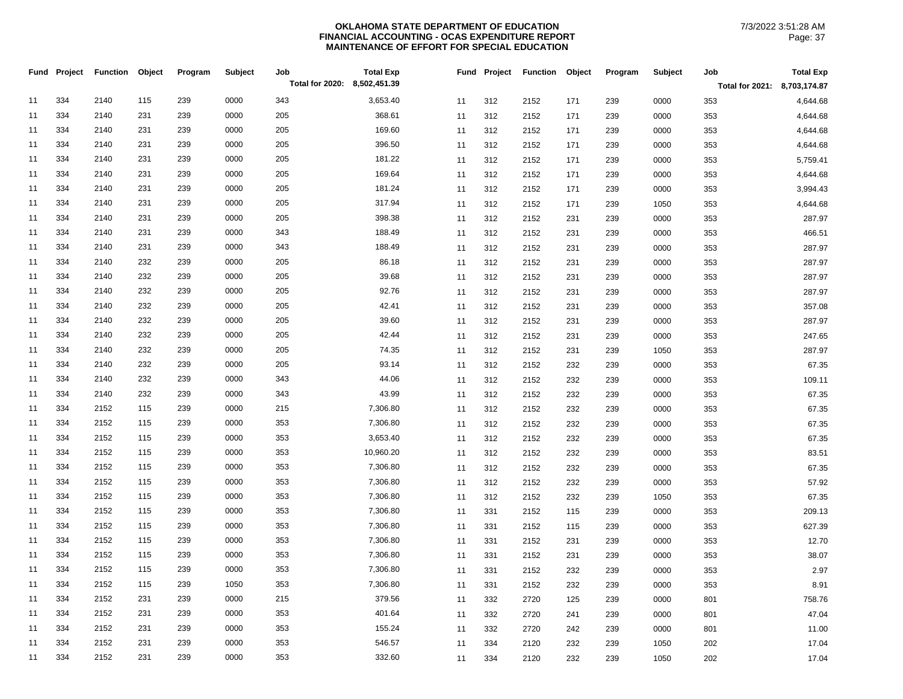|    | Fund Project | Function | Object | Program | Subject | Job<br>Total for 2020: 8,502,451.39 | <b>Total Exp</b> |    | Fund Project | <b>Function</b> | Object | Program | Subject | Job                          | <b>Total Exp</b> |
|----|--------------|----------|--------|---------|---------|-------------------------------------|------------------|----|--------------|-----------------|--------|---------|---------|------------------------------|------------------|
|    |              |          |        |         |         |                                     |                  |    |              |                 |        |         |         | Total for 2021: 8,703,174.87 |                  |
| 11 | 334          | 2140     | 115    | 239     | 0000    | 343                                 | 3,653.40         | 11 | 312          | 2152            | 171    | 239     | 0000    | 353                          | 4,644.68         |
| 11 | 334          | 2140     | 231    | 239     | 0000    | 205                                 | 368.61           | 11 | 312          | 2152            | 171    | 239     | 0000    | 353                          | 4,644.68         |
| 11 | 334          | 2140     | 231    | 239     | 0000    | 205                                 | 169.60           | 11 | 312          | 2152            | 171    | 239     | 0000    | 353                          | 4,644.68         |
| 11 | 334          | 2140     | 231    | 239     | 0000    | 205                                 | 396.50           | 11 | 312          | 2152            | 171    | 239     | 0000    | 353                          | 4,644.68         |
| 11 | 334          | 2140     | 231    | 239     | 0000    | 205                                 | 181.22           | 11 | 312          | 2152            | 171    | 239     | 0000    | 353                          | 5,759.41         |
| 11 | 334          | 2140     | 231    | 239     | 0000    | 205                                 | 169.64           | 11 | 312          | 2152            | 171    | 239     | 0000    | 353                          | 4,644.68         |
| 11 | 334          | 2140     | 231    | 239     | 0000    | 205                                 | 181.24           | 11 | 312          | 2152            | 171    | 239     | 0000    | 353                          | 3,994.43         |
| 11 | 334          | 2140     | 231    | 239     | 0000    | 205                                 | 317.94           | 11 | 312          | 2152            | 171    | 239     | 1050    | 353                          | 4,644.68         |
| 11 | 334          | 2140     | 231    | 239     | 0000    | 205                                 | 398.38           | 11 | 312          | 2152            | 231    | 239     | 0000    | 353                          | 287.97           |
| 11 | 334          | 2140     | 231    | 239     | 0000    | 343                                 | 188.49           | 11 | 312          | 2152            | 231    | 239     | 0000    | 353                          | 466.51           |
| 11 | 334          | 2140     | 231    | 239     | 0000    | 343                                 | 188.49           | 11 | 312          | 2152            | 231    | 239     | 0000    | 353                          | 287.97           |
| 11 | 334          | 2140     | 232    | 239     | 0000    | 205                                 | 86.18            | 11 | 312          | 2152            | 231    | 239     | 0000    | 353                          | 287.97           |
| 11 | 334          | 2140     | 232    | 239     | 0000    | 205                                 | 39.68            | 11 | 312          | 2152            | 231    | 239     | 0000    | 353                          | 287.97           |
| 11 | 334          | 2140     | 232    | 239     | 0000    | 205                                 | 92.76            | 11 | 312          | 2152            | 231    | 239     | 0000    | 353                          | 287.97           |
| 11 | 334          | 2140     | 232    | 239     | 0000    | 205                                 | 42.41            | 11 | 312          | 2152            | 231    | 239     | 0000    | 353                          | 357.08           |
| 11 | 334          | 2140     | 232    | 239     | 0000    | 205                                 | 39.60            | 11 | 312          | 2152            | 231    | 239     | 0000    | 353                          | 287.97           |
| 11 | 334          | 2140     | 232    | 239     | 0000    | 205                                 | 42.44            | 11 | 312          | 2152            | 231    | 239     | 0000    | 353                          | 247.65           |
| 11 | 334          | 2140     | 232    | 239     | 0000    | 205                                 | 74.35            | 11 | 312          | 2152            | 231    | 239     | 1050    | 353                          | 287.97           |
| 11 | 334          | 2140     | 232    | 239     | 0000    | 205                                 | 93.14            | 11 | 312          | 2152            | 232    | 239     | 0000    | 353                          | 67.35            |
| 11 | 334          | 2140     | 232    | 239     | 0000    | 343                                 | 44.06            | 11 | 312          | 2152            | 232    | 239     | 0000    | 353                          | 109.11           |
| 11 | 334          | 2140     | 232    | 239     | 0000    | 343                                 | 43.99            | 11 | 312          | 2152            | 232    | 239     | 0000    | 353                          | 67.35            |
| 11 | 334          | 2152     | 115    | 239     | 0000    | 215                                 | 7,306.80         | 11 | 312          | 2152            | 232    | 239     | 0000    | 353                          | 67.35            |
| 11 | 334          | 2152     | 115    | 239     | 0000    | 353                                 | 7,306.80         | 11 | 312          | 2152            | 232    | 239     | 0000    | 353                          | 67.35            |
| 11 | 334          | 2152     | 115    | 239     | 0000    | 353                                 | 3,653.40         | 11 | 312          | 2152            | 232    | 239     | 0000    | 353                          | 67.35            |
| 11 | 334          | 2152     | 115    | 239     | 0000    | 353                                 | 10,960.20        | 11 | 312          | 2152            | 232    | 239     | 0000    | 353                          | 83.51            |
| 11 | 334          | 2152     | 115    | 239     | 0000    | 353                                 | 7,306.80         | 11 | 312          | 2152            | 232    | 239     | 0000    | 353                          | 67.35            |
| 11 | 334          | 2152     | 115    | 239     | 0000    | 353                                 | 7,306.80         | 11 | 312          | 2152            | 232    | 239     | 0000    | 353                          | 57.92            |
| 11 | 334          | 2152     | 115    | 239     | 0000    | 353                                 | 7,306.80         | 11 | 312          | 2152            | 232    | 239     | 1050    | 353                          | 67.35            |
| 11 | 334          | 2152     | 115    | 239     | 0000    | 353                                 | 7,306.80         | 11 | 331          | 2152            | 115    | 239     | 0000    | 353                          | 209.13           |
| 11 | 334          | 2152     | 115    | 239     | 0000    | 353                                 | 7,306.80         | 11 | 331          | 2152            | 115    | 239     | 0000    | 353                          | 627.39           |
| 11 | 334          | 2152     | 115    | 239     | 0000    | 353                                 | 7,306.80         | 11 | 331          | 2152            | 231    | 239     | 0000    | 353                          | 12.70            |
| 11 | 334          | 2152     | 115    | 239     | 0000    | 353                                 | 7,306.80         | 11 | 331          | 2152            | 231    | 239     | 0000    | 353                          | 38.07            |
| 11 | 334          | 2152     | 115    | 239     | 0000    | 353                                 | 7,306.80         | 11 | 331          | 2152            | 232    | 239     | 0000    | 353                          | 2.97             |
| 11 | 334          | 2152     | 115    | 239     | 1050    | 353                                 | 7,306.80         | 11 | 331          | 2152            | 232    | 239     | 0000    | 353                          | 8.91             |
| 11 | 334          | 2152     | 231    | 239     | 0000    | 215                                 | 379.56           | 11 | 332          | 2720            | 125    | 239     | 0000    | 801                          | 758.76           |
| 11 | 334          | 2152     | 231    | 239     | 0000    | 353                                 | 401.64           | 11 | 332          | 2720            | 241    | 239     | 0000    | 801                          | 47.04            |
| 11 | 334          | 2152     | 231    | 239     | 0000    | 353                                 | 155.24           | 11 | 332          | 2720            | 242    | 239     | 0000    | 801                          | 11.00            |
| 11 | 334          | 2152     | 231    | 239     | 0000    | 353                                 | 546.57           | 11 | 334          | 2120            | 232    | 239     | 1050    | 202                          | 17.04            |
| 11 | 334          | 2152     | 231    | 239     | 0000    | 353                                 | 332.60           | 11 | 334          | 2120            | 232    | 239     | 1050    | 202                          | 17.04            |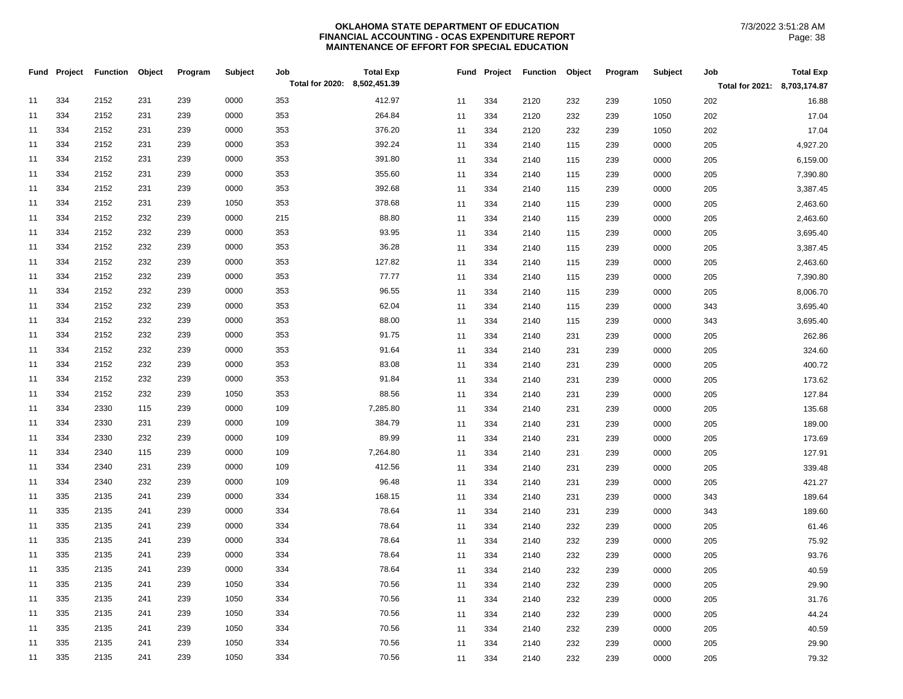|    | Fund Project | <b>Function</b> | Object | Program | Subject | Job<br>Total for 2020: 8,502,451.39 | <b>Total Exp</b> |          |            | Fund Project Function Object |            | Program    | Subject      | Job<br>Total for 2021: 8,703,174.87 | <b>Total Exp</b>     |
|----|--------------|-----------------|--------|---------|---------|-------------------------------------|------------------|----------|------------|------------------------------|------------|------------|--------------|-------------------------------------|----------------------|
| 11 | 334          | 2152            | 231    | 239     | 0000    | 353                                 | 412.97           |          |            |                              |            |            |              |                                     |                      |
| 11 | 334          | 2152            | 231    | 239     | 0000    | 353                                 | 264.84           | 11<br>11 | 334<br>334 | 2120                         | 232        | 239        | 1050         | 202                                 | 16.88<br>17.04       |
| 11 | 334          | 2152            | 231    | 239     | 0000    | 353                                 | 376.20           | 11       | 334        | 2120                         | 232        | 239        | 1050<br>1050 | 202<br>202                          | 17.04                |
| 11 | 334          | 2152            | 231    | 239     | 0000    | 353                                 | 392.24           | 11       | 334        | 2120                         | 232<br>115 | 239        | 0000         |                                     | 4,927.20             |
| 11 | 334          | 2152            | 231    | 239     | 0000    | 353                                 | 391.80           |          | 334        | 2140                         |            | 239        |              | 205                                 |                      |
| 11 | 334          | 2152            | 231    | 239     | 0000    | 353                                 | 355.60           | 11<br>11 | 334        | 2140<br>2140                 | 115<br>115 | 239<br>239 | 0000<br>0000 | 205<br>205                          | 6,159.00<br>7,390.80 |
| 11 | 334          | 2152            | 231    | 239     | 0000    | 353                                 | 392.68           |          | 334        |                              |            |            |              |                                     | 3,387.45             |
| 11 | 334          | 2152            | 231    | 239     | 1050    | 353                                 | 378.68           | 11<br>11 | 334        | 2140<br>2140                 | 115<br>115 | 239<br>239 | 0000<br>0000 | 205<br>205                          | 2,463.60             |
| 11 | 334          | 2152            | 232    | 239     | 0000    | 215                                 | 88.80            |          | 334        |                              |            |            |              |                                     |                      |
| 11 | 334          | 2152            | 232    | 239     | 0000    | 353                                 | 93.95            | 11       |            | 2140                         | 115        | 239        | 0000         | 205                                 | 2,463.60             |
| 11 | 334          | 2152            | 232    | 239     | 0000    | 353                                 | 36.28            | 11       | 334<br>334 | 2140                         | 115        | 239        | 0000         | 205                                 | 3,695.40             |
| 11 | 334          | 2152            | 232    | 239     | 0000    | 353                                 | 127.82           | 11       |            | 2140                         | 115        | 239        | 0000<br>0000 | 205                                 | 3,387.45             |
|    | 334          |                 | 232    | 239     | 0000    |                                     | 77.77            | 11       | 334        | 2140                         | 115        | 239        |              | 205                                 | 2,463.60             |
| 11 |              | 2152            |        |         |         | 353                                 |                  | 11       | 334        | 2140                         | 115        | 239        | 0000         | 205                                 | 7,390.80             |
| 11 | 334          | 2152            | 232    | 239     | 0000    | 353                                 | 96.55            | 11       | 334        | 2140                         | 115        | 239        | 0000         | 205                                 | 8,006.70             |
| 11 | 334          | 2152            | 232    | 239     | 0000    | 353                                 | 62.04            | 11       | 334        | 2140                         | 115        | 239        | 0000         | 343                                 | 3,695.40             |
| 11 | 334          | 2152            | 232    | 239     | 0000    | 353                                 | 88.00            | 11       | 334        | 2140                         | 115        | 239        | 0000         | 343                                 | 3,695.40             |
| 11 | 334          | 2152            | 232    | 239     | 0000    | 353                                 | 91.75            | 11       | 334        | 2140                         | 231        | 239        | 0000         | 205                                 | 262.86               |
| 11 | 334          | 2152            | 232    | 239     | 0000    | 353                                 | 91.64            | 11       | 334        | 2140                         | 231        | 239        | 0000         | 205                                 | 324.60               |
| 11 | 334          | 2152            | 232    | 239     | 0000    | 353                                 | 83.08            | 11       | 334        | 2140                         | 231        | 239        | 0000         | 205                                 | 400.72               |
| 11 | 334          | 2152            | 232    | 239     | 0000    | 353                                 | 91.84            | 11       | 334        | 2140                         | 231        | 239        | 0000         | 205                                 | 173.62               |
| 11 | 334          | 2152            | 232    | 239     | 1050    | 353                                 | 88.56            | 11       | 334        | 2140                         | 231        | 239        | 0000         | 205                                 | 127.84               |
| 11 | 334          | 2330            | 115    | 239     | 0000    | 109                                 | 7,285.80         | 11       | 334        | 2140                         | 231        | 239        | 0000         | 205                                 | 135.68               |
| 11 | 334          | 2330            | 231    | 239     | 0000    | 109                                 | 384.79           | 11       | 334        | 2140                         | 231        | 239        | 0000         | 205                                 | 189.00               |
| 11 | 334          | 2330            | 232    | 239     | 0000    | 109                                 | 89.99            | 11       | 334        | 2140                         | 231        | 239        | 0000         | 205                                 | 173.69               |
| 11 | 334          | 2340            | 115    | 239     | 0000    | 109                                 | 7,264.80         | 11       | 334        | 2140                         | 231        | 239        | 0000         | 205                                 | 127.91               |
| 11 | 334          | 2340            | 231    | 239     | 0000    | 109                                 | 412.56           | 11       | 334        | 2140                         | 231        | 239        | 0000         | 205                                 | 339.48               |
| 11 | 334          | 2340            | 232    | 239     | 0000    | 109                                 | 96.48            | 11       | 334        | 2140                         | 231        | 239        | 0000         | 205                                 | 421.27               |
| 11 | 335          | 2135            | 241    | 239     | 0000    | 334                                 | 168.15           | 11       | 334        | 2140                         | 231        | 239        | 0000         | 343                                 | 189.64               |
| 11 | 335          | 2135            | 241    | 239     | 0000    | 334                                 | 78.64            | 11       | 334        | 2140                         | 231        | 239        | 0000         | 343                                 | 189.60               |
| 11 | 335          | 2135            | 241    | 239     | 0000    | 334                                 | 78.64            | 11       | 334        | 2140                         | 232        | 239        | 0000         | 205                                 | 61.46                |
| 11 | 335          | 2135            | 241    | 239     | 0000    | 334                                 | 78.64            | 11       | 334        | 2140                         | 232        | 239        | 0000         | 205                                 | 75.92                |
| 11 | 335          | 2135            | 241    | 239     | 0000    | 334                                 | 78.64            | 11       | 334        | 2140                         | 232        | 239        | 0000         | 205                                 | 93.76                |
| 11 | 335          | 2135            | 241    | 239     | 0000    | 334                                 | 78.64            | 11       | 334        | 2140                         | 232        | 239        | 0000         | 205                                 | 40.59                |
| 11 | 335          | 2135            | 241    | 239     | 1050    | 334                                 | 70.56            | 11       | 334        | 2140                         | 232        | 239        | 0000         | 205                                 | 29.90                |
| 11 | 335          | 2135            | 241    | 239     | 1050    | 334                                 | 70.56            | 11       | 334        | 2140                         | 232        | 239        | 0000         | 205                                 | 31.76                |
| 11 | 335          | 2135            | 241    | 239     | 1050    | 334                                 | 70.56            | 11       | 334        | 2140                         | 232        | 239        | 0000         | 205                                 | 44.24                |
| 11 | 335          | 2135            | 241    | 239     | 1050    | 334                                 | 70.56            | 11       | 334        | 2140                         | 232        | 239        | 0000         | 205                                 | 40.59                |
| 11 | 335          | 2135            | 241    | 239     | 1050    | 334                                 | 70.56            | 11       | 334        | 2140                         | 232        | 239        | 0000         | 205                                 | 29.90                |
| 11 | 335          | 2135            | 241    | 239     | 1050    | 334                                 | 70.56            | 11       | 334        | 2140                         | 232        | 239        | 0000         | 205                                 | 79.32                |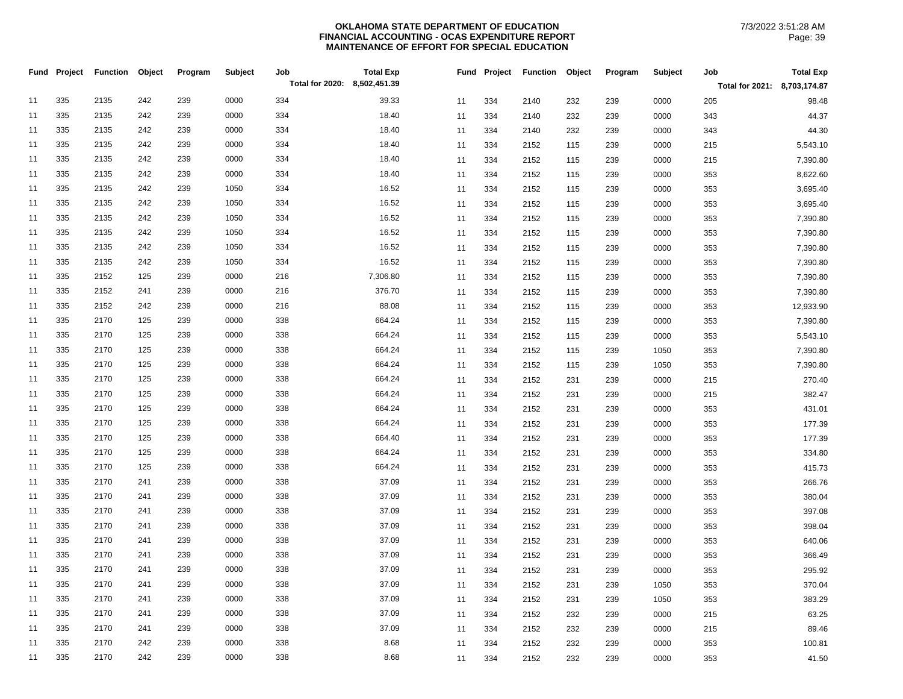|    | Fund Project | <b>Function</b> | Object | Program | <b>Subject</b> | Job<br>Total for 2020: 8,502,451.39 | <b>Total Exp</b> |    |     | Fund Project Function | Object | Program | Subject | Job                          | <b>Total Exp</b> |
|----|--------------|-----------------|--------|---------|----------------|-------------------------------------|------------------|----|-----|-----------------------|--------|---------|---------|------------------------------|------------------|
|    |              |                 |        |         |                |                                     |                  |    |     |                       |        |         |         | Total for 2021: 8,703,174.87 |                  |
| 11 | 335          | 2135            | 242    | 239     | 0000           | 334                                 | 39.33            | 11 | 334 | 2140                  | 232    | 239     | 0000    | 205                          | 98.48            |
| 11 | 335          | 2135            | 242    | 239     | 0000           | 334                                 | 18.40            | 11 | 334 | 2140                  | 232    | 239     | 0000    | 343                          | 44.37            |
| 11 | 335          | 2135            | 242    | 239     | 0000           | 334                                 | 18.40            | 11 | 334 | 2140                  | 232    | 239     | 0000    | 343                          | 44.30            |
| 11 | 335          | 2135            | 242    | 239     | 0000           | 334                                 | 18.40            | 11 | 334 | 2152                  | 115    | 239     | 0000    | 215                          | 5,543.10         |
| 11 | 335          | 2135            | 242    | 239     | 0000           | 334                                 | 18.40            | 11 | 334 | 2152                  | 115    | 239     | 0000    | 215                          | 7,390.80         |
| 11 | 335          | 2135            | 242    | 239     | 0000           | 334                                 | 18.40            | 11 | 334 | 2152                  | 115    | 239     | 0000    | 353                          | 8,622.60         |
| 11 | 335          | 2135            | 242    | 239     | 1050           | 334                                 | 16.52            | 11 | 334 | 2152                  | 115    | 239     | 0000    | 353                          | 3,695.40         |
| 11 | 335          | 2135            | 242    | 239     | 1050           | 334                                 | 16.52            | 11 | 334 | 2152                  | 115    | 239     | 0000    | 353                          | 3,695.40         |
| 11 | 335          | 2135            | 242    | 239     | 1050           | 334                                 | 16.52            | 11 | 334 | 2152                  | 115    | 239     | 0000    | 353                          | 7,390.80         |
| 11 | 335          | 2135            | 242    | 239     | 1050           | 334                                 | 16.52            | 11 | 334 | 2152                  | 115    | 239     | 0000    | 353                          | 7,390.80         |
| 11 | 335          | 2135            | 242    | 239     | 1050           | 334                                 | 16.52            | 11 | 334 | 2152                  | 115    | 239     | 0000    | 353                          | 7,390.80         |
| 11 | 335          | 2135            | 242    | 239     | 1050           | 334                                 | 16.52            | 11 | 334 | 2152                  | 115    | 239     | 0000    | 353                          | 7,390.80         |
| 11 | 335          | 2152            | 125    | 239     | 0000           | 216                                 | 7,306.80         | 11 | 334 | 2152                  | 115    | 239     | 0000    | 353                          | 7,390.80         |
| 11 | 335          | 2152            | 241    | 239     | 0000           | 216                                 | 376.70           | 11 | 334 | 2152                  | 115    | 239     | 0000    | 353                          | 7,390.80         |
| 11 | 335          | 2152            | 242    | 239     | 0000           | 216                                 | 88.08            | 11 | 334 | 2152                  | 115    | 239     | 0000    | 353                          | 12,933.90        |
| 11 | 335          | 2170            | 125    | 239     | 0000           | 338                                 | 664.24           | 11 | 334 | 2152                  | 115    | 239     | 0000    | 353                          | 7,390.80         |
| 11 | 335          | 2170            | 125    | 239     | 0000           | 338                                 | 664.24           | 11 | 334 | 2152                  | 115    | 239     | 0000    | 353                          | 5,543.10         |
| 11 | 335          | 2170            | 125    | 239     | 0000           | 338                                 | 664.24           | 11 | 334 | 2152                  | 115    | 239     | 1050    | 353                          | 7,390.80         |
| 11 | 335          | 2170            | 125    | 239     | 0000           | 338                                 | 664.24           | 11 | 334 | 2152                  | 115    | 239     | 1050    | 353                          | 7,390.80         |
| 11 | 335          | 2170            | 125    | 239     | 0000           | 338                                 | 664.24           | 11 | 334 | 2152                  | 231    | 239     | 0000    | 215                          | 270.40           |
| 11 | 335          | 2170            | 125    | 239     | 0000           | 338                                 | 664.24           | 11 | 334 | 2152                  | 231    | 239     | 0000    | 215                          | 382.47           |
| 11 | 335          | 2170            | 125    | 239     | 0000           | 338                                 | 664.24           | 11 | 334 | 2152                  | 231    | 239     | 0000    | 353                          | 431.01           |
| 11 | 335          | 2170            | 125    | 239     | 0000           | 338                                 | 664.24           | 11 | 334 | 2152                  | 231    | 239     | 0000    | 353                          | 177.39           |
| 11 | 335          | 2170            | 125    | 239     | 0000           | 338                                 | 664.40           | 11 | 334 | 2152                  | 231    | 239     | 0000    | 353                          | 177.39           |
| 11 | 335          | 2170            | 125    | 239     | 0000           | 338                                 | 664.24           | 11 | 334 | 2152                  | 231    | 239     | 0000    | 353                          | 334.80           |
| 11 | 335          | 2170            | 125    | 239     | 0000           | 338                                 | 664.24           | 11 | 334 | 2152                  | 231    | 239     | 0000    | 353                          | 415.73           |
| 11 | 335          | 2170            | 241    | 239     | 0000           | 338                                 | 37.09            | 11 | 334 | 2152                  | 231    | 239     | 0000    | 353                          | 266.76           |
| 11 | 335          | 2170            | 241    | 239     | 0000           | 338                                 | 37.09            | 11 | 334 | 2152                  | 231    | 239     | 0000    | 353                          | 380.04           |
| 11 | 335          | 2170            | 241    | 239     | 0000           | 338                                 | 37.09            | 11 | 334 | 2152                  | 231    | 239     | 0000    | 353                          | 397.08           |
| 11 | 335          | 2170            | 241    | 239     | 0000           | 338                                 | 37.09            | 11 | 334 | 2152                  | 231    | 239     | 0000    | 353                          | 398.04           |
| 11 | 335          | 2170            | 241    | 239     | 0000           | 338                                 | 37.09            | 11 | 334 | 2152                  | 231    | 239     | 0000    | 353                          | 640.06           |
| 11 | 335          | 2170            | 241    | 239     | 0000           | 338                                 | 37.09            | 11 | 334 | 2152                  | 231    | 239     | 0000    | 353                          | 366.49           |
| 11 | 335          | 2170            | 241    | 239     | 0000           | 338                                 | 37.09            | 11 | 334 | 2152                  | 231    | 239     | 0000    | 353                          | 295.92           |
| 11 | 335          | 2170            | 241    | 239     | 0000           | 338                                 | 37.09            | 11 | 334 | 2152                  | 231    | 239     | 1050    | 353                          | 370.04           |
| 11 | 335          | 2170            | 241    | 239     | 0000           | 338                                 | 37.09            | 11 | 334 | 2152                  | 231    | 239     | 1050    | 353                          | 383.29           |
| 11 | 335          | 2170            | 241    | 239     | 0000           | 338                                 | 37.09            | 11 | 334 | 2152                  | 232    | 239     | 0000    | 215                          | 63.25            |
| 11 | 335          | 2170            | 241    | 239     | 0000           | 338                                 | 37.09            | 11 | 334 | 2152                  | 232    | 239     | 0000    | 215                          | 89.46            |
| 11 | 335          | 2170            | 242    | 239     | 0000           | 338                                 | 8.68             | 11 | 334 | 2152                  | 232    | 239     | 0000    | 353                          | 100.81           |
| 11 | 335          | 2170            | 242    | 239     | 0000           | 338                                 | 8.68             | 11 | 334 | 2152                  | 232    | 239     | 0000    | 353                          | 41.50            |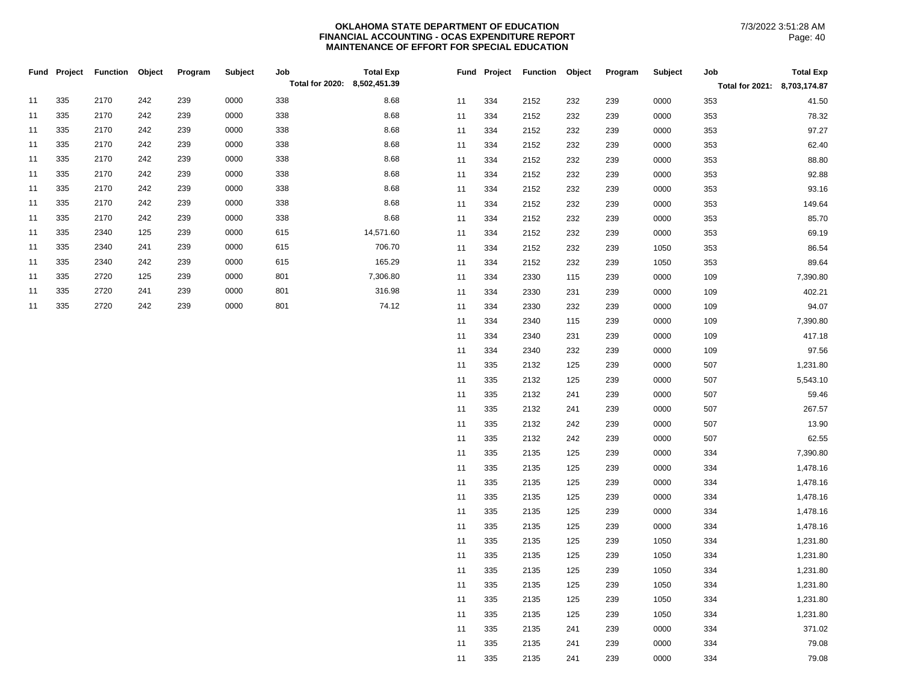|    |     | Fund Project Function Object |     | Program | Subject | Job                          | <b>Total Exp</b> |    | Fund Project | <b>Function Object</b> |     | Program | Subject | Job                          | <b>Total Exp</b> |
|----|-----|------------------------------|-----|---------|---------|------------------------------|------------------|----|--------------|------------------------|-----|---------|---------|------------------------------|------------------|
|    |     |                              |     |         |         | Total for 2020: 8,502,451.39 |                  |    |              |                        |     |         |         | Total for 2021: 8,703,174.87 |                  |
| 11 | 335 | 2170                         | 242 | 239     | 0000    | 338                          | 8.68             | 11 | 334          | 2152                   | 232 | 239     | 0000    | 353                          | 41.50            |
| 11 | 335 | 2170                         | 242 | 239     | 0000    | 338                          | 8.68             | 11 | 334          | 2152                   | 232 | 239     | 0000    | 353                          | 78.32            |
| 11 | 335 | 2170                         | 242 | 239     | 0000    | 338                          | 8.68             | 11 | 334          | 2152                   | 232 | 239     | 0000    | 353                          | 97.27            |
| 11 | 335 | 2170                         | 242 | 239     | 0000    | 338                          | 8.68             | 11 | 334          | 2152                   | 232 | 239     | 0000    | 353                          | 62.40            |
| 11 | 335 | 2170                         | 242 | 239     | 0000    | 338                          | 8.68             | 11 | 334          | 2152                   | 232 | 239     | 0000    | 353                          | 88.80            |
| 11 | 335 | 2170                         | 242 | 239     | 0000    | 338                          | 8.68             | 11 | 334          | 2152                   | 232 | 239     | 0000    | 353                          | 92.88            |
| 11 | 335 | 2170                         | 242 | 239     | 0000    | 338                          | 8.68             | 11 | 334          | 2152                   | 232 | 239     | 0000    | 353                          | 93.16            |
| 11 | 335 | 2170                         | 242 | 239     | 0000    | 338                          | 8.68             | 11 | 334          | 2152                   | 232 | 239     | 0000    | 353                          | 149.64           |
| 11 | 335 | 2170                         | 242 | 239     | 0000    | 338                          | 8.68             | 11 | 334          | 2152                   | 232 | 239     | 0000    | 353                          | 85.70            |
| 11 | 335 | 2340                         | 125 | 239     | 0000    | 615                          | 14,571.60        | 11 | 334          | 2152                   | 232 | 239     | 0000    | 353                          | 69.19            |
| 11 | 335 | 2340                         | 241 | 239     | 0000    | 615                          | 706.70           | 11 | 334          | 2152                   | 232 | 239     | 1050    | 353                          | 86.54            |
| 11 | 335 | 2340                         | 242 | 239     | 0000    | 615                          | 165.29           | 11 | 334          | 2152                   | 232 | 239     | 1050    | 353                          | 89.64            |
| 11 | 335 | 2720                         | 125 | 239     | 0000    | 801                          | 7,306.80         | 11 | 334          | 2330                   | 115 | 239     | 0000    | 109                          | 7,390.80         |
| 11 | 335 | 2720                         | 241 | 239     | 0000    | 801                          | 316.98           | 11 | 334          | 2330                   | 231 | 239     | 0000    | 109                          | 402.21           |
| 11 | 335 | 2720                         | 242 | 239     | 0000    | 801                          | 74.12            | 11 | 334          | 2330                   | 232 | 239     | 0000    | 109                          | 94.07            |
|    |     |                              |     |         |         |                              |                  | 11 | 334          | 2340                   | 115 | 239     | 0000    | 109                          | 7,390.80         |
|    |     |                              |     |         |         |                              |                  | 11 | 334          | 2340                   | 231 | 239     | 0000    | 109                          | 417.18           |
|    |     |                              |     |         |         |                              |                  | 11 | 334          | 2340                   | 232 | 239     | 0000    | 109                          | 97.56            |
|    |     |                              |     |         |         |                              |                  | 11 | 335          | 2132                   | 125 | 239     | 0000    | 507                          | 1,231.80         |
|    |     |                              |     |         |         |                              |                  | 11 | 335          | 2132                   | 125 | 239     | 0000    | 507                          | 5,543.10         |
|    |     |                              |     |         |         |                              |                  | 11 | 335          | 2132                   | 241 | 239     | 0000    | 507                          | 59.46            |
|    |     |                              |     |         |         |                              |                  | 11 | 335          | 2132                   | 241 | 239     | 0000    | 507                          | 267.57           |
|    |     |                              |     |         |         |                              |                  | 11 | 335          | 2132                   | 242 | 239     | 0000    | 507                          | 13.90            |
|    |     |                              |     |         |         |                              |                  | 11 | 335          | 2132                   | 242 | 239     | 0000    | 507                          | 62.55            |
|    |     |                              |     |         |         |                              |                  | 11 | 335          | 2135                   | 125 | 239     | 0000    | 334                          | 7,390.80         |
|    |     |                              |     |         |         |                              |                  | 11 | 335          | 2135                   | 125 | 239     | 0000    | 334                          | 1,478.16         |
|    |     |                              |     |         |         |                              |                  | 11 | 335          | 2135                   | 125 | 239     | 0000    | 334                          | 1,478.16         |
|    |     |                              |     |         |         |                              |                  | 11 | 335          | 2135                   | 125 | 239     | 0000    | 334                          | 1,478.16         |
|    |     |                              |     |         |         |                              |                  | 11 | 335          | 2135                   | 125 | 239     | 0000    | 334                          | 1,478.16         |
|    |     |                              |     |         |         |                              |                  | 11 | 335          | 2135                   | 125 | 239     | 0000    | 334                          | 1,478.16         |
|    |     |                              |     |         |         |                              |                  | 11 | 335          | 2135                   | 125 | 239     | 1050    | 334                          | 1,231.80         |
|    |     |                              |     |         |         |                              |                  | 11 | 335          | 2135                   | 125 | 239     | 1050    | 334                          | 1,231.80         |
|    |     |                              |     |         |         |                              |                  | 11 | 335          | 2135                   | 125 | 239     | 1050    | 334                          | 1,231.80         |
|    |     |                              |     |         |         |                              |                  | 11 | 335          | 2135                   | 125 | 239     | 1050    | 334                          | 1,231.80         |
|    |     |                              |     |         |         |                              |                  | 11 | 335          | 2135                   | 125 | 239     | 1050    | 334                          | 1,231.80         |
|    |     |                              |     |         |         |                              |                  | 11 | 335          | 2135                   | 125 | 239     | 1050    | 334                          | 1,231.80         |
|    |     |                              |     |         |         |                              |                  | 11 | 335          | 2135                   | 241 | 239     | 0000    | 334                          | 371.02           |
|    |     |                              |     |         |         |                              |                  | 11 | 335          | 2135                   | 241 | 239     | 0000    | 334                          | 79.08            |
|    |     |                              |     |         |         |                              |                  | 11 | 335          | 2135                   | 241 | 239     | 0000    | 334                          | 79.08            |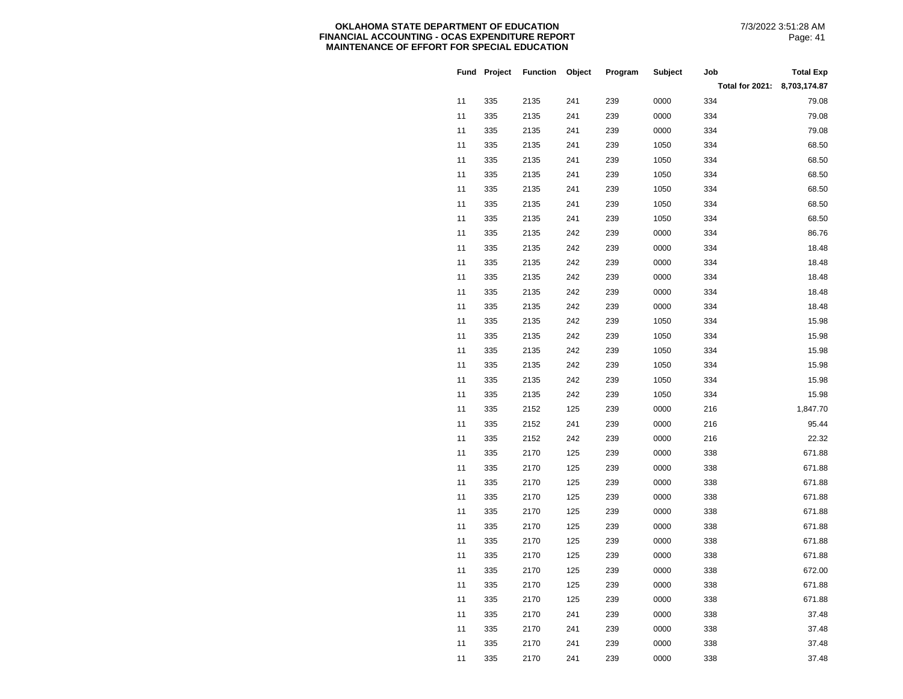|    | Fund Project | <b>Function</b> | Object | Program | Subject | Job             | <b>Total Exp</b> |
|----|--------------|-----------------|--------|---------|---------|-----------------|------------------|
|    |              |                 |        |         |         | Total for 2021: | 8,703,174.87     |
| 11 | 335          | 2135            | 241    | 239     | 0000    | 334             | 79.08            |
| 11 | 335          | 2135            | 241    | 239     | 0000    | 334             | 79.08            |
| 11 | 335          | 2135            | 241    | 239     | 0000    | 334             | 79.08            |
| 11 | 335          | 2135            | 241    | 239     | 1050    | 334             | 68.50            |
| 11 | 335          | 2135            | 241    | 239     | 1050    | 334             | 68.50            |
| 11 | 335          | 2135            | 241    | 239     | 1050    | 334             | 68.50            |
| 11 | 335          | 2135            | 241    | 239     | 1050    | 334             | 68.50            |
| 11 | 335          | 2135            | 241    | 239     | 1050    | 334             | 68.50            |
| 11 | 335          | 2135            | 241    | 239     | 1050    | 334             | 68.50            |
| 11 | 335          | 2135            | 242    | 239     | 0000    | 334             | 86.76            |
| 11 | 335          | 2135            | 242    | 239     | 0000    | 334             | 18.48            |
| 11 | 335          | 2135            | 242    | 239     | 0000    | 334             | 18.48            |
| 11 | 335          | 2135            | 242    | 239     | 0000    | 334             | 18.48            |
| 11 | 335          | 2135            | 242    | 239     | 0000    | 334             | 18.48            |
| 11 | 335          | 2135            | 242    | 239     | 0000    | 334             | 18.48            |
| 11 | 335          | 2135            | 242    | 239     | 1050    | 334             | 15.98            |
| 11 | 335          | 2135            | 242    | 239     | 1050    | 334             | 15.98            |
| 11 | 335          | 2135            | 242    | 239     | 1050    | 334             | 15.98            |
| 11 | 335          | 2135            | 242    | 239     | 1050    | 334             | 15.98            |
| 11 | 335          | 2135            | 242    | 239     | 1050    | 334             | 15.98            |
| 11 | 335          | 2135            | 242    | 239     | 1050    | 334             | 15.98            |
| 11 | 335          | 2152            | 125    | 239     | 0000    | 216             | 1,847.70         |
| 11 | 335          | 2152            | 241    | 239     | 0000    | 216             | 95.44            |
| 11 | 335          | 2152            | 242    | 239     | 0000    | 216             | 22.32            |
| 11 | 335          | 2170            | 125    | 239     | 0000    | 338             | 671.88           |
| 11 | 335          | 2170            | 125    | 239     | 0000    | 338             | 671.88           |
| 11 | 335          | 2170            | 125    | 239     | 0000    | 338             | 671.88           |
| 11 | 335          | 2170            | 125    | 239     | 0000    | 338             | 671.88           |
| 11 | 335          | 2170            | 125    | 239     | 0000    | 338             | 671.88           |
| 11 | 335          | 2170            | 125    | 239     | 0000    | 338             | 671.88           |
| 11 | 335          | 2170            | 125    | 239     | 0000    | 338             | 671.88           |
| 11 | 335          | 2170            | 125    | 239     | 0000    | 338             | 671.88           |
| 11 | 335          | 2170            | 125    | 239     | 0000    | 338             | 672.00           |
| 11 | 335          | 2170            | 125    | 239     | 0000    | 338             | 671.88           |
| 11 | 335          | 2170            | 125    | 239     | 0000    | 338             | 671.88           |
| 11 | 335          | 2170            | 241    | 239     | 0000    | 338             | 37.48            |
| 11 | 335          | 2170            | 241    | 239     | 0000    | 338             | 37.48            |
| 11 | 335          | 2170            | 241    | 239     | 0000    | 338             | 37.48            |
| 11 | 335          | 2170            | 241    | 239     | 0000    | 338             | 37.48            |